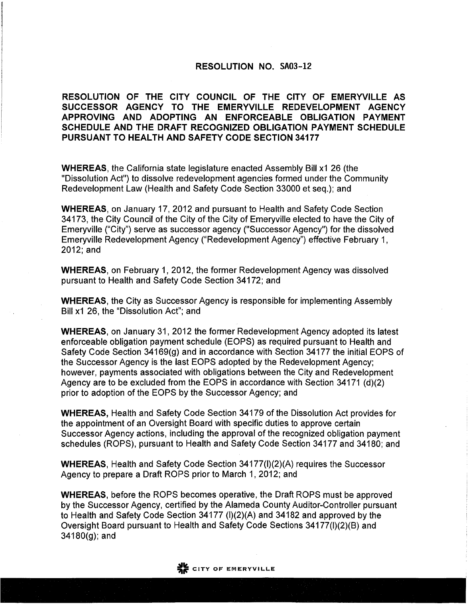## **RESOLUTION NO. SA03-12**

RESOLUTION OF THE CITY COUNCIL OF THE CITY OF EMERYVILLE AS SUCCESSOR AGENCY TO THE EMERYVILLE REDEVELOPMENT AGENCY APPROVING AND ADOPTING AN ENFORCEABLE OBLIGATION PAYMENT SCHEDULE AND THE DRAFT RECOGNIZED OBLIGATION PAYMENT SCHEDULE **PURSUANT TO HEALTH AND SAFETY CODE SECTION 34177** 

**WHEREAS, the California state legislature enacted Assembly Bill x1 26 (the** "Dissolution Act") to dissolve redevelopment agencies formed under the Community Redevelopment Law (Health and Safety Code Section 33000 et seg.); and

**WHEREAS, on January 17, 2012 and pursuant to Health and Safety Code Section** 34173, the City Council of the City of the City of Emeryville elected to have the City of Emeryville ("City") serve as successor agency ("Successor Agency") for the dissolved Emeryville Redevelopment Agency ("Redevelopment Agency") effective February 1, 2012; and

**WHEREAS, on February 1, 2012, the former Redevelopment Agency was dissolved** pursuant to Health and Safety Code Section 34172; and

**WHEREAS, the City as Successor Agency is responsible for implementing Assembly** Bill x1 26, the "Dissolution Act"; and

**WHEREAS, on January 31, 2012 the former Redevelopment Agency adopted its latest** enforceable obligation payment schedule (EOPS) as required pursuant to Health and Safety Code Section 34169(g) and in accordance with Section 34177 the initial EOPS of the Successor Agency is the last EOPS adopted by the Redevelopment Agency; however, payments associated with obligations between the City and Redevelopment Agency are to be excluded from the EOPS in accordance with Section 34171 (d)(2) prior to adoption of the EOPS by the Successor Agency; and

**WHEREAS, Health and Safety Code Section 34179 of the Dissolution Act provides for** the appointment of an Oversight Board with specific duties to approve certain Successor Agency actions, including the approval of the recognized obligation payment schedules (ROPS), pursuant to Health and Safety Code Section 34177 and 34180; and

**WHEREAS.** Health and Safety Code Section 34177(I)(2)(A) requires the Successor Agency to prepare a Draft ROPS prior to March 1, 2012; and

**WHEREAS.** before the ROPS becomes operative, the Draft ROPS must be approved by the Successor Agency, certified by the Alameda County Auditor-Controller pursuant to Health and Safety Code Section 34177 (I)(2)(A) and 34182 and approved by the Oversight Board pursuant to Health and Safety Code Sections 34177(I)(2)(B) and  $34180(g)$ ; and

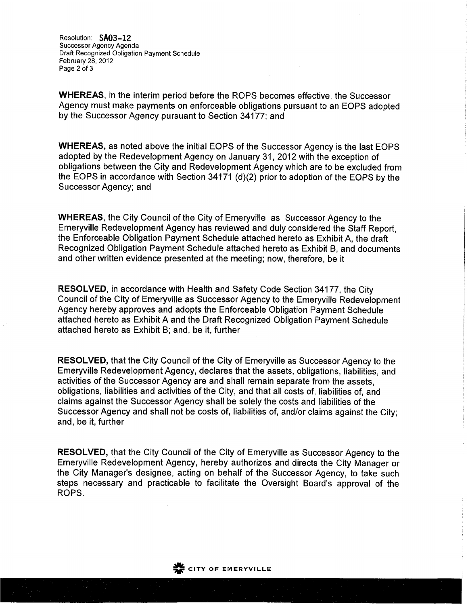Resolution: SA03-12 Successor Agency Agenda Draft Recognized Obligation Payment Schedule February 28, 2012 Page 2 of 3

**WHEREAS, in the interim period before the ROPS becomes effective, the Successor** Agency must make payments on enforceable obligations pursuant to an EOPS adopted by the Successor Agency pursuant to Section 34177; and

WHEREAS, as noted above the initial EOPS of the Successor Agency is the last EOPS adopted by the Redevelopment Agency on January 31, 2012 with the exception of obligations between the City and Redevelopment Agency which are to be excluded from the EOPS in accordance with Section 34171 (d)(2) prior to adoption of the EOPS by the Successor Agency; and

**WHEREAS, the City Council of the City of Emeryville as Successor Agency to the** Emeryville Redevelopment Agency has reviewed and duly considered the Staff Report, the Enforceable Obligation Payment Schedule attached hereto as Exhibit A, the draft Recognized Obligation Payment Schedule attached hereto as Exhibit B, and documents and other written evidence presented at the meeting; now, therefore, be it

**RESOLVED, in accordance with Health and Safety Code Section 34177, the City** Council of the City of Emeryville as Successor Agency to the Emeryville Redevelopment Agency hereby approves and adopts the Enforceable Obligation Payment Schedule attached hereto as Exhibit A and the Draft Recognized Obligation Payment Schedule attached hereto as Exhibit B; and, be it, further

RESOLVED, that the City Council of the City of Emeryville as Successor Agency to the Emeryville Redevelopment Agency, declares that the assets, obligations, liabilities, and activities of the Successor Agency are and shall remain separate from the assets. obligations, liabilities and activities of the City, and that all costs of, liabilities of, and claims against the Successor Agency shall be solely the costs and liabilities of the Successor Agency and shall not be costs of, liabilities of, and/or claims against the City; and, be it, further

RESOLVED, that the City Council of the City of Emeryville as Successor Agency to the Emeryville Redevelopment Agency, hereby authorizes and directs the City Manager or the City Manager's designee, acting on behalf of the Successor Agency, to take such steps necessary and practicable to facilitate the Oversight Board's approval of the ROPS.

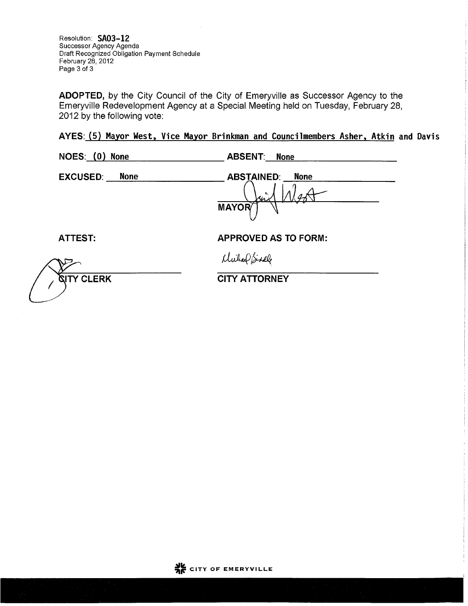Resolution: SA03-12 Successor Agency Agenda Draft Recognized Obligation Payment Schedule February 28, 2012 Page 3 of 3

ADOPTED, by the City Council of the City of Emeryville as Successor Agency to the Emeryville Redevelopment Agency at a Special Meeting held on Tuesday, February 28, 2012 by the following vote:

AYES: (5) Mayor West, Vice Mayor Brinkman and Councilmembers Asher, Atkin and Davis

| NOES: (0)<br><b>None</b>       | <b>ABSENT:</b> None                                         |
|--------------------------------|-------------------------------------------------------------|
| <b>EXCUSED:</b><br><b>None</b> | <b>ABSTAINED:</b><br><b>None</b><br>v<br>Mr<br><b>MAYOR</b> |
| <b>ATTEST:</b>                 | <b>APPROVED AS TO FORM:</b>                                 |
|                                | Mulae Sixele                                                |
| <b>GITY CLERK</b>              | <b>CITY ATTORNEY</b>                                        |

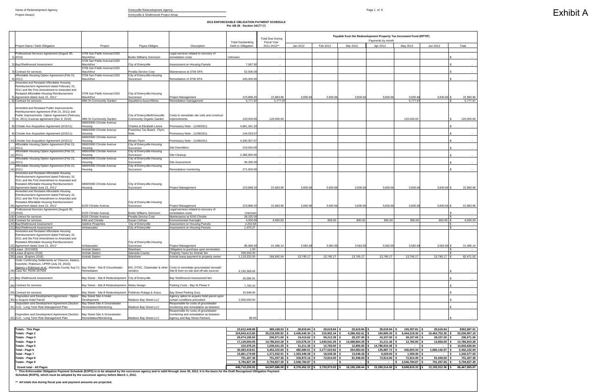**2012 ENFORCEABLE OBLIGATION PAYMENT SCHEDULE Per AB 26 - Section 34177 (\*)**

ncy and is valid through June 30, 2012. It is the basis for the Draft Recognized Obligation Payment **Schedule (ROPS), which must be adopted by the successor agency before March 1, 2012.**

|                                                                                                                                                                                                                         |                                                                                      |                                                           |                                                                                                                  |                                                | <b>Total Due During</b> | Payable from the Redevelopment Property Tax Increment Fund (RPTIF)<br>Payments by month<br><b>Fiscal Year</b> |           |           |           |            |                     |                     |
|-------------------------------------------------------------------------------------------------------------------------------------------------------------------------------------------------------------------------|--------------------------------------------------------------------------------------|-----------------------------------------------------------|------------------------------------------------------------------------------------------------------------------|------------------------------------------------|-------------------------|---------------------------------------------------------------------------------------------------------------|-----------|-----------|-----------|------------|---------------------|---------------------|
| Project Name / Debt Obligation                                                                                                                                                                                          | Project                                                                              | Payee-Obligee                                             | Description                                                                                                      | <b>Total Outstanding</b><br>Debt or Obligation | 2011-2012**             | Jan 2012                                                                                                      | Feb 2012  | Mar 2012  | Apr 2012  | May 2012   | Jun 2012            | Total               |
| Professional Services Agreement (August 30,<br>1) 2010)                                                                                                                                                                 | 3706 San Pablo Avenue/1025<br>MacArthur                                              | <b>Burke Williams Sorenson</b>                            | Legal services related to recovery of<br>emediation costs                                                        | Unknown                                        |                         |                                                                                                               |           |           |           |            |                     |                     |
| 2) Bay/Shellmound Assessment                                                                                                                                                                                            | 3706 San Pablo Avenue/1025<br>MacArthur                                              | City of Emeryville                                        | Assessment on Housing Parcels                                                                                    | 7,067.92                                       |                         |                                                                                                               |           |           |           |            |                     |                     |
| 3) Contract for services                                                                                                                                                                                                | 3706 San Pablo Avenue/1025<br>MacArthur                                              | Peralta Service Corp                                      | Maintenance at 3706 SPA                                                                                          | 52,500.0                                       |                         |                                                                                                               |           |           |           |            |                     |                     |
| Affordable Housing Option Agreement (Feb 15,<br>$4)$ 2011)                                                                                                                                                              | 3706 San Pablo Avenue/1025<br>MacArthur                                              | City of Emeryville-Housing<br>Successor                   | Remediation of 3706 SPA                                                                                          | 240,000.0                                      |                         |                                                                                                               |           |           |           |            |                     |                     |
| Amended and Restated Affordable Housing<br>Reimbursement Agreement dated February 15,<br>2011 and the First Amendment to Amended and<br>Restated Affordable Housing Reimbursement<br>5) Agreement dated June 21, 2011"  | 3706 San Pablo Avenue/1025<br>MacArthur                                              | City of Emeryville-Housing<br>Successor                   | <b>Project Management</b>                                                                                        | 223,888.2                                      | 22,983.96               | 3,830.66                                                                                                      | 3,830.66  | 3,830.66  | 3,830.66  | 3,830.66   | 3,830.66 \$         | 22,983.96           |
| 6) Contract for services                                                                                                                                                                                                | 48th St Community Garden                                                             | Aquatierra Assoc/Weiss                                    | Remediation management                                                                                           | 5,777.9                                        | 5,777.9                 |                                                                                                               |           |           |           | 5,777.9    |                     | 5.777.97            |
| Amended and Restated Public Improvements<br>Reimbursement Agreement (Feb 15, 2011) and<br>Public Improvements Option Agreement (February<br>7) 15, 2011) /License agreement (Dec 9, 2010)                               | 48th St Community Garden<br>5890/5900 Christie Avenue                                | City of Emeryville/Emeryville<br>Community Organic Garden | Costs to remediate site soils and construct<br>improvements                                                      | 120,000.00                                     | 120,000.00              |                                                                                                               |           |           |           | 120,000.00 |                     | 120,000.00          |
| 8) Christie Ave Acquisition Agreement (3/15/11)                                                                                                                                                                         | Housing<br>5890/5900 Christie Avenue                                                 | Charles & Elizabeth Leone<br>Franchise Tax Board - Flynn  | Promissory Note - 11/08/2011                                                                                     | 4,681,341.3                                    |                         |                                                                                                               |           |           |           |            |                     |                     |
| 9) Christie Ave Acquisition Agreement (3/15/11)                                                                                                                                                                         | Housing<br>5890/5900 Christie Avenue                                                 | Note                                                      | Promissory Note - 11/08/2011                                                                                     | 144,333.57                                     |                         |                                                                                                               |           |           |           |            |                     |                     |
| 10) Christie Ave Acquisition Agreement (3/15/11)                                                                                                                                                                        | Housina                                                                              | Miriam Flynn                                              | Promissory Note - 11/08/2011                                                                                     | 4,330,007.0                                    |                         |                                                                                                               |           |           |           |            |                     |                     |
| Affordable Housing Option Agreement (Feb 15,<br>11) 2011)                                                                                                                                                               | 5890/5900 Christie Avenue<br>Housing                                                 | City of Emeryville-Housing<br>Successor                   | <b>Site Demolition</b>                                                                                           | 219,550.0                                      |                         |                                                                                                               |           |           |           |            |                     |                     |
| Affordable Housing Option Agreement (Feb 15,<br>12) 2011)                                                                                                                                                               | 5890/5900 Christie Avenue<br>Housing                                                 | City of Emeryville-Housing<br>Successor                   | Site Cleanup                                                                                                     | 2,388,900.0                                    |                         |                                                                                                               |           |           |           |            |                     |                     |
| Affordable Housing Option Agreement (Feb 15,<br>13) 2011)                                                                                                                                                               | 5890/5900 Christie Avenue<br>Housing                                                 | City of Emeryville-Housing<br>Successor                   | Site Assessment                                                                                                  | 94,350.0                                       |                         |                                                                                                               |           |           |           |            |                     |                     |
| Affordable Housing Option Agreement (Feb 15,<br>$14)$ 2011)                                                                                                                                                             | 5890/5900 Christie Avenue<br>Housing                                                 | City of Emeryville-Housing<br>Successor                   | Remediation monitoring                                                                                           | 271.500.00                                     |                         |                                                                                                               |           |           |           |            |                     |                     |
| Amended and Restated Affordable Housing<br>Reimbursement Agreement dated February 15,<br>2011 and the First Amendment to Amended and<br>Restated Affordable Housing Reimbursement<br>15) Agreement dated June 21, 2011" | 5890/5900 Christie Avenue<br>Housing                                                 | City of Emeryville-Housing<br>Successor                   | <b>Project Management</b>                                                                                        | 223,888.2                                      | 22,983.96               | 3,830.66                                                                                                      | 3,830.66  | 3,830.66  | 3,830.66  | 3,830.66   | 3,830.66 \$         | 22,983.96           |
| Amended and Restated Affordable Housing<br>Reimbursement Agreement dated February 15,<br>2011 and the First Amendment to Amended and<br>Restated Affordable Housing Reimbursement<br>16) Agreement dated June 21, 2011" | 6150 Christie Avenue                                                                 | City of Emeryville-Housing<br>Successor                   | <b>Project Management</b>                                                                                        | 223,888.20                                     | 22.983.96               | 3,830.66                                                                                                      | 3,830.66  | 3,830.66  | 3,830.66  | 3,830.66   | 3,830.66 \$         | 22,983.96           |
| Professional Services Agreement (August 30,<br>17) 2010)                                                                                                                                                                | 6150 Christie Avenue                                                                 | <b>Burke Williams Sorenson</b>                            | Legal services related to recovery of<br>remediation costs                                                       | Unknown                                        |                         |                                                                                                               |           |           |           |            |                     |                     |
| 18) Contract for services<br>Contract for services                                                                                                                                                                      | 6150 Christie Avenue<br>64th and Christie                                            | Peralta Service Corp<br>Susan Colman                      | Maintenance at 6150 Christie<br><b>Environmental Oversight</b>                                                   | 28,320.00<br>4,000.0                           | 4.000.00                |                                                                                                               | 800.00    | 800.00    | 800.00    | 800.00     | 800.00 \$           | $\sim$<br>4,000.00  |
| 20) Bay/Shellmound Assessment                                                                                                                                                                                           | <b>Adeline Properties</b>                                                            | City of Emeryville                                        | Assessment on Housing Parcels                                                                                    | 2,202.58                                       |                         |                                                                                                               |           |           |           |            | £.                  | $\sim$              |
| 21) Bay/Shellmound Assessment<br>Amended and Restated Affordable Housing<br>Reimbursement Agreement dated February 15,<br>2011 and the First Amendment to Amended and<br>Restated Affordable Housing Reimbursement      | Ambassador                                                                           | City of Emeryville<br>City of Emeryville-Housing          | Assessment on Housing Parcels                                                                                    | 1,470.27                                       | $\sim$                  |                                                                                                               |           |           |           |            | $\hat{\mathcal{L}}$ | $\sim$              |
| 22) Agreement dated June 21, 2011"                                                                                                                                                                                      | Ambassador<br><b>Amtrak Station</b>                                                  | Successor<br>Wareham                                      | Project Management<br>Obligation to purchase upon termination                                                    | 85,984.5<br>1.00                               | 21,496.14               | 3,582.69                                                                                                      | 3,582.69  | 3,582.69  | 3,582.69  | 3,582.69   | 3,582.69            | 21,496.14<br>$\sim$ |
| 23) Lease (3/2/1993)<br>24) Lease (Expires 2018)                                                                                                                                                                        | <b>Amtrak Station</b>                                                                | Alameda County                                            | Property Taxes for Amtrak Stn                                                                                    | 339,300.00                                     |                         |                                                                                                               |           |           |           |            |                     |                     |
| 25) Lease (Expires 2018)<br>Order Confirming Settlements w/ Chevron, Adams                                                                                                                                              | <b>Amtrak Station</b>                                                                | Wareham                                                   | Amtrak lease payment to property owner                                                                           | 1,119,332.00                                   | 164,942.04              | 13,745.17                                                                                                     | 13,745.17 | 13,745.17 | 13,745.17 | 13,745.17  | 13,745.17 \$        | 82,471.02           |
| Koeckritz, Robinson, UPRR (July 23, 2010);<br>Agency v Robinson et.al.; Alameda County Sup Ct, Bay Street - Site B Groundwater<br>26) Case No. RG06-267594                                                              | Remediation                                                                          | vendors                                                   | EKI, DTSC, Clearwater & other Costs to remediate groundwater beneath<br>Site B from on-site and off-site sources | 6,155,369.06                                   |                         |                                                                                                               |           |           |           |            |                     |                     |
| 27) Bay Shellmound Assessment                                                                                                                                                                                           | Bay Street - Site B Redevelopment City of Emeryville                                 |                                                           | Bay Shellmound Assessment lien                                                                                   | 26,066.91                                      |                         |                                                                                                               |           |           |           |            |                     |                     |
| 28) Contract for services                                                                                                                                                                                               | Bay Street - Site B Redevelopment Watry Design                                       |                                                           | Parking Costs - Bay St Phase II                                                                                  | 7,763.10                                       |                         |                                                                                                               |           |           |           |            |                     |                     |
| 29) Contract for services                                                                                                                                                                                               | Bay Street - Site B Redevelopment Fieldman Rolapp & Assoc<br>Bay Street Site A Hotel |                                                           | <b>Bay Street Parking Svcs</b>                                                                                   | 15,648.00                                      |                         |                                                                                                               |           |           |           |            |                     |                     |
| Disposition and Development Agreement - Option<br>30) to Acquire Hotel Parcel                                                                                                                                           | Development                                                                          | Madison Bay Street LLC                                    | Agency option to acquire hotel parcel upon<br>certain conditions precedent                                       | 2,000,000.00                                   |                         |                                                                                                               |           |           |           |            |                     |                     |
| Disposition and Development Agreement (Section<br>31) 212) - Long Term Risk Management Plan                                                                                                                             | Bay Street Site A Groundwater<br>Remediation/Monitoring                              | Madison Bay Street LLC                                    | Responsible for costs of groundwater<br>monitoring and remediation as between                                    |                                                |                         |                                                                                                               |           |           |           |            |                     |                     |
| Disposition and Development Agreement (Section<br>32) 212) - Long Term Risk Management Plan                                                                                                                             | Bay Street Site A Groundwater<br>Remediation/Monitoring                              | Madison Bay Street LLC                                    | Responsible for costs of groundwater<br>monitoring and remediation as between<br>Agency and Bay Street Partners  | \$0.00                                         |                         |                                                                                                               |           |           |           |            |                     |                     |

| <b>Totals - This Page</b>                                                                                                                                                                      | 23.012.449.88  | 385,168.03    | 28,819.84    | $29,619.84$ \$    | 29,619.84 \$     | 29,619.84        | 155,397.81 \$        | 29,619.84       | \$302,697.01  |
|------------------------------------------------------------------------------------------------------------------------------------------------------------------------------------------------|----------------|---------------|--------------|-------------------|------------------|------------------|----------------------|-----------------|---------------|
| Totals - Page 2                                                                                                                                                                                | 324,843,413.80 | 35,218,005.82 | 3,436,645.34 | 219,952.34 \$     | 4,286,432.61 \$  | 184,805.30       | 6,444,318.30         | 10,464,753.30   | 25,036,907.19 |
| Totals - Page 3                                                                                                                                                                                | 29.074.185.50  | 206.971.00    | 19.410.62    | 59.212.38 S       | 28.337.00 \$     | 43,337.00        | 28,337.00            | 28.337.00 \$    | 206.971.00    |
| Totals - Page 4                                                                                                                                                                                | 17,129,004.05  | 14,786,810.28 | 210,578.24   | $1,030,541.29$ \$ | 13,488,864.39 \$ | 31,211.36        | 12,760.00 \$         | 12,855.00       | 14,786,810.28 |
| Totals - Page 5                                                                                                                                                                                | 210.578.24     | 1,030,541.29  | 31,211.36    | $12,760.00$ \$    | 12,855.00        | 14,786,810.28    |                      |                 | 14,843,636.64 |
| Total - Page 6                                                                                                                                                                                 | 30,083,418.81  | 5,452,222.00  | 482,680.51   | 2,277,523.82 \$   | 254,083.64       | 135,887.72       | 436,903.34           | 1,865,142.97 \$ | 5,452,222.00  |
| Total - Page 7                                                                                                                                                                                 | 15,861,170.89  | 1,371,932.91  | 1,303,449.28 | 18,549.36 \$      | 13,049.36        | $6,029.00$   9   | $1,500.00$ $\mid$ \$ |                 | 1,342,577.00  |
| Totals - Page 8                                                                                                                                                                                | 701.207.36     | 701,207.36    | 318.872.16   | 72.814.00 \$      | 81.946.60 \$     | 72.814.00        | 72.814.00 \$         | 81.946.60 S     | 701,207.36    |
| Totals - Page 9                                                                                                                                                                                | 5.794.827.39   | 5,794,827.39  | 2,546,784.87 |                   |                  |                  | 2,546,784.87 \$      | 701,257.65      | 5,794,827.39  |
| <b>Grand total - All Pages</b>                                                                                                                                                                 | 446,710,255.92 | 64,947,686.08 | 8,378,452.22 | 3,720,973.03 \$   | 18,195,188.44 \$ | 15,290,514.50 \$ | 9,698,815.32         | 13,183,912.36   | 68,467,855.87 |
| * This Enforceshie Obligation Payment Schedule (EOPS) is to be adopted by the successor agency and is valid through June 30, 2012. It is the basis for the Draft Recognized Obligation Payment |                |               |              |                   |                  |                  |                      |                 |               |

**\*\* All totals due during fiscal year and payment amounts are projected.** 

# Exhibit A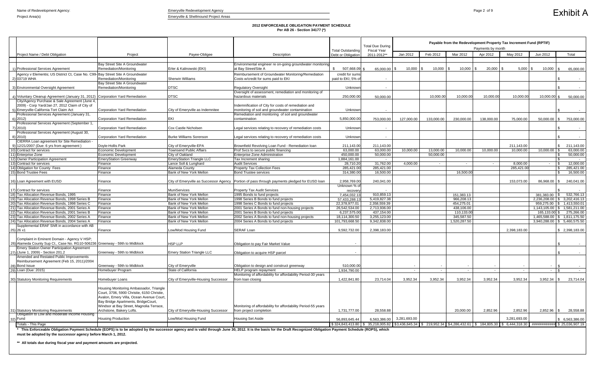### **2012 ENFORCEABLE OBLIGATION PAYMENT SCHEDULE Per AB 26 - Section 34177 (\*)**

|                                                                                                                                    |                                                                                                                                                                                                                                                  |                                                    |                                                                                                                                                                                                                       | <b>Total Outstanding</b>                | <b>Total Due During</b><br><b>Fiscal Year</b>                                            | Payable from the Redevelopment Property Tax Increment Fund (RPTIF)<br>Payments by month<br>Jan 2012<br>Feb 2012<br>Mar 2012<br>Apr 2012<br>May 2012<br>Jun 2012 |                        |                          |            |                |                                               |          |                             |
|------------------------------------------------------------------------------------------------------------------------------------|--------------------------------------------------------------------------------------------------------------------------------------------------------------------------------------------------------------------------------------------------|----------------------------------------------------|-----------------------------------------------------------------------------------------------------------------------------------------------------------------------------------------------------------------------|-----------------------------------------|------------------------------------------------------------------------------------------|-----------------------------------------------------------------------------------------------------------------------------------------------------------------|------------------------|--------------------------|------------|----------------|-----------------------------------------------|----------|-----------------------------|
| Project Name / Debt Obligation                                                                                                     | Project                                                                                                                                                                                                                                          | Payee-Obligee                                      | Description                                                                                                                                                                                                           | Debt or Obligation                      | 2011-2012**                                                                              |                                                                                                                                                                 |                        |                          |            |                |                                               |          | Total                       |
|                                                                                                                                    |                                                                                                                                                                                                                                                  |                                                    |                                                                                                                                                                                                                       |                                         |                                                                                          |                                                                                                                                                                 |                        |                          |            |                |                                               |          |                             |
| 1) Professional Services Agreement                                                                                                 | Bay Street Site A Groundwater<br>Remediation/Monitoring                                                                                                                                                                                          | Erler & Kalinowski (EKI)                           | Environmental engineer re on-going groundwater monitoring<br>at Bay Street/Site A                                                                                                                                     | $\mathbb{S}$<br>507,668.09              | 65,000.00                                                                                | 10,000                                                                                                                                                          | 10,000                 | 10,000                   | 20,000     | $5,000$ \ \$   | 10,000                                        | l S      | 65,000.00                   |
| Agency v Elementis; US District Ct, Case No. C99- Bay Street Site A Groundwater                                                    |                                                                                                                                                                                                                                                  |                                                    | Reimbursement of Groundwater Monitoring/Remediation                                                                                                                                                                   | credit for sums                         |                                                                                          |                                                                                                                                                                 |                        |                          |            |                |                                               |          |                             |
| 2) 03719 WHA                                                                                                                       | Remediation/Monitoring                                                                                                                                                                                                                           | <b>Sherwin Williams</b>                            | Costs w/credit for sums paid to EKI                                                                                                                                                                                   | paid to EKI; 5% of                      |                                                                                          |                                                                                                                                                                 |                        |                          |            |                |                                               |          |                             |
|                                                                                                                                    | Bay Street Site A Groundwater                                                                                                                                                                                                                    |                                                    |                                                                                                                                                                                                                       |                                         |                                                                                          |                                                                                                                                                                 |                        |                          |            |                |                                               |          |                             |
| 3) Environmental Oversight Agreement                                                                                               | Remediation/Monitoring                                                                                                                                                                                                                           | <b>DTSC</b>                                        | <b>Regulatory Oversight</b>                                                                                                                                                                                           | Unknowr                                 |                                                                                          |                                                                                                                                                                 |                        |                          |            |                |                                               | . ጽ      |                             |
|                                                                                                                                    |                                                                                                                                                                                                                                                  | <b>DTSC</b>                                        | Oversight of assessment, remediation and monitoring of                                                                                                                                                                |                                         |                                                                                          |                                                                                                                                                                 |                        |                          | 10,000.00  |                |                                               |          |                             |
| 4) Voluntary Cleanup Agreement (January 31, 2012) Corporation Yard Remediation<br>City/Agency Purchase & Sale Agreement (June 4,   |                                                                                                                                                                                                                                                  |                                                    | hazardous materials                                                                                                                                                                                                   | 250,000.00                              | 50,000.00                                                                                |                                                                                                                                                                 | 10,000.00              | 10,000.00                |            | 10,000.00      | $10,000.00$ \$                                |          | 50,000.00                   |
| 2009) - Corp Yard/Jan 27, 2012 Claim of City of                                                                                    |                                                                                                                                                                                                                                                  |                                                    | Indemnification of City for costs of remediation and                                                                                                                                                                  |                                         |                                                                                          |                                                                                                                                                                 |                        |                          |            |                |                                               |          |                             |
| 5) Emeryville-California Tort Claim Act                                                                                            | <b>Corporation Yard Remediation</b>                                                                                                                                                                                                              | City of Emeryville as Indemnitee                   | monitoring of soil and groundwater contamination                                                                                                                                                                      | Unknowr                                 |                                                                                          |                                                                                                                                                                 |                        |                          |            |                |                                               |          |                             |
| Professional Services Agreement (January 31,                                                                                       |                                                                                                                                                                                                                                                  |                                                    | Remediation and monitoring of soil and groundwater                                                                                                                                                                    |                                         |                                                                                          |                                                                                                                                                                 |                        |                          |            |                |                                               |          |                             |
| $6)$ 2012)                                                                                                                         | <b>Corporation Yard Remediation</b>                                                                                                                                                                                                              | EKI                                                | contamination                                                                                                                                                                                                         | 5,850,000.00                            | 753,000.00                                                                               | 127,000.00                                                                                                                                                      | 133,000.00             | 230,000.00               | 138,000.00 | 75,000.00      | $50,000.00$ \$                                |          | 753,000.00                  |
| Professional Services Agreement (September 1<br>7) 2010)                                                                           | <b>Corporation Yard Remediation</b>                                                                                                                                                                                                              | Cox Castle Nicholsen                               | Legal services relating to recovery of remediation costs                                                                                                                                                              | Unknowr                                 |                                                                                          |                                                                                                                                                                 |                        |                          |            |                |                                               |          |                             |
| Professional Services Agreement (August 30,                                                                                        |                                                                                                                                                                                                                                                  |                                                    |                                                                                                                                                                                                                       |                                         |                                                                                          |                                                                                                                                                                 |                        |                          |            |                |                                               |          |                             |
| 8) 2010)                                                                                                                           | <b>Corporation Yard Remediation</b>                                                                                                                                                                                                              | <b>Burke Williams Sorenson</b>                     | Legal services relating to recovery of remediation costs                                                                                                                                                              | Unknowr                                 |                                                                                          |                                                                                                                                                                 |                        |                          |            |                |                                               |          |                             |
| CIERRA Loan agreement for Site Remediation -                                                                                       |                                                                                                                                                                                                                                                  |                                                    |                                                                                                                                                                                                                       |                                         |                                                                                          |                                                                                                                                                                 |                        |                          |            |                |                                               |          |                             |
| 9) 12/21/2007 (Due: 6 yrs from agreement)                                                                                          | Doyle-Hollis Park                                                                                                                                                                                                                                | City of Emeryville-EPA                             | Brownfield Revolving Loan Fund - Remediation loan                                                                                                                                                                     | 211,143.00                              | 211,143.00                                                                               |                                                                                                                                                                 |                        |                          |            | 211,143.00     |                                               | \$       | 211,143.00                  |
| 10) Contract for services<br>11) Enterprise Zone                                                                                   | Economic Development<br><b>Economic Development</b>                                                                                                                                                                                              | <b>Townsend Public Affairs</b><br>City of Oakland  | Prof Svcs to secure public financing<br><b>Enterprise Zone Administration</b>                                                                                                                                         | 63,000.00                               | 63,000.00<br>50,000.00                                                                   | 10,000.00                                                                                                                                                       | 13,000.00<br>50,000.00 | 10,000.00                | 10,000.00  | 10,000.00      | 10,000.00                                     | <b>S</b> | 63,000.00                   |
| 12) Owner Participation Agreement                                                                                                  | <b>EmeryStation Greenway</b>                                                                                                                                                                                                                     | <b>EmeryStation Triangle LLC</b>                   | Tax Increment sharing                                                                                                                                                                                                 | $\overline{450,000.00}$<br>1,884,161.00 | $\sim$                                                                                   |                                                                                                                                                                 |                        |                          |            |                |                                               | - \$     | 50,000.00<br>$\sim$ $ \sim$ |
| 13) Contract for services                                                                                                          | Finance                                                                                                                                                                                                                                          | Lance Soll & Lunghard                              | <b>Audit Services</b>                                                                                                                                                                                                 | 28,710.20                               | 31,762.00                                                                                | 4,000.00                                                                                                                                                        |                        | $\sim$                   |            | 8,000.00       |                                               | l \$     | 12,000.00                   |
| 14) Obligation for County Fees                                                                                                     | Finance                                                                                                                                                                                                                                          | <b>Alameda County</b>                              | <b>Property Tax Collection Fees</b>                                                                                                                                                                                   | 285,421.00                              | 285,421.00                                                                               |                                                                                                                                                                 |                        |                          |            | 285,421.00     |                                               | -\$      | 285,421.00                  |
| 15) Bond Trustee Fees                                                                                                              | Finance                                                                                                                                                                                                                                          | Bank of New York Mellon                            | <b>Bond Trustee services</b>                                                                                                                                                                                          | 314,380.00                              | 16,500.00                                                                                |                                                                                                                                                                 |                        | 16,500.00                |            |                |                                               | - \$     | 16,500.00                   |
|                                                                                                                                    |                                                                                                                                                                                                                                                  |                                                    |                                                                                                                                                                                                                       |                                         |                                                                                          |                                                                                                                                                                 |                        |                          |            |                |                                               |          |                             |
| 16) Loan Agreement with EUSD                                                                                                       | Finance                                                                                                                                                                                                                                          |                                                    | City of Emeryville as Successor Agency   Portion of pass through payments pledged for EUSD loan                                                                                                                       | 2,958,769.00<br>Unknown % of            | 240,041.00                                                                               |                                                                                                                                                                 |                        |                          |            | 153,073.00     | 86,968.00 \$                                  |          | 240,041.00                  |
| 17) Contract for services                                                                                                          | Finance                                                                                                                                                                                                                                          | <b>MuniServices</b>                                | Property Tax Audit Services                                                                                                                                                                                           | recovery                                |                                                                                          |                                                                                                                                                                 |                        |                          |            |                |                                               |          |                             |
| Tax Allocation Revenue Bonds, 1995                                                                                                 | Finance                                                                                                                                                                                                                                          | <b>Bank of New York Mellon</b>                     | 1995 Bonds to fund projects                                                                                                                                                                                           | 7,454,032.13                            | 910,859.13                                                                               |                                                                                                                                                                 |                        | 151,383.13               |            |                | $381,383.00$ \ \$                             |          | 532,766.13                  |
| Tax Allocation Revenue Bonds, 1998 Series B                                                                                        | Finance                                                                                                                                                                                                                                          | Bank of New York Mellon                            | 1998 Series B Bonds to fund projects                                                                                                                                                                                  | 57,433,288.13                           | 5,419,827.38                                                                             |                                                                                                                                                                 |                        | 966,208.13               |            |                | 2,236,208.00 \$ 3,202,416.13                  |          |                             |
| Tax Allocation Revenue Bonds, 1998 Series C                                                                                        | Finance                                                                                                                                                                                                                                          | Bank of New York Mellon                            | 1998 Series C Bonds to fund projects                                                                                                                                                                                  | 22,378,977.01                           | 2,358,559.39                                                                             |                                                                                                                                                                 |                        | 454,275.01               |            |                | 959,275.00 \$ 1,413,550.01                    |          |                             |
| Tax Allocation Revenue Bonds, 2001 Series A                                                                                        | Finance                                                                                                                                                                                                                                          | Bank of New York Mellon                            | 2001 Series A Bonds to fund non-housing projects                                                                                                                                                                      | 26,542,534.00                           | 2,713,936.00                                                                             |                                                                                                                                                                 |                        | 438,106.00               |            |                | 1,143,105.00 \$ 1,581,211.00                  |          |                             |
| Tax Allocation Revenue Bonds, 2001 Series B<br>Tax Allocation Revenue Bonds, 2002 Series A                                         | Finance<br>Finance                                                                                                                                                                                                                               | Bank of New York Mellon<br>Bank of New York Mellon | 2001 Series B Bonds to fund projects<br>2002 Series A Bonds to fund non-housing projects                                                                                                                              | 6,237,575.00<br>18,114,300.50           | 437,154.00<br>3,255,123.00                                                               |                                                                                                                                                                 |                        | 110,133.00<br>345,587.50 |            |                | 165,133.00 \$<br>1,465,588.00 \$ 1,811,175.50 |          | 275,266.00                  |
| Tax Allocation Revenue Bonds, 2004 Series A                                                                                        | Finance                                                                                                                                                                                                                                          | Bank of New York Mellon                            | 2004 Series A Bonds to fund projects                                                                                                                                                                                  | 101,793,668.50                          | 9,342,838.00                                                                             |                                                                                                                                                                 |                        | 1,520,287.50             |            |                | 3,940,288.00 \$ 5,460,575.50                  |          |                             |
| Supplemental ERAF Shift in accordance with AB                                                                                      |                                                                                                                                                                                                                                                  |                                                    |                                                                                                                                                                                                                       |                                         |                                                                                          |                                                                                                                                                                 |                        |                          |            |                |                                               |          |                             |
| $25)$ 26 x1                                                                                                                        | Finance                                                                                                                                                                                                                                          | Low/Mod Housing Fund                               | <b>SERAF Loan</b>                                                                                                                                                                                                     | 9,592,732.00                            | 2,398,183.00                                                                             |                                                                                                                                                                 |                        |                          |            | 2,398,183.00   |                                               |          | \$2,398,183.00              |
|                                                                                                                                    |                                                                                                                                                                                                                                                  |                                                    |                                                                                                                                                                                                                       |                                         |                                                                                          |                                                                                                                                                                 |                        |                          |            |                |                                               |          |                             |
| Complaint in Eminent Domain - Agency V HSP;                                                                                        |                                                                                                                                                                                                                                                  |                                                    |                                                                                                                                                                                                                       |                                         |                                                                                          |                                                                                                                                                                 |                        |                          |            |                |                                               |          |                             |
| 26) Alameda County Sup Ct., Case No. RG10-506236 Greenway - 59th to Midblock<br><b>Emery Station Owner Participation Agreement</b> |                                                                                                                                                                                                                                                  | <b>HSP LLP</b>                                     | Obligation to pay Fair Market Value                                                                                                                                                                                   |                                         |                                                                                          |                                                                                                                                                                 |                        |                          |            |                |                                               |          |                             |
| 27) (June 1, 2009) - Section 201.2                                                                                                 | Greenway - 59th to Midblock                                                                                                                                                                                                                      | <b>Emery Station Triangle LLC</b>                  | Obligation to acquire HSP parcel                                                                                                                                                                                      |                                         |                                                                                          |                                                                                                                                                                 |                        |                          |            |                |                                               |          |                             |
| Amended and Restated Public Improvements                                                                                           |                                                                                                                                                                                                                                                  |                                                    |                                                                                                                                                                                                                       |                                         |                                                                                          |                                                                                                                                                                 |                        |                          |            |                |                                               |          |                             |
| Reimbursement Agreement (Feb 15, 2011)/2004                                                                                        |                                                                                                                                                                                                                                                  |                                                    |                                                                                                                                                                                                                       |                                         |                                                                                          |                                                                                                                                                                 |                        |                          |            |                |                                               |          |                             |
| 28) Bond Issue                                                                                                                     | Greenway - 59th to Midblock                                                                                                                                                                                                                      | City of Emeryville                                 | Obligation to design and construct greenway                                                                                                                                                                           | 510,000.00                              |                                                                                          |                                                                                                                                                                 |                        |                          |            |                |                                               |          |                             |
| 29) Loan (Due: 2015)                                                                                                               | <b>Homebuyer Program</b>                                                                                                                                                                                                                         | State of California                                | <b>HELP</b> program repayment                                                                                                                                                                                         | 1,934,790.00                            |                                                                                          | $\sim$                                                                                                                                                          |                        | $\sim$                   |            | $\sim$         | $\sim$                                        | l \$     | $\sim$ $-$                  |
| 30) Statutory Monitoring Requirements                                                                                              | Homebuyer Loans                                                                                                                                                                                                                                  | City of Emeryville-Housing Successor               | Monitoring of affordability for affordability Period-30 years<br>from loan closing                                                                                                                                    | 1,422,841.80                            | 23,714.04                                                                                | 3,952.34                                                                                                                                                        | 3,952.34               | 3,952.34                 | 3,952.34   | 3,952.34       | 3,952.34                                      | l \$     | 23,714.04                   |
|                                                                                                                                    |                                                                                                                                                                                                                                                  |                                                    |                                                                                                                                                                                                                       |                                         |                                                                                          |                                                                                                                                                                 |                        |                          |            |                |                                               |          |                             |
|                                                                                                                                    | Housing Monitoring Ambassador, Triangle<br>Court, 3706, 5900 Christie, 6150 Christie,<br>Avalon, Emery Villa, Ocean Avenue Court,<br>Bay Bridge Apartments, BridgeCourt,<br>Windsor at Bay Street, Magnolia Terrace,<br>Archstone, Bakery Lofts. |                                                    | Monitoring of affordability for affordability Period-55 years                                                                                                                                                         |                                         |                                                                                          |                                                                                                                                                                 |                        |                          | 2,852.96   | 2,852.96       | 2,852.96                                      |          |                             |
| 31) Statutory Monitoring Requirements<br>Obligation to Low and moderate Income Housing                                             |                                                                                                                                                                                                                                                  | City of Emeryville-Housing Successor               | from project completion                                                                                                                                                                                               | 1,731,777.00                            | 28,558.88                                                                                |                                                                                                                                                                 |                        | 20,000.00                |            |                |                                               | l \$     | 28,558.88                   |
| 32) Fund                                                                                                                           | <b>Housing Production</b>                                                                                                                                                                                                                        | Low/Mod Housing Fund                               | <b>Housing Set Aside</b>                                                                                                                                                                                              | 56,893,645.44                           | 6,563,386.00                                                                             | 3,281,693.00                                                                                                                                                    |                        |                          |            | 3,281,693.00   |                                               |          | \$ 6,563,386.00             |
| <b>Totals - This Page</b>                                                                                                          |                                                                                                                                                                                                                                                  |                                                    |                                                                                                                                                                                                                       |                                         | \$324,843,413.80 \$35,218,005.82 \$3,436,645.34 \$219,952.34 \$4,286,432.61 \$184,805.30 |                                                                                                                                                                 |                        |                          |            | \$6,444,318.30 | ###########                                   |          | \$25,036,907.19             |
|                                                                                                                                    |                                                                                                                                                                                                                                                  |                                                    | * This Enforceable Obligation Payment Schedule (EOPS) is to be adopted by the successor agency and is valid through June 30, 2012. It is the basis for the Draft Recognized Obligation Payment Schedule (ROPS), which |                                         |                                                                                          |                                                                                                                                                                 |                        |                          |            |                |                                               |          |                             |
| must be adopted by the successor agency before March 1, 2012.                                                                      |                                                                                                                                                                                                                                                  |                                                    |                                                                                                                                                                                                                       |                                         |                                                                                          |                                                                                                                                                                 |                        |                          |            |                |                                               |          |                             |

**\*\* All totals due during fiscal year and payment amounts are projected.**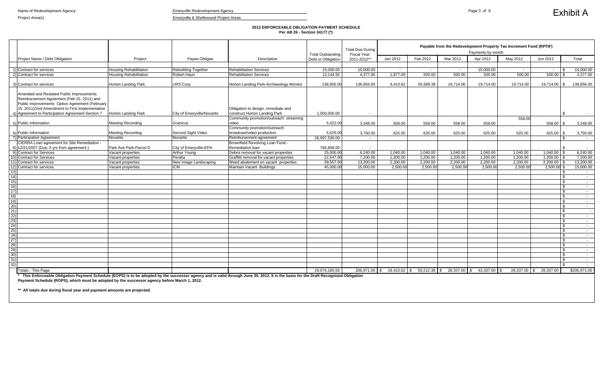### **2012 ENFORCEABLE OBLIGATION PAYMENT SCHEDULE Per AB 26 - Section 34177 (\*)**

|                                                                                                                                                                                                                                                                                        |                               |                             |                                                             | <b>Total Outstanding</b> | <b>Total Due During</b><br><b>Fiscal Year</b> | Payable from the Redevelopment Property Tax Increment Fund (RPTIF)<br>Payments by month |              |              |           |           |                  |                       |
|----------------------------------------------------------------------------------------------------------------------------------------------------------------------------------------------------------------------------------------------------------------------------------------|-------------------------------|-----------------------------|-------------------------------------------------------------|--------------------------|-----------------------------------------------|-----------------------------------------------------------------------------------------|--------------|--------------|-----------|-----------|------------------|-----------------------|
| Project Name / Debt Obligation                                                                                                                                                                                                                                                         | Project                       | Payee-Obligee               | Description                                                 | Debt or Obligation       | 2011-2012**                                   | Jan 2012                                                                                | Feb 2012     | Mar 2012     | Apr 2012  | May 2012  | Jun 2012         | Total                 |
|                                                                                                                                                                                                                                                                                        |                               |                             |                                                             |                          |                                               |                                                                                         |              |              |           |           |                  |                       |
| 1) Contract for services                                                                                                                                                                                                                                                               | <b>Housing Rehabilitation</b> | <b>Rebuilding Together</b>  | <b>Rehabilitation Services</b>                              | 15,000.00                | 15,000.00                                     | $\sim$                                                                                  | $\sim$ $-$   | $\sim$ $-$   | 15,000.00 | $\sim$    | $\sim$ $-$       | 15,000.00             |
| 2) Contract for services                                                                                                                                                                                                                                                               | Housing Rehabilitation        | <b>Robert Haun</b>          | <b>Rehabilitation Services</b>                              | 13.144.50                | 4.377.00                                      | 1.877.00                                                                                | 500.00       | 500.00       | 500.00    | 500.00    | 500.00           | 4.377.00              |
|                                                                                                                                                                                                                                                                                        |                               |                             |                                                             |                          |                                               |                                                                                         |              |              |           |           |                  |                       |
| 3) Contract for services                                                                                                                                                                                                                                                               | <b>Horton Landing Park</b>    | <b>URS Corp</b>             | Horton Landing Park-Archaeology Monitor                     | 138,856.00               | 138.856.00                                    | 9,410.62                                                                                | 50,589.38    | 19,714.00    | 19,714.00 | 19,714.00 | $19,714.00$ \ \$ | 138,856.00            |
| Amended and Restated Public Improvements<br>Reimbursement Agreement (Feb 15, 2011) and<br>Public Improvements Option Agreement (February<br>15, 2011)/2nd Amendment to First Implementation                                                                                            |                               |                             | Obligation to design, remediate and                         |                          |                                               |                                                                                         |              |              |           |           |                  |                       |
| 4) Agreement to Participation Agreement-Section 7                                                                                                                                                                                                                                      | Horton Landing Park           | City of Emeryville/Novartis | construct Horton Landing Park                               | 1,000,000.00             |                                               |                                                                                         |              |              |           |           |                  |                       |
|                                                                                                                                                                                                                                                                                        |                               |                             | Community promotion/outreach: streaming                     |                          |                                               |                                                                                         |              |              |           | 558.00    |                  |                       |
| 5) Public Information                                                                                                                                                                                                                                                                  | <b>Meeting Recording</b>      | Granicus                    | video                                                       | 5,022.00                 | 3,348.00                                      | 558.00                                                                                  | 558.00       | 558.00       | 558.00    |           | 558.00           | 3,348.00              |
| 6) Public Information                                                                                                                                                                                                                                                                  | <b>Meeting Recording</b>      | Second Sight Video          | Community promotion/outreach:<br>broadcast/video production | 5,625.00                 | 3,750.00                                      | 625.00                                                                                  | 625.00       | 625.00       | 625.00    | 625.00    | 625.00           | 3,750.00              |
| 7) Participation Agreement                                                                                                                                                                                                                                                             | Novartis                      | Novartis                    | Reimbursement agreement                                     | 26,997,536.00            | $\sim$ $-$                                    |                                                                                         |              |              |           |           |                  | $\sim$ $-$            |
| CIERRA Loan agreement for Site Remediation -                                                                                                                                                                                                                                           |                               |                             | Brownfield Revolving Loan Fund -                            |                          |                                               |                                                                                         |              |              |           |           |                  |                       |
| 8) 12/21/2007 (Due: 6 yrs from agreement)                                                                                                                                                                                                                                              | Park Ave Park-Parcel D        | City of Emeryville-EPA      | Remediation loan                                            | 766,898.00               | $\sim$                                        |                                                                                         |              |              |           |           |                  | $\sim$                |
| 9) Contract for Services                                                                                                                                                                                                                                                               | Vacant properties             | Arthur Young                | Debris removal for vacant properties                        | 25,000.00                | 6,240.00                                      | 1,040.00                                                                                | 1,040.00     | 1.040.00     | 1.040.00  | 1,040.00  | 1,040.00         | 6,240.00              |
| 10) Contract for Services                                                                                                                                                                                                                                                              | Vacant properties             | Peralta                     | Graffitti removal for vacant properties                     | 22,547.00                | 7,200.00                                      | 1,200.00                                                                                | 1,200.00     | 1,200.00     | 1,200.00  | 1,200.00  | 1,200.00         | 7,200.00              |
| 11) Contract for services                                                                                                                                                                                                                                                              | Vacant properties             | New Image Landscaping       | Weed abatement on vacant properties                         | 39,557.00                | 13,200.00                                     | 2,200.00                                                                                | 2,200.00     | 2,200.00     | 2,200.00  | 2,200.00  | 2,200.00         | 13,200.00             |
| 12) Contract for services                                                                                                                                                                                                                                                              | Vacant properties             | <b>ICM</b>                  | Maintain Vacant Buildings                                   | 45,000.00                | 15,000.00                                     | 2,500.00                                                                                | 2,500.00     | 2,500.00     | 2,500.00  | 2,500.00  | 2,500.00         | 15,000.00             |
| (13)                                                                                                                                                                                                                                                                                   |                               |                             |                                                             |                          |                                               |                                                                                         |              |              |           |           |                  | $\sim$ $-$            |
| $ 14\rangle$                                                                                                                                                                                                                                                                           |                               |                             |                                                             |                          |                                               |                                                                                         |              |              |           |           |                  | £.<br>$\sim$ $-$      |
| 15)                                                                                                                                                                                                                                                                                    |                               |                             |                                                             |                          |                                               |                                                                                         |              |              |           |           |                  | £.<br>$\sim 10^{-11}$ |
| 16)                                                                                                                                                                                                                                                                                    |                               |                             |                                                             |                          |                                               |                                                                                         |              |              |           |           |                  | \$<br>$\sim$ $-$      |
| 17)                                                                                                                                                                                                                                                                                    |                               |                             |                                                             |                          |                                               |                                                                                         |              |              |           |           |                  | -S<br>$\sim 10$       |
| 18)                                                                                                                                                                                                                                                                                    |                               |                             |                                                             |                          |                                               |                                                                                         |              |              |           |           |                  | \$<br>$\sim 10^{-11}$ |
| 19)                                                                                                                                                                                                                                                                                    |                               |                             |                                                             |                          |                                               |                                                                                         |              |              |           |           |                  | \$<br>$\sim 100$      |
| 20)                                                                                                                                                                                                                                                                                    |                               |                             |                                                             |                          |                                               |                                                                                         |              |              |           |           |                  | -S<br>$\sim 10^{-11}$ |
| 21)                                                                                                                                                                                                                                                                                    |                               |                             |                                                             |                          |                                               |                                                                                         |              |              |           |           |                  | $\sim$ $-$            |
| 22)                                                                                                                                                                                                                                                                                    |                               |                             |                                                             |                          |                                               |                                                                                         |              |              |           |           |                  | \$<br>$\sim$ $-$      |
| (23)                                                                                                                                                                                                                                                                                   |                               |                             |                                                             |                          |                                               |                                                                                         |              |              |           |           |                  | \$.<br>$\sim$         |
| 24)                                                                                                                                                                                                                                                                                    |                               |                             |                                                             |                          |                                               |                                                                                         |              |              |           |           |                  | \$<br>$\sim 10$       |
| 25)                                                                                                                                                                                                                                                                                    |                               |                             |                                                             |                          |                                               |                                                                                         |              |              |           |           |                  | £.<br>$\sim 10^{-11}$ |
| $\overline{26}$                                                                                                                                                                                                                                                                        |                               |                             |                                                             |                          |                                               |                                                                                         |              |              |           |           |                  | - \$<br>$\sim$ $-$    |
| 27)                                                                                                                                                                                                                                                                                    |                               |                             |                                                             |                          |                                               |                                                                                         |              |              |           |           |                  | \$<br>$\sim$ $-$      |
| 28)                                                                                                                                                                                                                                                                                    |                               |                             |                                                             |                          |                                               |                                                                                         |              |              |           |           |                  | \$<br>$\sim 10$       |
| 29)                                                                                                                                                                                                                                                                                    |                               |                             |                                                             |                          |                                               |                                                                                         |              |              |           |           |                  | \$<br>$\sim$ $-$      |
| 30)                                                                                                                                                                                                                                                                                    |                               |                             |                                                             |                          |                                               |                                                                                         |              |              |           |           |                  | $\sim$ $-$            |
| 31)                                                                                                                                                                                                                                                                                    |                               |                             |                                                             |                          |                                               |                                                                                         |              |              |           |           |                  | $\sim$ $-$            |
| $\overline{32}$                                                                                                                                                                                                                                                                        |                               |                             |                                                             |                          |                                               |                                                                                         |              |              |           |           |                  | $\sim$ $-$            |
| <b>Totals - This Page</b>                                                                                                                                                                                                                                                              |                               |                             |                                                             | 29,074,185.50            |                                               | 206,971.00 \$ 19,410.62 \$                                                              | 59,212.38 \$ | 28,337.00 \$ | 43,337.00 | 28,337.00 | 28,337.00<br>\$  | \$206,971.00          |
| * This Enforceable Obligation Payment Schedule (EOPS) is to be adopted by the successor agency and is valid through June 30, 2012. It is the basis for the Draft Recognized Obligation<br>Payment Schedule (ROPS), which must be adopted by the successor agency before March 1, 2012. |                               |                             |                                                             |                          |                                               |                                                                                         |              |              |           |           |                  |                       |

**\*\* All totals due during fiscal year and payment amounts are projected.**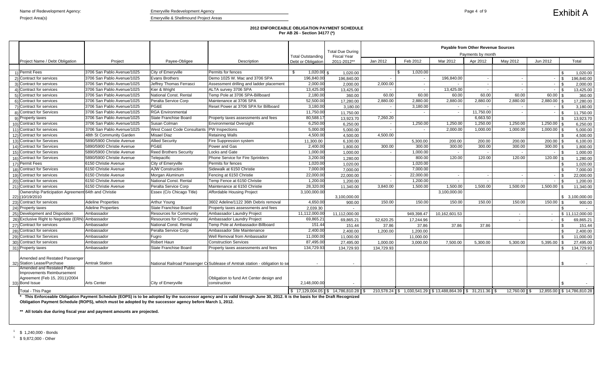### **2012 ENFORCEABLE OBLIGATION PAYMENT SCHEDULE Per AB 26 - Section 34177 (\*)**

|                                                                                            |                            |                                      |                                                                             |                                                                    | <b>Total Due During</b> | <b>Payable from Other Revenue Sources</b><br>Payments by month<br><b>Fiscal Year</b> |                                                               |               |           |              |                                           |                            |
|--------------------------------------------------------------------------------------------|----------------------------|--------------------------------------|-----------------------------------------------------------------------------|--------------------------------------------------------------------|-------------------------|--------------------------------------------------------------------------------------|---------------------------------------------------------------|---------------|-----------|--------------|-------------------------------------------|----------------------------|
| Project Name / Debt Obligation                                                             | Project                    | Payee-Obligee                        | Description                                                                 | <b>Total Outstanding</b><br>Debt or Obligation                     | 2011-2012**             | Jan 2012                                                                             | Feb 2012                                                      | Mar 2012      | Apr 2012  | May 2012     | Jun 2012                                  | Total                      |
|                                                                                            |                            |                                      |                                                                             |                                                                    |                         |                                                                                      |                                                               |               |           |              |                                           |                            |
| 1) Permit Fees                                                                             | 3706 San Pablo Avenue/1025 | City of Emeryville                   | Permits for fences                                                          | \$<br>$1,020.00$ \$                                                | 1.020.00                |                                                                                      | 1,020.00                                                      |               |           |              |                                           | 1,020.00                   |
| 2) Contract for services                                                                   | 3706 San Pablo Avenue/1025 | <b>Evans Brothers</b>                | Demo 1025 W. Mac and 3706 SPA                                               | 196,840.00                                                         | 196,840.00              |                                                                                      | $\overline{\phantom{a}}$                                      | 196,840.00    |           |              | $\mathcal{L}$<br>$\overline{\phantom{a}}$ | 196,840.00                 |
| 3) Contract for services                                                                   | 3706 San Pablo Avenue/1025 | Jeffrey Thomas Ferrasci              | Assessment drilling and ladder placement                                    | 2,000.00                                                           | 2,000.00                | 2,000.00                                                                             |                                                               |               |           | $\sim$       | $\sim$                                    | 2,000.00                   |
| 4) Contract for services                                                                   | 3706 San Pablo Avenue/1025 | Kier & Wright                        | ALTA survey 3706 SPA                                                        | 13,425.00                                                          | 13,425.00               |                                                                                      | $\sim$                                                        | 13,425.00     |           | $\sim$       | $-1$                                      | 13,425.00                  |
| 5) Contract for services                                                                   | 3706 San Pablo Avenue/1025 | National Const. Rental               | Temp Pole at 3706 SPA-Billboard                                             | 2,180.00                                                           | 360.00                  | 60.00                                                                                | 60.00                                                         | 60.00         | 60.00     | 60.00        | $60.00$ \$                                | 360.00                     |
| 6) Contract for services                                                                   | 3706 San Pablo Avenue/1025 | Peralta Service Corp                 | Maintenance at 3706 SPA                                                     | 52,500.00                                                          | 17,280.00               | 2.880.00                                                                             | 2.880.00                                                      | 2,880.00      | 2.880.00  | 2.880.00     | 2,880.00                                  | 17,280.00                  |
| 7) Contract for services                                                                   | 3706 San Pablo Avenue/1025 | PG&E                                 | Reset Power at 3706 SPA for Billboard                                       | 3,180.00                                                           | 3,180.00                | $\sim$                                                                               | 3,180.00                                                      | $\sim$        |           | $\sim$       | $-1$ \$                                   | 3,180.00                   |
| 8) Contract for Services                                                                   | 3706 San Pablo Avenue/1025 | <b>RGA Environmental</b>             |                                                                             | 11,750.00                                                          | 11,750.00               |                                                                                      |                                                               | $\sim$        | 11,750.00 |              | $\sim$                                    | 11,750.00                  |
| 9) Property taxes                                                                          | 3706 San Pablo Avenue/1025 | State Franchise Board                | Property taxes assessments and fees                                         | 80,588.1                                                           | 13.923.70               | 7,260.20                                                                             |                                                               |               | 6,663.50  |              |                                           | 13.923.70                  |
| 10) Contract for services                                                                  | 3706 San Pablo Avenue/1025 | Susan Colman                         | Environmental Oversight                                                     | 6,250.00                                                           | 6,250.00                | $\sim$                                                                               | 1,250.00                                                      | 1,250.00      | 1,250.00  | 1.250.00     | $1,250.00$ \ \;                           | 6.250.00                   |
| 11) Contract for services                                                                  | 3706 San Pablo Avenue/1025 | <b>West Coast Code Consultants</b>   | <b>PW</b> Inspections                                                       | 5,000.00                                                           | 5.000.00                |                                                                                      |                                                               | 2,000.00      | 1,000.00  | 1,000.00     | $1,000.00$ \ \$                           | 5,000.00                   |
| 12) Contract for services                                                                  | 48th St Community Garden   | Misael Diaz                          | <b>Retaining Walls</b>                                                      | 4,500.00                                                           | 4.500.00                | 4,500.00                                                                             |                                                               |               |           |              |                                           | 4,500.00                   |
| 13) Contract for Services                                                                  | 5890/5900 Christie Avenue  | <b>Allied Security</b>               | Fire Suppression system                                                     | 11,300.00                                                          | 6,100.00                |                                                                                      | 5,300.00                                                      | 200.00        | 200.00    | 200.00       | 200.00                                    | 6,100.00                   |
| 14) Contract for Services                                                                  | 5890/5900 Christie Avenue  | PG&E                                 | Power and Gas                                                               | 2,400.00                                                           | 1,800.00                | 300.00                                                                               | 300.00                                                        | 300.00        | 300.00    | 300.00       | $300.00$ $\frac{9}{3}$                    | 1,800.00                   |
| 15) Contract for Services                                                                  | 5890/5900 Christie Avenue  | <b>Reed Brothers Security</b>        | <b>Locks and Gate</b>                                                       | 1,000.00                                                           | 1,000.00                |                                                                                      | 1,000.00                                                      | $\sim$        |           |              | $\sim$ $\sim$ $\sim$                      | 1,000.00                   |
| 16) Contract for Services                                                                  | 5890/5900 Christie Avenue  | Telepacific                          | Phone Service for Fire Sprinklers                                           | 3,200.00                                                           | 1,280.00                |                                                                                      | 800.00                                                        | 120.00        | 120.00    | 120.00       | $120.00$ \$                               | 1,280.00                   |
| 17) Permit Fees                                                                            | 6150 Christie Avenue       | City of Emeryville                   | Permits for fences                                                          | 1,020.00                                                           | 1,020.00                |                                                                                      | 1,020.00                                                      |               |           |              |                                           | 1,020.00                   |
| 18) Contract for Services                                                                  | 6150 Christie Avenue       | <b>AJW Construction</b>              | Sidewalk at 6150 Christie                                                   | 7,000.00                                                           | 7,000.00                |                                                                                      | 7,000.00                                                      |               |           |              |                                           | 7,000.00                   |
| 19) Contract for services                                                                  | 6150 Christie Avenue       | Morgan Aluminum                      | Fencing at 6150 Christie                                                    | 22,000.00                                                          | 22,000.00               | $\blacksquare$                                                                       | 22,000.00                                                     | $\sim$        |           | $\sim$       | $ \sqrt{5}$                               | 22,000.00                  |
| 20) Contract for services                                                                  | 6150 Christie Avenue       | National Const. Rental               | Temp Fence at 6150 Christie                                                 | 1,200.00                                                           | 1,200.00                |                                                                                      | 1,200.00                                                      | $\sim$        |           |              | $-1$ \$                                   | 1,200.00                   |
| 21) Contract for services                                                                  | 6150 Christie Avenue       | Peralta Service Corp                 | Maintenance at 6150 Christie                                                | 28,320.00                                                          | 11.340.00               | 3,840.00                                                                             | 1,500.00                                                      | 1,500.00      | 1,500.00  | 1,500.00     | $1,500.00$ \ \$                           | 11,340.00                  |
| Ownership Participation Agreement 64th and Christie                                        |                            | Essex (C/o Chicago Title)            | Affordable Housing Project                                                  | 3,100,000.00                                                       |                         |                                                                                      |                                                               | 3,100,000.00  |           |              |                                           |                            |
| 22) (10/19/2010                                                                            |                            |                                      |                                                                             |                                                                    | 3,100,000.00            |                                                                                      |                                                               |               |           |              |                                           | \$ 3.100.000.00            |
| 23) Contract for services                                                                  | <b>Adeline Properties</b>  | Arthur Young                         | 3602 Adeline/1122 36th Debris removal                                       | 4,650.00                                                           | 900.00                  | 150.00                                                                               | 150.00                                                        | 150.00        | 150.00    | 150.00       | $150.00$   \$                             | 900.00                     |
| 24) Property taxes                                                                         | <b>Adeline Properties</b>  | State Franchise Board                | Property taxes assessments and fees                                         | 2,039.30                                                           |                         |                                                                                      |                                                               |               |           |              |                                           |                            |
| 25) Development and Disposition                                                            | Ambassador                 | Resources for Community              | Ambassador Laundry Project                                                  | 11,112,000.00                                                      | 11,112,000.00           |                                                                                      | 949,398.47                                                    | 10,162,601.53 |           | $\sim$       | $\sim$                                    | \$11,112,000.00            |
| 26) Exclusive Right to Negotiate (ERN)                                                     | Ambassador                 | <b>Resources for Community</b>       | Ambassador Laundry Project                                                  | 69,865.21                                                          | 69,865.21               | 52,620.25                                                                            | 17,244.96                                                     |               |           | $\sim$       | - \$<br>$\sim$                            | 69,865.21                  |
| 27) Contract for services                                                                  | Ambassador                 | National Const. Rental               | Temp Pole at Ambassador-Billboard                                           | 151.44                                                             | 151.44                  | 37.86                                                                                | 37.86                                                         | 37.86         | 37.86     |              |                                           | 151.44                     |
| 28) Contract for services                                                                  | Ambassador                 | Peralta Service Corp                 | Ambassador Site Maintenance                                                 | 2,400.00                                                           | 2,400.00                | 1,200.00                                                                             | 1,200.00                                                      |               |           |              |                                           | 2,400.00                   |
| 29) Contract for Services                                                                  | Ambassador                 | Fugro                                | <b>Well Removal from Ambassador</b>                                         | 11,000.00                                                          | 11,000.00               |                                                                                      | 11,000.00                                                     |               |           |              |                                           | 11,000.00                  |
| 30) Contract for services                                                                  | Ambassador                 | Robert Haun<br>State Franchise Board | <b>Construction Services</b>                                                | 87,495.00                                                          | 27,495.00               | 1,000.00                                                                             | 3,000.00                                                      | 7,500.00      | 5,300.00  | 5,300.00     | 5,395.00                                  | 27,495.00                  |
| 31) Property taxes                                                                         | Ambassador                 |                                      | Property taxes assessments and fees                                         | 134,729.93                                                         | 134.729.93              | 134.729.93                                                                           |                                                               |               |           |              |                                           | 134.729.93                 |
| Amended and Restated Passenge<br>32) Station Lease/Purchase<br>Amended and Restated Public | <b>Amtrak Station</b>      |                                      | National Railroad Passenger C(Sublease of Amtrak station - obligation to se |                                                                    |                         |                                                                                      |                                                               |               |           |              |                                           |                            |
| Improvements Reimbursement<br>Agreement (Feb 15, 2011)/2004<br>33) Bond Issue              | <b>Arts Center</b>         | City of Emeryville                   | Obligation to fund Art Center design and<br>construction                    | 2,148,000.00                                                       |                         |                                                                                      |                                                               |               |           |              |                                           |                            |
| Total - This Page                                                                          |                            |                                      |                                                                             | $\boxed{\$}$ 17,129,004.05 $\boxed{\$}$ 14,786,810.28 $\boxed{\$}$ |                         |                                                                                      | $210,578.24$ \$ 1,030,541.29 \$ 13,488,864.39 \$ 31,211.36 \$ |               |           | 12,760.00 \$ |                                           | 12,855.00 \$ 14,786,810.28 |

**\*\* All totals due during fiscal year and payment amounts are projected.** 

 $1$   $$$  1,240,000 - Bonds

 $1$  \$ 9,872,000 - Other

**\* This Enforceable Obligation Payment Schedule (EOPS) is to be adopted by the successor agency and is valid through June 30, 2012. It is the basis for the Draft Recognized Obligation Payment Schedule (ROPS), which must be adopted by the successor agency before March 1, 2012.**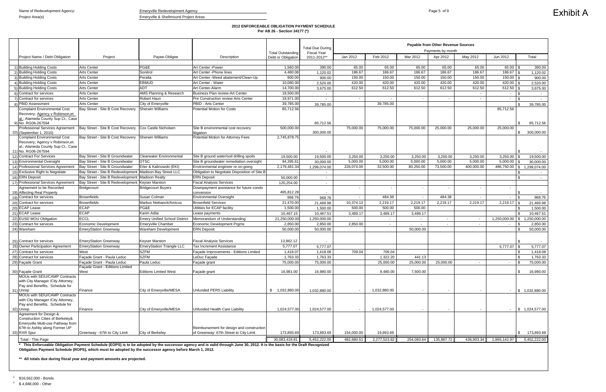Project Area(s) extends the extended of the Emeryville & Shellmound Project Areas

# **2012 ENFORCEABLE OBLIGATION PAYMENT SCHEDULE Per AB 26 - Section 34177 (\*)**

|                                                                                                                                                  |                                                                                                         |                                      |                                                                                                                                                                             |                                                | <b>Total Due During</b> | Payable from Other Revenue Sources<br>Payments by month<br><b>Fiscal Year</b> |              |                          |            |            |                          |                            |
|--------------------------------------------------------------------------------------------------------------------------------------------------|---------------------------------------------------------------------------------------------------------|--------------------------------------|-----------------------------------------------------------------------------------------------------------------------------------------------------------------------------|------------------------------------------------|-------------------------|-------------------------------------------------------------------------------|--------------|--------------------------|------------|------------|--------------------------|----------------------------|
| Project Name / Debt Obligation                                                                                                                   | Project                                                                                                 | Payee-Obligee                        | Description                                                                                                                                                                 | <b>Total Outstanding</b><br>Debt or Obligation | 2011-2012*              | Jan 2012                                                                      | Feb 2012     | Mar 2012                 | Apr 2012   | May 2012   | Jun 2012                 | Total                      |
|                                                                                                                                                  |                                                                                                         |                                      |                                                                                                                                                                             |                                                |                         |                                                                               |              |                          |            |            |                          |                            |
| 1) Building Holding Costs                                                                                                                        | <b>Arts Center</b>                                                                                      | PG&E                                 | Art Center -Power                                                                                                                                                           | 1,560.00                                       | 390.00                  | 65.00                                                                         | 65.00        | 65.00                    | 65.00      | 65.00      | $65.00$ \ \$             | 390.00                     |
| 2) Building Holding Costs                                                                                                                        | <b>Arts Center</b>                                                                                      | Sonitrol                             | Art Center - Phone lines                                                                                                                                                    | 4,480.08                                       | 1,120.02                | 186.67                                                                        | 186.67       | 186.67                   | 186.67     | 186.67     | $186.67$ \ \$            | 1,120.02                   |
| <b>Building Holding Costs</b>                                                                                                                    | <b>Arts Center</b>                                                                                      | Peralta                              | Art Center -Weed abatement/Clean-Up                                                                                                                                         | 900.00                                         | 900.00                  | 150.00                                                                        | 150.00       | 150.00                   | 150.00     | 150.00     | $150.00$ \ \$            | 900.00                     |
| <b>Building Holding Costs</b>                                                                                                                    | <b>Arts Center</b>                                                                                      | <b>EBMUD</b>                         | Art Center - Water                                                                                                                                                          | 10,080.00                                      | 2,520.00                | 420.00                                                                        | 420.00       | 420.00                   | 420.00     | 420.00     | $420.00$ \\$             | 2,520.00                   |
| <b>Building Holding Costs</b>                                                                                                                    | <b>Arts Center</b>                                                                                      | <b>ADT</b>                           | Art Center-Alarm                                                                                                                                                            | 14,700.00                                      | 3,675.00                | 612.50                                                                        | 612.50       | 612.50                   | 612.50     | 612.50     | $612.50$ \$              | 3,675.00                   |
| Contract for services                                                                                                                            | <b>Arts Center</b>                                                                                      | <b>AMS Planning &amp; Research</b>   | Business Plan review-Art Center                                                                                                                                             | 18,500.00                                      |                         |                                                                               |              |                          |            | $\sim$     | $\sim$                   | l \$                       |
| Contract for services                                                                                                                            | <b>Arts Center</b>                                                                                      | Robert Haun                          | Pre Construction review Arts Center                                                                                                                                         | 18,971.00                                      |                         | $\sim$                                                                        | $\sim$       | $\sim$                   |            | $\sim$     | $\sim$                   |                            |
| <b>PBID Assessment</b>                                                                                                                           | <b>Arts Center</b>                                                                                      | City of Emeryville                   | PBID - Arts Center                                                                                                                                                          | 39,785.00                                      | 39,785.00               |                                                                               | 39,785.00    |                          |            |            |                          | 39,785.00                  |
| <b>Complaint Environmental Cost</b><br>Recovery; Agency v Robinson, et.<br>al.; Alameda County Sup Ct., Case<br>9) No. RG06-267594               | Bay Street - Site B Cost Recovery                                                                       | Sherwin Williams                     | <b>Potential Motion for Costs</b>                                                                                                                                           | 85,712.56                                      | 85,712.56               |                                                                               |              |                          |            |            | 85,712.56                | 85,712.56                  |
| <b>Professional Services Agreement</b><br>10) (September 1, 2010)                                                                                | Bay Street - Site B Cost Recovery                                                                       | Cox Castle Nicholsen                 | Site B environmental cost recovery<br>litigation                                                                                                                            | 500,000.00                                     | 300,000.00              | 75,000.00                                                                     | 75,000.00    | 75,000.00                | 25,000.00  | 25,000.00  | 25,000.00                | 300,000.00<br>-\$          |
| <b>Complaint Environmental Cost</b><br>Recovery; Agency v Robinson, et.<br>al.; Alameda County Sup Ct., Case<br>11) No. RG06-267594              | Bay Street - Site B Cost Recovery                                                                       | Sherwin Williams                     | Potential Motion for Attorney Fees                                                                                                                                          | 2,745,878.75                                   |                         |                                                                               |              |                          |            |            |                          |                            |
| 12) Contract For Services                                                                                                                        | Bay Street - Site B Groundwater                                                                         | <b>Clearwater Environmental</b>      | Site B ground water/soil drilling spoils                                                                                                                                    | 19,500.00                                      | 19,500.00               | 3,250.00                                                                      | 3,250.00     | 3,250.00                 | 3,250.00   | 3,250.00   | 3,250.00                 | 19,500.00<br>l \$          |
| 13) Environmental Oversight                                                                                                                      | Bay Street - Site B Groundwater                                                                         | <b>DTSC</b>                          | Site B groundwater remediation oversight                                                                                                                                    | 94,395.61                                      | 30,000.00               | 5,000.00                                                                      | 5,000.00     | 5,000.00                 | 5,000.00   | 5,000.00   | 5,000.00                 | l \$<br>30,000.00          |
| 14) Professional Services Agreement                                                                                                              | Bay Street - Site B Groundwater                                                                         | Erler & Kalinowski (EKI)             | Environmental engineer re on-going                                                                                                                                          | 2,179,481.34                                   | 1,299,074.00            | 226,074.00                                                                    | 32,500.00    | 80,250.00                | 73,500.00  | 400,000.00 | 486,750.00               | 1,299,074.00<br>l \$       |
| 15) Exclusive Right to Negotiate                                                                                                                 | Bay Street - Site B Redevelopment                                                                       | Madison Bay Street LLC               | Obligation to Negotiate Disposition of Site B                                                                                                                               |                                                | $\sim$                  |                                                                               |              |                          |            |            |                          | $\sim$                     |
| 16) ERN Deposit                                                                                                                                  | Bay Street - Site B Redevelopment                                                                       | <b>Madison Realty</b>                | <b>ERN Deposit</b>                                                                                                                                                          | 50,000.00                                      | $\sim$                  |                                                                               |              |                          |            |            |                          | $\sqrt{3}$                 |
| 17) Professional Services Agreement                                                                                                              | Bay Street - Site B Redevelopment                                                                       | <b>Keyser Marston</b>                | <b>Fiscal Analysis Services</b>                                                                                                                                             | 120,254.00                                     |                         |                                                                               |              |                          |            |            |                          |                            |
| Agreement to be Recorded<br>18) Affecting Real Property                                                                                          | Bridgecourt                                                                                             | <b>Bridgecourt Buyers</b>            | Downpayment assistance for future condo<br>conversion                                                                                                                       | 495,812.28                                     |                         | $\overline{\phantom{a}}$                                                      |              |                          |            |            | $\overline{\phantom{a}}$ |                            |
| 19) Contract for services                                                                                                                        | <b>Brownfields</b>                                                                                      | Susan Colman                         | <b>Environmental Oversight</b>                                                                                                                                              | 968.76                                         | 968.76                  | $\overline{\phantom{a}}$                                                      | 484.38       | $\overline{\phantom{a}}$ | 484.38     | $\sim$     | $\sim$                   | 968.76<br>l \$             |
| 20) Contract for services                                                                                                                        | <b>Brownfields</b>                                                                                      | Markus Niebanck/Amicus               | <b>Brownfield Services</b>                                                                                                                                                  | 21,470.00                                      | 21,469.98               | 10,374.13                                                                     | 2,219.17     | 2,219.17                 | 2,219.17   | 2,219.17   | $2,219.17$ \\$           | 21,469.98                  |
| 20) ECAP Lease                                                                                                                                   | <b>ECAP</b>                                                                                             | PG&E                                 | Utilities for ECAP facility                                                                                                                                                 | 1,500.00                                       | 1,500.00                | 500.00                                                                        | 500.00       | 500.00                   |            |            |                          | 1,500.00                   |
| 21) ECAP Lease                                                                                                                                   | <b>ECAP</b>                                                                                             | Karim Adlai                          | Lease payments                                                                                                                                                              | 10,467.15                                      | 10,467.51               | 3,489.17                                                                      | 3,489.17     | 3,489.17                 |            |            |                          | 10,467.51<br>l \$          |
| 22) EUSD MOU Obligation                                                                                                                          | <b>ECCL</b>                                                                                             | <b>Emery Unified School District</b> | Memorandum of Understanding                                                                                                                                                 | 21,250,000.00                                  | 1,250,000.00            |                                                                               |              |                          |            | $\sim$     | 1,250,000.00             | <b>S</b><br>1,250,000.00   |
| 23) Contract for services                                                                                                                        | Economic Development                                                                                    | <b>Emeryville Chamber</b>            | <b>Economic Development Prgms</b>                                                                                                                                           | 2,850.00                                       | 2,850.00                | 2,850.00                                                                      | $\sim$       |                          |            | $\sim$     | $\sim$                   | 2,850.00<br>ا .            |
| 24) Wareham                                                                                                                                      | <b>EmeryStation Greenway</b>                                                                            | Wareham Development                  | <b>ERN Deposit</b>                                                                                                                                                          | 50,000.00                                      | 50,000.00               |                                                                               |              | 50,000.00                |            |            |                          | 50,000.00                  |
| 25) Contract for services                                                                                                                        | <b>EmeryStation Greenway</b>                                                                            | <b>Keyser Marston</b>                | <b>Fiscal Analysis Services</b>                                                                                                                                             | 13,862.12                                      |                         |                                                                               |              |                          |            |            |                          |                            |
| 26) Owner Participation Agreement                                                                                                                | <b>EmeryStation Greenway</b>                                                                            | <b>EmeryStation Triangle LLC</b>     | Tax Increment Assistance                                                                                                                                                    | 5,777.07                                       | 5,777.07                |                                                                               |              |                          |            |            | $5,777.07$ \$            | 5,777.07                   |
| 27) Contract for services                                                                                                                        | West                                                                                                    | <b>SZFM</b>                          | Facade Improvements - Editions Limited                                                                                                                                      | 1,418.07                                       | 1,418.08                | 709.04                                                                        | 709.04       |                          |            |            |                          | 1,418.08<br>l S            |
| 28) Contract for services                                                                                                                        | Façade Grant - Paula Leduc                                                                              | <b>SZFM</b>                          | LeDuc Façade                                                                                                                                                                | 1,763.33                                       | 1,763.33                |                                                                               | 1,322.20     | 441.13                   |            |            |                          | 1,763.33<br>l \$           |
| 29) Façade Grant                                                                                                                                 | Façade Grant - Paula Leduc                                                                              | Paula Leduc                          | Façade grant                                                                                                                                                                | 75,000.00                                      | 75,000.00               |                                                                               | 25,000.00    | 25,000.00                | 25,000.00  | $\sim$     | $\sim$                   | $\sqrt{3}$<br>75,000.00    |
|                                                                                                                                                  | Facade Grant - Editions Limited                                                                         |                                      |                                                                                                                                                                             |                                                |                         |                                                                               |              |                          |            |            |                          |                            |
| 30) Façade Grant<br>MOUs with SEIU/CAMP Contracts                                                                                                | West                                                                                                    | <b>Editions Limited West</b>         | Façade grant                                                                                                                                                                | 16,981.00                                      | 16,980.00               |                                                                               | 9,480.00     | 7,500.00                 |            |            |                          | 16,980.00<br><b>\$</b>     |
| with City Manager / City Attorney,<br>Pay and Benefits, Schedule for<br>31) Unrep                                                                | Finance                                                                                                 | City of Emeryville/MESA              | Unfunded PERS Liability                                                                                                                                                     | \$1,032,880.00                                 | 1,032,880.00            |                                                                               | 1,032,880.00 |                          |            |            | $\sim$                   | \$ 1,032,880.00            |
| MOUs with SEIU/CAMP Contracts<br>with City Manager / City Attorney,<br>Pay and Benefits, Schedule for<br>32) Unrep                               | Finance                                                                                                 | City of Emeryville/MESA              | Unfunded Health Care Liability                                                                                                                                              | 1,024,577.00                                   | 1.024.577.00            | $\sim$                                                                        | 1,024,577.00 |                          |            |            | $\sim$                   | $\frac{1}{5}$ 1,024,577.00 |
| Agreement for Design &<br>Construction Cities of Berkeley&<br>Emeryville Multi-use Pathway from<br>67th to Ashby along Former UP<br>33) RXR Spur | Greenway - 67th to City Limit                                                                           | City of Berkeley                     | Reimbursement for design and construction<br>of Greenway: 67th Street to City Limit                                                                                         | 173,893.69                                     | 173,893.69              | 154,000.00                                                                    | 19,893.69    |                          |            |            |                          | 173,893.69<br>-\$          |
|                                                                                                                                                  |                                                                                                         |                                      |                                                                                                                                                                             |                                                |                         |                                                                               |              |                          |            |            |                          | 5,452,222.00               |
| Total - This Page                                                                                                                                | Obligation Payment Schedule (ROPS), which must be adopted by the successor agency before March 1, 2012. |                                      | * This Enforceable Obligation Payment Schedule (EOPS) is to be adopted by the successor agency and is valid through June 30, 2012. It is the basis for the Draft Recognized | 30,083,418.81                                  | 5,452,222.00            | 482,680.51                                                                    | 2,277,523.82 | 254,083.64               | 135,887.72 | 436,903.34 | 1,865,142.97             |                            |
|                                                                                                                                                  | ** All totals due during fiscal year and payment amounts are projected.                                 |                                      |                                                                                                                                                                             |                                                |                         |                                                                               |              |                          |            |            |                          |                            |

 $^{2}$  \$16,562,000 - Bonds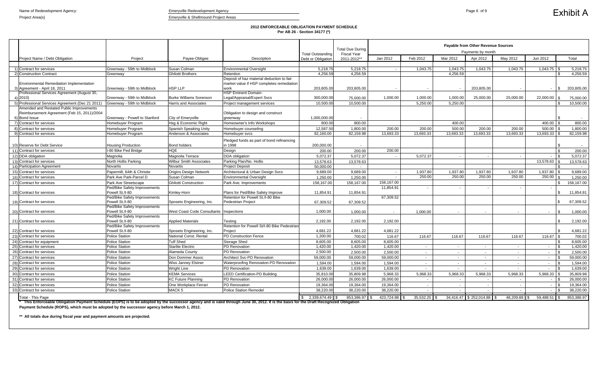### **2012 ENFORCEABLE OBLIGATION PAYMENT SCHEDULE Per AB 26 - Section 34177 (\*)**

|                                                                                                                                                                                          |                                                 |                                              |                                                        |                          | <b>Total Due During</b> | Payable from Other Revenue Sources<br>Payments by month |                          |                          |                           |              |                |                            |
|------------------------------------------------------------------------------------------------------------------------------------------------------------------------------------------|-------------------------------------------------|----------------------------------------------|--------------------------------------------------------|--------------------------|-------------------------|---------------------------------------------------------|--------------------------|--------------------------|---------------------------|--------------|----------------|----------------------------|
|                                                                                                                                                                                          |                                                 |                                              |                                                        | <b>Total Outstanding</b> | <b>Fiscal Year</b>      |                                                         |                          |                          |                           |              |                |                            |
| Project Name / Debt Obligation                                                                                                                                                           | Project                                         | Payee-Obligee                                | Description                                            | Debt or Obligation       | 2011-2012**             | Jan 2012                                                | Feb 2012                 | Mar 2012                 | Apr 2012                  | May 2012     | Jun 2012       | Total                      |
|                                                                                                                                                                                          |                                                 |                                              |                                                        |                          |                         |                                                         |                          |                          |                           |              |                |                            |
| 1) Contract for services                                                                                                                                                                 | Greenway - 59th to Midblock                     | Susan Colman                                 | <b>Environmental Oversight</b>                         | 5,218.75                 | 5,218.75                |                                                         | 1,043.75                 | 1,043.75                 | 1,043.75                  | 1,043.75     | 1,043.75       | 5,218.75                   |
| 2) Construction Contract                                                                                                                                                                 | Greenway                                        | Ghilotti Brothers                            | Retention<br>Deposit of haz material deduction to fair | 4,256.59                 | 4,256.59                |                                                         |                          | 4,256.59                 |                           |              |                | 4,256.59<br>£.             |
| <b>Environmental Remediation Implementation</b>                                                                                                                                          |                                                 |                                              | market value if HSP completes remediation              |                          |                         |                                                         |                          |                          |                           |              |                |                            |
| 3) Agreement - April 18, 2011                                                                                                                                                            | Greenway - 59th to Midblock                     | HSP LLP                                      | work                                                   | 203,805.00               | 203,805.00              |                                                         | $\overline{\phantom{a}}$ |                          | 203,805.00                |              | $\sim$         | 203,805.00<br>£.           |
| Professional Services Agreement (August 30,                                                                                                                                              |                                                 |                                              | <b>HSP Eminent Domain-</b>                             |                          |                         |                                                         |                          |                          |                           |              |                |                            |
| 4) 2010)                                                                                                                                                                                 | Greenway - 59th to Midblock                     | <b>Burke Williams Sorenson</b>               | Legal/Appraisal/Expert Svcs                            | 300,000.00               | 75,000.00               | 1,000.00                                                | 1,000.00                 | 1,000.00                 | 25,000.00                 | 25,000.00    | 22,000.00      | 75,000.00<br>-S            |
| 5) Professional Services Agreement (Dec 21 2011)                                                                                                                                         | Greenway - 59th to Midblock                     | <b>Harris and Associates</b>                 | Project management services                            | 10,500.00                | 10,500.00               |                                                         | 5,250.00                 | 5,250.00                 |                           |              |                | 10,500.00<br>\$.           |
| Amended and Restated Public Improvements                                                                                                                                                 |                                                 |                                              |                                                        |                          |                         |                                                         |                          |                          |                           |              |                |                            |
| Reimbursement Agreement (Feb 15, 2011)/2004                                                                                                                                              |                                                 |                                              | Obligation to design and construct                     |                          |                         |                                                         |                          |                          |                           |              |                |                            |
| 6) Bond Issue                                                                                                                                                                            | Greenway - Powell to Stanford                   | City of Emeryville                           | greenway                                               | 1,000,000.00             | $\sim$                  |                                                         |                          |                          |                           |              |                |                            |
| 7) Contract for services                                                                                                                                                                 | Homebuyer Program                               | Hsq & Economic Right                         | Homeowner's Info Workshops                             | 800.00                   | 800.00                  |                                                         |                          | 400.00                   |                           |              | 400.00         | 800.00                     |
| 8) Contract for services                                                                                                                                                                 | Homebuyer Program                               | Spanish Speaking Unity                       | Homebuyer counseling                                   | 12,587.50                | 1,800.00                | 200.00                                                  | 200.00                   | 500.00                   | 200.00                    | 200.00       | 500.00         | 1,800.00                   |
| 9) Contract for services                                                                                                                                                                 | Homebuyer Program                               | Anderson & Associates                        | Homebuyer svcs                                         | 82,160.00                | 82,159.98               | 13,693.33                                               | 13,693.33                | 13,693.33                | 13,693.33                 | 13,693.33    | 13,693.33      | 82,159.98                  |
|                                                                                                                                                                                          |                                                 |                                              | Pledged funds as part of bond refinancing              |                          |                         |                                                         |                          |                          |                           |              |                |                            |
| 10) Reserve for Debt Service                                                                                                                                                             | <b>Housing Production</b>                       | <b>Bond holders</b>                          | in 1998                                                | 200,000.00               |                         |                                                         |                          |                          |                           |              |                |                            |
| 11) Contract for services                                                                                                                                                                | I-80 Bike Ped Bridge                            | <b>HQE</b>                                   | Design                                                 | 200.00                   | 200.00                  | 200.00                                                  |                          |                          |                           |              |                | 200.00<br>\$.              |
| 12) DDA obligation                                                                                                                                                                       | Magnolia                                        | Magnolia Terrace                             | <b>DDA</b> obligation                                  | 5,072.37                 | 5,072.37                |                                                         | 5,072.37                 | $\sim$ $-$               | $\sim$                    | $\sim$       | $\sim$         | 5,072.37                   |
| 13) Contract for services                                                                                                                                                                | North Hollis Parking                            | <b>Wilbur Smith Associates</b>               | Parking Plan/No. Hollis                                | 13,578.63                | 13,578.63               |                                                         |                          |                          |                           |              | 13,578.63      | 13,578.63                  |
| 14) Participation Agreement                                                                                                                                                              | Novartis                                        | <b>Novartis</b>                              | <b>Project Deposit</b>                                 | 50,000.00                | $\sim$                  |                                                         |                          |                          |                           |              |                | $\sim$                     |
| 15) Contract for services                                                                                                                                                                | Papermill, 64th & Christie                      | <b>Origins Design Network</b>                | Architectural & Urban Design Svcs                      | 9,689.00                 | 9,689.00                |                                                         | 1,937.80                 | 1,937.80                 | 1,937.80                  | 1,937.80     | 1,937.80       | 9,689.00<br>.ኖ             |
| 16) Contract for services                                                                                                                                                                | Park Ave Park-Parcel D                          | Susan Colman                                 | <b>Environmental Oversight</b>                         | 1,250.00                 | 1,250.00                | $\sim$                                                  | 250.00                   | 250.00                   | 250.00                    | 250.00       | $250.00$ \$    | 1,250.00                   |
| 17) Contract for services                                                                                                                                                                | Park Ave Streetscape                            | <b>Ghilotti Construction</b>                 | Park Ave. Improvements                                 | 158,167.00               | 158,167.00              | 158,167.00                                              |                          |                          |                           |              |                | 158,167.00                 |
|                                                                                                                                                                                          | Ped/Bike Safety Improvements                    |                                              |                                                        |                          |                         | 11,854.91                                               |                          |                          |                           |              |                |                            |
| 18) Contract for services                                                                                                                                                                | Powell St./I-80                                 | Kimley-Horn                                  | Plans for Ped/Bike Safety Improve                      | 11,854.91                | 11,854.91               |                                                         |                          |                          |                           |              |                | 11,854.91                  |
|                                                                                                                                                                                          | Ped/Bike Safety Improvements                    |                                              | Retention for Powell St./I-80 Bike                     |                          |                         | 67,309.52                                               |                          |                          |                           |              |                |                            |
| 19) Contract for services                                                                                                                                                                | Powell St./I-80                                 | Sposeto Engineering, Inc.                    | <b>Pedestrian Project</b>                              | 67,309.52                | 67,309.52               |                                                         |                          |                          |                           |              |                | 67,309.52                  |
|                                                                                                                                                                                          | Ped/Bike Safety Improvements                    |                                              |                                                        |                          |                         |                                                         |                          |                          |                           |              |                |                            |
| 20) Contract for services                                                                                                                                                                | Powell St./I-80                                 | <b>West Coast Code Consultants</b>           | Inspections                                            | 1,000.00                 | 1,000.00                |                                                         | 1,000.00                 | $\overline{\phantom{a}}$ | $\sim$                    | $\sim$       |                | 1,000.00<br>£.             |
|                                                                                                                                                                                          | Ped/Bike Safety Improvements                    |                                              |                                                        |                          |                         |                                                         |                          |                          |                           |              |                |                            |
| 21) Contract for services                                                                                                                                                                | Powell St./I-80                                 | <b>Applied Materials</b>                     | Testing                                                | 2,192.00                 | 2,192.00                | 2,192.00                                                |                          |                          |                           |              |                | 2,192.00                   |
|                                                                                                                                                                                          | Ped/Bike Safety Improvements<br>Powell St./I-80 |                                              | Retention for Powell St/I-80 Bike Pedestrian           |                          |                         |                                                         |                          |                          |                           |              |                | \$                         |
| 22) Contract for services                                                                                                                                                                |                                                 | Sposeto Engineering, Inc.                    | Project                                                | 4,681.22                 | 4,681.22                | 4,681.22                                                |                          |                          |                           |              |                | 4,681.22                   |
| 23) Contract for services                                                                                                                                                                | <b>Police Station</b>                           | National Const. Rental                       | <b>PD Construction Fence</b>                           | 1,200.00                 | 700.02                  | 116.67                                                  | 116.67                   | 116.67                   | 116.67                    | 116.67       | 116.67         | 700.02                     |
| 24) Contract for equipment                                                                                                                                                               | <b>Police Station</b><br><b>Police Station</b>  | <b>Tuff Shed</b><br><b>Starlite Electric</b> | <b>Storage Shed</b><br><b>PD</b> Renovation            | 8,605.00<br>1,420.00     | 8,605.00                | 8,605.00                                                |                          |                          |                           |              |                | 8,605.00<br>\$.            |
| 25) Contract for services<br>26) Contract for services                                                                                                                                   | <b>Police Station</b>                           | Alameda County                               | PD Renovation                                          | 2,500.00                 | 1,420.00<br>2,500.00    | 1,420.00<br>2,500.00                                    |                          | $\sim$                   | $\sim$                    | $\sim$       | $\sim$         | 1,420.00<br>2,500.00<br>\$ |
|                                                                                                                                                                                          |                                                 |                                              |                                                        |                          |                         |                                                         | $\overline{\phantom{a}}$ | $\sim$                   | $\overline{\phantom{a}}$  | $\sim$       |                |                            |
| 27) Contract for services                                                                                                                                                                | <b>Police Station</b>                           | Don Dommer Assoc                             | <b>Architect Svc-PD Renovation</b>                     | 59,000.00                | 59,000.00               | 59,000.00                                               |                          | $\sim$                   | $\overline{\phantom{a}}$  |              |                | 59,000.00<br>\$            |
| 28) Contract for services                                                                                                                                                                | <b>Police Station</b>                           | <b>Wiss Janney Elstner</b>                   | Waterproofing Renovation-PD Renovation                 | 1,594.00                 | 1,594.00                | 1,594.00                                                | $\sim$                   | $\sim$                   | $\sim$                    | $\sim$       | $-$ \$         | 1,594.00                   |
| 29) Contract for services                                                                                                                                                                | <b>Police Station</b>                           | <b>Wright Line</b>                           | PD Renovation                                          | 1,639.00                 | 1,639.00                | 1,639.00                                                | $\sim$                   | $\sim$                   | $\sim$                    |              | $\sim$         | $\mathbf{R}$<br>1,639.00   |
| 30) Contract for services                                                                                                                                                                | Police Station                                  | <b>KEMA Services</b>                         | <b>LEED Certification-PD Building</b>                  | 35,810.00                | 35,809.98               | 5,968.33                                                | 5,968.33                 | 5,968.33                 | 5,968.33                  | 5,968.33     | $5,968.33$ \$  | 35,809.98                  |
| 31) Contract for services                                                                                                                                                                | Police Station                                  | <b>KC Future Planning</b>                    | PD Renovation                                          | 26,000.00                | 26,000.00               | 26,000.00                                               |                          | $\overline{\phantom{a}}$ |                           |              | $\sim$         | 26,000.00                  |
| 32) Contract for services                                                                                                                                                                | <b>Police Station</b>                           | One Workplace Ferrari                        | PD Renovation                                          | 19,364.00                | 19,364.00               | 19,364.00                                               |                          | $\sim$                   |                           |              | $\sim$         | 19,364.00                  |
| 33) Contract for services                                                                                                                                                                | <b>Police Station</b>                           | MACK <sub>5</sub>                            | Police Station Remodel                                 | 38,220.00                | 38,220.00               | 38,220.00                                               |                          |                          |                           |              | $\sim$         | 38,220.00                  |
| Total - This Page                                                                                                                                                                        |                                                 |                                              |                                                        | 2,339,674.49 S           | 853,386.97 \$           | 423,724.98                                              | $35,532.25$ \$           |                          | 34,416.47 \$252,014.88 \$ | 48,209.88 \$ | 59,488.51 ∥ \$ | 853,386.97                 |
| * This Enforceable Obligation Roymant Schoolule (EORS) is to be adopted by the quesseosy againsy and is valid through June 20, 2012. It is the begin for the Draft Researcing Obligation |                                                 |                                              |                                                        |                          |                         |                                                         |                          |                          |                           |              |                |                            |

**\*\* All totals due during fiscal year and payment amounts are projected.** 

**\* This Enforceable Obligation Payment Schedule (EOPS) is to be adopted by the successor agency and is valid through June 30, 2012. It is the basis for the Draft Recognized Obligation Payment Schedule (ROPS), which must be adopted by the successor agency before March 1, 2012.**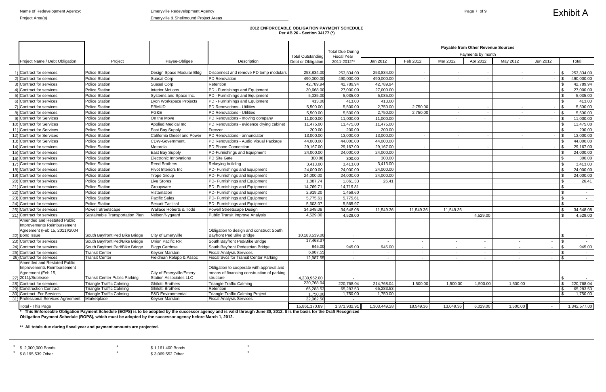### **2012 ENFORCEABLE OBLIGATION PAYMENT SCHEDULE Per AB 26 - Section 34177 (\*)**

|                                                           |                                      |                                                    |                                                         | <b>Total Outstanding</b> | <b>Total Due During</b><br><b>Fiscal Year</b> | <b>Payable from Other Revenue Sources</b><br>Payments by month |           |                |          |                 |                                 |                      |
|-----------------------------------------------------------|--------------------------------------|----------------------------------------------------|---------------------------------------------------------|--------------------------|-----------------------------------------------|----------------------------------------------------------------|-----------|----------------|----------|-----------------|---------------------------------|----------------------|
| Project Name / Debt Obligation                            | Project                              | Payee-Obligee                                      | Description                                             | Debt or Obligation       | 2011-2012**                                   | Jan 2012                                                       | Feb 2012  | Mar 2012       | Apr 2012 | May 2012        | Jun 2012                        | Total                |
|                                                           |                                      |                                                    |                                                         |                          |                                               |                                                                |           |                |          |                 |                                 |                      |
| 1) Contract for services                                  | <b>Police Station</b>                | Design Space Modular Bldg                          | Disconnect and remove PD temp modulars                  | 253,834.00               | 253,834.00                                    | 253,834.00                                                     |           | $\sim$         |          |                 |                                 | 253,834.00           |
| 2) Contract for services                                  | <b>Police Station</b>                | <b>Suasal Corp</b>                                 | PD Renovation                                           | 490,000.00               | 490,000.00                                    | 490,000.00                                                     |           | $\blacksquare$ |          |                 |                                 | 490,000.00           |
| 3) Contract for services                                  | <b>Police Station</b>                | <b>Suasal Corp</b>                                 | Retention                                               | 42,789.94                | 42,789.94                                     | 42,789.94                                                      |           |                |          |                 |                                 | 42,789.94            |
| 4) Contract for services                                  | <b>Police Station</b>                | <b>Interior Motions</b>                            | PD - Furnishings and Equipment                          | 30,668.00                | 27,000.00                                     | 27,000.00                                                      |           |                |          |                 |                                 | 27,000.00            |
| 5) Contract for services                                  | <b>Police Station</b>                | Systems and Space Inc.                             | PD - Furnishings and Equipment                          | 5,035.00                 | 5,035.00                                      | 5,035.00                                                       |           |                |          |                 |                                 | 5,035.00             |
| 6) Contract for services                                  | <b>Police Station</b>                | Lyon Workspace Projects                            | PD - Furnishings and Equipment                          | 413.00                   | 413.00                                        | 413.00                                                         |           |                |          |                 |                                 | 413.00               |
| 7) Contract for services                                  | <b>Police Station</b>                | <b>EBMUD</b>                                       | PD Renovations - Utilities                              | 5,500.00                 | 5,500.00                                      | 2,750.00                                                       | 2,750.00  | $\sim$         |          |                 | $-1$ \$                         | 5,500.00             |
| 8) Contract for services                                  | <b>Police Station</b>                | PG&E                                               | PD Renovations - Utilities                              | 5,500.00                 | 5,500.00                                      | 2,750.00                                                       | 2,750.00  | $\sim$         |          |                 |                                 | 5,500.00             |
| 9) Contract for Services                                  | <b>Police Station</b>                | On the Move                                        | PD Renovations - moving company                         | 11,000.00                | 11,000.00                                     | 11,000.00                                                      |           | $\sim$         |          | $\sim$          | $\sim$                          | 11,000.00            |
| 10) Contract for Services                                 | <b>Police Station</b>                | <b>Applied Medical Inc</b>                         | PD Renovations - evidence drying cabinet                | 11,475.00                | 11,475.00                                     | 11,475.00                                                      |           |                |          |                 |                                 | 11,475.00            |
| 11) Contract for Services                                 | Police Station                       | East Bay Supply                                    | Freezer                                                 | 200.00                   | 200.00                                        | 200.00                                                         |           |                |          |                 |                                 | 200.00               |
| 12) Contract for Services                                 | <b>Police Station</b>                | California Diesel and Power                        | PD Renovations - annunciator                            | 13,000.00                | 13,000.00                                     | 13,000.00                                                      |           | $\sim$         |          |                 |                                 | 13,000.00            |
| 13) Contract for Services                                 | <b>Police Station</b>                | CDW-Government                                     | PD Renovations - Audio Visual Package                   | 44,000.00                | 44,000.00                                     | 44,000.00                                                      |           |                |          |                 |                                 | 44,000.00            |
| 14) Contract for services                                 | <b>Police Station</b>                | Motorola                                           | <b>PD Phone Connection</b>                              | 29,167.00                | 29,167.00                                     | 29,167.00                                                      |           |                |          |                 |                                 | 29,167.00            |
| 15) Contract for services                                 | <b>Police Station</b>                | East Bay Supply                                    | PD-Furnishings and Equipment                            | 24,000.00                | 24,000.00                                     | 24,000.00                                                      |           |                |          |                 |                                 | 24,000.00            |
| 16) Contract for services                                 | <b>Police Station</b>                | Electronic Innovations                             | <b>PD Site Gate</b>                                     | 300.00                   | 300.00                                        | 300.00                                                         |           |                |          |                 |                                 | 300.00               |
| 17) Contract for services                                 | <b>Police Station</b>                | <b>Reed Brothers</b>                               | Rekeying building                                       | 3,413.00                 | 3,413.00                                      | 3,413.00                                                       |           |                |          |                 |                                 | 3,413.00             |
| 18) Contract for services                                 | <b>Police Station</b>                | Pivot Interiors Inc                                | PD- Furnishings and Equipment                           | 24,000.00                | 24,000.00                                     | 24,000.00                                                      |           |                |          |                 |                                 | 24,000.00            |
| 19) Contract for services                                 | <b>Police Station</b>                | <b>Trope Group</b>                                 | PD- Furnishings and Equipment                           | 24,000.00                | 24,000.00                                     | 24,000.00                                                      |           |                |          |                 |                                 | 24,000.00            |
| 20) Contract for services                                 | <b>Police Station</b>                | Live Stores                                        | PD- Furnishings and Equipment                           | 1,887.74                 | 1,861.33                                      | 26.41                                                          |           |                |          |                 |                                 | 26.41                |
| 21) Contract for services                                 | <b>Police Station</b>                | Groupware                                          | PD- Furnishings and Equipment                           | 14,769.71                | 14,719.81                                     |                                                                |           |                |          |                 |                                 |                      |
| 22) Contract for services                                 | <b>Police Station</b>                | Vistamation                                        | PD- Furnishings and Equipment                           | 2,919.20                 | 1,459.60                                      |                                                                |           |                |          |                 | \$.                             | $\sim$ $-$           |
| 23) Contract for services                                 | <b>Police Station</b>                | Pacific Sales                                      | PD- Furnishings and Equipment                           | 5,775.61                 | 5,775.61                                      |                                                                |           |                |          |                 |                                 | $\sim$ $-$           |
| 24) Contract for services                                 | <b>Police Station</b>                | Securit Tactical                                   | PD- Furnishings and Equipment                           | 5,603.07                 | 5,565.97                                      |                                                                |           |                |          |                 |                                 | $\sim$               |
| 25) Contract for services                                 | Powell Streetscape                   | Wallace Roberts & Todd                             | Powell Streetscape Design                               | 34,648.08                | 34,648.08                                     | 11,549.36                                                      | 11,549.36 | 11,549.36      |          |                 |                                 | 34,648.08            |
| 21) Contract for services                                 | Sustainable Transportation Plan      | Nelson/Nygaard                                     | Public Transit Improve Analysis                         | 4,529.00                 | 4,529.00                                      |                                                                |           |                | 4,529.00 |                 |                                 | 4,529.00             |
| Amended and Restated Public<br>Improvements Reimbursement |                                      |                                                    |                                                         |                          |                                               |                                                                |           |                |          |                 |                                 |                      |
| Agreement (Feb 15, 2011)/2004                             |                                      |                                                    | Obligation to design and construct South                |                          |                                               |                                                                |           |                |          |                 |                                 |                      |
| 22) Bond Issue                                            | South Bayfront Ped Bike Bridge       | City of Emeryville                                 | Bayfront Ped Bike Bridge                                | 10,183,539.00            |                                               |                                                                |           |                |          |                 |                                 |                      |
| 23) Contract for services                                 | South Bayfront Ped/Bike Bridge       | Union Pacific RR                                   | South Bayfront Ped/Bike Bridge                          | 17,468.37                | $\sim$                                        | $\sim$                                                         | $\sim$    | $\sim$         | $\sim$   | $\sim$ 10 $\pm$ | \$<br>$\sim$                    | $\sim 100$           |
| 24) Contract for services                                 | South Bayfront Ped/Bike Bridge       | <b>Biggs Cardosa</b>                               | South Bayfront Pedestrian Bridge                        | 945.00                   | 945.00                                        | 945.00                                                         | $\sim$    | $\sim$         | $\sim$   | $\sim$          | -\$<br>$\sim$                   | 945.00               |
| 25) Contract for services                                 | <b>Transit Center</b>                | <b>Keyser Marston</b>                              | <b>Fiscal Analysis Services</b>                         | 6,987.55                 |                                               | $\sim$                                                         | $\sim$    | $\sim$         |          | $\sim$          | -\$<br>$\sim$                   | $\sim$               |
| 26) Contract for services                                 | <b>Transit Center</b>                | Fieldman Rolapp & Assoc                            | <b>Fiscal Svcs for Transit Center Parking</b>           | 12,987.55                | $\sim$                                        | $\sim$                                                         | $\sim$    | $\sim$         | $\sim$   | $\sim$          | -S<br>$\sim$                    | $\sim$ $-$           |
| Amended and Restated Public                               |                                      |                                                    |                                                         |                          |                                               |                                                                |           |                |          |                 |                                 |                      |
| Improvements Reimbursement                                |                                      |                                                    | Obligation to cooperate with approval and               |                          |                                               |                                                                |           |                |          |                 |                                 |                      |
| Agreement (Feb 15,<br>27) 2011)/Sublease                  | <b>Transit Center Public Parking</b> | City of Emeryville/Emery<br>Station Associates LLC | means of financing construction of parking<br>structure | 4,230,952.00             |                                               |                                                                |           |                |          |                 |                                 |                      |
| 28) Contract for services                                 | <b>Triangle Traffic Calming</b>      | <b>Ghilotti Brothers</b>                           | Triangle Traffic Calming                                | 220,768.04               | 220,768.04                                    | 214,768.04                                                     | 1,500.00  | 1,500.00       | 1,500.00 | 1,500.00        | -\$<br>$\overline{\phantom{a}}$ | $\sim$<br>220,768.04 |
| 29) Construction Contract                                 | <b>Triangle Traffic Calming</b>      | <b>Ghilotti Brothers</b>                           | Retention                                               | 65,283.53                | 65,283.53                                     | 65,283.53                                                      |           |                |          |                 |                                 | 65,283.53            |
| 30) Contract For Services                                 | <b>Triangle Traffic Calming</b>      | P&D Environmental                                  | <b>Triangle Traffic Calming Project</b>                 | 1,750.00                 | 1,750.00                                      | 1,750.00                                                       |           |                |          |                 |                                 | 1,750.00             |
| 31) Professional Services Agreement                       | Marketplace                          | <b>Keyser Marston</b>                              | <b>Fiscal Analysis Services</b>                         | 32,062.50                | $\sim$                                        |                                                                |           |                |          |                 |                                 |                      |
| Total - This Page                                         |                                      |                                                    |                                                         | 15,861,170.89            | 1,371,932.91                                  | 1.303.449.28                                                   | 18,549.36 | 13,049.36      | 6,029.00 | 1,500.00        | $\sim$                          | 1,342,577.00         |
|                                                           |                                      |                                                    |                                                         |                          |                                               |                                                                |           |                |          |                 |                                 |                      |

**\*\* All totals due during fiscal year and payment amounts are projected.** 

| $3\frac{3}{5}$ \$ 2,000,000 Bonds | \$1,161,400 Bonds |  |
|-----------------------------------|-------------------|--|
| $3\quad$ \$ 8,195,539 Other       | \$3,069,552 Other |  |

**\* This Enforceable Obligation Payment Schedule (EOPS) is to be adopted by the successor agency and is valid through June 30, 2012. It is the basis for the Draft Recognized Obligation Payment Schedule (ROPS), which must be adopted by the successor agency before March 1, 2012.**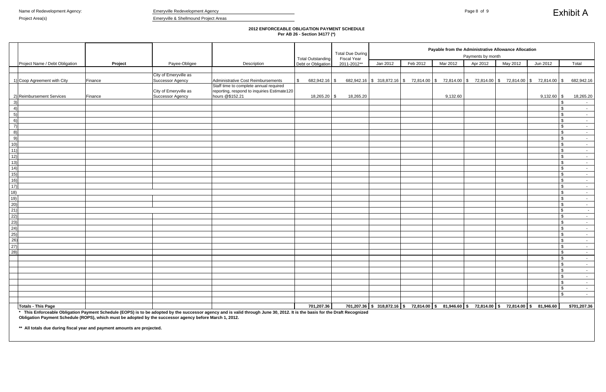## **2012 ENFORCEABLE OBLIGATION PAYMENT SCHEDULE Per AB 26 - Section 34177 (\*)**

|                                                         |                                |                                                                                  |                                                  |                                                                                                          |                                                | <b>Total Due During</b>           |                                                                                                |          |          | Payable from the Administrative Allowance Allocation<br>Payments by month |          |               |                               |
|---------------------------------------------------------|--------------------------------|----------------------------------------------------------------------------------|--------------------------------------------------|----------------------------------------------------------------------------------------------------------|------------------------------------------------|-----------------------------------|------------------------------------------------------------------------------------------------|----------|----------|---------------------------------------------------------------------------|----------|---------------|-------------------------------|
|                                                         | Project Name / Debt Obligation | Project                                                                          | Payee-Obligee                                    | Description                                                                                              | <b>Total Outstanding</b><br>Debt or Obligation | <b>Fiscal Year</b><br>2011-2012** | Jan 2012                                                                                       | Feb 2012 | Mar 2012 | Apr 2012                                                                  | May 2012 | Jun 2012      | Total                         |
|                                                         |                                |                                                                                  |                                                  |                                                                                                          |                                                |                                   |                                                                                                |          |          |                                                                           |          |               |                               |
|                                                         |                                |                                                                                  | City of Emeryville as                            |                                                                                                          |                                                |                                   |                                                                                                |          |          |                                                                           |          |               |                               |
|                                                         | 1) Coop Agreement with City    | Finance                                                                          | Successor Agency                                 | Administrative Cost Reimbursements                                                                       | 682,942.16 \$                                  |                                   | $682,942.16$ \$ 318,872.16 \$ 72,814.00 \$ 72,814.00 \$ 72,814.00 \$ 72,814.00 \$ 72,814.00 \$ |          |          |                                                                           |          |               | 682,942.16                    |
|                                                         | 2) Reimbursement Services      | Finance                                                                          | City of Emeryville as<br><b>Successor Agency</b> | Staff time to complete annual required<br>reporting, respond to inquiries Estimate120<br>hours @\$152.21 | 18,265.20 \$                                   | 18,265.20                         |                                                                                                |          | 9,132.60 |                                                                           |          | $9,132.60$ \$ | 18,265.20                     |
| 3)                                                      |                                |                                                                                  |                                                  |                                                                                                          |                                                |                                   |                                                                                                |          |          |                                                                           |          |               | \$<br>$\sim$                  |
| 4)                                                      |                                |                                                                                  |                                                  |                                                                                                          |                                                |                                   |                                                                                                |          |          |                                                                           |          |               | $\sqrt{3}$<br>$\sim 10^{-11}$ |
| 5)                                                      |                                |                                                                                  |                                                  |                                                                                                          |                                                |                                   |                                                                                                |          |          |                                                                           |          |               | $\sqrt{3}$<br>$\sim 100$      |
| 6)                                                      |                                |                                                                                  |                                                  |                                                                                                          |                                                |                                   |                                                                                                |          |          |                                                                           |          |               | $\sqrt{3}$<br>$\sim$ $-$      |
| $\left( 7\right)$                                       |                                |                                                                                  |                                                  |                                                                                                          |                                                |                                   |                                                                                                |          |          |                                                                           |          |               | -\$<br>$\sim$ $-$             |
| 8)                                                      |                                |                                                                                  |                                                  |                                                                                                          |                                                |                                   |                                                                                                |          |          |                                                                           |          |               | - \$<br>$\sim$ $-$            |
| 9)                                                      |                                |                                                                                  |                                                  |                                                                                                          |                                                |                                   |                                                                                                |          |          |                                                                           |          |               | - \$<br>$\sim$ $-$            |
| 10)                                                     |                                |                                                                                  |                                                  |                                                                                                          |                                                |                                   |                                                                                                |          |          |                                                                           |          |               | $\sqrt{3}$<br>$\sim$ $-$      |
| 11)                                                     |                                |                                                                                  |                                                  |                                                                                                          |                                                |                                   |                                                                                                |          |          |                                                                           |          |               | $\sqrt{3}$<br>$\sim$          |
| 12)                                                     |                                |                                                                                  |                                                  |                                                                                                          |                                                |                                   |                                                                                                |          |          |                                                                           |          |               | $\sqrt{2}$<br>$\sim$ $-$      |
| 13)                                                     |                                |                                                                                  |                                                  |                                                                                                          |                                                |                                   |                                                                                                |          |          |                                                                           |          |               | $\sqrt{3}$<br>$\sim$ $-$      |
| (14)                                                    |                                |                                                                                  |                                                  |                                                                                                          |                                                |                                   |                                                                                                |          |          |                                                                           |          |               | $\sqrt{3}$<br>$\sim$          |
| 15)                                                     |                                |                                                                                  |                                                  |                                                                                                          |                                                |                                   |                                                                                                |          |          |                                                                           |          |               | $\sqrt{3}$<br>$\sim$ $-$      |
| 16)                                                     |                                |                                                                                  |                                                  |                                                                                                          |                                                |                                   |                                                                                                |          |          |                                                                           |          |               | $\sqrt{3}$<br>$\sim$ $-$      |
| 17)                                                     |                                |                                                                                  |                                                  |                                                                                                          |                                                |                                   |                                                                                                |          |          |                                                                           |          |               | $\sqrt{3}$<br>$\sim$ $-$      |
| 18)                                                     |                                |                                                                                  |                                                  |                                                                                                          |                                                |                                   |                                                                                                |          |          |                                                                           |          |               | $\sqrt{3}$<br>$\sim$ $-$      |
| 19)                                                     |                                |                                                                                  |                                                  |                                                                                                          |                                                |                                   |                                                                                                |          |          |                                                                           |          |               | <b>\$</b><br>$\sim$ $-$       |
| (20)                                                    |                                |                                                                                  |                                                  |                                                                                                          |                                                |                                   |                                                                                                |          |          |                                                                           |          |               | $\sqrt{3}$<br>$\sim$ $-$      |
| $\overline{21}$                                         |                                |                                                                                  |                                                  |                                                                                                          |                                                |                                   |                                                                                                |          |          |                                                                           |          |               | $\sqrt{2}$<br>$\sim$ $-$      |
| 22)                                                     |                                |                                                                                  |                                                  |                                                                                                          |                                                |                                   |                                                                                                |          |          |                                                                           |          |               | $\sqrt{3}$<br>$\sim 100$      |
| $\frac{23}{2}$                                          |                                |                                                                                  |                                                  |                                                                                                          |                                                |                                   |                                                                                                |          |          |                                                                           |          |               | $\sqrt{3}$<br>$\sim 100$      |
|                                                         |                                |                                                                                  |                                                  |                                                                                                          |                                                |                                   |                                                                                                |          |          |                                                                           |          |               | $\sqrt{3}$<br>$\sim$ $-$      |
| $\begin{array}{r} \hline 24) \\ 25) \\ 26) \end{array}$ |                                |                                                                                  |                                                  |                                                                                                          |                                                |                                   |                                                                                                |          |          |                                                                           |          |               | $\sqrt{3}$<br>$\sim$ $-$      |
|                                                         |                                |                                                                                  |                                                  |                                                                                                          |                                                |                                   |                                                                                                |          |          |                                                                           |          |               | $\sqrt{3}$<br>$\sim 10^{-11}$ |
| $\frac{27}{28}$                                         |                                |                                                                                  |                                                  |                                                                                                          |                                                |                                   |                                                                                                |          |          |                                                                           |          |               | $\sqrt{3}$<br>$\sim 10^{-11}$ |
|                                                         |                                |                                                                                  |                                                  |                                                                                                          |                                                |                                   |                                                                                                |          |          |                                                                           |          |               | $\sqrt{3}$<br>$\sim 100$      |
|                                                         |                                |                                                                                  |                                                  |                                                                                                          |                                                |                                   |                                                                                                |          |          |                                                                           |          |               | $\sqrt{3}$<br>$\sim 100$      |
|                                                         |                                |                                                                                  |                                                  |                                                                                                          |                                                |                                   |                                                                                                |          |          |                                                                           |          |               | $\sqrt{2}$<br>$\sim$          |
|                                                         |                                |                                                                                  |                                                  |                                                                                                          |                                                |                                   |                                                                                                |          |          |                                                                           |          |               | $\sqrt{3}$<br>$\sim 10^{-11}$ |
|                                                         |                                |                                                                                  |                                                  |                                                                                                          |                                                |                                   |                                                                                                |          |          |                                                                           |          |               | -\$<br>$\sim 10^{-11}$        |
|                                                         |                                |                                                                                  |                                                  |                                                                                                          |                                                |                                   |                                                                                                |          |          |                                                                           |          |               | - \$<br>$\sim 10^{-11}$       |
|                                                         |                                |                                                                                  |                                                  |                                                                                                          |                                                |                                   |                                                                                                |          |          |                                                                           |          |               | $\sim 100$                    |
|                                                         |                                |                                                                                  |                                                  |                                                                                                          |                                                |                                   |                                                                                                |          |          |                                                                           |          |               | \$<br>$\sim 10^{-10}$         |
|                                                         |                                |                                                                                  |                                                  |                                                                                                          |                                                |                                   |                                                                                                |          |          |                                                                           |          |               |                               |
|                                                         | <b>Totals - This Page</b>      | <b>This Future objective in Democrat Cohodial (FODO) is to be edented by the</b> |                                                  | concern a group on discussive through these 20, 2040. It is the book family Dusti Book.                  | 701,207.36                                     |                                   | 701,207.36 \$ 318,872.16 \$ 72,814.00 \$ 81,946.60 \$ 72,814.00 \$ 72,814.00 \$ 81,946.60      |          |          |                                                                           |          |               | \$701,207.36                  |

**\*\* All totals due during fiscal year and payment amounts are projected.** 

**\* This Enforceable Obligation Payment Schedule (EOPS) is to be adopted by the successor agency and is valid through June 30, 2012. It is the basis for the Draft Recognized Obligation Payment Schedule (ROPS), which must be adopted by the successor agency before March 1, 2012.**

# Exhibit A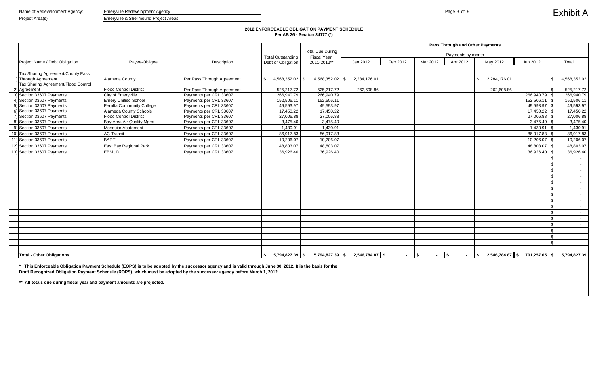### **2012 ENFORCEABLE OBLIGATION PAYMENT SCHEDULE Per AB 26 - Section 34177 (\*)**

|                                     |                                  |                            |                                  | <b>Total Due During</b> | <b>Pass Through and Other Payments</b> |          |                      |                      |                              |                |               |                  |
|-------------------------------------|----------------------------------|----------------------------|----------------------------------|-------------------------|----------------------------------------|----------|----------------------|----------------------|------------------------------|----------------|---------------|------------------|
|                                     |                                  |                            | <b>Total Outstanding</b>         | <b>Fiscal Year</b>      |                                        |          |                      | Payments by month    |                              |                |               |                  |
| Project Name / Debt Obligation      | Payee-Obligee                    | Description                | Debt or Obligation               | 2011-2012**             | Jan 2012                               | Feb 2012 | Mar 2012             | Apr 2012             | May 2012                     | Jun 2012       |               | Total            |
| Tax Sharing Agreement/County Pass   |                                  |                            |                                  |                         |                                        |          |                      |                      |                              |                |               |                  |
| 1) Through Agreement                | Alameda County                   | Per Pass Through Agreement | 4,568,352.02 \$<br>$\mathcal{S}$ | 4,568,352.02 \$         | 2,284,176.01                           |          |                      |                      | $\mathbb{S}$<br>2,284,176.01 |                | \$            | 4,568,352.02     |
| Tax Sharing Agreement/Flood Control |                                  |                            |                                  |                         |                                        |          |                      |                      |                              |                |               |                  |
| 2) Agreement                        | <b>Flood Control District</b>    | Per Pass Through Agreement | 525,217.72                       | 525,217.72              | 262,608.86                             |          |                      |                      | 262,608.86                   |                | -\$           | 525,217.72       |
| 3) Section 33607 Payments           | City of Emeryville               | Payments per CRL 33607     | 266,940.79                       | 266,940.79              |                                        |          |                      |                      |                              | 266,940.79 \$  |               | 266,940.79       |
| 4) Section 33607 Payments           | <b>Emery Unified School</b>      | Payments per CRL 33607     | 152,506.11                       | 152,506.11              |                                        |          |                      |                      |                              |                |               | 152,506.11       |
| 5) Section 33607 Payments           | <b>Peralta Community College</b> | Payments per CRL 33607     | 49,593.97                        | 49,593.97               |                                        |          |                      |                      |                              | 49,593.97      |               | 49,593.97        |
| 6) Section 33607 Payments           | <b>Alameda County Schools</b>    | Payments per CRL 33607     | 17,450.22                        | 17,450.22               |                                        |          |                      |                      |                              | 17,450.22 \$   |               | 17,450.22        |
| 7) Section 33607 Payments           | <b>Flood Control District</b>    | Payments per CRL 33607     | 27,006.88                        | 27,006.88               |                                        |          |                      |                      |                              | $27,006.88$ \$ |               | 27,006.88        |
| 8) Section 33607 Payments           | Bay Area Air Quality Mgmt        | Payments per CRL 33607     | 3,475.40                         | 3,475.40                |                                        |          |                      |                      |                              | $3,475.40$ \$  |               | 3,475.40         |
| 9) Section 33607 Payments           | Mosquito Abatement               | Payments per CRL 33607     | 1,430.91                         | 1,430.91                |                                        |          |                      |                      |                              | $1,430.91$ \$  |               | 1,430.91         |
| 10) Section 33607 Payments          | <b>AC Transit</b>                | Payments per CRL 33607     | 86,917.83                        | 86,917.83               |                                        |          |                      |                      |                              | 86,917.83      |               | 86,917.83        |
| 11) Section 33607 Payments          | <b>BART</b>                      | Payments per CRL 33607     | 10,206.07                        | 10,206.07               |                                        |          |                      |                      |                              | 10,206.07      |               | 10,206.07        |
| 12) Section 33607 Payments          | East Bay Regional Park           | Payments per CRL 33607     | 48,803.07                        | 48,803.07               |                                        |          |                      |                      |                              | 48,803.07 \$   |               | 48,803.07        |
| 13) Section 33607 Payments          | <b>EBMUD</b>                     | Payments per CRL 33607     | 36,926.40                        | 36,926.40               |                                        |          |                      |                      |                              | $36,926.40$ \$ |               | 36,926.40        |
|                                     |                                  |                            |                                  |                         |                                        |          |                      |                      |                              |                |               | $\sim$           |
|                                     |                                  |                            |                                  |                         |                                        |          |                      |                      |                              |                | \$            |                  |
|                                     |                                  |                            |                                  |                         |                                        |          |                      |                      |                              |                | $\sqrt{2}$    | $\sim 100$       |
|                                     |                                  |                            |                                  |                         |                                        |          |                      |                      |                              |                | $\mathfrak s$ |                  |
|                                     |                                  |                            |                                  |                         |                                        |          |                      |                      |                              |                | $\sqrt{2}$    |                  |
|                                     |                                  |                            |                                  |                         |                                        |          |                      |                      |                              |                | $\sqrt{2}$    |                  |
|                                     |                                  |                            |                                  |                         |                                        |          |                      |                      |                              |                | $\sqrt[6]{3}$ | $\sim$           |
|                                     |                                  |                            |                                  |                         |                                        |          |                      |                      |                              |                | $\sqrt{2}$    | $\sim$           |
|                                     |                                  |                            |                                  |                         |                                        |          |                      |                      |                              |                | $\sqrt{2}$    |                  |
|                                     |                                  |                            |                                  |                         |                                        |          |                      |                      |                              |                | $\sqrt{2}$    | $\sim$ 100 $\mu$ |
|                                     |                                  |                            |                                  |                         |                                        |          |                      |                      |                              |                | $\sqrt{2}$    | $\sim$ 10 $\pm$  |
|                                     |                                  |                            |                                  |                         |                                        |          |                      |                      |                              |                | \$            | $\sim$ $-$       |
|                                     |                                  |                            |                                  |                         |                                        |          |                      |                      |                              |                | $\sqrt{2}$    |                  |
|                                     |                                  |                            |                                  |                         |                                        |          |                      |                      |                              |                | $\sqrt{2}$    | $\sim 10^{-11}$  |
|                                     |                                  |                            |                                  |                         |                                        |          |                      |                      |                              |                | -\$           | <b>Contract</b>  |
|                                     |                                  |                            |                                  |                         |                                        |          |                      |                      |                              |                |               |                  |
| <b>Total - Other Obligations</b>    |                                  |                            | $5,794,827.39$ \$                | 5,794,827.39 \$         | 2,546,784.87 \$                        | $\sim$   | $\sqrt{ }$<br>$\sim$ | $\sqrt{2}$<br>$\sim$ | $2,546,784.87$ \$<br>\$      | 701,257.65 \$  |               | 5,794,827.39     |

**\*\* All totals due during fiscal year and payment amounts are projected.** 

**\* This Enforceable Obligation Payment Schedule (EOPS) is to be adopted by the successor agency and is valid through June 30, 2012. It is the basis for the Draft Recognized Obligation Payment Schedule (ROPS), which must be adopted by the successor agency before March 1, 2012.**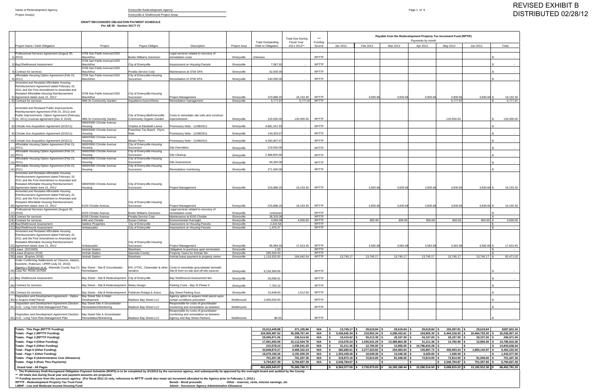Name of Redevelopment Agency: example of the energy and the Emeryville Redevelopment Agency **Emeryville Redevelopment Agency** 

Project Area(s) Emeryville & Shellmound Project Areas

**DRAFT RECOGNIZED OBLIGATION PAYMENT SCHEDULE Per AB 26 - Section 34177 (\*)**

| Totals - This Page (RPTTF Funding)              | 23.012.449.88  | 371,105.86    | N/A | $13.745.17$ S     | 29,619.84 \$                      | 29,619.84 \$     | 29,619.84 \$     | 155.397.81 \$                 | 29.619.84        | \$287.622.34  |
|-------------------------------------------------|----------------|---------------|-----|-------------------|-----------------------------------|------------------|------------------|-------------------------------|------------------|---------------|
| Totals - Page 2 (RPTTF Funding)                 | 324,905,987.52 | 35,358,767.44 | N/A | $3,436,645.34$ \$ | 219,952.34 \$                     | 4,286,432.61 \$  | 184,805.30 \$    | $6.444.318.30$ $\blacksquare$ | 10,464,753.30    | 25,036,907.19 |
| Totals - Page 3 (RPTTF Funding)                 | 29.095.871.06  | 236,514.06    | N/A | 19.410.62 S       | $59,212.38$ \$                    | 28,337.00 \$     | 43,337.00 \$     | 28,337.00 \$                  | 28,337.00 \$     | 206.971.00    |
| Totals - Page 4 (Other Funding)                 | 17,581,593.09  | 15,112,504.78 | N/A | 210,578.24 \$     | 1,030,541.29 \$                   | 13,488,864.39 \$ | $31,211.36$ \$   | 12,760.00 \$                  | 12,855.00 \$     | 14,786,810.28 |
| Totals - Page 5 (Other Funding)                 | 210.578.24     | 1,030,541.29  | N/A | $31.211.36$ S     | $12,760.00$ \$                    | 12,855.00 \$     | 14,786,810.28 \$ |                               |                  | 14,843,636.64 |
| Total - Page 6 (Other Funding)                  | 33,848,872.27  | 9,469,322.24  | N/A |                   | 482,680.51 \$ 2,277,523.82 \$     | 254,083.64 \$    | 135,887.72 \$    | 436,903.34                    | 1,865,142.97 \$  | 5,452,222.00  |
| Total - Page 7 (Other Funding)                  | 16,678,156.26  | 2,191,000.29  | N/A | 1,303,449.28 \$   | 18,549.36 \$                      | 13,049.36 \$     | $6,029.00$ \$    | $1,500.00$ \$                 |                  | 1,342,577.00  |
| Totals - Page 8 (Administrative Cost Allowance) | 701.207.36     | 701.207.36    | N/A | 318.872.16 S      | 72.814.00 S                       | 81.946.60 S      | 72.814.00 S      | 72.814.00 \$                  | $81,946.60$ \$   | 701,207.36    |
| Totals - Page 9 (Pass Thru Payments)            | 5,794,827.39   | 5,794,827.39  | N/A | 2.546.784.87 \$   |                                   |                  |                  | 2.546.784.87                  | 701,257.65 \$    | 5,794,827.39  |
| <b>Grand total - All Pages</b>                  | 451.829.543.07 | 70.265.790.71 |     |                   | $8,363,377.55$ \$ 3,720,973.03 \$ | 18,195,188.44 \$ | 15,290,514.50 \$ | $9,698,815.32$ \$             | 13,183,912.36 \$ | 68,452,781.20 |

The Preliminary Draft Recognized Obligation Payment Schedule (ROPS) is to be completed by 3/1/2012 by the successor agency, and subsequently be approved by the oversight board and audited by the County \*\*\*\*\*\*\*\*\* Funding so

| Jan 2012<br>Feb 2012<br>Mar 2012<br>Apr 2012<br>May 2012<br>Jun 2012<br>Total<br>Project Name / Debt Obligation<br>Project<br>Payee-Obligee<br>Description<br>Debt or Obligation<br>2011-2012**<br>Project Area<br>Source<br>3706 San Pablo Avenue/1025<br>Professional Services Agreement (August 30,<br>Legal services related to recovery of<br><b>RPTTF</b><br>1) 2010)<br>MacArthur<br><b>Burke Williams Sorenson</b><br>remediation costs<br>Emeryville<br>Unknown<br>3706 San Pablo Avenue/1025<br><b>RPTTF</b><br>MacArthur<br>City of Emeryville<br>7,067.9<br>2) Bay/Shellmound Assessment<br>Assessment on Housing Parcels<br>Emeryville<br>3706 San Pablo Avenue/1025<br>52,500.0<br><b>RPTTF</b><br>Peralta Service Corp<br>Maintenance at 3706 SPA<br>MacArthur<br>Emeryville<br>3) Contract for services<br>Affordable Housing Option Agreement (Feb 15,<br>3706 San Pablo Avenue/1025<br>City of Emeryville-Housing<br>Remediation of 3706 SPA<br>240,000.0<br><b>RPTTF</b><br>4) 2011)<br>MacArthur<br>Successor<br>Emeryville<br>Amended and Restated Affordable Housing<br>Reimbursement Agreement dated February 15,<br>2011 and the First Amendment to Amended and<br>Restated Affordable Housing Reimbursement<br>3706 San Pablo Avenue/1025<br>City of Emeryville-Housing<br><b>RPTTF</b><br>MacArthur<br>223,888.2<br>19.153.30<br>3,830.66<br>3,830.6<br>3,830.66<br>3,830.66<br>5) Agreement dated June 21, 2011"<br>Emeryville<br>3,830.66<br>Successor<br><b>Project Management</b><br>6) Contract for services<br>48th St Community Garden<br>Remediation management<br>Emeryville<br>5.777.9<br>5,777.97<br>RPTTF<br>5,777.9<br>5,777.97<br>Aquatierra Assoc/Weiss<br>Amended and Restated Public Improvements<br>Reimbursement Agreement (Feb 15, 2011) and<br>Public Improvements Option Agreement (February<br>City of Emeryville/Emeryville<br>Costs to remediate site soils and construct<br>120,000,00<br>7) 15, 2011) /License agreement (Dec 9, 2010)<br>Community Organic Garden<br>120.000.0<br>120,000.00<br><b>RPTTF</b><br>120,000.00<br>48th St Community Garden<br>mprovements<br>Emervville<br>5890/5900 Christie Avenue<br><b>RPTTF</b><br>8) Christie Ave Acquisition Agreement (3/15/11)<br>Charles & Elizabeth Leone<br>Promissory Note - 11/08/2011<br>4,681,341.3<br>dousing<br>Emeryville<br>5890/5900 Christie Avenue<br>Franchise Tax Board - Flynn<br>144.333.5<br>9) Christie Ave Acquisition Agreement (3/15/11)<br>Promissory Note - 11/08/2011<br><b>RPTTF</b><br>Housing<br>Note<br>Emeryville<br>5890/5900 Christie Avenue<br>Miriam Flynn<br>4,330,007.0<br><b>RPTTF</b><br>10) Christie Ave Acquisition Agreement (3/15/11)<br>Housing<br>Promissory Note - 11/08/2011<br>Emeryville<br>Affordable Housing Option Agreement (Feb 15,<br>5890/5900 Christie Avenue<br>City of Emeryville-Housing<br>219,550.0<br><b>RPTTF</b><br>$11)$ 2011)<br>Successor<br>Site Demolition<br>Emeryville<br>Housing<br>5890/5900 Christie Avenue<br>Affordable Housing Option Agreement (Feb 15,<br>City of Emeryville-Housing<br><b>RPTTF</b><br>2,388,900.0<br>Emeryville<br>12) 2011)<br>lousing<br>Successor<br>Site Cleanup<br>5890/5900 Christie Avenue<br>Affordable Housing Option Agreement (Feb 15,<br>City of Emeryville-Housing<br>94,350.0<br><b>RPTTF</b><br>13) 2011)<br>Site Assessment<br>Emeryville<br>Successor<br>lousing<br>Affordable Housing Option Agreement (Feb 15,<br>5890/5900 Christie Avenue<br>City of Emeryville-Housing<br>271.500.00<br><b>RPTTF</b><br>14) 2011)<br>Successor<br>Remediation monitoring<br>Emeryville<br>lousing<br>Amended and Restated Affordable Housing<br>Reimbursement Agreement dated February 15,<br>2011 and the First Amendment to Amended and<br>Restated Affordable Housing Reimbursement<br>5890/5900 Christie Avenue<br>City of Emeryville-Housing<br>19,153.30<br><b>RPTTF</b><br>3,830.66<br>3,830.6<br>3,830.66<br>3,830.66<br>3,830.66<br>19,153.30<br>15) Agreement dated June 21, 2011"<br>Housing<br>Successor<br>Emeryville<br>223,888.2<br>Project Management<br>Amended and Restated Affordable Housing<br>Reimbursement Agreement dated February 15,<br>2011 and the First Amendment to Amended and<br>Restated Affordable Housing Reimbursement<br>City of Emeryville-Housing<br>3,830.66<br>3,830.66<br>16) Agreement dated June 21, 2011"<br>6150 Christie Avenue<br>Successor<br>Project Management<br>223,888.<br>19.153.30<br><b>RPTTF</b><br>3,830.66<br>3,830.6<br>3,830.66<br>19,153.30<br>Emervville<br>Professional Services Agreement (August 30,<br>Legal services related to recovery of<br>6150 Christie Avenue<br><b>Burke Williams Sorenson</b><br>17) 2010)<br>remediation costs<br>Unknow<br><b>RPTTF</b><br>Emeryville<br>6150 Christie Avenue<br>Peralta Service Corp<br>28,320.0<br><b>RPTTF</b><br>18) Contract for services<br>Maintenance at 6150 Christie<br>Emeryville<br>19) Contract for services<br>Susan Colman<br>4,000.0<br>4,000.00<br>800.00<br>800.00<br>800.00<br>800.00<br>800.00<br>4,000.00<br>64th and Christie<br><b>Environmental Oversight</b><br><b>RPTTF</b><br>Emeryville<br>20) Bay/Shellmound Assessment<br><b>Adeline Properties</b><br>City of Emeryville<br>Assessment on Housing Parcels<br>2,202.5<br><b>RPTTF</b><br>Emeryville<br>21) Bay/Shellmound Assessment<br>Ambassador<br>City of Emeryville<br>1,470.27<br><b>RPTTF</b><br>Assessment on Housing Parcels<br>Emeryville<br>$\sim$<br>$\sim$<br>Amended and Restated Affordable Housing<br>Reimbursement Agreement dated February 15,<br>2011 and the First Amendment to Amended and<br>Restated Affordable Housing Reimbursement<br>City of Emeryville-Housing<br><b>RPTTF</b><br>17,913.45<br>3,582.69<br>3,582.6<br>3,582.69<br>3,582.69<br>3,582.69<br>17,913.45<br>22) Agreement dated June 21, 2011"<br>85,984.5<br>Ambassador<br>Successor<br>Project Management<br>Emeryville<br>23) Lease (3/2/1993)<br><b>Amtrak Station</b><br>Wareham<br><b>RPTTF</b><br>Obligation to purchase upon termination<br>Emervville<br>1.00<br>24) Lease (Expires 2018)<br>Amtrak Station<br>Alameda County<br>Property Taxes for Amtrak Stn<br>Emervville<br>339,300.00<br><b>RPTTF</b><br>25) Lease (Expires 2018)<br><b>Amtrak Station</b><br>Amtrak lease payment to property owner<br>1,119,332.00<br><b>RPTTF</b><br>13,745.17<br>13,745.17<br>13,745.17<br>13,745.17<br>13,745.17<br>13,745.17 \$<br>82,471.02<br>Wareham<br>Emervville<br>164,942.04<br>Order Confirming Settlements w/ Chevron, Adams,<br>Koeckritz, Robinson, UPRR (July 23, 2010);<br>Agency v Robinson et.al.; Alameda County Sup Ct, Bay Street - Site B Groundwater<br>EKI, DTSC, Clearwater & other Costs to remediate groundwater beneath<br>26) Case No. RG06-267594<br>Site B from on-site and off-site sources<br>Remediation<br>6,155,369.06<br><b>RPTTF</b><br>vendors<br>Emeryville<br>Bay Street - Site B Redevelopment City of Emeryville<br>26,066.91<br><b>RPTTF</b><br>27) Bay Shellmound Assessment<br>Bay Shellmound Assessment lien<br>Emeryville<br>7,763.10<br><b>RPTTF</b><br>Bay Street - Site B Redevelopment Watry Design<br>Parking Costs - Bay St Phase II<br>28) Contract for services<br>Emeryville<br>Bay Street - Site B Redevelopment Fieldman Rolapp & Assoc<br><b>RPTTF</b><br>29) Contract for services<br><b>Bay Street Parking Svcs</b><br>Emeryville<br>15,648.00<br>1,012.50<br>Bay Street Site A Hotel<br>Disposition and Development Agreement - Option<br>Agency option to acquire hotel parcel upon<br><b>RPTTF</b><br>30) to Acquire Hotel Parcel<br>Madison Bay Street LLC<br>2,000,000.00<br>certain conditions precedent<br>Shellmound<br><b>Development</b><br>Disposition and Development Agreement (Section   Bay Street Site A Groundwater<br>Responsible for costs of groundwater<br>31) 212) - Long Term Risk Management Plan<br>Remediation/Monitoring<br>Madison Bay Street LLC<br>monitoring and remediation as between<br>Shellmound<br><b>RPTTF</b><br>Responsible for costs of groundwater<br>Disposition and Development Agreement (Section<br>Bay Street Site A Groundwater<br>monitoring and remediation as between<br>32) 212) - Long Term Risk Management Plan<br>Remediation/Monitoring<br>Madison Bay Street LLC<br>Agency and Bay Street Partners<br><b>RPTTF</b><br>Shellmound<br>\$0.00 |  |  |  | <b>Total Outstanding</b> | <b>Total Due During</b><br><b>Fiscal Year</b> | $***$<br>Funding |  | Payable from the Redevelopment Property Tax Increment Fund (RPTIF)<br>Payments by month |  |           |
|---------------------------------------------------------------------------------------------------------------------------------------------------------------------------------------------------------------------------------------------------------------------------------------------------------------------------------------------------------------------------------------------------------------------------------------------------------------------------------------------------------------------------------------------------------------------------------------------------------------------------------------------------------------------------------------------------------------------------------------------------------------------------------------------------------------------------------------------------------------------------------------------------------------------------------------------------------------------------------------------------------------------------------------------------------------------------------------------------------------------------------------------------------------------------------------------------------------------------------------------------------------------------------------------------------------------------------------------------------------------------------------------------------------------------------------------------------------------------------------------------------------------------------------------------------------------------------------------------------------------------------------------------------------------------------------------------------------------------------------------------------------------------------------------------------------------------------------------------------------------------------------------------------------------------------------------------------------------------------------------------------------------------------------------------------------------------------------------------------------------------------------------------------------------------------------------------------------------------------------------------------------------------------------------------------------------------------------------------------------------------------------------------------------------------------------------------------------------------------------------------------------------------------------------------------------------------------------------------------------------------------------------------------------------------------------------------------------------------------------------------------------------------------------------------------------------------------------------------------------------------------------------------------------------------------------------------------------------------------------------------------------------------------------------------------------------------------------------------------------------------------------------------------------------------------------------------------------------------------------------------------------------------------------------------------------------------------------------------------------------------------------------------------------------------------------------------------------------------------------------------------------------------------------------------------------------------------------------------------------------------------------------------------------------------------------------------------------------------------------------------------------------------------------------------------------------------------------------------------------------------------------------------------------------------------------------------------------------------------------------------------------------------------------------------------------------------------------------------------------------------------------------------------------------------------------------------------------------------------------------------------------------------------------------------------------------------------------------------------------------------------------------------------------------------------------------------------------------------------------------------------------------------------------------------------------------------------------------------------------------------------------------------------------------------------------------------------------------------------------------------------------------------------------------------------------------------------------------------------------------------------------------------------------------------------------------------------------------------------------------------------------------------------------------------------------------------------------------------------------------------------------------------------------------------------------------------------------------------------------------------------------------------------------------------------------------------------------------------------------------------------------------------------------------------------------------------------------------------------------------------------------------------------------------------------------------------------------------------------------------------------------------------------------------------------------------------------------------------------------------------------------------------------------------------------------------------------------------------------------------------------------------------------------------------------------------------------------------------------------------------------------------------------------------------------------------------------------------------------------------------------------------------------------------------------------------------------------------------------------------------------------------------------------------------------------------------------------------------------------------------------------------------------------------------------------------------------------------------------------------------------------------------------------------------------------------------------------------------------------------------------------------------------------------------------------------------------------------------------------------------------------------------------------------------------------------------------------------------------------------------------------------------------------------------------------------------------------------------------------------------------------------------------------------------------------------------------------------------------------------------------------------------------------------------------------------------------------------------------------------------------------------------------------------------------------------------------------------------------------------------------------------------------------------------------------------------------------------------------------------------------------------------------------------------------------------------------------------------------------------------------------------------------------------------------------------------------------------------------------------------------------------------------------------------------------------------------------------------------------------------------------------------------------------------------------------------------------------------------------------------------------------------------------------------------------------------------------------------------------------------------------------------------------------------------------------------------------------------------------------------------------------------------------------------------------------------------------------------------------------------|--|--|--|--------------------------|-----------------------------------------------|------------------|--|-----------------------------------------------------------------------------------------|--|-----------|
|                                                                                                                                                                                                                                                                                                                                                                                                                                                                                                                                                                                                                                                                                                                                                                                                                                                                                                                                                                                                                                                                                                                                                                                                                                                                                                                                                                                                                                                                                                                                                                                                                                                                                                                                                                                                                                                                                                                                                                                                                                                                                                                                                                                                                                                                                                                                                                                                                                                                                                                                                                                                                                                                                                                                                                                                                                                                                                                                                                                                                                                                                                                                                                                                                                                                                                                                                                                                                                                                                                                                                                                                                                                                                                                                                                                                                                                                                                                                                                                                                                                                                                                                                                                                                                                                                                                                                                                                                                                                                                                                                                                                                                                                                                                                                                                                                                                                                                                                                                                                                                                                                                                                                                                                                                                                                                                                                                                                                                                                                                                                                                                                                                                                                                                                                                                                                                                                                                                                                                                                                                                                                                                                                                                                                                                                                                                                                                                                                                                                                                                                                                                                                                                                                                                                                                                                                                                                                                                                                                                                                                                                                                                                                                                                                                                                                                                                                                                                                                                                                                                                                                                                                                                                                                                                                                                                                                                                                                                                                                                                                                                                                                                                                                                                                                                                                                                                                                           |  |  |  |                          |                                               |                  |  |                                                                                         |  |           |
|                                                                                                                                                                                                                                                                                                                                                                                                                                                                                                                                                                                                                                                                                                                                                                                                                                                                                                                                                                                                                                                                                                                                                                                                                                                                                                                                                                                                                                                                                                                                                                                                                                                                                                                                                                                                                                                                                                                                                                                                                                                                                                                                                                                                                                                                                                                                                                                                                                                                                                                                                                                                                                                                                                                                                                                                                                                                                                                                                                                                                                                                                                                                                                                                                                                                                                                                                                                                                                                                                                                                                                                                                                                                                                                                                                                                                                                                                                                                                                                                                                                                                                                                                                                                                                                                                                                                                                                                                                                                                                                                                                                                                                                                                                                                                                                                                                                                                                                                                                                                                                                                                                                                                                                                                                                                                                                                                                                                                                                                                                                                                                                                                                                                                                                                                                                                                                                                                                                                                                                                                                                                                                                                                                                                                                                                                                                                                                                                                                                                                                                                                                                                                                                                                                                                                                                                                                                                                                                                                                                                                                                                                                                                                                                                                                                                                                                                                                                                                                                                                                                                                                                                                                                                                                                                                                                                                                                                                                                                                                                                                                                                                                                                                                                                                                                                                                                                                                           |  |  |  |                          |                                               |                  |  |                                                                                         |  |           |
|                                                                                                                                                                                                                                                                                                                                                                                                                                                                                                                                                                                                                                                                                                                                                                                                                                                                                                                                                                                                                                                                                                                                                                                                                                                                                                                                                                                                                                                                                                                                                                                                                                                                                                                                                                                                                                                                                                                                                                                                                                                                                                                                                                                                                                                                                                                                                                                                                                                                                                                                                                                                                                                                                                                                                                                                                                                                                                                                                                                                                                                                                                                                                                                                                                                                                                                                                                                                                                                                                                                                                                                                                                                                                                                                                                                                                                                                                                                                                                                                                                                                                                                                                                                                                                                                                                                                                                                                                                                                                                                                                                                                                                                                                                                                                                                                                                                                                                                                                                                                                                                                                                                                                                                                                                                                                                                                                                                                                                                                                                                                                                                                                                                                                                                                                                                                                                                                                                                                                                                                                                                                                                                                                                                                                                                                                                                                                                                                                                                                                                                                                                                                                                                                                                                                                                                                                                                                                                                                                                                                                                                                                                                                                                                                                                                                                                                                                                                                                                                                                                                                                                                                                                                                                                                                                                                                                                                                                                                                                                                                                                                                                                                                                                                                                                                                                                                                                                           |  |  |  |                          |                                               |                  |  |                                                                                         |  |           |
|                                                                                                                                                                                                                                                                                                                                                                                                                                                                                                                                                                                                                                                                                                                                                                                                                                                                                                                                                                                                                                                                                                                                                                                                                                                                                                                                                                                                                                                                                                                                                                                                                                                                                                                                                                                                                                                                                                                                                                                                                                                                                                                                                                                                                                                                                                                                                                                                                                                                                                                                                                                                                                                                                                                                                                                                                                                                                                                                                                                                                                                                                                                                                                                                                                                                                                                                                                                                                                                                                                                                                                                                                                                                                                                                                                                                                                                                                                                                                                                                                                                                                                                                                                                                                                                                                                                                                                                                                                                                                                                                                                                                                                                                                                                                                                                                                                                                                                                                                                                                                                                                                                                                                                                                                                                                                                                                                                                                                                                                                                                                                                                                                                                                                                                                                                                                                                                                                                                                                                                                                                                                                                                                                                                                                                                                                                                                                                                                                                                                                                                                                                                                                                                                                                                                                                                                                                                                                                                                                                                                                                                                                                                                                                                                                                                                                                                                                                                                                                                                                                                                                                                                                                                                                                                                                                                                                                                                                                                                                                                                                                                                                                                                                                                                                                                                                                                                                                           |  |  |  |                          |                                               |                  |  |                                                                                         |  |           |
|                                                                                                                                                                                                                                                                                                                                                                                                                                                                                                                                                                                                                                                                                                                                                                                                                                                                                                                                                                                                                                                                                                                                                                                                                                                                                                                                                                                                                                                                                                                                                                                                                                                                                                                                                                                                                                                                                                                                                                                                                                                                                                                                                                                                                                                                                                                                                                                                                                                                                                                                                                                                                                                                                                                                                                                                                                                                                                                                                                                                                                                                                                                                                                                                                                                                                                                                                                                                                                                                                                                                                                                                                                                                                                                                                                                                                                                                                                                                                                                                                                                                                                                                                                                                                                                                                                                                                                                                                                                                                                                                                                                                                                                                                                                                                                                                                                                                                                                                                                                                                                                                                                                                                                                                                                                                                                                                                                                                                                                                                                                                                                                                                                                                                                                                                                                                                                                                                                                                                                                                                                                                                                                                                                                                                                                                                                                                                                                                                                                                                                                                                                                                                                                                                                                                                                                                                                                                                                                                                                                                                                                                                                                                                                                                                                                                                                                                                                                                                                                                                                                                                                                                                                                                                                                                                                                                                                                                                                                                                                                                                                                                                                                                                                                                                                                                                                                                                                           |  |  |  |                          |                                               |                  |  |                                                                                         |  |           |
|                                                                                                                                                                                                                                                                                                                                                                                                                                                                                                                                                                                                                                                                                                                                                                                                                                                                                                                                                                                                                                                                                                                                                                                                                                                                                                                                                                                                                                                                                                                                                                                                                                                                                                                                                                                                                                                                                                                                                                                                                                                                                                                                                                                                                                                                                                                                                                                                                                                                                                                                                                                                                                                                                                                                                                                                                                                                                                                                                                                                                                                                                                                                                                                                                                                                                                                                                                                                                                                                                                                                                                                                                                                                                                                                                                                                                                                                                                                                                                                                                                                                                                                                                                                                                                                                                                                                                                                                                                                                                                                                                                                                                                                                                                                                                                                                                                                                                                                                                                                                                                                                                                                                                                                                                                                                                                                                                                                                                                                                                                                                                                                                                                                                                                                                                                                                                                                                                                                                                                                                                                                                                                                                                                                                                                                                                                                                                                                                                                                                                                                                                                                                                                                                                                                                                                                                                                                                                                                                                                                                                                                                                                                                                                                                                                                                                                                                                                                                                                                                                                                                                                                                                                                                                                                                                                                                                                                                                                                                                                                                                                                                                                                                                                                                                                                                                                                                                                           |  |  |  |                          |                                               |                  |  |                                                                                         |  |           |
|                                                                                                                                                                                                                                                                                                                                                                                                                                                                                                                                                                                                                                                                                                                                                                                                                                                                                                                                                                                                                                                                                                                                                                                                                                                                                                                                                                                                                                                                                                                                                                                                                                                                                                                                                                                                                                                                                                                                                                                                                                                                                                                                                                                                                                                                                                                                                                                                                                                                                                                                                                                                                                                                                                                                                                                                                                                                                                                                                                                                                                                                                                                                                                                                                                                                                                                                                                                                                                                                                                                                                                                                                                                                                                                                                                                                                                                                                                                                                                                                                                                                                                                                                                                                                                                                                                                                                                                                                                                                                                                                                                                                                                                                                                                                                                                                                                                                                                                                                                                                                                                                                                                                                                                                                                                                                                                                                                                                                                                                                                                                                                                                                                                                                                                                                                                                                                                                                                                                                                                                                                                                                                                                                                                                                                                                                                                                                                                                                                                                                                                                                                                                                                                                                                                                                                                                                                                                                                                                                                                                                                                                                                                                                                                                                                                                                                                                                                                                                                                                                                                                                                                                                                                                                                                                                                                                                                                                                                                                                                                                                                                                                                                                                                                                                                                                                                                                                                           |  |  |  |                          |                                               |                  |  |                                                                                         |  |           |
|                                                                                                                                                                                                                                                                                                                                                                                                                                                                                                                                                                                                                                                                                                                                                                                                                                                                                                                                                                                                                                                                                                                                                                                                                                                                                                                                                                                                                                                                                                                                                                                                                                                                                                                                                                                                                                                                                                                                                                                                                                                                                                                                                                                                                                                                                                                                                                                                                                                                                                                                                                                                                                                                                                                                                                                                                                                                                                                                                                                                                                                                                                                                                                                                                                                                                                                                                                                                                                                                                                                                                                                                                                                                                                                                                                                                                                                                                                                                                                                                                                                                                                                                                                                                                                                                                                                                                                                                                                                                                                                                                                                                                                                                                                                                                                                                                                                                                                                                                                                                                                                                                                                                                                                                                                                                                                                                                                                                                                                                                                                                                                                                                                                                                                                                                                                                                                                                                                                                                                                                                                                                                                                                                                                                                                                                                                                                                                                                                                                                                                                                                                                                                                                                                                                                                                                                                                                                                                                                                                                                                                                                                                                                                                                                                                                                                                                                                                                                                                                                                                                                                                                                                                                                                                                                                                                                                                                                                                                                                                                                                                                                                                                                                                                                                                                                                                                                                                           |  |  |  |                          |                                               |                  |  |                                                                                         |  |           |
|                                                                                                                                                                                                                                                                                                                                                                                                                                                                                                                                                                                                                                                                                                                                                                                                                                                                                                                                                                                                                                                                                                                                                                                                                                                                                                                                                                                                                                                                                                                                                                                                                                                                                                                                                                                                                                                                                                                                                                                                                                                                                                                                                                                                                                                                                                                                                                                                                                                                                                                                                                                                                                                                                                                                                                                                                                                                                                                                                                                                                                                                                                                                                                                                                                                                                                                                                                                                                                                                                                                                                                                                                                                                                                                                                                                                                                                                                                                                                                                                                                                                                                                                                                                                                                                                                                                                                                                                                                                                                                                                                                                                                                                                                                                                                                                                                                                                                                                                                                                                                                                                                                                                                                                                                                                                                                                                                                                                                                                                                                                                                                                                                                                                                                                                                                                                                                                                                                                                                                                                                                                                                                                                                                                                                                                                                                                                                                                                                                                                                                                                                                                                                                                                                                                                                                                                                                                                                                                                                                                                                                                                                                                                                                                                                                                                                                                                                                                                                                                                                                                                                                                                                                                                                                                                                                                                                                                                                                                                                                                                                                                                                                                                                                                                                                                                                                                                                                           |  |  |  |                          |                                               |                  |  |                                                                                         |  |           |
|                                                                                                                                                                                                                                                                                                                                                                                                                                                                                                                                                                                                                                                                                                                                                                                                                                                                                                                                                                                                                                                                                                                                                                                                                                                                                                                                                                                                                                                                                                                                                                                                                                                                                                                                                                                                                                                                                                                                                                                                                                                                                                                                                                                                                                                                                                                                                                                                                                                                                                                                                                                                                                                                                                                                                                                                                                                                                                                                                                                                                                                                                                                                                                                                                                                                                                                                                                                                                                                                                                                                                                                                                                                                                                                                                                                                                                                                                                                                                                                                                                                                                                                                                                                                                                                                                                                                                                                                                                                                                                                                                                                                                                                                                                                                                                                                                                                                                                                                                                                                                                                                                                                                                                                                                                                                                                                                                                                                                                                                                                                                                                                                                                                                                                                                                                                                                                                                                                                                                                                                                                                                                                                                                                                                                                                                                                                                                                                                                                                                                                                                                                                                                                                                                                                                                                                                                                                                                                                                                                                                                                                                                                                                                                                                                                                                                                                                                                                                                                                                                                                                                                                                                                                                                                                                                                                                                                                                                                                                                                                                                                                                                                                                                                                                                                                                                                                                                                           |  |  |  |                          |                                               |                  |  |                                                                                         |  | 19,153.30 |
|                                                                                                                                                                                                                                                                                                                                                                                                                                                                                                                                                                                                                                                                                                                                                                                                                                                                                                                                                                                                                                                                                                                                                                                                                                                                                                                                                                                                                                                                                                                                                                                                                                                                                                                                                                                                                                                                                                                                                                                                                                                                                                                                                                                                                                                                                                                                                                                                                                                                                                                                                                                                                                                                                                                                                                                                                                                                                                                                                                                                                                                                                                                                                                                                                                                                                                                                                                                                                                                                                                                                                                                                                                                                                                                                                                                                                                                                                                                                                                                                                                                                                                                                                                                                                                                                                                                                                                                                                                                                                                                                                                                                                                                                                                                                                                                                                                                                                                                                                                                                                                                                                                                                                                                                                                                                                                                                                                                                                                                                                                                                                                                                                                                                                                                                                                                                                                                                                                                                                                                                                                                                                                                                                                                                                                                                                                                                                                                                                                                                                                                                                                                                                                                                                                                                                                                                                                                                                                                                                                                                                                                                                                                                                                                                                                                                                                                                                                                                                                                                                                                                                                                                                                                                                                                                                                                                                                                                                                                                                                                                                                                                                                                                                                                                                                                                                                                                                                           |  |  |  |                          |                                               |                  |  |                                                                                         |  |           |
|                                                                                                                                                                                                                                                                                                                                                                                                                                                                                                                                                                                                                                                                                                                                                                                                                                                                                                                                                                                                                                                                                                                                                                                                                                                                                                                                                                                                                                                                                                                                                                                                                                                                                                                                                                                                                                                                                                                                                                                                                                                                                                                                                                                                                                                                                                                                                                                                                                                                                                                                                                                                                                                                                                                                                                                                                                                                                                                                                                                                                                                                                                                                                                                                                                                                                                                                                                                                                                                                                                                                                                                                                                                                                                                                                                                                                                                                                                                                                                                                                                                                                                                                                                                                                                                                                                                                                                                                                                                                                                                                                                                                                                                                                                                                                                                                                                                                                                                                                                                                                                                                                                                                                                                                                                                                                                                                                                                                                                                                                                                                                                                                                                                                                                                                                                                                                                                                                                                                                                                                                                                                                                                                                                                                                                                                                                                                                                                                                                                                                                                                                                                                                                                                                                                                                                                                                                                                                                                                                                                                                                                                                                                                                                                                                                                                                                                                                                                                                                                                                                                                                                                                                                                                                                                                                                                                                                                                                                                                                                                                                                                                                                                                                                                                                                                                                                                                                                           |  |  |  |                          |                                               |                  |  |                                                                                         |  |           |
|                                                                                                                                                                                                                                                                                                                                                                                                                                                                                                                                                                                                                                                                                                                                                                                                                                                                                                                                                                                                                                                                                                                                                                                                                                                                                                                                                                                                                                                                                                                                                                                                                                                                                                                                                                                                                                                                                                                                                                                                                                                                                                                                                                                                                                                                                                                                                                                                                                                                                                                                                                                                                                                                                                                                                                                                                                                                                                                                                                                                                                                                                                                                                                                                                                                                                                                                                                                                                                                                                                                                                                                                                                                                                                                                                                                                                                                                                                                                                                                                                                                                                                                                                                                                                                                                                                                                                                                                                                                                                                                                                                                                                                                                                                                                                                                                                                                                                                                                                                                                                                                                                                                                                                                                                                                                                                                                                                                                                                                                                                                                                                                                                                                                                                                                                                                                                                                                                                                                                                                                                                                                                                                                                                                                                                                                                                                                                                                                                                                                                                                                                                                                                                                                                                                                                                                                                                                                                                                                                                                                                                                                                                                                                                                                                                                                                                                                                                                                                                                                                                                                                                                                                                                                                                                                                                                                                                                                                                                                                                                                                                                                                                                                                                                                                                                                                                                                                                           |  |  |  |                          |                                               |                  |  |                                                                                         |  |           |
|                                                                                                                                                                                                                                                                                                                                                                                                                                                                                                                                                                                                                                                                                                                                                                                                                                                                                                                                                                                                                                                                                                                                                                                                                                                                                                                                                                                                                                                                                                                                                                                                                                                                                                                                                                                                                                                                                                                                                                                                                                                                                                                                                                                                                                                                                                                                                                                                                                                                                                                                                                                                                                                                                                                                                                                                                                                                                                                                                                                                                                                                                                                                                                                                                                                                                                                                                                                                                                                                                                                                                                                                                                                                                                                                                                                                                                                                                                                                                                                                                                                                                                                                                                                                                                                                                                                                                                                                                                                                                                                                                                                                                                                                                                                                                                                                                                                                                                                                                                                                                                                                                                                                                                                                                                                                                                                                                                                                                                                                                                                                                                                                                                                                                                                                                                                                                                                                                                                                                                                                                                                                                                                                                                                                                                                                                                                                                                                                                                                                                                                                                                                                                                                                                                                                                                                                                                                                                                                                                                                                                                                                                                                                                                                                                                                                                                                                                                                                                                                                                                                                                                                                                                                                                                                                                                                                                                                                                                                                                                                                                                                                                                                                                                                                                                                                                                                                                                           |  |  |  |                          |                                               |                  |  |                                                                                         |  |           |
|                                                                                                                                                                                                                                                                                                                                                                                                                                                                                                                                                                                                                                                                                                                                                                                                                                                                                                                                                                                                                                                                                                                                                                                                                                                                                                                                                                                                                                                                                                                                                                                                                                                                                                                                                                                                                                                                                                                                                                                                                                                                                                                                                                                                                                                                                                                                                                                                                                                                                                                                                                                                                                                                                                                                                                                                                                                                                                                                                                                                                                                                                                                                                                                                                                                                                                                                                                                                                                                                                                                                                                                                                                                                                                                                                                                                                                                                                                                                                                                                                                                                                                                                                                                                                                                                                                                                                                                                                                                                                                                                                                                                                                                                                                                                                                                                                                                                                                                                                                                                                                                                                                                                                                                                                                                                                                                                                                                                                                                                                                                                                                                                                                                                                                                                                                                                                                                                                                                                                                                                                                                                                                                                                                                                                                                                                                                                                                                                                                                                                                                                                                                                                                                                                                                                                                                                                                                                                                                                                                                                                                                                                                                                                                                                                                                                                                                                                                                                                                                                                                                                                                                                                                                                                                                                                                                                                                                                                                                                                                                                                                                                                                                                                                                                                                                                                                                                                                           |  |  |  |                          |                                               |                  |  |                                                                                         |  |           |
|                                                                                                                                                                                                                                                                                                                                                                                                                                                                                                                                                                                                                                                                                                                                                                                                                                                                                                                                                                                                                                                                                                                                                                                                                                                                                                                                                                                                                                                                                                                                                                                                                                                                                                                                                                                                                                                                                                                                                                                                                                                                                                                                                                                                                                                                                                                                                                                                                                                                                                                                                                                                                                                                                                                                                                                                                                                                                                                                                                                                                                                                                                                                                                                                                                                                                                                                                                                                                                                                                                                                                                                                                                                                                                                                                                                                                                                                                                                                                                                                                                                                                                                                                                                                                                                                                                                                                                                                                                                                                                                                                                                                                                                                                                                                                                                                                                                                                                                                                                                                                                                                                                                                                                                                                                                                                                                                                                                                                                                                                                                                                                                                                                                                                                                                                                                                                                                                                                                                                                                                                                                                                                                                                                                                                                                                                                                                                                                                                                                                                                                                                                                                                                                                                                                                                                                                                                                                                                                                                                                                                                                                                                                                                                                                                                                                                                                                                                                                                                                                                                                                                                                                                                                                                                                                                                                                                                                                                                                                                                                                                                                                                                                                                                                                                                                                                                                                                                           |  |  |  |                          |                                               |                  |  |                                                                                         |  |           |
|                                                                                                                                                                                                                                                                                                                                                                                                                                                                                                                                                                                                                                                                                                                                                                                                                                                                                                                                                                                                                                                                                                                                                                                                                                                                                                                                                                                                                                                                                                                                                                                                                                                                                                                                                                                                                                                                                                                                                                                                                                                                                                                                                                                                                                                                                                                                                                                                                                                                                                                                                                                                                                                                                                                                                                                                                                                                                                                                                                                                                                                                                                                                                                                                                                                                                                                                                                                                                                                                                                                                                                                                                                                                                                                                                                                                                                                                                                                                                                                                                                                                                                                                                                                                                                                                                                                                                                                                                                                                                                                                                                                                                                                                                                                                                                                                                                                                                                                                                                                                                                                                                                                                                                                                                                                                                                                                                                                                                                                                                                                                                                                                                                                                                                                                                                                                                                                                                                                                                                                                                                                                                                                                                                                                                                                                                                                                                                                                                                                                                                                                                                                                                                                                                                                                                                                                                                                                                                                                                                                                                                                                                                                                                                                                                                                                                                                                                                                                                                                                                                                                                                                                                                                                                                                                                                                                                                                                                                                                                                                                                                                                                                                                                                                                                                                                                                                                                                           |  |  |  |                          |                                               |                  |  |                                                                                         |  |           |
|                                                                                                                                                                                                                                                                                                                                                                                                                                                                                                                                                                                                                                                                                                                                                                                                                                                                                                                                                                                                                                                                                                                                                                                                                                                                                                                                                                                                                                                                                                                                                                                                                                                                                                                                                                                                                                                                                                                                                                                                                                                                                                                                                                                                                                                                                                                                                                                                                                                                                                                                                                                                                                                                                                                                                                                                                                                                                                                                                                                                                                                                                                                                                                                                                                                                                                                                                                                                                                                                                                                                                                                                                                                                                                                                                                                                                                                                                                                                                                                                                                                                                                                                                                                                                                                                                                                                                                                                                                                                                                                                                                                                                                                                                                                                                                                                                                                                                                                                                                                                                                                                                                                                                                                                                                                                                                                                                                                                                                                                                                                                                                                                                                                                                                                                                                                                                                                                                                                                                                                                                                                                                                                                                                                                                                                                                                                                                                                                                                                                                                                                                                                                                                                                                                                                                                                                                                                                                                                                                                                                                                                                                                                                                                                                                                                                                                                                                                                                                                                                                                                                                                                                                                                                                                                                                                                                                                                                                                                                                                                                                                                                                                                                                                                                                                                                                                                                                                           |  |  |  |                          |                                               |                  |  |                                                                                         |  |           |
|                                                                                                                                                                                                                                                                                                                                                                                                                                                                                                                                                                                                                                                                                                                                                                                                                                                                                                                                                                                                                                                                                                                                                                                                                                                                                                                                                                                                                                                                                                                                                                                                                                                                                                                                                                                                                                                                                                                                                                                                                                                                                                                                                                                                                                                                                                                                                                                                                                                                                                                                                                                                                                                                                                                                                                                                                                                                                                                                                                                                                                                                                                                                                                                                                                                                                                                                                                                                                                                                                                                                                                                                                                                                                                                                                                                                                                                                                                                                                                                                                                                                                                                                                                                                                                                                                                                                                                                                                                                                                                                                                                                                                                                                                                                                                                                                                                                                                                                                                                                                                                                                                                                                                                                                                                                                                                                                                                                                                                                                                                                                                                                                                                                                                                                                                                                                                                                                                                                                                                                                                                                                                                                                                                                                                                                                                                                                                                                                                                                                                                                                                                                                                                                                                                                                                                                                                                                                                                                                                                                                                                                                                                                                                                                                                                                                                                                                                                                                                                                                                                                                                                                                                                                                                                                                                                                                                                                                                                                                                                                                                                                                                                                                                                                                                                                                                                                                                                           |  |  |  |                          |                                               |                  |  |                                                                                         |  |           |
|                                                                                                                                                                                                                                                                                                                                                                                                                                                                                                                                                                                                                                                                                                                                                                                                                                                                                                                                                                                                                                                                                                                                                                                                                                                                                                                                                                                                                                                                                                                                                                                                                                                                                                                                                                                                                                                                                                                                                                                                                                                                                                                                                                                                                                                                                                                                                                                                                                                                                                                                                                                                                                                                                                                                                                                                                                                                                                                                                                                                                                                                                                                                                                                                                                                                                                                                                                                                                                                                                                                                                                                                                                                                                                                                                                                                                                                                                                                                                                                                                                                                                                                                                                                                                                                                                                                                                                                                                                                                                                                                                                                                                                                                                                                                                                                                                                                                                                                                                                                                                                                                                                                                                                                                                                                                                                                                                                                                                                                                                                                                                                                                                                                                                                                                                                                                                                                                                                                                                                                                                                                                                                                                                                                                                                                                                                                                                                                                                                                                                                                                                                                                                                                                                                                                                                                                                                                                                                                                                                                                                                                                                                                                                                                                                                                                                                                                                                                                                                                                                                                                                                                                                                                                                                                                                                                                                                                                                                                                                                                                                                                                                                                                                                                                                                                                                                                                                                           |  |  |  |                          |                                               |                  |  |                                                                                         |  |           |
|                                                                                                                                                                                                                                                                                                                                                                                                                                                                                                                                                                                                                                                                                                                                                                                                                                                                                                                                                                                                                                                                                                                                                                                                                                                                                                                                                                                                                                                                                                                                                                                                                                                                                                                                                                                                                                                                                                                                                                                                                                                                                                                                                                                                                                                                                                                                                                                                                                                                                                                                                                                                                                                                                                                                                                                                                                                                                                                                                                                                                                                                                                                                                                                                                                                                                                                                                                                                                                                                                                                                                                                                                                                                                                                                                                                                                                                                                                                                                                                                                                                                                                                                                                                                                                                                                                                                                                                                                                                                                                                                                                                                                                                                                                                                                                                                                                                                                                                                                                                                                                                                                                                                                                                                                                                                                                                                                                                                                                                                                                                                                                                                                                                                                                                                                                                                                                                                                                                                                                                                                                                                                                                                                                                                                                                                                                                                                                                                                                                                                                                                                                                                                                                                                                                                                                                                                                                                                                                                                                                                                                                                                                                                                                                                                                                                                                                                                                                                                                                                                                                                                                                                                                                                                                                                                                                                                                                                                                                                                                                                                                                                                                                                                                                                                                                                                                                                                                           |  |  |  |                          |                                               |                  |  |                                                                                         |  |           |
|                                                                                                                                                                                                                                                                                                                                                                                                                                                                                                                                                                                                                                                                                                                                                                                                                                                                                                                                                                                                                                                                                                                                                                                                                                                                                                                                                                                                                                                                                                                                                                                                                                                                                                                                                                                                                                                                                                                                                                                                                                                                                                                                                                                                                                                                                                                                                                                                                                                                                                                                                                                                                                                                                                                                                                                                                                                                                                                                                                                                                                                                                                                                                                                                                                                                                                                                                                                                                                                                                                                                                                                                                                                                                                                                                                                                                                                                                                                                                                                                                                                                                                                                                                                                                                                                                                                                                                                                                                                                                                                                                                                                                                                                                                                                                                                                                                                                                                                                                                                                                                                                                                                                                                                                                                                                                                                                                                                                                                                                                                                                                                                                                                                                                                                                                                                                                                                                                                                                                                                                                                                                                                                                                                                                                                                                                                                                                                                                                                                                                                                                                                                                                                                                                                                                                                                                                                                                                                                                                                                                                                                                                                                                                                                                                                                                                                                                                                                                                                                                                                                                                                                                                                                                                                                                                                                                                                                                                                                                                                                                                                                                                                                                                                                                                                                                                                                                                                           |  |  |  |                          |                                               |                  |  |                                                                                         |  |           |
|                                                                                                                                                                                                                                                                                                                                                                                                                                                                                                                                                                                                                                                                                                                                                                                                                                                                                                                                                                                                                                                                                                                                                                                                                                                                                                                                                                                                                                                                                                                                                                                                                                                                                                                                                                                                                                                                                                                                                                                                                                                                                                                                                                                                                                                                                                                                                                                                                                                                                                                                                                                                                                                                                                                                                                                                                                                                                                                                                                                                                                                                                                                                                                                                                                                                                                                                                                                                                                                                                                                                                                                                                                                                                                                                                                                                                                                                                                                                                                                                                                                                                                                                                                                                                                                                                                                                                                                                                                                                                                                                                                                                                                                                                                                                                                                                                                                                                                                                                                                                                                                                                                                                                                                                                                                                                                                                                                                                                                                                                                                                                                                                                                                                                                                                                                                                                                                                                                                                                                                                                                                                                                                                                                                                                                                                                                                                                                                                                                                                                                                                                                                                                                                                                                                                                                                                                                                                                                                                                                                                                                                                                                                                                                                                                                                                                                                                                                                                                                                                                                                                                                                                                                                                                                                                                                                                                                                                                                                                                                                                                                                                                                                                                                                                                                                                                                                                                                           |  |  |  |                          |                                               |                  |  |                                                                                         |  |           |
|                                                                                                                                                                                                                                                                                                                                                                                                                                                                                                                                                                                                                                                                                                                                                                                                                                                                                                                                                                                                                                                                                                                                                                                                                                                                                                                                                                                                                                                                                                                                                                                                                                                                                                                                                                                                                                                                                                                                                                                                                                                                                                                                                                                                                                                                                                                                                                                                                                                                                                                                                                                                                                                                                                                                                                                                                                                                                                                                                                                                                                                                                                                                                                                                                                                                                                                                                                                                                                                                                                                                                                                                                                                                                                                                                                                                                                                                                                                                                                                                                                                                                                                                                                                                                                                                                                                                                                                                                                                                                                                                                                                                                                                                                                                                                                                                                                                                                                                                                                                                                                                                                                                                                                                                                                                                                                                                                                                                                                                                                                                                                                                                                                                                                                                                                                                                                                                                                                                                                                                                                                                                                                                                                                                                                                                                                                                                                                                                                                                                                                                                                                                                                                                                                                                                                                                                                                                                                                                                                                                                                                                                                                                                                                                                                                                                                                                                                                                                                                                                                                                                                                                                                                                                                                                                                                                                                                                                                                                                                                                                                                                                                                                                                                                                                                                                                                                                                                           |  |  |  |                          |                                               |                  |  |                                                                                         |  |           |
|                                                                                                                                                                                                                                                                                                                                                                                                                                                                                                                                                                                                                                                                                                                                                                                                                                                                                                                                                                                                                                                                                                                                                                                                                                                                                                                                                                                                                                                                                                                                                                                                                                                                                                                                                                                                                                                                                                                                                                                                                                                                                                                                                                                                                                                                                                                                                                                                                                                                                                                                                                                                                                                                                                                                                                                                                                                                                                                                                                                                                                                                                                                                                                                                                                                                                                                                                                                                                                                                                                                                                                                                                                                                                                                                                                                                                                                                                                                                                                                                                                                                                                                                                                                                                                                                                                                                                                                                                                                                                                                                                                                                                                                                                                                                                                                                                                                                                                                                                                                                                                                                                                                                                                                                                                                                                                                                                                                                                                                                                                                                                                                                                                                                                                                                                                                                                                                                                                                                                                                                                                                                                                                                                                                                                                                                                                                                                                                                                                                                                                                                                                                                                                                                                                                                                                                                                                                                                                                                                                                                                                                                                                                                                                                                                                                                                                                                                                                                                                                                                                                                                                                                                                                                                                                                                                                                                                                                                                                                                                                                                                                                                                                                                                                                                                                                                                                                                                           |  |  |  |                          |                                               |                  |  |                                                                                         |  |           |
|                                                                                                                                                                                                                                                                                                                                                                                                                                                                                                                                                                                                                                                                                                                                                                                                                                                                                                                                                                                                                                                                                                                                                                                                                                                                                                                                                                                                                                                                                                                                                                                                                                                                                                                                                                                                                                                                                                                                                                                                                                                                                                                                                                                                                                                                                                                                                                                                                                                                                                                                                                                                                                                                                                                                                                                                                                                                                                                                                                                                                                                                                                                                                                                                                                                                                                                                                                                                                                                                                                                                                                                                                                                                                                                                                                                                                                                                                                                                                                                                                                                                                                                                                                                                                                                                                                                                                                                                                                                                                                                                                                                                                                                                                                                                                                                                                                                                                                                                                                                                                                                                                                                                                                                                                                                                                                                                                                                                                                                                                                                                                                                                                                                                                                                                                                                                                                                                                                                                                                                                                                                                                                                                                                                                                                                                                                                                                                                                                                                                                                                                                                                                                                                                                                                                                                                                                                                                                                                                                                                                                                                                                                                                                                                                                                                                                                                                                                                                                                                                                                                                                                                                                                                                                                                                                                                                                                                                                                                                                                                                                                                                                                                                                                                                                                                                                                                                                                           |  |  |  |                          |                                               |                  |  |                                                                                         |  |           |
|                                                                                                                                                                                                                                                                                                                                                                                                                                                                                                                                                                                                                                                                                                                                                                                                                                                                                                                                                                                                                                                                                                                                                                                                                                                                                                                                                                                                                                                                                                                                                                                                                                                                                                                                                                                                                                                                                                                                                                                                                                                                                                                                                                                                                                                                                                                                                                                                                                                                                                                                                                                                                                                                                                                                                                                                                                                                                                                                                                                                                                                                                                                                                                                                                                                                                                                                                                                                                                                                                                                                                                                                                                                                                                                                                                                                                                                                                                                                                                                                                                                                                                                                                                                                                                                                                                                                                                                                                                                                                                                                                                                                                                                                                                                                                                                                                                                                                                                                                                                                                                                                                                                                                                                                                                                                                                                                                                                                                                                                                                                                                                                                                                                                                                                                                                                                                                                                                                                                                                                                                                                                                                                                                                                                                                                                                                                                                                                                                                                                                                                                                                                                                                                                                                                                                                                                                                                                                                                                                                                                                                                                                                                                                                                                                                                                                                                                                                                                                                                                                                                                                                                                                                                                                                                                                                                                                                                                                                                                                                                                                                                                                                                                                                                                                                                                                                                                                                           |  |  |  |                          |                                               |                  |  |                                                                                         |  |           |
|                                                                                                                                                                                                                                                                                                                                                                                                                                                                                                                                                                                                                                                                                                                                                                                                                                                                                                                                                                                                                                                                                                                                                                                                                                                                                                                                                                                                                                                                                                                                                                                                                                                                                                                                                                                                                                                                                                                                                                                                                                                                                                                                                                                                                                                                                                                                                                                                                                                                                                                                                                                                                                                                                                                                                                                                                                                                                                                                                                                                                                                                                                                                                                                                                                                                                                                                                                                                                                                                                                                                                                                                                                                                                                                                                                                                                                                                                                                                                                                                                                                                                                                                                                                                                                                                                                                                                                                                                                                                                                                                                                                                                                                                                                                                                                                                                                                                                                                                                                                                                                                                                                                                                                                                                                                                                                                                                                                                                                                                                                                                                                                                                                                                                                                                                                                                                                                                                                                                                                                                                                                                                                                                                                                                                                                                                                                                                                                                                                                                                                                                                                                                                                                                                                                                                                                                                                                                                                                                                                                                                                                                                                                                                                                                                                                                                                                                                                                                                                                                                                                                                                                                                                                                                                                                                                                                                                                                                                                                                                                                                                                                                                                                                                                                                                                                                                                                                                           |  |  |  |                          |                                               |                  |  |                                                                                         |  |           |
|                                                                                                                                                                                                                                                                                                                                                                                                                                                                                                                                                                                                                                                                                                                                                                                                                                                                                                                                                                                                                                                                                                                                                                                                                                                                                                                                                                                                                                                                                                                                                                                                                                                                                                                                                                                                                                                                                                                                                                                                                                                                                                                                                                                                                                                                                                                                                                                                                                                                                                                                                                                                                                                                                                                                                                                                                                                                                                                                                                                                                                                                                                                                                                                                                                                                                                                                                                                                                                                                                                                                                                                                                                                                                                                                                                                                                                                                                                                                                                                                                                                                                                                                                                                                                                                                                                                                                                                                                                                                                                                                                                                                                                                                                                                                                                                                                                                                                                                                                                                                                                                                                                                                                                                                                                                                                                                                                                                                                                                                                                                                                                                                                                                                                                                                                                                                                                                                                                                                                                                                                                                                                                                                                                                                                                                                                                                                                                                                                                                                                                                                                                                                                                                                                                                                                                                                                                                                                                                                                                                                                                                                                                                                                                                                                                                                                                                                                                                                                                                                                                                                                                                                                                                                                                                                                                                                                                                                                                                                                                                                                                                                                                                                                                                                                                                                                                                                                                           |  |  |  |                          |                                               |                  |  |                                                                                         |  |           |
|                                                                                                                                                                                                                                                                                                                                                                                                                                                                                                                                                                                                                                                                                                                                                                                                                                                                                                                                                                                                                                                                                                                                                                                                                                                                                                                                                                                                                                                                                                                                                                                                                                                                                                                                                                                                                                                                                                                                                                                                                                                                                                                                                                                                                                                                                                                                                                                                                                                                                                                                                                                                                                                                                                                                                                                                                                                                                                                                                                                                                                                                                                                                                                                                                                                                                                                                                                                                                                                                                                                                                                                                                                                                                                                                                                                                                                                                                                                                                                                                                                                                                                                                                                                                                                                                                                                                                                                                                                                                                                                                                                                                                                                                                                                                                                                                                                                                                                                                                                                                                                                                                                                                                                                                                                                                                                                                                                                                                                                                                                                                                                                                                                                                                                                                                                                                                                                                                                                                                                                                                                                                                                                                                                                                                                                                                                                                                                                                                                                                                                                                                                                                                                                                                                                                                                                                                                                                                                                                                                                                                                                                                                                                                                                                                                                                                                                                                                                                                                                                                                                                                                                                                                                                                                                                                                                                                                                                                                                                                                                                                                                                                                                                                                                                                                                                                                                                                                           |  |  |  |                          |                                               |                  |  |                                                                                         |  |           |
|                                                                                                                                                                                                                                                                                                                                                                                                                                                                                                                                                                                                                                                                                                                                                                                                                                                                                                                                                                                                                                                                                                                                                                                                                                                                                                                                                                                                                                                                                                                                                                                                                                                                                                                                                                                                                                                                                                                                                                                                                                                                                                                                                                                                                                                                                                                                                                                                                                                                                                                                                                                                                                                                                                                                                                                                                                                                                                                                                                                                                                                                                                                                                                                                                                                                                                                                                                                                                                                                                                                                                                                                                                                                                                                                                                                                                                                                                                                                                                                                                                                                                                                                                                                                                                                                                                                                                                                                                                                                                                                                                                                                                                                                                                                                                                                                                                                                                                                                                                                                                                                                                                                                                                                                                                                                                                                                                                                                                                                                                                                                                                                                                                                                                                                                                                                                                                                                                                                                                                                                                                                                                                                                                                                                                                                                                                                                                                                                                                                                                                                                                                                                                                                                                                                                                                                                                                                                                                                                                                                                                                                                                                                                                                                                                                                                                                                                                                                                                                                                                                                                                                                                                                                                                                                                                                                                                                                                                                                                                                                                                                                                                                                                                                                                                                                                                                                                                                           |  |  |  |                          |                                               |                  |  |                                                                                         |  |           |
|                                                                                                                                                                                                                                                                                                                                                                                                                                                                                                                                                                                                                                                                                                                                                                                                                                                                                                                                                                                                                                                                                                                                                                                                                                                                                                                                                                                                                                                                                                                                                                                                                                                                                                                                                                                                                                                                                                                                                                                                                                                                                                                                                                                                                                                                                                                                                                                                                                                                                                                                                                                                                                                                                                                                                                                                                                                                                                                                                                                                                                                                                                                                                                                                                                                                                                                                                                                                                                                                                                                                                                                                                                                                                                                                                                                                                                                                                                                                                                                                                                                                                                                                                                                                                                                                                                                                                                                                                                                                                                                                                                                                                                                                                                                                                                                                                                                                                                                                                                                                                                                                                                                                                                                                                                                                                                                                                                                                                                                                                                                                                                                                                                                                                                                                                                                                                                                                                                                                                                                                                                                                                                                                                                                                                                                                                                                                                                                                                                                                                                                                                                                                                                                                                                                                                                                                                                                                                                                                                                                                                                                                                                                                                                                                                                                                                                                                                                                                                                                                                                                                                                                                                                                                                                                                                                                                                                                                                                                                                                                                                                                                                                                                                                                                                                                                                                                                                                           |  |  |  |                          |                                               |                  |  |                                                                                         |  |           |
|                                                                                                                                                                                                                                                                                                                                                                                                                                                                                                                                                                                                                                                                                                                                                                                                                                                                                                                                                                                                                                                                                                                                                                                                                                                                                                                                                                                                                                                                                                                                                                                                                                                                                                                                                                                                                                                                                                                                                                                                                                                                                                                                                                                                                                                                                                                                                                                                                                                                                                                                                                                                                                                                                                                                                                                                                                                                                                                                                                                                                                                                                                                                                                                                                                                                                                                                                                                                                                                                                                                                                                                                                                                                                                                                                                                                                                                                                                                                                                                                                                                                                                                                                                                                                                                                                                                                                                                                                                                                                                                                                                                                                                                                                                                                                                                                                                                                                                                                                                                                                                                                                                                                                                                                                                                                                                                                                                                                                                                                                                                                                                                                                                                                                                                                                                                                                                                                                                                                                                                                                                                                                                                                                                                                                                                                                                                                                                                                                                                                                                                                                                                                                                                                                                                                                                                                                                                                                                                                                                                                                                                                                                                                                                                                                                                                                                                                                                                                                                                                                                                                                                                                                                                                                                                                                                                                                                                                                                                                                                                                                                                                                                                                                                                                                                                                                                                                                                           |  |  |  |                          |                                               |                  |  |                                                                                         |  |           |
|                                                                                                                                                                                                                                                                                                                                                                                                                                                                                                                                                                                                                                                                                                                                                                                                                                                                                                                                                                                                                                                                                                                                                                                                                                                                                                                                                                                                                                                                                                                                                                                                                                                                                                                                                                                                                                                                                                                                                                                                                                                                                                                                                                                                                                                                                                                                                                                                                                                                                                                                                                                                                                                                                                                                                                                                                                                                                                                                                                                                                                                                                                                                                                                                                                                                                                                                                                                                                                                                                                                                                                                                                                                                                                                                                                                                                                                                                                                                                                                                                                                                                                                                                                                                                                                                                                                                                                                                                                                                                                                                                                                                                                                                                                                                                                                                                                                                                                                                                                                                                                                                                                                                                                                                                                                                                                                                                                                                                                                                                                                                                                                                                                                                                                                                                                                                                                                                                                                                                                                                                                                                                                                                                                                                                                                                                                                                                                                                                                                                                                                                                                                                                                                                                                                                                                                                                                                                                                                                                                                                                                                                                                                                                                                                                                                                                                                                                                                                                                                                                                                                                                                                                                                                                                                                                                                                                                                                                                                                                                                                                                                                                                                                                                                                                                                                                                                                                                           |  |  |  |                          |                                               |                  |  |                                                                                         |  |           |
|                                                                                                                                                                                                                                                                                                                                                                                                                                                                                                                                                                                                                                                                                                                                                                                                                                                                                                                                                                                                                                                                                                                                                                                                                                                                                                                                                                                                                                                                                                                                                                                                                                                                                                                                                                                                                                                                                                                                                                                                                                                                                                                                                                                                                                                                                                                                                                                                                                                                                                                                                                                                                                                                                                                                                                                                                                                                                                                                                                                                                                                                                                                                                                                                                                                                                                                                                                                                                                                                                                                                                                                                                                                                                                                                                                                                                                                                                                                                                                                                                                                                                                                                                                                                                                                                                                                                                                                                                                                                                                                                                                                                                                                                                                                                                                                                                                                                                                                                                                                                                                                                                                                                                                                                                                                                                                                                                                                                                                                                                                                                                                                                                                                                                                                                                                                                                                                                                                                                                                                                                                                                                                                                                                                                                                                                                                                                                                                                                                                                                                                                                                                                                                                                                                                                                                                                                                                                                                                                                                                                                                                                                                                                                                                                                                                                                                                                                                                                                                                                                                                                                                                                                                                                                                                                                                                                                                                                                                                                                                                                                                                                                                                                                                                                                                                                                                                                                                           |  |  |  |                          |                                               |                  |  |                                                                                         |  |           |
|                                                                                                                                                                                                                                                                                                                                                                                                                                                                                                                                                                                                                                                                                                                                                                                                                                                                                                                                                                                                                                                                                                                                                                                                                                                                                                                                                                                                                                                                                                                                                                                                                                                                                                                                                                                                                                                                                                                                                                                                                                                                                                                                                                                                                                                                                                                                                                                                                                                                                                                                                                                                                                                                                                                                                                                                                                                                                                                                                                                                                                                                                                                                                                                                                                                                                                                                                                                                                                                                                                                                                                                                                                                                                                                                                                                                                                                                                                                                                                                                                                                                                                                                                                                                                                                                                                                                                                                                                                                                                                                                                                                                                                                                                                                                                                                                                                                                                                                                                                                                                                                                                                                                                                                                                                                                                                                                                                                                                                                                                                                                                                                                                                                                                                                                                                                                                                                                                                                                                                                                                                                                                                                                                                                                                                                                                                                                                                                                                                                                                                                                                                                                                                                                                                                                                                                                                                                                                                                                                                                                                                                                                                                                                                                                                                                                                                                                                                                                                                                                                                                                                                                                                                                                                                                                                                                                                                                                                                                                                                                                                                                                                                                                                                                                                                                                                                                                                                           |  |  |  |                          |                                               |                  |  |                                                                                         |  |           |
|                                                                                                                                                                                                                                                                                                                                                                                                                                                                                                                                                                                                                                                                                                                                                                                                                                                                                                                                                                                                                                                                                                                                                                                                                                                                                                                                                                                                                                                                                                                                                                                                                                                                                                                                                                                                                                                                                                                                                                                                                                                                                                                                                                                                                                                                                                                                                                                                                                                                                                                                                                                                                                                                                                                                                                                                                                                                                                                                                                                                                                                                                                                                                                                                                                                                                                                                                                                                                                                                                                                                                                                                                                                                                                                                                                                                                                                                                                                                                                                                                                                                                                                                                                                                                                                                                                                                                                                                                                                                                                                                                                                                                                                                                                                                                                                                                                                                                                                                                                                                                                                                                                                                                                                                                                                                                                                                                                                                                                                                                                                                                                                                                                                                                                                                                                                                                                                                                                                                                                                                                                                                                                                                                                                                                                                                                                                                                                                                                                                                                                                                                                                                                                                                                                                                                                                                                                                                                                                                                                                                                                                                                                                                                                                                                                                                                                                                                                                                                                                                                                                                                                                                                                                                                                                                                                                                                                                                                                                                                                                                                                                                                                                                                                                                                                                                                                                                                                           |  |  |  |                          |                                               |                  |  |                                                                                         |  |           |
|                                                                                                                                                                                                                                                                                                                                                                                                                                                                                                                                                                                                                                                                                                                                                                                                                                                                                                                                                                                                                                                                                                                                                                                                                                                                                                                                                                                                                                                                                                                                                                                                                                                                                                                                                                                                                                                                                                                                                                                                                                                                                                                                                                                                                                                                                                                                                                                                                                                                                                                                                                                                                                                                                                                                                                                                                                                                                                                                                                                                                                                                                                                                                                                                                                                                                                                                                                                                                                                                                                                                                                                                                                                                                                                                                                                                                                                                                                                                                                                                                                                                                                                                                                                                                                                                                                                                                                                                                                                                                                                                                                                                                                                                                                                                                                                                                                                                                                                                                                                                                                                                                                                                                                                                                                                                                                                                                                                                                                                                                                                                                                                                                                                                                                                                                                                                                                                                                                                                                                                                                                                                                                                                                                                                                                                                                                                                                                                                                                                                                                                                                                                                                                                                                                                                                                                                                                                                                                                                                                                                                                                                                                                                                                                                                                                                                                                                                                                                                                                                                                                                                                                                                                                                                                                                                                                                                                                                                                                                                                                                                                                                                                                                                                                                                                                                                                                                                                           |  |  |  |                          |                                               |                  |  |                                                                                         |  |           |
|                                                                                                                                                                                                                                                                                                                                                                                                                                                                                                                                                                                                                                                                                                                                                                                                                                                                                                                                                                                                                                                                                                                                                                                                                                                                                                                                                                                                                                                                                                                                                                                                                                                                                                                                                                                                                                                                                                                                                                                                                                                                                                                                                                                                                                                                                                                                                                                                                                                                                                                                                                                                                                                                                                                                                                                                                                                                                                                                                                                                                                                                                                                                                                                                                                                                                                                                                                                                                                                                                                                                                                                                                                                                                                                                                                                                                                                                                                                                                                                                                                                                                                                                                                                                                                                                                                                                                                                                                                                                                                                                                                                                                                                                                                                                                                                                                                                                                                                                                                                                                                                                                                                                                                                                                                                                                                                                                                                                                                                                                                                                                                                                                                                                                                                                                                                                                                                                                                                                                                                                                                                                                                                                                                                                                                                                                                                                                                                                                                                                                                                                                                                                                                                                                                                                                                                                                                                                                                                                                                                                                                                                                                                                                                                                                                                                                                                                                                                                                                                                                                                                                                                                                                                                                                                                                                                                                                                                                                                                                                                                                                                                                                                                                                                                                                                                                                                                                                           |  |  |  |                          |                                               |                  |  |                                                                                         |  |           |
|                                                                                                                                                                                                                                                                                                                                                                                                                                                                                                                                                                                                                                                                                                                                                                                                                                                                                                                                                                                                                                                                                                                                                                                                                                                                                                                                                                                                                                                                                                                                                                                                                                                                                                                                                                                                                                                                                                                                                                                                                                                                                                                                                                                                                                                                                                                                                                                                                                                                                                                                                                                                                                                                                                                                                                                                                                                                                                                                                                                                                                                                                                                                                                                                                                                                                                                                                                                                                                                                                                                                                                                                                                                                                                                                                                                                                                                                                                                                                                                                                                                                                                                                                                                                                                                                                                                                                                                                                                                                                                                                                                                                                                                                                                                                                                                                                                                                                                                                                                                                                                                                                                                                                                                                                                                                                                                                                                                                                                                                                                                                                                                                                                                                                                                                                                                                                                                                                                                                                                                                                                                                                                                                                                                                                                                                                                                                                                                                                                                                                                                                                                                                                                                                                                                                                                                                                                                                                                                                                                                                                                                                                                                                                                                                                                                                                                                                                                                                                                                                                                                                                                                                                                                                                                                                                                                                                                                                                                                                                                                                                                                                                                                                                                                                                                                                                                                                                                           |  |  |  |                          |                                               |                  |  |                                                                                         |  |           |
|                                                                                                                                                                                                                                                                                                                                                                                                                                                                                                                                                                                                                                                                                                                                                                                                                                                                                                                                                                                                                                                                                                                                                                                                                                                                                                                                                                                                                                                                                                                                                                                                                                                                                                                                                                                                                                                                                                                                                                                                                                                                                                                                                                                                                                                                                                                                                                                                                                                                                                                                                                                                                                                                                                                                                                                                                                                                                                                                                                                                                                                                                                                                                                                                                                                                                                                                                                                                                                                                                                                                                                                                                                                                                                                                                                                                                                                                                                                                                                                                                                                                                                                                                                                                                                                                                                                                                                                                                                                                                                                                                                                                                                                                                                                                                                                                                                                                                                                                                                                                                                                                                                                                                                                                                                                                                                                                                                                                                                                                                                                                                                                                                                                                                                                                                                                                                                                                                                                                                                                                                                                                                                                                                                                                                                                                                                                                                                                                                                                                                                                                                                                                                                                                                                                                                                                                                                                                                                                                                                                                                                                                                                                                                                                                                                                                                                                                                                                                                                                                                                                                                                                                                                                                                                                                                                                                                                                                                                                                                                                                                                                                                                                                                                                                                                                                                                                                                                           |  |  |  |                          |                                               |                  |  |                                                                                         |  |           |
|                                                                                                                                                                                                                                                                                                                                                                                                                                                                                                                                                                                                                                                                                                                                                                                                                                                                                                                                                                                                                                                                                                                                                                                                                                                                                                                                                                                                                                                                                                                                                                                                                                                                                                                                                                                                                                                                                                                                                                                                                                                                                                                                                                                                                                                                                                                                                                                                                                                                                                                                                                                                                                                                                                                                                                                                                                                                                                                                                                                                                                                                                                                                                                                                                                                                                                                                                                                                                                                                                                                                                                                                                                                                                                                                                                                                                                                                                                                                                                                                                                                                                                                                                                                                                                                                                                                                                                                                                                                                                                                                                                                                                                                                                                                                                                                                                                                                                                                                                                                                                                                                                                                                                                                                                                                                                                                                                                                                                                                                                                                                                                                                                                                                                                                                                                                                                                                                                                                                                                                                                                                                                                                                                                                                                                                                                                                                                                                                                                                                                                                                                                                                                                                                                                                                                                                                                                                                                                                                                                                                                                                                                                                                                                                                                                                                                                                                                                                                                                                                                                                                                                                                                                                                                                                                                                                                                                                                                                                                                                                                                                                                                                                                                                                                                                                                                                                                                                           |  |  |  |                          |                                               |                  |  |                                                                                         |  |           |
|                                                                                                                                                                                                                                                                                                                                                                                                                                                                                                                                                                                                                                                                                                                                                                                                                                                                                                                                                                                                                                                                                                                                                                                                                                                                                                                                                                                                                                                                                                                                                                                                                                                                                                                                                                                                                                                                                                                                                                                                                                                                                                                                                                                                                                                                                                                                                                                                                                                                                                                                                                                                                                                                                                                                                                                                                                                                                                                                                                                                                                                                                                                                                                                                                                                                                                                                                                                                                                                                                                                                                                                                                                                                                                                                                                                                                                                                                                                                                                                                                                                                                                                                                                                                                                                                                                                                                                                                                                                                                                                                                                                                                                                                                                                                                                                                                                                                                                                                                                                                                                                                                                                                                                                                                                                                                                                                                                                                                                                                                                                                                                                                                                                                                                                                                                                                                                                                                                                                                                                                                                                                                                                                                                                                                                                                                                                                                                                                                                                                                                                                                                                                                                                                                                                                                                                                                                                                                                                                                                                                                                                                                                                                                                                                                                                                                                                                                                                                                                                                                                                                                                                                                                                                                                                                                                                                                                                                                                                                                                                                                                                                                                                                                                                                                                                                                                                                                                           |  |  |  |                          |                                               |                  |  |                                                                                         |  |           |
|                                                                                                                                                                                                                                                                                                                                                                                                                                                                                                                                                                                                                                                                                                                                                                                                                                                                                                                                                                                                                                                                                                                                                                                                                                                                                                                                                                                                                                                                                                                                                                                                                                                                                                                                                                                                                                                                                                                                                                                                                                                                                                                                                                                                                                                                                                                                                                                                                                                                                                                                                                                                                                                                                                                                                                                                                                                                                                                                                                                                                                                                                                                                                                                                                                                                                                                                                                                                                                                                                                                                                                                                                                                                                                                                                                                                                                                                                                                                                                                                                                                                                                                                                                                                                                                                                                                                                                                                                                                                                                                                                                                                                                                                                                                                                                                                                                                                                                                                                                                                                                                                                                                                                                                                                                                                                                                                                                                                                                                                                                                                                                                                                                                                                                                                                                                                                                                                                                                                                                                                                                                                                                                                                                                                                                                                                                                                                                                                                                                                                                                                                                                                                                                                                                                                                                                                                                                                                                                                                                                                                                                                                                                                                                                                                                                                                                                                                                                                                                                                                                                                                                                                                                                                                                                                                                                                                                                                                                                                                                                                                                                                                                                                                                                                                                                                                                                                                                           |  |  |  |                          |                                               |                  |  |                                                                                         |  |           |
|                                                                                                                                                                                                                                                                                                                                                                                                                                                                                                                                                                                                                                                                                                                                                                                                                                                                                                                                                                                                                                                                                                                                                                                                                                                                                                                                                                                                                                                                                                                                                                                                                                                                                                                                                                                                                                                                                                                                                                                                                                                                                                                                                                                                                                                                                                                                                                                                                                                                                                                                                                                                                                                                                                                                                                                                                                                                                                                                                                                                                                                                                                                                                                                                                                                                                                                                                                                                                                                                                                                                                                                                                                                                                                                                                                                                                                                                                                                                                                                                                                                                                                                                                                                                                                                                                                                                                                                                                                                                                                                                                                                                                                                                                                                                                                                                                                                                                                                                                                                                                                                                                                                                                                                                                                                                                                                                                                                                                                                                                                                                                                                                                                                                                                                                                                                                                                                                                                                                                                                                                                                                                                                                                                                                                                                                                                                                                                                                                                                                                                                                                                                                                                                                                                                                                                                                                                                                                                                                                                                                                                                                                                                                                                                                                                                                                                                                                                                                                                                                                                                                                                                                                                                                                                                                                                                                                                                                                                                                                                                                                                                                                                                                                                                                                                                                                                                                                                           |  |  |  |                          |                                               |                  |  |                                                                                         |  |           |
|                                                                                                                                                                                                                                                                                                                                                                                                                                                                                                                                                                                                                                                                                                                                                                                                                                                                                                                                                                                                                                                                                                                                                                                                                                                                                                                                                                                                                                                                                                                                                                                                                                                                                                                                                                                                                                                                                                                                                                                                                                                                                                                                                                                                                                                                                                                                                                                                                                                                                                                                                                                                                                                                                                                                                                                                                                                                                                                                                                                                                                                                                                                                                                                                                                                                                                                                                                                                                                                                                                                                                                                                                                                                                                                                                                                                                                                                                                                                                                                                                                                                                                                                                                                                                                                                                                                                                                                                                                                                                                                                                                                                                                                                                                                                                                                                                                                                                                                                                                                                                                                                                                                                                                                                                                                                                                                                                                                                                                                                                                                                                                                                                                                                                                                                                                                                                                                                                                                                                                                                                                                                                                                                                                                                                                                                                                                                                                                                                                                                                                                                                                                                                                                                                                                                                                                                                                                                                                                                                                                                                                                                                                                                                                                                                                                                                                                                                                                                                                                                                                                                                                                                                                                                                                                                                                                                                                                                                                                                                                                                                                                                                                                                                                                                                                                                                                                                                                           |  |  |  |                          |                                               |                  |  |                                                                                         |  |           |
|                                                                                                                                                                                                                                                                                                                                                                                                                                                                                                                                                                                                                                                                                                                                                                                                                                                                                                                                                                                                                                                                                                                                                                                                                                                                                                                                                                                                                                                                                                                                                                                                                                                                                                                                                                                                                                                                                                                                                                                                                                                                                                                                                                                                                                                                                                                                                                                                                                                                                                                                                                                                                                                                                                                                                                                                                                                                                                                                                                                                                                                                                                                                                                                                                                                                                                                                                                                                                                                                                                                                                                                                                                                                                                                                                                                                                                                                                                                                                                                                                                                                                                                                                                                                                                                                                                                                                                                                                                                                                                                                                                                                                                                                                                                                                                                                                                                                                                                                                                                                                                                                                                                                                                                                                                                                                                                                                                                                                                                                                                                                                                                                                                                                                                                                                                                                                                                                                                                                                                                                                                                                                                                                                                                                                                                                                                                                                                                                                                                                                                                                                                                                                                                                                                                                                                                                                                                                                                                                                                                                                                                                                                                                                                                                                                                                                                                                                                                                                                                                                                                                                                                                                                                                                                                                                                                                                                                                                                                                                                                                                                                                                                                                                                                                                                                                                                                                                                           |  |  |  |                          |                                               |                  |  |                                                                                         |  |           |
|                                                                                                                                                                                                                                                                                                                                                                                                                                                                                                                                                                                                                                                                                                                                                                                                                                                                                                                                                                                                                                                                                                                                                                                                                                                                                                                                                                                                                                                                                                                                                                                                                                                                                                                                                                                                                                                                                                                                                                                                                                                                                                                                                                                                                                                                                                                                                                                                                                                                                                                                                                                                                                                                                                                                                                                                                                                                                                                                                                                                                                                                                                                                                                                                                                                                                                                                                                                                                                                                                                                                                                                                                                                                                                                                                                                                                                                                                                                                                                                                                                                                                                                                                                                                                                                                                                                                                                                                                                                                                                                                                                                                                                                                                                                                                                                                                                                                                                                                                                                                                                                                                                                                                                                                                                                                                                                                                                                                                                                                                                                                                                                                                                                                                                                                                                                                                                                                                                                                                                                                                                                                                                                                                                                                                                                                                                                                                                                                                                                                                                                                                                                                                                                                                                                                                                                                                                                                                                                                                                                                                                                                                                                                                                                                                                                                                                                                                                                                                                                                                                                                                                                                                                                                                                                                                                                                                                                                                                                                                                                                                                                                                                                                                                                                                                                                                                                                                                           |  |  |  |                          |                                               |                  |  |                                                                                         |  |           |
|                                                                                                                                                                                                                                                                                                                                                                                                                                                                                                                                                                                                                                                                                                                                                                                                                                                                                                                                                                                                                                                                                                                                                                                                                                                                                                                                                                                                                                                                                                                                                                                                                                                                                                                                                                                                                                                                                                                                                                                                                                                                                                                                                                                                                                                                                                                                                                                                                                                                                                                                                                                                                                                                                                                                                                                                                                                                                                                                                                                                                                                                                                                                                                                                                                                                                                                                                                                                                                                                                                                                                                                                                                                                                                                                                                                                                                                                                                                                                                                                                                                                                                                                                                                                                                                                                                                                                                                                                                                                                                                                                                                                                                                                                                                                                                                                                                                                                                                                                                                                                                                                                                                                                                                                                                                                                                                                                                                                                                                                                                                                                                                                                                                                                                                                                                                                                                                                                                                                                                                                                                                                                                                                                                                                                                                                                                                                                                                                                                                                                                                                                                                                                                                                                                                                                                                                                                                                                                                                                                                                                                                                                                                                                                                                                                                                                                                                                                                                                                                                                                                                                                                                                                                                                                                                                                                                                                                                                                                                                                                                                                                                                                                                                                                                                                                                                                                                                                           |  |  |  |                          |                                               |                  |  |                                                                                         |  |           |
|                                                                                                                                                                                                                                                                                                                                                                                                                                                                                                                                                                                                                                                                                                                                                                                                                                                                                                                                                                                                                                                                                                                                                                                                                                                                                                                                                                                                                                                                                                                                                                                                                                                                                                                                                                                                                                                                                                                                                                                                                                                                                                                                                                                                                                                                                                                                                                                                                                                                                                                                                                                                                                                                                                                                                                                                                                                                                                                                                                                                                                                                                                                                                                                                                                                                                                                                                                                                                                                                                                                                                                                                                                                                                                                                                                                                                                                                                                                                                                                                                                                                                                                                                                                                                                                                                                                                                                                                                                                                                                                                                                                                                                                                                                                                                                                                                                                                                                                                                                                                                                                                                                                                                                                                                                                                                                                                                                                                                                                                                                                                                                                                                                                                                                                                                                                                                                                                                                                                                                                                                                                                                                                                                                                                                                                                                                                                                                                                                                                                                                                                                                                                                                                                                                                                                                                                                                                                                                                                                                                                                                                                                                                                                                                                                                                                                                                                                                                                                                                                                                                                                                                                                                                                                                                                                                                                                                                                                                                                                                                                                                                                                                                                                                                                                                                                                                                                                                           |  |  |  |                          |                                               |                  |  |                                                                                         |  |           |
|                                                                                                                                                                                                                                                                                                                                                                                                                                                                                                                                                                                                                                                                                                                                                                                                                                                                                                                                                                                                                                                                                                                                                                                                                                                                                                                                                                                                                                                                                                                                                                                                                                                                                                                                                                                                                                                                                                                                                                                                                                                                                                                                                                                                                                                                                                                                                                                                                                                                                                                                                                                                                                                                                                                                                                                                                                                                                                                                                                                                                                                                                                                                                                                                                                                                                                                                                                                                                                                                                                                                                                                                                                                                                                                                                                                                                                                                                                                                                                                                                                                                                                                                                                                                                                                                                                                                                                                                                                                                                                                                                                                                                                                                                                                                                                                                                                                                                                                                                                                                                                                                                                                                                                                                                                                                                                                                                                                                                                                                                                                                                                                                                                                                                                                                                                                                                                                                                                                                                                                                                                                                                                                                                                                                                                                                                                                                                                                                                                                                                                                                                                                                                                                                                                                                                                                                                                                                                                                                                                                                                                                                                                                                                                                                                                                                                                                                                                                                                                                                                                                                                                                                                                                                                                                                                                                                                                                                                                                                                                                                                                                                                                                                                                                                                                                                                                                                                                           |  |  |  |                          |                                               |                  |  |                                                                                         |  |           |
|                                                                                                                                                                                                                                                                                                                                                                                                                                                                                                                                                                                                                                                                                                                                                                                                                                                                                                                                                                                                                                                                                                                                                                                                                                                                                                                                                                                                                                                                                                                                                                                                                                                                                                                                                                                                                                                                                                                                                                                                                                                                                                                                                                                                                                                                                                                                                                                                                                                                                                                                                                                                                                                                                                                                                                                                                                                                                                                                                                                                                                                                                                                                                                                                                                                                                                                                                                                                                                                                                                                                                                                                                                                                                                                                                                                                                                                                                                                                                                                                                                                                                                                                                                                                                                                                                                                                                                                                                                                                                                                                                                                                                                                                                                                                                                                                                                                                                                                                                                                                                                                                                                                                                                                                                                                                                                                                                                                                                                                                                                                                                                                                                                                                                                                                                                                                                                                                                                                                                                                                                                                                                                                                                                                                                                                                                                                                                                                                                                                                                                                                                                                                                                                                                                                                                                                                                                                                                                                                                                                                                                                                                                                                                                                                                                                                                                                                                                                                                                                                                                                                                                                                                                                                                                                                                                                                                                                                                                                                                                                                                                                                                                                                                                                                                                                                                                                                                                           |  |  |  |                          |                                               |                  |  |                                                                                         |  |           |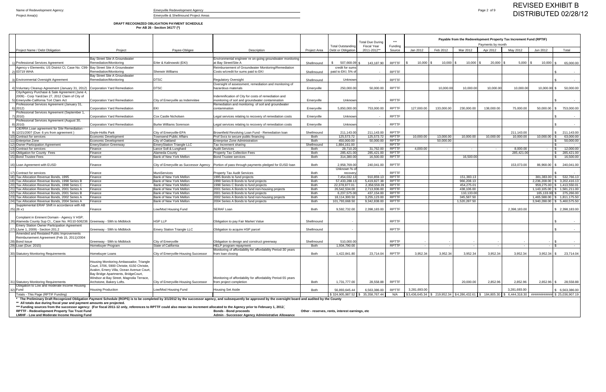**DRAFT RECOGNIZED OBLIGATION PAYMENT SCHEDULE**

**Per AB 26 - Section 34177 (\*)**

|    |                                                                                                                             |                                                                                                                                                                                                                      |                                                     |                                                                                                                                                                                                                                                                                                                                                                                                                               |                            | <b>Total Outstanding</b>                        | <b>Total Due Durino</b><br><b>Fiscal Year</b> | $***$<br>Funding             |              |            |                         | Payable from the Redevelopment Property Tax Increment Fund (RPTIF)<br>Payments by month |              |                            |                                |
|----|-----------------------------------------------------------------------------------------------------------------------------|----------------------------------------------------------------------------------------------------------------------------------------------------------------------------------------------------------------------|-----------------------------------------------------|-------------------------------------------------------------------------------------------------------------------------------------------------------------------------------------------------------------------------------------------------------------------------------------------------------------------------------------------------------------------------------------------------------------------------------|----------------------------|-------------------------------------------------|-----------------------------------------------|------------------------------|--------------|------------|-------------------------|-----------------------------------------------------------------------------------------|--------------|----------------------------|--------------------------------|
|    | Project Name / Debt Obligation                                                                                              | Project                                                                                                                                                                                                              | Payee-Obligee                                       | Description                                                                                                                                                                                                                                                                                                                                                                                                                   | Project Area               | Debt or Obligation                              | 2011-2012**                                   | Source                       | Jan 2012     | Feb 2012   | Mar 2012                | Apr 2012                                                                                | May 2012     | Jun 2012                   | Total                          |
|    | 1) Professional Services Agreement                                                                                          | Bay Street Site A Groundwater<br>Remediation/Monitoring                                                                                                                                                              | Erler & Kalinowski (EKI)                            | Environmental engineer re on-going groundwater monitoring<br>at Bay Street/Site A                                                                                                                                                                                                                                                                                                                                             | Shellmound                 | 507,668.09                                      | 143,187.90                                    | <b>RPTTF</b>                 | $10,000$ \$  | 10,000     | 10,000                  | 20,000 \$                                                                               | $5,000$ \ \$ | 10,000                     | 65,000.00                      |
|    | Agency v Elementis; US District Ct, Case No. C99- Bay Street Site A Groundwater                                             |                                                                                                                                                                                                                      |                                                     | Reimbursement of Groundwater Monitoring/Remediation                                                                                                                                                                                                                                                                                                                                                                           |                            | credit for sums                                 |                                               |                              |              |            |                         |                                                                                         |              |                            |                                |
|    | 2) 03719 WHA                                                                                                                | Remediation/Monitoring<br>Bay Street Site A Groundwater                                                                                                                                                              | <b>Sherwin Williams</b>                             | Costs w/credit for sums paid to EKI                                                                                                                                                                                                                                                                                                                                                                                           | Shellmound                 | paid to EKI; 5% o                               | $\sim$                                        | <b>RPTTF</b>                 |              |            |                         |                                                                                         |              |                            |                                |
|    | 3) Environmental Oversight Agreement                                                                                        | Remediation/Monitoring                                                                                                                                                                                               | <b>DTSC</b>                                         | <b>Regulatory Oversight</b>                                                                                                                                                                                                                                                                                                                                                                                                   | Shellmound                 | Unknow                                          |                                               | <b>RPTTF</b>                 |              |            |                         |                                                                                         |              |                            |                                |
|    | 4) Voluntary Cleanup Agreement (January 31, 2012)                                                                           | Corporation Yard Remediation                                                                                                                                                                                         | <b>DTSC</b>                                         | Oversight of assessment, remediation and monitoring of<br>hazardous materials                                                                                                                                                                                                                                                                                                                                                 | Emeryville                 | 250,000.00                                      | 50,000.00                                     | <b>RPTTF</b>                 |              | 10,000.00  | 10,000.0                | 10,000.00                                                                               | 10,000.00    | 10,000.00 \$               | 50,000.00                      |
|    | City/Agency Purchase & Sale Agreement (June 4,<br>2009) - Corp Yard/Jan 27, 2012 Claim of City of                           |                                                                                                                                                                                                                      |                                                     | Indemnification of City for costs of remediation and                                                                                                                                                                                                                                                                                                                                                                          |                            |                                                 |                                               |                              |              |            |                         |                                                                                         |              |                            |                                |
|    | 5) Emeryville-California Tort Claim Act                                                                                     | Corporation Yard Remediation                                                                                                                                                                                         | City of Emeryville as Indemnitee                    | monitoring of soil and groundwater contamination                                                                                                                                                                                                                                                                                                                                                                              | Emeryville                 | Unknowr                                         |                                               | <b>RPTTF</b>                 |              |            |                         |                                                                                         |              |                            |                                |
|    | Professional Services Agreement (January 31,<br>6) 2012)                                                                    | Corporation Yard Remediation                                                                                                                                                                                         | <b>EKI</b>                                          | Remediation and monitoring of soil and groundwater<br>contamination                                                                                                                                                                                                                                                                                                                                                           | Emeryville                 | 5,850,000.00                                    | 753,000.00                                    | <b>RPTTF</b>                 | 127,000.00   | 133,000.00 | 230,000.00              | 138,000.00                                                                              | 75.000.00    | 50,000.00                  | 753,000.00                     |
|    | Professional Services Agreement (September 1                                                                                |                                                                                                                                                                                                                      |                                                     |                                                                                                                                                                                                                                                                                                                                                                                                                               |                            |                                                 |                                               |                              |              |            |                         |                                                                                         |              |                            |                                |
|    | 7) 2010)                                                                                                                    | Corporation Yard Remediation                                                                                                                                                                                         | Cox Castle Nicholsen                                | egal services relating to recovery of remediation costs.                                                                                                                                                                                                                                                                                                                                                                      | Emeryville                 | Unknow                                          |                                               | <b>RPTTF</b>                 |              |            |                         |                                                                                         |              |                            |                                |
|    | Professional Services Agreement (August 30,<br>$8)$ 2010)<br>CIERRA Loan agreement for Site Remediation -                   | Corporation Yard Remediation                                                                                                                                                                                         | <b>Burke Williams Sorenson</b>                      | egal services relating to recovery of remediation costs                                                                                                                                                                                                                                                                                                                                                                       | Emeryville                 | Unknowr                                         |                                               | <b>RPTTF</b>                 |              |            |                         |                                                                                         |              |                            | $\sim$                         |
|    | 9) 12/21/2007 (Due: 6 yrs from agreement)                                                                                   | Dovle-Hollis Park                                                                                                                                                                                                    | City of Emeryville-EPA                              | Brownfield Revolving Loan Fund - Remediation loan                                                                                                                                                                                                                                                                                                                                                                             | Shellmound                 | 211,143.00                                      | 211,143.00                                    | <b>RPTTF</b>                 |              |            |                         |                                                                                         | 211,143.00   |                            | 211,143.00                     |
|    | 10) Contract for services                                                                                                   | Economic Development<br>Economic Development                                                                                                                                                                         | <b>Townsend Public Affairs</b>                      | Prof Svcs to secure public financing                                                                                                                                                                                                                                                                                                                                                                                          | Both                       | 125,573.72                                      | 125,573.72                                    | <b>RPTTF</b>                 | 10,000.00    | 13,000.00  | 10,000.00               | 10,000.00                                                                               | 10,000.00    | 10,000.00                  | 63,000.00                      |
|    | 11) Enterprise Zone<br>12) Owner Participation Agreement                                                                    | <b>EmeryStation Greenway</b>                                                                                                                                                                                         | City of Oakland<br><b>EmeryStation Triangle LLC</b> | Enterprise Zone Administration<br>Tax Increment sharing                                                                                                                                                                                                                                                                                                                                                                       | <b>Both</b><br>Shellmound  | 450.000.00<br>1,884,161.00                      | 50,000.00<br>$\sim$                           | <b>RPTTF</b><br><b>RPTTF</b> |              | 50,000.00  |                         |                                                                                         |              |                            | 50,000.00<br>$\sim$ $-$        |
|    | 13) Contract for services                                                                                                   | Finance                                                                                                                                                                                                              | Lance Soll & Lunghard                               | <b>Audit Services</b>                                                                                                                                                                                                                                                                                                                                                                                                         | Both                       | 28,710.20                                       | 31,762.00                                     | <b>RPTTF</b>                 | 4.000.00     | $\sim$ $-$ | $\sim$                  | $\sim$                                                                                  | 8,000.00     |                            | 12,000.00                      |
|    | 14) Obligation for County Fees                                                                                              | Finance                                                                                                                                                                                                              | Alameda County                                      | Property Tax Collection Fees                                                                                                                                                                                                                                                                                                                                                                                                  | <b>Both</b>                | 285,421.00                                      | 285,421.00                                    | <b>RPTTF</b>                 |              |            |                         |                                                                                         | 285,421.00   |                            | 285,421.00                     |
|    | 15) Bond Trustee Fees                                                                                                       | Finance                                                                                                                                                                                                              | Bank of New York Mellon                             | <b>Bond Trustee services</b>                                                                                                                                                                                                                                                                                                                                                                                                  | Both                       | 314,380.00                                      | 16,500.00                                     | <b>RPTTF</b>                 |              |            | 16,500.0                |                                                                                         |              |                            | 16,500.00                      |
|    | 16) Loan Agreement with EUSD                                                                                                | Finance                                                                                                                                                                                                              | City of Emeryville as Successor Agency              | Portion of pass through payments pledged for EUSD loan                                                                                                                                                                                                                                                                                                                                                                        | Both                       | 2,958,769.00<br>Unknown % o                     | 240,041.00                                    | <b>RPTTF</b>                 |              |            |                         |                                                                                         | 153,073.00   | 86,968.00 \$               | 240,041.00                     |
|    | 17) Contract for services                                                                                                   | Finance                                                                                                                                                                                                              | <b>MuniServices</b>                                 | Property Tax Audit Services                                                                                                                                                                                                                                                                                                                                                                                                   | <b>Both</b>                | recover                                         |                                               | <b>RPTTF</b>                 |              |            |                         |                                                                                         |              |                            |                                |
| 18 | Tax Allocation Revenue Bonds, 1995                                                                                          | Finance                                                                                                                                                                                                              | <b>Bank of New York Mellon</b>                      | 1995 Bonds to fund projects                                                                                                                                                                                                                                                                                                                                                                                                   | Both                       | 7,454,032.1                                     | 910,859.13                                    | RPTTF                        |              |            | 151.383.13              |                                                                                         |              | 381.383.00                 | 532,766.13                     |
|    | Tax Allocation Revenue Bonds, 1998 Series B                                                                                 | Finance                                                                                                                                                                                                              | Bank of New York Mellon                             | 1998 Series B Bonds to fund projects                                                                                                                                                                                                                                                                                                                                                                                          | <b>Both</b>                | 57,433,288.                                     | 5,419,827.38                                  | <b>RPTTF</b>                 |              |            | 966,208.13              |                                                                                         |              | 2,236,208.00               | \$3,202,416.13                 |
|    | Tax Allocation Revenue Bonds, 1998 Series C<br>Tax Allocation Revenue Bonds, 2001 Series A                                  | Finance<br>Finance                                                                                                                                                                                                   | Bank of New York Mellon<br>Bank of New York Mellon  | 1998 Series C Bonds to fund projects                                                                                                                                                                                                                                                                                                                                                                                          | <b>Both</b><br><b>Both</b> | 22,378,977.01<br>26,542,534.00                  | 2,358,559.39<br>2,713,936.00                  | <b>RPTTF</b><br><b>RPTTF</b> |              |            | 454,275.0<br>438,106.00 |                                                                                         |              | 959,275.00<br>1,143,105.00 | 1,413,550.01<br>\$1,581,211.00 |
|    | Tax Allocation Revenue Bonds, 2001 Series E                                                                                 | Finance                                                                                                                                                                                                              | Bank of New York Mellon                             | 2001 Series A Bonds to fund non-housing projects<br>2001 Series B Bonds to fund projects                                                                                                                                                                                                                                                                                                                                      | Both                       | 6,237,575.0                                     | 437,154.00                                    | <b>RPTTF</b>                 |              |            | 110,133.0               |                                                                                         |              | 165,133.00                 | 275,266.00                     |
|    | Tax Allocation Revenue Bonds, 2002 Series A                                                                                 | Finance                                                                                                                                                                                                              | Bank of New York Mellon                             | 2002 Series A Bonds to fund non-housing projects                                                                                                                                                                                                                                                                                                                                                                              | Both                       | 18,114,300.50                                   | 3,255,123.00                                  | <b>RPTTF</b>                 |              |            | 345,587.50              |                                                                                         |              | 1,465,588.00               | \$ 1,811,175.50                |
|    | Tax Allocation Revenue Bonds, 2004 Series A                                                                                 | Finance                                                                                                                                                                                                              | Bank of New York Mellon                             | 2004 Series A Bonds to fund projects                                                                                                                                                                                                                                                                                                                                                                                          | Both                       | 101,793,668.50                                  | 9,342,838.00                                  | <b>RPTTF</b>                 |              |            | 1,520,287.50            |                                                                                         |              | 3,940,288.00               | \$ 5,460,575.50                |
|    | Supplemental ERAF Shift in accordance with AB<br>25) 26 x1                                                                  | Finance                                                                                                                                                                                                              | _ow/Mod Housing Fund                                | <b>SERAF Loan</b>                                                                                                                                                                                                                                                                                                                                                                                                             | <b>Both</b>                | 9,592,732.00                                    | 2,398,183.00                                  | <b>RPTTF</b>                 |              |            |                         |                                                                                         | 2,398,183.00 |                            | \$ 2,398,183.00                |
|    | Complaint in Eminent Domain - Agency V HSP;<br>26) Alameda County Sup Ct., Case No. RG10-506236 Greenway - 59th to Midblock |                                                                                                                                                                                                                      | <b>HSP LLP</b>                                      | Obligation to pay Fair Market Value                                                                                                                                                                                                                                                                                                                                                                                           | Shellmound                 |                                                 |                                               | <b>RPTTF</b>                 |              |            |                         |                                                                                         |              |                            |                                |
|    | <b>Emery Station Owner Participation Agreement</b>                                                                          |                                                                                                                                                                                                                      |                                                     |                                                                                                                                                                                                                                                                                                                                                                                                                               |                            |                                                 |                                               |                              |              |            |                         |                                                                                         |              |                            |                                |
|    | 27) (June 1, 2009) - Section 201.2<br>Amended and Restated Public Improvements                                              | Greenway - 59th to Midblock                                                                                                                                                                                          | <b>Emery Station Triangle LLC</b>                   | Obligation to acquire HSP parcel                                                                                                                                                                                                                                                                                                                                                                                              | Shellmound                 |                                                 |                                               | <b>RPTTF</b>                 |              |            |                         |                                                                                         |              |                            |                                |
|    | Reimbursement Agreement (Feb 15, 2011)/2004                                                                                 |                                                                                                                                                                                                                      |                                                     |                                                                                                                                                                                                                                                                                                                                                                                                                               |                            |                                                 |                                               |                              |              |            |                         |                                                                                         |              |                            |                                |
|    | 28) Bond Issue                                                                                                              | Greenway - 59th to Midblock                                                                                                                                                                                          | City of Emeryville<br>State of California           | Obligation to design and construct greenway<br><b>HELP program repayment</b>                                                                                                                                                                                                                                                                                                                                                  | Shellmound                 | 510,000.00                                      |                                               | <b>RPTTF</b>                 |              |            |                         |                                                                                         |              |                            |                                |
|    | 29) Loan (Due: 2015)                                                                                                        | Homebuyer Program                                                                                                                                                                                                    |                                                     | Monitoring of affordability for affordability Period-30 years                                                                                                                                                                                                                                                                                                                                                                 | Both                       | 1,934,790.00                                    |                                               | <b>RPTTF</b>                 |              |            |                         |                                                                                         |              |                            |                                |
|    | 30) Statutory Monitoring Requirements                                                                                       | Homebuyer Loans                                                                                                                                                                                                      | City of Emeryville-Housing Successor                | from loan closing                                                                                                                                                                                                                                                                                                                                                                                                             | <b>Both</b>                | 1,422,841.80                                    | 23,714.04                                     | <b>RPTTF</b>                 | 3.952.34     | 3,952.34   | 3,952.34                | 3.952.34                                                                                | 3.952.34     | 3,952.34 \$                | 23,714.04                      |
|    |                                                                                                                             | Housing Monitoring Ambassador, Triangle<br>Court, 3706, 5900 Christie, 6150 Christie,<br>Avalon, Emery Villa, Ocean Avenue Court,<br>Bay Bridge Apartments, BridgeCourt,<br>Windsor at Bay Street, Magnolia Terrace, |                                                     | Monitoring of affordability for affordability Period-55 years                                                                                                                                                                                                                                                                                                                                                                 |                            |                                                 |                                               |                              |              |            |                         |                                                                                         |              |                            |                                |
|    | 31) Statutory Monitoring Requirements                                                                                       | Archstone, Bakery Lofts.                                                                                                                                                                                             | City of Emeryville-Housing Successor                | from project completion                                                                                                                                                                                                                                                                                                                                                                                                       | <b>Both</b>                | 1.731.777.00                                    | 28,558.88                                     | <b>RPTTF</b>                 |              |            | 20.000.00               | 2.852.96                                                                                | 2.852.96     | $2.852.96$ \$              | 28,558.88                      |
|    | Obligation to Low and moderate Income Housing<br>32) Fund                                                                   | <b>Housing Production</b>                                                                                                                                                                                            | Low/Mod Housing Fund                                | Housing Set Aside                                                                                                                                                                                                                                                                                                                                                                                                             | Both                       | 56.893.645.44                                   | 6.563.386.00                                  | <b>RPTTF</b>                 | 3,281,693.00 |            |                         |                                                                                         | 3,281,693.00 |                            | 6,563,386.00                   |
|    | Totals - This Page (RPTIF Funding)                                                                                          |                                                                                                                                                                                                                      |                                                     |                                                                                                                                                                                                                                                                                                                                                                                                                               |                            | \$324.905.987.52 \$35.358.767.44                |                                               | N/A                          |              |            |                         |                                                                                         |              |                            | \$25,036,907.19                |
|    | ** All totals due during fiscal year and payment amounts are projected.<br>RPTTF - Redevelopment Property Tax Trust Fund    |                                                                                                                                                                                                                      |                                                     | * The Preliminary Draft Recognized Obligation Payment Schedule (ROPS) is to be completed by 3/1/2012 by the successor agency, and subsequently be approved by the oversight board and audited by the County<br>*** Funding sources from the successor agency: (For fiscal 2011-12 only, references to RPTTF could also mean tax increment allocated to the Agency prior to February 1, 2012.)<br><b>Bonds - Bond proceeds</b> |                            | Other - reserves, rents, interest earnings, etc |                                               |                              |              |            |                         |                                                                                         |              |                            |                                |

**LMIHF - Low and Moderate Income Housing Fund Admin - Successor Agency Administrative Allowance**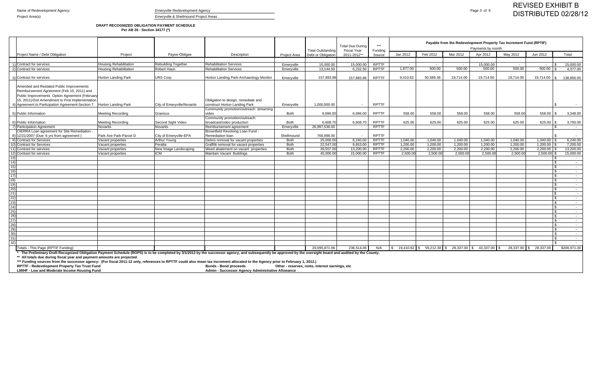# **DRAFT RECOGNIZED OBLIGATION PAYMENT SCHEDULE Per AB 26 - Section 34177 (\*)**

|                 |                                                                                                                                                                                                                                                                                                                 |                               |                             |                                                                  |              | <b>Total Outstanding</b> | <b>Total Due During</b><br><b>Fiscal Year</b> | $***$<br>Funding |                                                                            |            |           | Payments by month | Payable from the Redevelopment Property Tax Increment Fund (RPTIF) |                        |                                  |
|-----------------|-----------------------------------------------------------------------------------------------------------------------------------------------------------------------------------------------------------------------------------------------------------------------------------------------------------------|-------------------------------|-----------------------------|------------------------------------------------------------------|--------------|--------------------------|-----------------------------------------------|------------------|----------------------------------------------------------------------------|------------|-----------|-------------------|--------------------------------------------------------------------|------------------------|----------------------------------|
|                 | Project Name / Debt Obligation                                                                                                                                                                                                                                                                                  | Project                       | Payee-Obligee               | Description                                                      | Project Area | Debt or Obligation       | 2011-2012**                                   | Source           | Jan 2012                                                                   | Feb 2012   | Mar 2012  | Apr 2012          | May 2012                                                           | Jun 2012               | Total                            |
|                 |                                                                                                                                                                                                                                                                                                                 |                               |                             |                                                                  |              |                          |                                               |                  |                                                                            |            |           |                   |                                                                    |                        |                                  |
|                 | 1) Contract for services                                                                                                                                                                                                                                                                                        | <b>Housing Rehabilitation</b> | Rebuilding Together         | <b>Rehabilitation Services</b>                                   | Emeryville   | 15,000.00                | 15,000.00                                     | <b>RPTTF</b>     | $\sim$                                                                     | $\sim$ $-$ | $\sim$    | 15,000.00         | $\sim$                                                             | $\sim$                 | 15,000.00<br>l \$                |
|                 | 2) Contract for services                                                                                                                                                                                                                                                                                        | <b>Housing Rehabilitation</b> | Robert Haur                 | <b>Rehabilitation Services</b>                                   | Emeryville   | 13,144.50                | 6,232.50                                      | RPTTF            | 1.877.00                                                                   | 500.00     | 500.00    | 500.00            | 500.00                                                             | 500.00                 | 4,377.00<br>1 S                  |
|                 |                                                                                                                                                                                                                                                                                                                 |                               |                             |                                                                  |              |                          |                                               |                  |                                                                            |            |           |                   |                                                                    |                        |                                  |
|                 | 3) Contract for services                                                                                                                                                                                                                                                                                        | <b>Horton Landing Park</b>    | <b>URS Corp</b>             | Horton Landing Park-Archaeology Monitor                          | Emeryville   | 157,883.86               | 157,883.86                                    | <b>RPTTF</b>     | 9,410.62                                                                   | 50,589.38  | 19,714.00 | 19,714.00         | 19,714.00                                                          | 19,714.00 \$           | 138,856.00                       |
|                 | Amended and Restated Public Improvements<br>Reimbursement Agreement (Feb 15, 2011) and<br>Public Improvements Option Agreement (February<br>15, 2011)/2nd Amendment to First Implementation                                                                                                                     |                               |                             | Obligation to design, remediate and                              |              |                          |                                               |                  |                                                                            |            |           |                   |                                                                    |                        |                                  |
|                 | 4) Agreement to Participation Agreement-Section 7                                                                                                                                                                                                                                                               | <b>Horton Landing Park</b>    | City of Emeryville/Novartis | construct Horton Landing Park                                    | Emeryville   | 1,000,000.00             | $\sim$                                        | <b>RPTTF</b>     |                                                                            |            |           |                   |                                                                    |                        | l \$<br>$\sim$ $-$               |
|                 |                                                                                                                                                                                                                                                                                                                 |                               |                             | Community promotion/outreach: streaming                          |              |                          |                                               |                  |                                                                            |            |           |                   |                                                                    |                        |                                  |
|                 | 5) Public Information                                                                                                                                                                                                                                                                                           | <b>Meeting Recording</b>      | Granicus                    | video                                                            | <b>Both</b>  | 6,696.00                 | 6,696.00                                      | <b>RPTTF</b>     | 558.00                                                                     | 558.00     | 558.00    | 558.00            | 558.00                                                             | $558.00$ \ \$          | 3,348.00                         |
|                 |                                                                                                                                                                                                                                                                                                                 |                               |                             | Community promotion/outreach:                                    |              |                          |                                               |                  |                                                                            |            |           |                   |                                                                    |                        |                                  |
|                 | 6) Public Information                                                                                                                                                                                                                                                                                           | <b>Meeting Recording</b>      | Second Sight Video          | broadcast/video production                                       | <b>Both</b>  | 6,608.7                  | 6,608.70                                      | <b>RPTTF</b>     | 625.00                                                                     | 625.00     | 625.00    | 625.00            | 625.00                                                             | 625.00                 | 3,750.00<br>IS.                  |
|                 | 7) Participation Agreement                                                                                                                                                                                                                                                                                      | Novartis                      | Novartis                    | Reimbursement agreement                                          | Emeryville   | 26.997.536.00            | $\overline{a}$                                | <b>RPTTF</b>     |                                                                            |            |           |                   |                                                                    |                        | l \$<br>$\sim$ $-$               |
|                 | CIERRA Loan agreement for Site Remediation -                                                                                                                                                                                                                                                                    |                               |                             | Brownfield Revolving Loan Fund -                                 |              |                          |                                               |                  |                                                                            |            |           |                   |                                                                    |                        |                                  |
|                 | 8) 12/21/2007 (Due: 6 yrs from agreement)                                                                                                                                                                                                                                                                       | Park Ave Park-Parcel D        | City of Emeryville-EPA      | Remediation loan                                                 | Shellmound   | 766,898.00               |                                               | <b>RPTTF</b>     |                                                                            |            |           |                   |                                                                    |                        | $\sim$                           |
|                 | 9) Contract for Services                                                                                                                                                                                                                                                                                        | Vacant properties             | Arthur Young                | Debris removal for vacant properties                             | <b>Both</b>  | 25,000.00                | 6,240.00                                      | <b>RPTTF</b>     | 1,040.00                                                                   | 1,040.00   | 1,040.00  | 1,040.00          | 1,040.00                                                           | $1,040.00$ \ \$        | 6,240.00                         |
|                 | 10) Contract for Services                                                                                                                                                                                                                                                                                       | Vacant properties             | Peralta                     | Graffitti removal for vacant properties                          | <b>Both</b>  | 22,547.00                | 9,653.00                                      | <b>RPTTF</b>     | 1,200.00                                                                   | 1,200.00   | 1,200.00  | 1,200.00          | 1,200.00                                                           | 1,200.00               | 7,200.00                         |
|                 | 11) Contract for services                                                                                                                                                                                                                                                                                       | Vacant properties             | New Image Landscaping       | Weed abatement on vacant properties                              | <b>Both</b>  | 39,557.00                | 13.200.00                                     | <b>RPTTF</b>     | 2,200.00                                                                   | 2,200.00   | 2,200.00  | 2,200.00          | 2,200.00                                                           | 2,200.00               | 13,200.00                        |
|                 | 12) Contract for services                                                                                                                                                                                                                                                                                       | Vacant properties             | <b>ICM</b>                  | Maintain Vacant Buildings                                        | <b>Both</b>  | 45,000.0                 | 15.000.00                                     | RPTTF            | 2,500.00                                                                   | 2,500.00   | 2,500.00  | 2,500.00          | 2,500.00                                                           | 2,500.00               | 15,000.00                        |
| 13)             |                                                                                                                                                                                                                                                                                                                 |                               |                             |                                                                  |              |                          |                                               |                  |                                                                            |            |           |                   |                                                                    |                        | l S<br>$\sim$                    |
| 14)             |                                                                                                                                                                                                                                                                                                                 |                               |                             |                                                                  |              |                          |                                               |                  |                                                                            |            |           |                   |                                                                    |                        | l \$<br>$\sim$                   |
| 15)             |                                                                                                                                                                                                                                                                                                                 |                               |                             |                                                                  |              |                          |                                               |                  |                                                                            |            |           |                   |                                                                    |                        | ∣ \$<br>$\sim$                   |
| 16)             |                                                                                                                                                                                                                                                                                                                 |                               |                             |                                                                  |              |                          |                                               |                  |                                                                            |            |           |                   |                                                                    |                        | l \$<br>$\sim$                   |
| 17)             |                                                                                                                                                                                                                                                                                                                 |                               |                             |                                                                  |              |                          |                                               |                  |                                                                            |            |           |                   |                                                                    |                        | l \$<br>$\sim$ $-$               |
| 18)             |                                                                                                                                                                                                                                                                                                                 |                               |                             |                                                                  |              |                          |                                               |                  |                                                                            |            |           |                   |                                                                    |                        | $\sim$ $-$                       |
| 19)             |                                                                                                                                                                                                                                                                                                                 |                               |                             |                                                                  |              |                          |                                               |                  |                                                                            |            |           |                   |                                                                    |                        | . ጽ<br>$\sim$                    |
| 20)             |                                                                                                                                                                                                                                                                                                                 |                               |                             |                                                                  |              |                          |                                               |                  |                                                                            |            |           |                   |                                                                    |                        | <b>S</b><br>$\sim$               |
| 21)             |                                                                                                                                                                                                                                                                                                                 |                               |                             |                                                                  |              |                          |                                               |                  |                                                                            |            |           |                   |                                                                    |                        | $\sim$                           |
| 22)<br>23)      |                                                                                                                                                                                                                                                                                                                 |                               |                             |                                                                  |              |                          |                                               |                  |                                                                            |            |           |                   |                                                                    |                        | $\sim$ $-$<br>∣ \$               |
| 24)             |                                                                                                                                                                                                                                                                                                                 |                               |                             |                                                                  |              |                          |                                               |                  |                                                                            |            |           |                   |                                                                    |                        | $\sim$<br><b>S</b><br>$\sim$ $-$ |
| 25)             |                                                                                                                                                                                                                                                                                                                 |                               |                             |                                                                  |              |                          |                                               |                  |                                                                            |            |           |                   |                                                                    |                        | <b>S</b><br>$\sim$               |
| 26)             |                                                                                                                                                                                                                                                                                                                 |                               |                             |                                                                  |              |                          |                                               |                  |                                                                            |            |           |                   |                                                                    |                        | l \$<br>$\sim 10^{-11}$          |
| $\overline{27}$ |                                                                                                                                                                                                                                                                                                                 |                               |                             |                                                                  |              |                          |                                               |                  |                                                                            |            |           |                   |                                                                    |                        | <b>S</b><br>$\sim$               |
| (28)            |                                                                                                                                                                                                                                                                                                                 |                               |                             |                                                                  |              |                          |                                               |                  |                                                                            |            |           |                   |                                                                    |                        | $\sim$ $-$                       |
| 29)             |                                                                                                                                                                                                                                                                                                                 |                               |                             |                                                                  |              |                          |                                               |                  |                                                                            |            |           |                   |                                                                    |                        | ∣\$.<br>$\sim$                   |
| 30)             |                                                                                                                                                                                                                                                                                                                 |                               |                             |                                                                  |              |                          |                                               |                  |                                                                            |            |           |                   |                                                                    |                        | l \$<br>$\sim$                   |
| 31)             |                                                                                                                                                                                                                                                                                                                 |                               |                             |                                                                  |              |                          |                                               |                  |                                                                            |            |           |                   |                                                                    |                        | l \$<br>$\sim$ $-$               |
| 32)             |                                                                                                                                                                                                                                                                                                                 |                               |                             |                                                                  |              |                          |                                               |                  |                                                                            |            |           |                   |                                                                    |                        | $\sim$ $-$                       |
|                 | otals - This Page (RPTIF Funding)                                                                                                                                                                                                                                                                               |                               |                             |                                                                  |              | 29.095.871.06            | 236,514.06                                    | N/A              | $\$\$$ 19,410.62 $\$\$$ 59,212.38 $\$\$$ 28,337.00 $\$\$$ 43,337.00 $\$\$$ |            |           |                   |                                                                    | 28,337.00 \$ 28,337.00 | \$206,971.00                     |
|                 | * The Preliminary Draft Recognized Obligation Payment Schedule (ROPS) is to be completed by 3/1/2012 by the successor agency, and subsequently be approved by the oversight board and audited by the County.                                                                                                    |                               |                             |                                                                  |              |                          |                                               |                  |                                                                            |            |           |                   |                                                                    |                        |                                  |
|                 | ** All totals due during fiscal year and payment amounts are projected.<br>*** Funding sources from the successor agency: (For fiscal 2011-12 only, references to RPTTF could also mean tax increment allocated to the Agency prior to February 1, 2012.)<br><b>DDTTE Dodovelopment Bronerty Tay Truct Fund</b> |                               |                             | Rende Rend proceeds and Other recepted rate interest earnings at |              |                          |                                               |                  |                                                                            |            |           |                   |                                                                    |                        |                                  |

**RPTTF - Redevelopment Property Tax Trust Fund Bonds - Bond proceeds Other - reserves, rents, interest earnings, etc**

**LMIHF - Low and Moderate Income Housing Fund Admin - Successor Agency Administrative Allowance**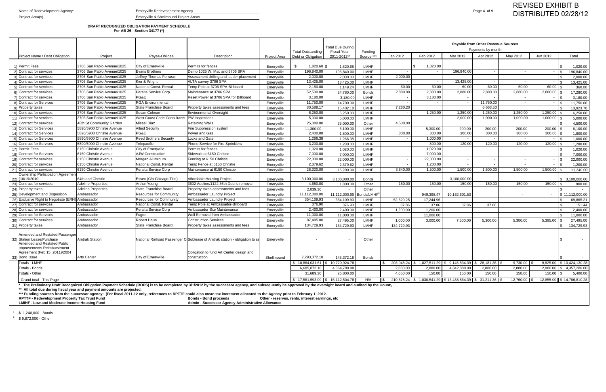### **DRAFT RECOGNIZED OBLIGATION PAYMENT SCHEDULE Per AB 26 - Section 34177 (\*)**

|                                                        |                            |                                            |                                                                                                                                                                                                             |              |                                         | <b>Total Due During</b>         |                            |            |                                                                      |               | Payable from Other Revenue Sources<br>Payments by month |                  |                          |                                |
|--------------------------------------------------------|----------------------------|--------------------------------------------|-------------------------------------------------------------------------------------------------------------------------------------------------------------------------------------------------------------|--------------|-----------------------------------------|---------------------------------|----------------------------|------------|----------------------------------------------------------------------|---------------|---------------------------------------------------------|------------------|--------------------------|--------------------------------|
| Project Name / Debt Obligation                         | Project                    | Payee-Obligee                              | Description                                                                                                                                                                                                 | Project Area | Total Outstanding<br>Debt or Obligation | Fiscal Year<br>2011-2012**      | Funding<br>Source *        | Jan 2012   | Feb 2012                                                             | Mar 2012      | Apr 2012                                                | May 2012         | Jun 2012                 | Total                          |
|                                                        |                            |                                            |                                                                                                                                                                                                             |              |                                         |                                 |                            |            |                                                                      |               |                                                         |                  |                          |                                |
| 1) Permit Fees                                         | 3706 San Pablo Avenue/1025 | City of Emeryville                         | Permits for fences                                                                                                                                                                                          | Emeryville   | 1,820.68                                | 1,820.68                        | <b>LMHF</b>                |            | 1,020.00                                                             |               |                                                         |                  |                          | 1,020.00                       |
| 2) Contract for services                               | 3706 San Pablo Avenue/1025 | Evans Brothers                             | Demo 1025 W. Mac and 3706 SPA                                                                                                                                                                               | Emeryville   | 196,840.00                              | 196,840.00                      | <b>LMHF</b>                |            |                                                                      | 196,840.00    |                                                         |                  |                          | 196,840.00<br><b>S</b>         |
| 3) Contract for services                               | 3706 San Pablo Avenue/1025 | Jeffrey Thomas Ferrasci                    | Assessment drilling and ladder placement                                                                                                                                                                    | Emeryville   | 2,000.00                                | 2,000.00                        | <b>LMHF</b>                | 2,000.00   | $\sim$                                                               |               | $\overline{\phantom{a}}$                                | $\sim$           | $\overline{\phantom{a}}$ | 2,000.00<br>l \$               |
| 4) Contract for services                               | 3706 San Pablo Avenue/1025 | Kier & Wright                              | ALTA survey 3706 SPA                                                                                                                                                                                        | Emeryville   | 13,425.00                               | 13,425.00                       | <b>LMHF</b>                | $\sim$     | $\sim$                                                               | 13,425.00     | $\sim$                                                  | $\sim$           | $\sim$                   | 13,425.00<br>∣ \$              |
| 5) Contract for services                               | 3706 San Pablo Avenue/1025 | National Const. Rental                     | Temp Pole at 3706 SPA-Billboard                                                                                                                                                                             | Emeryville   | 2,180.00                                | 1,149.24                        | <b>LMHF</b>                | 60.00      | 60.00                                                                | 60.00         | 60.00                                                   | 60.00            | $60.00$ \ \$             | 360.00                         |
| 6) Contract for services                               | 3706 San Pablo Avenue/1025 | Peralta Service Corp                       | Maintenance at 3706 SPA                                                                                                                                                                                     | Emeryville   | 52,500.00                               | 24,780.00                       | <b>Bonds</b>               | 2,880.00   | 2,880.00                                                             | 2,880.00      | 2,880.00                                                | 2,880.00         | 2,880.00                 | 17,280.00                      |
| 7) Contract for services                               | 3706 San Pablo Avenue/1025 | PG&E                                       | Reset Power at 3706 SPA for Billboard                                                                                                                                                                       | Emeryville   | 3,180.00                                | 3,180.00                        | <b>LMHF</b>                |            | 3,180.00                                                             |               |                                                         |                  |                          | 3,180.00                       |
| 8) Contract for Services                               | 3706 San Pablo Avenue/1025 | <b>RGA Environmental</b>                   |                                                                                                                                                                                                             | Emeryville   | 11,750.00                               | 14,700.00                       | <b>LMHF</b>                | $\sim$     |                                                                      |               | 11,750.00                                               |                  |                          | 11,750.00<br>1 S.              |
| 9) Property taxes                                      | 3706 San Pablo Avenue/1025 | State Franchise Board                      | Property taxes assessments and fees                                                                                                                                                                         | Emeryville   | 80,588.1                                | 15,402.10                       | <b>LMHF</b>                | 7,260.20   |                                                                      |               | 6,663.50                                                |                  |                          | 13,923.70                      |
| 10) Contract for services                              | 3706 San Pablo Avenue/1025 | Susan Colman                               | <b>Environmental Oversight</b>                                                                                                                                                                              | Emeryville   | 6,250.00                                | 6,250.00                        | <b>LMHF</b>                |            | 1,250.00                                                             | 1,250.0       | 1,250.00                                                | 1,250.00         | 1,250.00                 | 6,250.00                       |
| 11) Contract for services                              | 3706 San Pablo Avenue/1025 | West Coast Code Consultants PW Inspections |                                                                                                                                                                                                             | Emeryville   | 5,000.00                                | 5,000.00                        | <b>LMHF</b>                |            |                                                                      | 2,000.00      | 1,000.00                                                | 1,000.00         | 1,000.00                 | 5,000.00                       |
| 12) Contract for services                              | 48th St Community Garden   | Misael Diaz                                | <b>Retaining Walls</b>                                                                                                                                                                                      | Emeryville   | 25,000.00                               | 25,000.00                       | Other                      | 4,500.00   |                                                                      |               |                                                         |                  |                          | 4,500.00                       |
| 13) Contract for Services                              | 5890/5900 Christie Avenue  | <b>Allied Security</b>                     | Fire Suppression system                                                                                                                                                                                     | Emeryville   | 11,300.00                               | 6,100.00                        | <b>LMHF</b>                |            | 5.300.00                                                             | 200.00        | 200.00                                                  | 200.00           | 200.00                   | 6,100.00                       |
| 14) Contract for Services                              | 5890/5900 Christie Avenue  | PG&E                                       | Power and Gas                                                                                                                                                                                               | Emeryville   | 2,400.00                                | 1,800.00                        | <b>LMHF</b>                | 300.00     | 300.00                                                               | 300.00        | 300.00                                                  | 300.00           | 300.00                   | 1,800.00                       |
| 15) Contract for Services                              | 5890/5900 Christie Avenue  | <b>Reed Brothers Security</b>              | Locks and Gate                                                                                                                                                                                              | Emeryville   | 1,266.38                                | 1,266.38                        | <b>LMHF</b>                |            | 1,000.00                                                             |               | $\overline{\phantom{a}}$                                | $\sim$           |                          | 1,000.00<br>∣ ⊄                |
| 16) Contract for Services                              | 5890/5900 Christie Avenue  | Telepacific                                | <b>Phone Service for Fire Sprinklers</b>                                                                                                                                                                    | Emeryville   | 3,200.00                                | 1,280.00                        | <b>LMHF</b>                |            | 800.00                                                               | 120.00        | 120.00                                                  | 120.00           | 120.00                   | 1,280.00                       |
| 17) Permit Fees                                        | 6150 Christie Avenue       | City of Emeryville                         | Permits for fences                                                                                                                                                                                          | Emeryville   | 1,020.00                                | 1,020.00                        | <b>LMHF</b>                |            | 1,020.00                                                             |               |                                                         |                  |                          | 1,020.00                       |
| 18) Contract for Services                              | 6150 Christie Avenue       | AJW Construction                           | Sidewalk at 6150 Christie                                                                                                                                                                                   | Emeryville   | 7,000.00                                | 7,000.00                        | <b>LMHF</b>                |            | 7,000.00                                                             |               |                                                         |                  |                          | 7,000.00<br>∣\$                |
| 19) Contract for services                              | 6150 Christie Avenue       | Morgan Aluminum                            | Fencing at 6150 Christie                                                                                                                                                                                    | Emeryville   | 22,000.00                               | 22.000.00                       | LMHF                       |            | 22,000.00                                                            |               |                                                         |                  |                          | 22,000.00                      |
| 20) Contract for services                              | 6150 Christie Avenue       | <b>National Const. Rental</b>              | Temp Fence at 6150 Christie                                                                                                                                                                                 | Emeryville   | 2,379.62                                | 2,379.62                        | <b>LMHF</b>                |            | 1,200.00                                                             |               |                                                         |                  |                          | 1,200.00                       |
| 21) Contract for services                              | 6150 Christie Avenue       | Peralta Service Corp                       | Maintenance at 6150 Christie                                                                                                                                                                                | Emeryville   | 28,320.00                               | 16,200.00                       | <b>LMHF</b>                | 3,840.00   | 1,500.00                                                             | 1,500.00      | 1,500.00                                                | 1,500.00         | 1,500.00                 | 11,340.00                      |
| Ownership Participation Agreemen                       |                            |                                            |                                                                                                                                                                                                             |              |                                         |                                 |                            |            |                                                                      |               |                                                         |                  |                          |                                |
| 22) (10/19/2010                                        | 64th and Christie          | Essex (C/o Chicago Title)                  | Affordable Housing Project                                                                                                                                                                                  | Emeryville   | 3,100,000.00                            | 3,100,000.00                    | <b>Bonds</b>               |            | 150.00                                                               | 3,100,000.00  |                                                         |                  |                          | \$3,100,000.00                 |
| 23) Contract for services                              | <b>Adeline Properties</b>  | Arthur Young                               | 3602 Adeline/1122 36th Debris removal                                                                                                                                                                       | Emeryville   | 4,650.00                                | 1,800.00                        | Other                      | 150.00     |                                                                      | 150.00        | 150.00                                                  | 150.00           | 150.00                   | 900.00                         |
| 24) Property taxes                                     | <b>Adeline Properties</b>  | State Franchise Board                      | Property taxes assessments and fees                                                                                                                                                                         | Emeryville   | 2.039.30                                |                                 | Other                      |            |                                                                      |               |                                                         |                  |                          | . ፍ                            |
| 25) Development and Disposition                        | Ambassador                 | <b>Resources for Community</b>             | Ambassador Laundry Project                                                                                                                                                                                  | Emeryville   | 11,112,000.0<br>354,109.9               | 11,112,000.00                   | Bonds/LMHF <sup>1</sup>    |            | 949,398.47                                                           | 10,162,601.53 |                                                         | $\sim$<br>$\sim$ | $\sim$                   | \$11,112,000.00                |
| 26) Exclusive Right to Negotiate (ERN)                 | Ambassador<br>Ambassador   | <b>Resources for Community</b>             | Ambassador Laundry Project                                                                                                                                                                                  | Emeryville   | 376.90                                  | 354,109.93                      | <b>LMHF</b>                | 52,620.25  | 17,244.96                                                            |               |                                                         |                  | $\sim$                   | 69,865.21<br>\$                |
| 27) Contract for services                              | Ambassador                 | National Const. Rental                     | Temp Pole at Ambassador-Billboard<br>Ambassador Site Maintenance                                                                                                                                            | Emeryville   | 2,400.00                                | 376.90                          | <b>LMHF</b>                | 37.86      | 37.86                                                                | 37.86         | 37.86                                                   |                  |                          | \$<br>151.44<br><b>S</b>       |
| 28) Contract for services<br>29) Contract for Services | Ambassador                 | Peralta Service Corp<br>Fugro              | Well Removal from Ambassador                                                                                                                                                                                | Emeryville   | 11,000.00                               | 2,400.00                        | <b>LMHF</b><br><b>LMHF</b> | 1,200.00   | 1,200.00                                                             |               |                                                         |                  |                          | 2,400.00                       |
| 30) Contract for services                              | Ambassador                 | Robert Haun                                | <b>Construction Services</b>                                                                                                                                                                                | Emeryville   | 87,495.00                               | 11,000.00<br>27,495.00          | <b>LMHF</b>                | 1,000.00   | 11,000.00<br>3,000.00                                                | 7.500.00      | 5.300.00                                                | 5,300.00         | 5,395.00                 | 11,000.00<br>27,495.00<br>l \$ |
| 31) Property taxes                                     | Ambassador                 | State Franchise Board                      | Property taxes assessments and fees                                                                                                                                                                         | Emeryville   | 134,729.93                              | 134,729.93                      | <b>LMHF</b>                | 134,729.93 |                                                                      |               |                                                         |                  |                          | 134.729.93<br>$\sqrt{s}$       |
|                                                        |                            |                                            |                                                                                                                                                                                                             | Emeryville   |                                         |                                 |                            |            |                                                                      |               |                                                         |                  |                          |                                |
| Amended and Restated Passenge                          |                            |                                            |                                                                                                                                                                                                             |              |                                         |                                 |                            |            |                                                                      |               |                                                         |                  |                          |                                |
| 32) Station Lease/Purchase                             | <b>Amtrak Station</b>      |                                            | National Railroad Passenger C(Sublease of Amtrak station - obligation to se                                                                                                                                 | Emeryville   |                                         |                                 | Other                      |            |                                                                      |               |                                                         |                  |                          |                                |
| Amended and Restated Public                            |                            |                                            |                                                                                                                                                                                                             |              |                                         |                                 |                            |            |                                                                      |               |                                                         |                  |                          |                                |
| Improvements Reimbursement                             |                            |                                            |                                                                                                                                                                                                             |              |                                         |                                 |                            |            |                                                                      |               |                                                         |                  |                          |                                |
| Agreement (Feb 15, 2011)/2004                          |                            |                                            | Obligation to fund Art Center design and                                                                                                                                                                    |              |                                         |                                 |                            |            |                                                                      |               |                                                         |                  |                          |                                |
| 33) Bond Issue                                         | <b>Arts Center</b>         | City of Emeryville                         | construction                                                                                                                                                                                                | Shellmound   | 2,293,372.1                             | 145,372.18                      | <b>Bonds</b>               |            |                                                                      |               |                                                         |                  |                          |                                |
| <b>Totals - LMHF</b>                                   |                            |                                            |                                                                                                                                                                                                             |              | 10,864,031.61                           | 10,720,924.78                   |                            | \$         | 203,048.24 \$ 1,027,511.29 \$ 9,145,834.39 \$ 28,181.36              |               |                                                         | 9,730.00         | 9,825.00                 | \$10,424,130.28                |
| Totals - Bonds                                         |                            |                                            |                                                                                                                                                                                                             |              | 6,685,872.18                            | 4,364,780.00                    |                            | 2,880.00   | 2,880.00                                                             | 4,342,880.00  | 2,880.00                                                | 2,880.00         | 2,880.00                 | 4,357,280.00                   |
| Totals - Other                                         |                            |                                            |                                                                                                                                                                                                             |              | 31,689.30                               | 26,800.00                       |                            | 4,650.00   | 150.00                                                               | 150.00        | 150.00                                                  | 150.00           | 150.00                   | 5,400.00                       |
| Grand total - This Page                                |                            |                                            |                                                                                                                                                                                                             |              |                                         | \$17,581,593.09 \$15,112,504.78 | N/A                        | II S       | 210,578.24    \$1,030,541.29    \$13,488,864.39    \$31,211.36    \$ |               |                                                         | 12,760.00        |                          | 12,855.00 \$14,786,810.28      |
|                                                        |                            |                                            | * The Preliminary Draft Recognized Obligation Payment Schedule (ROPS) is to be completed by 3/1/2012 by the successor agency, and subsequently be approved by the oversight board and audited by the County |              |                                         |                                 |                            |            |                                                                      |               |                                                         |                  |                          |                                |

**\* The Preliminary Draft Recognized Obligation Payment Schedule (ROPS) is to be completed by 3/1/2012 by the successor agency, and subsequently be approved by the oversight board and audited by the County \*\* All total due during fiscal year and payment amounts are projected.** 

**\*\*\* Funding sources from the successor agency: (For fiscal 2011-12 only, references to RPTTF could also mean tax increment allocated to the Agency prior to February 1, 2012.**

**RPTTF - Redevelopment Property Tax Trust Fund Bonds - Bond proceeds Other - reserves, rents, interest earnings, etc**

**LMIHF - Low and Moderate Income Housing Fund Admin - Successor Agency Administrative Allowance**

 $1$   $$$  1,240,000 - Bonds

 $1$  \$ 9,872,000 - Other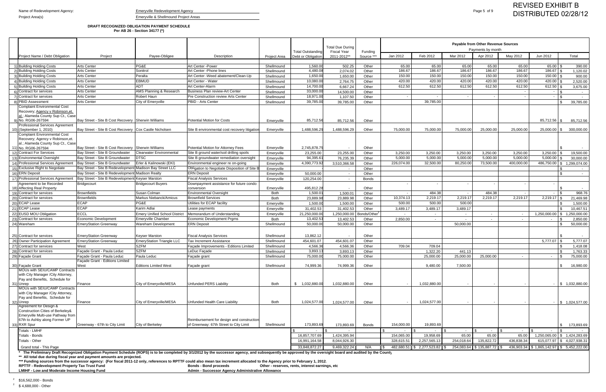### **DRAFT RECOGNIZED OBLIGATION PAYMENT SCHEDULE Per AB 26 - Section 34177 (\*)**

|                                                                                                              |                                                          |                                      |                                                                                                                                                                                                             |                          |                                                | <b>Total Due During</b>           |                      |                          |                            |                  | <b>Payable from Other Revenue Sources</b><br>Payments by month |                          |                                          |                                      |
|--------------------------------------------------------------------------------------------------------------|----------------------------------------------------------|--------------------------------------|-------------------------------------------------------------------------------------------------------------------------------------------------------------------------------------------------------------|--------------------------|------------------------------------------------|-----------------------------------|----------------------|--------------------------|----------------------------|------------------|----------------------------------------------------------------|--------------------------|------------------------------------------|--------------------------------------|
| Project Name / Debt Obligation                                                                               | Project                                                  | Payee-Obligee                        | Description                                                                                                                                                                                                 | Project Area             | <b>Total Outstanding</b><br>Debt or Obligation | <b>Fiscal Year</b><br>2011-2012** | Funding<br>Source ** | Jan 2012                 | Feb 2012                   | Mar 2012         | Apr 2012                                                       | May 2012                 | Jun 2012                                 | Total                                |
|                                                                                                              |                                                          |                                      |                                                                                                                                                                                                             |                          |                                                |                                   |                      |                          |                            |                  |                                                                |                          |                                          |                                      |
| 1) Building Holding Costs                                                                                    | <b>Arts Center</b>                                       | PG&E                                 | Art Center - Power                                                                                                                                                                                          | Shellmound               | 1,560.00                                       | 502.25                            | Other                | 65.00                    | 65.00                      | 65.00            | 65.00                                                          | 65.00                    | 65.00                                    | 390.00                               |
| 2) Building Holding Costs<br>3) Building Holding Costs                                                       | <b>Arts Center</b><br><b>Arts Center</b>                 | Sonitrol<br>Peralta                  | Art Center - Phone lines<br>Art Center - Weed abatement/Clean-Up                                                                                                                                            | Shellmound               | 4,480.08<br>1,650.00                           | 2.074.02                          | Other                | 186.67<br>150.00         | 186.67<br>150.00           | 186.67<br>150.00 | 186.67<br>150.00                                               | 186.67<br>150.00         | 186.67<br>150.00                         | 1,120.02<br>900.00                   |
| 4) Building Holding Costs                                                                                    | <b>Arts Center</b>                                       | <b>EBMUD</b>                         | Art Center - Water                                                                                                                                                                                          | Shellmound<br>Shellmound | 10,080.00                                      | 1,650.00<br>2,764.75              | Other<br>Other       | 420.00                   | 420.00                     | 420.00           | 420.00                                                         | 420.00                   | 420.00                                   | 2,520.00                             |
| 5) Building Holding Costs                                                                                    | <b>Arts Center</b>                                       | <b>ADT</b>                           | Art Center-Alarm                                                                                                                                                                                            | Shellmound               | 14,700.00                                      | 6,667.24                          | Other                | 612.50                   | 612.50                     | 612.50           | 612.50                                                         | 612.50                   | 612.50                                   | 3,675.00                             |
| 6) Contract for services                                                                                     | <b>Arts Center</b>                                       | AMS Planning & Research              | Business Plan review-Art Center                                                                                                                                                                             | Shellmound               | 33,000.00                                      | 14,500.00                         | Other                |                          |                            |                  |                                                                | $\overline{\phantom{a}}$ |                                          | $\sim$                               |
| 7) Contract for services                                                                                     | <b>Arts Center</b>                                       | Robert Haun                          | Pre Construction review Arts Center                                                                                                                                                                         | Shellmound               | 18,971.00                                      | 1,107.50                          | Other                |                          |                            |                  |                                                                | $\overline{\phantom{a}}$ |                                          |                                      |
| 8) PBID Assessment                                                                                           | <b>Arts Center</b>                                       | City of Emeryville                   | PBID - Arts Center                                                                                                                                                                                          | Shellmound               | 39,785.00                                      | 39,785.00                         | Other                |                          | 39,785.00                  |                  |                                                                |                          |                                          | 39,785.00                            |
| <b>Complaint Environmental Cost</b><br>Recovery; Agency v Robinson, et.                                      |                                                          |                                      |                                                                                                                                                                                                             |                          |                                                |                                   |                      |                          |                            |                  |                                                                |                          |                                          |                                      |
| al.; Alameda County Sup Ct., Case<br>9) No. RG06-267594                                                      | Bay Street - Site B Cost Recovery Sherwin Williams       |                                      | Potential Motion for Costs                                                                                                                                                                                  | Emeryville               | 85.712.56                                      | 85.712.56                         | Other                |                          |                            |                  |                                                                |                          | 85.712.56                                | 85,712.56                            |
| <b>Professional Services Agreement</b>                                                                       |                                                          |                                      |                                                                                                                                                                                                             |                          |                                                |                                   |                      |                          |                            |                  |                                                                |                          |                                          |                                      |
| 10) (September 1, 2010)                                                                                      | Bay Street - Site B Cost Recovery   Cox Castle Nicholsen |                                      | Site B environmental cost recovery litigation                                                                                                                                                               | Emeryville               | 1,488,596.29                                   | 1,488,596.29                      | Other                | 75,000.00                | 75,000.00                  | 75,000.00        | 25,000.00                                                      | 25,000.00                | 25,000.00                                | 300,000.00                           |
| <b>Complaint Environmental Cost</b><br>Recovery; Agency v Robinson, et.<br>al.; Alameda County Sup Ct., Case |                                                          |                                      |                                                                                                                                                                                                             |                          |                                                |                                   |                      |                          |                            |                  |                                                                |                          |                                          |                                      |
| 11) No. RG06-267594                                                                                          | Bay Street - Site B Cost Recovery                        | <b>Sherwin Williams</b>              | Potential Motion for Attornev Fees                                                                                                                                                                          | Emeryville               | 2,745,878.75                                   |                                   | Other                |                          |                            |                  |                                                                |                          |                                          |                                      |
| 12) Contract For Services                                                                                    | Bay Street - Site B Groundwater                          | Clearwater Environmental             | Site B ground water/soil drilling spoils                                                                                                                                                                    | Emeryville               | 23,255.00                                      | 23.255.00                         | Other                | 3,250.00                 | 3,250.00                   | 3,250.00         | 3,250.00                                                       | 3,250.00                 | 3,250.00                                 | 19,500.00                            |
| 13) Environmental Oversight                                                                                  | Bay Street - Site B Groundwater                          | DTSC                                 | Site B groundwater remediation oversight                                                                                                                                                                    | Emeryville               | 94,395.6                                       | 76.235.39                         | Other                | 5,000.00                 | 5,000.00                   | 5,000.00         | 5,000.00                                                       | 5,000.00                 | 5,000.00                                 | 30.000.00                            |
| 14) Professional Services Agreement                                                                          | Bay Street - Site B Groundwater                          | Erler & Kalinowski (EKI)             | Environmental engineer re on-going                                                                                                                                                                          | Emeryville               | 4,390,773.92                                   | 3,510,366.58                      | Other                | 226,074.00               | 32,500.0                   | 80,250.00        | 73,500.00                                                      | 400,000.00               | 486,750.00                               | 1.299.074.00<br>-SG                  |
| 15) Exclusive Right to Negotiate                                                                             | Bay Street - Site B Redevelopment Madison Bay Street LLC |                                      | Obligation to Negotiate Disposition of Site B                                                                                                                                                               | Emeryville               |                                                |                                   | Other                |                          |                            |                  |                                                                |                          |                                          |                                      |
| 16) ERN Deposit                                                                                              | Bay Street - Site B Redevelopment Madison Realty         |                                      | <b>ERN Deposit</b>                                                                                                                                                                                          | Emeryville               | 50.000.00                                      | $\overline{\phantom{a}}$          | Other                |                          |                            |                  |                                                                |                          |                                          |                                      |
| 17) Professional Services Agreement                                                                          | Bay Street - Site B Redevelopment Keyser Marston         |                                      | <b>Fiscal Analysis Services</b>                                                                                                                                                                             | Emeryville               | 120,254.00                                     | $\overline{a}$                    | <b>Bonds</b>         |                          |                            |                  |                                                                |                          |                                          |                                      |
| Agreement to be Recorded<br>18) Affecting Real Property                                                      | Bridgecourt                                              | <b>Bridgecourt Buyers</b>            | Downpayment assistance for future condo<br>conversion                                                                                                                                                       | Emeryville               | 495,812.28                                     |                                   | Other                |                          |                            |                  |                                                                |                          |                                          |                                      |
| 19) Contract for services                                                                                    | <b>Brownfields</b>                                       | Susan Colman                         | <b>Environmental Oversight</b>                                                                                                                                                                              | Both                     | 1.500.0                                        | 1.500.0 <sup>2</sup>              | Other                |                          | 484.38                     | $\sim$           | 484.38                                                         | $\overline{\phantom{a}}$ |                                          | 968.76                               |
| 20) Contract for services                                                                                    | <b>Brownfields</b>                                       | Markus Niebanck/Amicus               | <b>Brownfield Services</b>                                                                                                                                                                                  | <b>Both</b>              | 23,889.98                                      | 23.889.98                         | Other                | 10,374.13                | 2,219.17                   | 2,219.17         | 2,219.17                                                       | 2,219.17                 | 2,219.17                                 | 21,469.98                            |
| 20) ECAP Lease                                                                                               | <b>ECAP</b>                                              | PG&E                                 | Utilities for ECAP facility                                                                                                                                                                                 | Emeryville               | 1,500.00                                       | 1.500.00                          | Other                | 500.00                   | 500.00                     | 500.00           |                                                                |                          |                                          | 1,500.00                             |
| 21) ECAP Lease                                                                                               | <b>ECAP</b>                                              | Karim Adlai                          | Lease payments                                                                                                                                                                                              | Emeryville               | 31,402.53                                      | 31.402.53                         | Other                | 3,489.17                 | 3.489.17                   | 3,489.17         |                                                                |                          |                                          | 10,467.51                            |
| 22) EUSD MOU Obligation                                                                                      | <b>ECCL</b>                                              | <b>Emery Unified School District</b> | Memorandum of Understanding                                                                                                                                                                                 | Emeryville               | 21,250,000.00                                  | 1.250.000.00                      | Bonds/Other          |                          | $\sim$                     | $\sim$           | $\sim$                                                         | $\sim$                   | 1.250.000.00                             | 1.250.000.00                         |
| 23) Contract for services                                                                                    | <b>Economic Development</b>                              | <b>Emeryville Chamber</b>            | Economic Development Prams                                                                                                                                                                                  | <b>Both</b>              | 13,402.53                                      | 13,402.53                         | Other                | 2,850.00                 | $\sim$                     |                  | $\sim$                                                         | $\sim$                   |                                          | 2,850.00                             |
| 24) Wareham                                                                                                  | EmeryStation Greenway                                    | Wareham Development                  | <b>ERN Deposit</b>                                                                                                                                                                                          | Shellmound               | 50,000.00                                      | 50,000.00                         | Other                |                          |                            | 50,000.00        |                                                                |                          |                                          | 50,000.00                            |
|                                                                                                              |                                                          |                                      |                                                                                                                                                                                                             |                          |                                                |                                   |                      |                          |                            |                  |                                                                |                          |                                          |                                      |
| 25) Contract for services                                                                                    | <b>EmeryStation Greenway</b>                             | <b>Keyser Marston</b>                | <b>Fiscal Analysis Services</b>                                                                                                                                                                             | Shellmound               | 13,862.12                                      |                                   | Other                |                          |                            |                  |                                                                |                          |                                          |                                      |
| 26) Owner Participation Agreement                                                                            | <b>EmeryStation Greenway</b>                             | <b>EmeryStation Triangle LLC</b>     | Tax Increment Assistance                                                                                                                                                                                    | Shellmound               | 454,601.07                                     | 454,601.07                        | Other                |                          |                            |                  |                                                                |                          | 5,777.07                                 | 5,777.07                             |
| 27) Contract for services                                                                                    | West                                                     | <b>SZFM</b>                          | Facade Improvements - Editions Limited                                                                                                                                                                      | Shellmound               | 4,566.36                                       | 4,566.36                          | Other                | 709.04                   | 709.04                     |                  |                                                                |                          |                                          | 1,418.08                             |
| 28) Contract for services                                                                                    | Facade Grant - Paula Leduc                               | <b>SZFM</b>                          | LeDuc Facade                                                                                                                                                                                                | Shellmound               | 3,893.1                                        | 3,893.13                          | Other                |                          | 1,322.20                   | 441.13           |                                                                |                          |                                          | 1,763.33                             |
| 29) Façade Grant                                                                                             | Facade Grant - Paula Leduc                               | Paula Leduc                          | Façade grant                                                                                                                                                                                                | Shellmound               | 75,000.00                                      | 75,000.00                         | Other                |                          | 25,000.00                  | 25,000.00        | 25,000.00                                                      |                          |                                          | 75,000.00                            |
| 30) Façade Grant                                                                                             | Façade Grant - Editions Limited<br>West                  | <b>Editions Limited West</b>         | Facade grant                                                                                                                                                                                                | Shellmound               | 74,999.36                                      | 74.999.36                         | Other                |                          | 9,480.00                   | 7,500.00         |                                                                |                          |                                          | 16,980.00<br>\$                      |
| MOUs with SEIU/CAMP Contracts<br>with City Manager / City Attorney,                                          |                                                          |                                      |                                                                                                                                                                                                             |                          |                                                |                                   |                      |                          |                            |                  |                                                                |                          |                                          |                                      |
| Pay and Benefits, Schedule for                                                                               |                                                          |                                      |                                                                                                                                                                                                             |                          |                                                |                                   |                      |                          |                            |                  |                                                                |                          |                                          |                                      |
| 31) Unrep                                                                                                    | Finance                                                  | City of Emervville/MESA              | Unfunded PERS Liability                                                                                                                                                                                     | Both                     | 1,032,880.00<br>S.                             | 1,032,880.00                      | Other                |                          | 1,032,880.00               |                  |                                                                |                          |                                          | \$1,032,880.00                       |
| MOUs with SEIU/CAMP Contracts                                                                                |                                                          |                                      |                                                                                                                                                                                                             |                          |                                                |                                   |                      |                          |                            |                  |                                                                |                          |                                          |                                      |
| with City Manager / City Attorney,                                                                           |                                                          |                                      |                                                                                                                                                                                                             |                          |                                                |                                   |                      |                          |                            |                  |                                                                |                          |                                          |                                      |
| Pay and Benefits, Schedule for<br>32) Unrep                                                                  | Finance                                                  | City of Emeryville/MESA              | Unfunded Health Care Liability                                                                                                                                                                              | Both                     | 1,024,577.00                                   | 1,024,577.00                      | Other                |                          | 1,024,577.00               |                  |                                                                |                          |                                          | $\frac{1}{2}$ \$ 1,024,577.00        |
| Agreement for Design &                                                                                       |                                                          |                                      |                                                                                                                                                                                                             |                          |                                                |                                   |                      |                          |                            |                  |                                                                |                          |                                          |                                      |
| Construction Cities of Berkeley&                                                                             |                                                          |                                      |                                                                                                                                                                                                             |                          |                                                |                                   |                      |                          |                            |                  |                                                                |                          |                                          |                                      |
| Emeryville Multi-use Pathway from                                                                            |                                                          |                                      |                                                                                                                                                                                                             |                          |                                                |                                   |                      |                          |                            |                  |                                                                |                          |                                          |                                      |
| 67th to Ashby along Former UP                                                                                |                                                          |                                      | Reimbursement for design and construction                                                                                                                                                                   |                          |                                                |                                   |                      |                          |                            |                  |                                                                |                          |                                          |                                      |
| 33) RXR Spur                                                                                                 | Greenway - 67th to City Limit                            | City of Berkeley                     | of Greenway: 67th Street to City Limit                                                                                                                                                                      | Shellmound               | 173,893.69                                     | 173,893.69                        | <b>Bonds</b>         | 154,000.00               | 19,893.69                  |                  |                                                                |                          |                                          | 173,893.69<br>\$                     |
| Totals - LMHF                                                                                                |                                                          |                                      |                                                                                                                                                                                                             |                          |                                                |                                   |                      |                          |                            | 65.00            | 65.00                                                          | 65.00                    |                                          |                                      |
| Totals - Bonds<br>Totals - Other                                                                             |                                                          |                                      |                                                                                                                                                                                                             |                          | 16,857,707.69<br>16,991,164.58                 | 1,424,395.94<br>8,044,926.30      |                      | 154,065.00<br>328,615.51 | 19,958.69<br>2,257,565.1   | 254,018.64       | 135,822.72                                                     | 436,838.34               | 1,250,065.00<br>615,077.97 \$            | 1,424,283.69<br>I SS<br>4,027,938.31 |
|                                                                                                              |                                                          |                                      |                                                                                                                                                                                                             |                          |                                                |                                   |                      |                          |                            |                  |                                                                |                          |                                          |                                      |
| Grand total - This Page                                                                                      |                                                          |                                      |                                                                                                                                                                                                             |                          | 33,848,872.27                                  | 9,469,322.24                      | N/A                  |                          | 482,680.51 \$ 2,277,523.82 |                  | 254,083.64 \$135,887.72 \$                                     |                          | 436,903.34 \$1,865,142.97 \$5,452,222.00 |                                      |
| ** All total due during fiscal year and payment amounts are projected.                                       |                                                          |                                      | * The Preliminary Draft Recognized Obligation Payment Schedule (ROPS) is to be completed by 3/1/2012 by the successor agency, and subsequently be approved by the oversight board and audited by the County |                          |                                                |                                   |                      |                          |                            |                  |                                                                |                          |                                          |                                      |

**\*\*\* Funding sources from the successor agency: (For fiscal 2011-12 only, references to RPTTF could also mean tax increment allocated to the Agency prior to February 1, 2012.**

**RPTTF - Redevelopment Property Tax Trust Fund Bonds - Bond proceeds Other - reserves, rents, interest earnings, etc**

**LMIHF - Low and Moderate Income Housing Fund Admin - Successor Agency Administrative Allowance**

<sup>2</sup> \$16,562,000 - Bonds

 $2^2$  \$ 4,688,000 - Other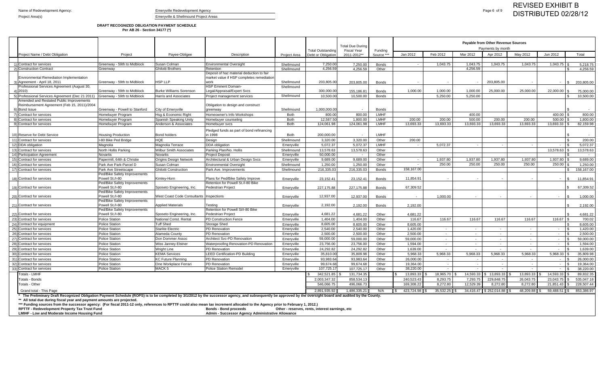### **DRAFT RECOGNIZED OBLIGATION PAYMENT SCHEDULE Per AB 26 - Section 34177 (\*)**

|                                                                                                                                                                                                                                         |                                                 |                                         |                                                           |                          |                                                | <b>Total Due During</b>           |              | Payable from Other Revenue Sources<br>Payments by month<br>Funding |                |                |                               |                          |                                   |                        |
|-----------------------------------------------------------------------------------------------------------------------------------------------------------------------------------------------------------------------------------------|-------------------------------------------------|-----------------------------------------|-----------------------------------------------------------|--------------------------|------------------------------------------------|-----------------------------------|--------------|--------------------------------------------------------------------|----------------|----------------|-------------------------------|--------------------------|-----------------------------------|------------------------|
| Project Name / Debt Obligation                                                                                                                                                                                                          | Project                                         | Payee-Obligee                           | Description                                               | Project Area             | <b>Total Outstanding</b><br>Debt or Obligation | <b>Fiscal Year</b><br>2011-2012** | Source **    | Jan 2012                                                           | Feb 2012       | Mar 2012       | Apr 2012                      | May 2012                 | Jun 2012                          | Total                  |
|                                                                                                                                                                                                                                         |                                                 |                                         |                                                           |                          |                                                |                                   |              |                                                                    |                |                |                               |                          |                                   |                        |
| 1) Contract for services                                                                                                                                                                                                                | Greenway - 59th to Midblock                     | <b>Susan Colman</b>                     | <b>Environmental Oversight</b>                            | Shellmound               | 7,250.0                                        | 7,250.00                          | <b>Bonds</b> |                                                                    | 1,043.75       | 1,043.75       | 1,043.75                      | 1,043.75                 |                                   | 5,218.75               |
| 2) Construction Contract                                                                                                                                                                                                                | Greenway                                        | <b>Ghilotti Brothers</b>                | Retention                                                 | Shellmound               | 4,256.5                                        | 4,256.59                          | Other        |                                                                    |                | 4,256.59       |                               |                          |                                   | 4,256.59               |
|                                                                                                                                                                                                                                         |                                                 |                                         | Deposit of haz material deduction to fair                 |                          |                                                |                                   |              |                                                                    |                |                |                               |                          |                                   |                        |
| <b>Environmental Remediation Implementation</b>                                                                                                                                                                                         |                                                 |                                         | market value if HSP completes remediation                 |                          |                                                |                                   |              |                                                                    |                |                |                               |                          |                                   |                        |
| 3) Agreement - April 18, 2011                                                                                                                                                                                                           | Greenway - 59th to Midblock                     | <b>HSP LLP</b>                          | work                                                      | Shellmound               | 203,805.00                                     | 203,805.00                        | <b>Bonds</b> |                                                                    |                |                | 203,805.00                    |                          | S.                                | 203,805.00             |
| Professional Services Agreement (August 30,                                                                                                                                                                                             | Greenway - 59th to Midblock                     | <b>Burke Williams Sorenson</b>          | <b>HSP Eminent Domain-</b><br>Legal/Appraisal/Expert Svcs | Shellmound               |                                                | 155,186.8                         |              | 1.000.00                                                           | 1,000.00       | 1.000.00       | 25,000.00                     | 25,000.00                | $22,000.00$ \$                    |                        |
| 4) 2010)<br>5) Professional Services Agreement (Dec 21 2011)                                                                                                                                                                            | Greenway - 59th to Midblock                     | <b>Harris and Associates</b>            |                                                           | Shellmound               | 300,000.0<br>10,500.00                         | 10.500.00                         | <b>Bonds</b> |                                                                    | 5,250.00       | 5,250.00       |                               |                          |                                   | 75,000.00<br>10.500.00 |
| Amended and Restated Public Improvements                                                                                                                                                                                                |                                                 |                                         | Project management services                               |                          |                                                |                                   | <b>Bonds</b> |                                                                    |                |                |                               |                          |                                   |                        |
| Reimbursement Agreement (Feb 15, 2011)/2004                                                                                                                                                                                             |                                                 |                                         | Obligation to design and construct                        |                          |                                                |                                   |              |                                                                    |                |                |                               |                          |                                   |                        |
| 6) Bond Issue                                                                                                                                                                                                                           | Greenway - Powell to Stanford                   | <b>City of Emeryville</b>               | greenway                                                  | Shellmound               | 1,000,000.0                                    |                                   | <b>Bonds</b> |                                                                    |                |                |                               |                          |                                   |                        |
| 7) Contract for services                                                                                                                                                                                                                | Homebuyer Program                               | Hsq & Economic Right                    | Homeowner's Info Workshops                                | <b>Both</b>              | 800.00                                         | 800.00                            | <b>LMHF</b>  |                                                                    |                | 400.00         |                               |                          | 400.00                            | 800.00                 |
| 8) Contract for services                                                                                                                                                                                                                | Homebuyer Program                               | Spanish Speaking Unity                  | Homebuyer counseling                                      | <b>Both</b>              | 12,587.5                                       | 1,800.00                          | <b>LMHF</b>  | 200.00                                                             | 200.00         | 500.00         | 200.00                        | 200.00                   | 500.00                            | 1,800.00               |
| 9) Contract for services                                                                                                                                                                                                                | Homebuyer Program                               | Anderson & Associates                   | Homebuyer svcs                                            | <b>Both</b>              | 124,061.98                                     | 124,061.98                        | <b>LMHF</b>  | 13,693.33                                                          | 13,693.33      | 13,693.33      | 13,693.33                     | 13,693.33                | $13,693.33$ \$                    | 82,159.98              |
|                                                                                                                                                                                                                                         |                                                 |                                         | Pledged funds as part of bond refinancing                 |                          |                                                |                                   |              |                                                                    |                |                |                               |                          |                                   |                        |
| 10) Reserve for Debt Service                                                                                                                                                                                                            | <b>Housing Production</b>                       | Bond holders                            | in 1998                                                   | <b>Both</b>              | 200,000.00                                     |                                   | <b>LMHF</b>  |                                                                    |                |                |                               |                          |                                   |                        |
| 11) Contract for services                                                                                                                                                                                                               | I-80 Bike Ped Bridge                            | <b>HQE</b>                              | Design                                                    | Shellmound               | 3,320.00                                       | 3,320.00                          | Other        | 200.00                                                             |                |                |                               |                          |                                   | 200.00                 |
| 12) DDA obligation                                                                                                                                                                                                                      | Magnolia                                        | Magnolia Terrace                        | <b>DDA</b> obligation                                     | Emeryville               | 5,072.37                                       | 5,072.37                          | LMHF         | $\sim$                                                             | 5,072.37       |                |                               | $\sim$                   | $\sim$                            | 5,072.37               |
| 13) Contract for services                                                                                                                                                                                                               | North Hollis Parking                            | <b>Wilbur Smith Associates</b>          | Parking Plan/No. Hollis                                   | Shellmound               | 13,578.63                                      | 13,578.63                         | Other        |                                                                    |                |                |                               |                          | 13,578.63                         | 13,578.63              |
| 14) Participation Agreement                                                                                                                                                                                                             | Novartis                                        | Novartis                                | <b>Project Deposit</b>                                    | Emeryville               | 50,000.00                                      |                                   | Other        |                                                                    |                |                |                               |                          |                                   |                        |
| 15) Contract for services                                                                                                                                                                                                               | Papermill, 64th & Christie                      | <b>Origins Design Network</b>           | Architectural & Urban Design Svcs                         | Emeryville               | 9,689.00                                       | 9,689.00                          | Other        | $\sim$                                                             | 1,937.80       | 1,937.80       | 1,937.80                      | 1,937.80                 | 1,937.80                          | 9,689.00               |
| 16) Contract for services                                                                                                                                                                                                               | Park Ave Park-Parcel D                          | Susan Colman                            | <b>Environmental Oversight</b>                            | Shellmound               | 1,250.00                                       | 1,250.00                          | Other        | $\sim$ $-$                                                         | 250.00         | 250.00         | 250.00                        | 250.00                   | 250.00                            | 1,250.00               |
| 17) Contract for services                                                                                                                                                                                                               | Park Ave Streetscape                            | <b>Ghilotti Construction</b>            | Park Ave. Improvements                                    | Shellmound               | 216,335.03                                     | 216,335.03                        | <b>Bonds</b> | 158,167.00                                                         |                |                |                               |                          |                                   | 158.167.00             |
|                                                                                                                                                                                                                                         | Ped/Bike Safety Improvements                    |                                         |                                                           |                          |                                                |                                   |              |                                                                    |                |                |                               |                          |                                   |                        |
| 18) Contract for services                                                                                                                                                                                                               | Powell St./I-80                                 | Kimley-Horn                             | Plans for Ped/Bike Safety Improve                         | Emeryville               | 23,152.41                                      | 23,152.41                         | <b>Bonds</b> | 11,854.91                                                          |                |                |                               |                          |                                   | 11,854.91              |
|                                                                                                                                                                                                                                         | Ped/Bike Safety Improvements                    |                                         | Retention for Powell St./I-80 Bike                        |                          |                                                |                                   |              |                                                                    |                |                |                               |                          |                                   |                        |
| 19) Contract for services                                                                                                                                                                                                               | Powell St./I-80<br>Ped/Bike Safety Improvements | Sposeto Engineering, Inc.               | <b>Pedestrian Project</b>                                 | Emeryville               | 227,175.88                                     | 227,175.88                        | <b>Bonds</b> | 67,309.52                                                          |                |                |                               |                          |                                   | 67,309.52              |
| 20) Contract for services                                                                                                                                                                                                               | Powell St./I-80                                 | West Coast Code Consultants Inspections |                                                           | Emeryville               | 12,937.00                                      | 12,937.00                         | <b>Bonds</b> |                                                                    | 1.000.00       | $\sim$         | $\overline{\phantom{a}}$      |                          | $\sim$                            | 1,000.00               |
|                                                                                                                                                                                                                                         | Ped/Bike Safety Improvements                    |                                         |                                                           |                          |                                                |                                   |              |                                                                    |                |                |                               |                          |                                   |                        |
| 21) Contract for services                                                                                                                                                                                                               | Powell St./I-80                                 | <b>Applied Materials</b>                | Testina                                                   | Emeryville               | 2,192.00                                       | 2,192.00                          | <b>Bonds</b> | 2,192.00                                                           |                |                |                               |                          |                                   | 2,192.00               |
|                                                                                                                                                                                                                                         | Ped/Bike Safety Improvements                    |                                         | Retention for Powell St/I-80 Bike                         |                          |                                                |                                   |              |                                                                    |                |                |                               |                          |                                   |                        |
| 22) Contract for services                                                                                                                                                                                                               | Powell St./I-80                                 | Sposeto Engineering, Inc.               | <b>Pedestrian Project</b>                                 | Emeryville               | 4,681.22                                       | 4,681.22                          | Other        | 4,681.22                                                           |                |                |                               |                          |                                   | 4,681.22               |
| 23) Contract for services                                                                                                                                                                                                               | <b>Police Station</b>                           | National Const. Rental                  | PD Construction Fence                                     | Emeryville               | 1,404.00                                       | 1,404.00                          | Other        | 116.67                                                             | 116.67         | 116.67         | 116.67                        | 116.67                   | 116.67                            | 700.02                 |
| 24) Contract for equipment                                                                                                                                                                                                              | <b>Police Station</b>                           | <b>Tuff Shed</b>                        | <b>Storage Shed</b>                                       | Emeryville               | 8,605.00                                       | 8,605.00                          | Other        | 8,605.00                                                           |                |                |                               |                          |                                   | 8,605.00               |
| 25) Contract for services                                                                                                                                                                                                               | <b>Police Station</b>                           | <b>Starlite Electric</b>                | <b>PD</b> Renovation                                      | Emeryville               | 2,540.00                                       | 2,540.00                          | Other        | 1,420.00                                                           | $\sim$         | $\sim$         | $\sim$                        | $\sim$                   | $\sim$                            | 1,420.00               |
| 26) Contract for services                                                                                                                                                                                                               | <b>Police Station</b>                           | Alameda County                          | PD Renovation                                             | Emeryville               | 2,500.00                                       | 2,500.00                          | Other        | 2,500.00                                                           | $\sim$         | $\overline{a}$ | $\sim$                        | $\sim$                   | $\sim$                            | 2,500.00               |
| 27) Contract for services                                                                                                                                                                                                               | <b>Police Station</b>                           | Don Dommer Assoc                        | Architect Svc-PD Renovation                               | Emeryville               | 59,000.00                                      | 59,000.00                         | Other        | 59,000.00                                                          | $\sim$         | $\sim$         | $\sim$                        | $\sim$                   | $\sim$                            | 59,000.00              |
| 28) Contract for services                                                                                                                                                                                                               | <b>Police Station</b>                           | <b>Wiss Janney Elstner</b>              | Waterproofing Renovation-PD Renovation                    | Emeryville               | 23,756.00                                      | 23,756.00                         | Other        | 1,594.00                                                           | $\sim$         | $\sim$         | $\sim$                        | $\sim$                   | $\sim$                            | 1,594.00               |
| 29) Contract for services                                                                                                                                                                                                               | <b>Police Station</b>                           | <b>Wright Line</b>                      | <b>PD</b> Renovation                                      | Emeryville               | 24,292.82                                      | 24,292.82                         | Other        | 1,639.00                                                           | $\sim$ $-$     | $\sim$         | $\sim$                        | $\sim$                   | $\sim$                            | 1,639.00               |
| 30) Contract for services                                                                                                                                                                                                               | <b>Police Station</b>                           | <b>KEMA Services</b>                    | <b>LEED Certification-PD Building</b>                     | Emeryville               | 35,810.00                                      | 35,809.98                         | Other        | 5,968.33                                                           | 5,968.33       | 5,968.33       | 5,968.33                      | 5,968.33                 | 5,968.33<br>l \$                  | 35.809.98              |
| 31) Contract for services                                                                                                                                                                                                               | Police Station                                  | <b>KC Future Planning</b>               | <b>PD Renovation</b>                                      | Emeryville               | 93,983.64                                      | 93,983.64                         | Other        | 26,000.00                                                          | $\sim$ $-$     | $\sim$         | $\sim$                        | $\sim$ $-$               | - \$                              | 26,000.00              |
| 32) Contract for services                                                                                                                                                                                                               | <b>Police Station</b><br><b>Police Station</b>  | One Workplace Ferrari<br>MACK 5         | <b>PD</b> Renovation<br><b>Police Station Remodel</b>     | Emeryville<br>Emeryville | 99,674.68<br>107,725.17                        | 99,674.68                         | Other        | 19,364.00<br>38,220.00                                             | $\overline{a}$ |                |                               | $\overline{\phantom{a}}$ | $\overline{\mathbf{S}}$<br>$\sim$ | 19,364.00              |
| 33) Contract for services                                                                                                                                                                                                               |                                                 |                                         |                                                           |                          |                                                | 107,725.17                        | Other        |                                                                    |                |                |                               |                          | $\sim$                            | 38,220.00              |
| Totals - LMHF                                                                                                                                                                                                                           |                                                 |                                         |                                                           |                          | 342.521.85                                     | 131,734.35                        |              | 13,893.33                                                          | 18,965.70      | 14.593.33      | \$13,893.33                   | 13,893.33                | 14,593.33                         | 89,832.35              |
| Totals - Bonds                                                                                                                                                                                                                          |                                                 |                                         |                                                           |                          | 2,003,347.32                                   | 858,534.13                        |              | 240,523.43                                                         | 8,293.75       | 7,293.75       | 229,848.75                    | 26,043.75                | 23,043.75                         | 535,047.18             |
| Totals - Other                                                                                                                                                                                                                          |                                                 |                                         |                                                           |                          | 546,066.75                                     | 496,066.73                        |              | 169,308.22                                                         | 8,272.80       | 12,529.39      | 8,272.80                      | 8,272.80                 | $21,851.43$ \$                    | 228,507.44             |
| Grand total - This Page<br>* The Proliminary Draft Peccanized Obligation Payment Schoolule (POPS) is to be completed by 3/4/2012 by the successor agency, and subsequently be approved by the oversight board and audited by the County |                                                 |                                         |                                                           |                          | 2.891.935.92                                   | 1,486,335.21                      | N/A          | 423,724.98 \$<br>II SI                                             | 35,532.25 \$   |                | 34,416.47   \$252,014.88   \$ | 48,209.88 \$             | 59,488.51 S                       | 853,386.97             |

**\* The Preliminary Draft Recognized Obligation Payment Schedule (ROPS) is to be completed by 3/1/2012 by the successor agency, and subsequently be approved by the oversight board and audited by the County.**

**\*\* All total due during fiscal year and payment amounts are projected.** 

**\*\*\* Funding sources from the successor agency: (For fiscal 2011-12 only, references to RPTTF could also mean tax increment allocated to the Agency prior to February 1, 2012.)**

**RPTTF - Redevelopment Property Tax Trust Fund Bonds - Bond proceeds Other - reserves, rents, interest earnings, etc**

**LMIHF - Low and Moderate Income Housing Fund Admin - Successor Agency Administrative Allowance**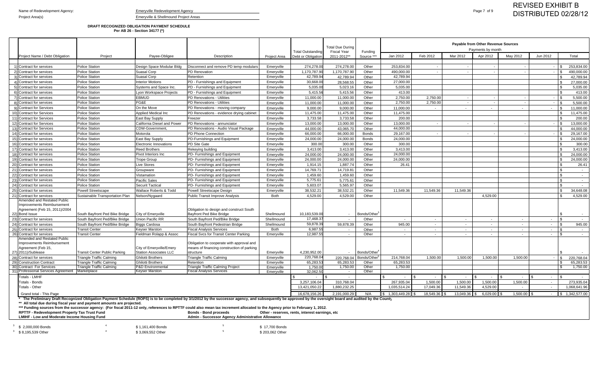### **DRAFT RECOGNIZED OBLIGATION PAYMENT SCHEDULE Per AB 26 - Section 34177 (\*)**

**LMIHF - Low and Moderate Income Housing Fund Admin - Successor Agency Administrative Allowance**  $^3$   $\,$  \$ 2,000,000 Bonds  $^4$   $\,$   $^6$   $\,$   $^7$   $\,$   $^8$   $\,$   $^7$   $\,$   $^7$   $\,$   $^7$   $\,$   $^7$   $\,$   $^7$   $\,$   $^7$   $\,$   $^7$   $\,$   $^7$   $\,$   $^7$   $\,$   $^7$   $\,$   $^7$   $\,$   $^7$   $\,$   $^7$   $\,$   $^7$   $\,$   $^7$   $\,$   $^7$  $3\quad$  \$ 8,195,539 Other  $4\quad$   $3\quad,069,552$  Other  $5\quad$   $5\quad$   $5\quad$   $5\quad$   $5\quad$   $5\quad$   $5\quad$   $5\quad$   $5\quad$   $5\quad$   $5\quad$   $5\quad$   $5\quad$   $5\quad$   $5\quad$   $203,062$  Other

|        |                                                                                            |                                                                        |                               |                                                                                                                                                                                                             |                     |                                                | <b>Total Due During</b><br><b>Fiscal Year</b> |                                     |                                  |              |           | <b>Payable from Other Revenue Sources</b><br>Payments by month |            |            |                                   |
|--------|--------------------------------------------------------------------------------------------|------------------------------------------------------------------------|-------------------------------|-------------------------------------------------------------------------------------------------------------------------------------------------------------------------------------------------------------|---------------------|------------------------------------------------|-----------------------------------------------|-------------------------------------|----------------------------------|--------------|-----------|----------------------------------------------------------------|------------|------------|-----------------------------------|
|        | Project Name / Debt Obligation                                                             | Project                                                                | Payee-Obligee                 | Description                                                                                                                                                                                                 | <b>Project Area</b> | <b>Total Outstanding</b><br>Debt or Obligation | 2011-2012**                                   | Funding<br>Source **                | Jan 2012                         | Feb 2012     | Mar 2012  | Apr 2012                                                       | May 2012   | Jun 2012   | Total                             |
|        |                                                                                            |                                                                        |                               |                                                                                                                                                                                                             |                     |                                                |                                               |                                     |                                  |              |           |                                                                |            |            |                                   |
|        | 1) Contract for services                                                                   | <b>Police Station</b>                                                  | Design Space Modular Bldg     | Disconnect and remove PD temp modulars                                                                                                                                                                      | Emeryville          | 274,278.00                                     | 274,278.00                                    | Other                               | 253,834.00                       |              |           |                                                                |            | 1 S.       | 253,834.00                        |
|        | 2) Contract for services                                                                   | <b>Police Station</b>                                                  | Suasal Corp                   | <b>PD</b> Renovation                                                                                                                                                                                        | Emeryville          | 1,170,787.9                                    | 1,170,787.90                                  | Other                               | 490,000.00                       |              |           |                                                                |            |            | 490,000.00<br>l \$                |
|        | Contract for services                                                                      | <b>Police Station</b>                                                  | Suasal Corp                   | Retention                                                                                                                                                                                                   | Emeryville          | 42,789.94                                      | 42,789.94                                     | Other                               | 42,789.94                        |              |           |                                                                |            |            | 42,789.94                         |
|        | Contract for services                                                                      | <b>Police Station</b>                                                  | Interior Motions              | PD - Furnishings and Equipment                                                                                                                                                                              | Emeryville          | 30,668.00                                      | 28,568.55                                     | Other                               | 27,000.00                        |              |           |                                                                |            |            | 27,000.00                         |
|        | Contract for services                                                                      | <b>Police Station</b>                                                  | Systems and Space Inc.        | <b>IPD - Furnishings and Equipment</b>                                                                                                                                                                      | Emeryville          | 5,035.00                                       | 5,023.16                                      | Other                               | 5,035.00                         |              |           |                                                                |            |            | 5,035.00<br>. ድ                   |
|        | Contract for services                                                                      | <b>Police Station</b>                                                  | Lyon Workspace Projects       | PD - Furnishings and Equipment                                                                                                                                                                              | Emeryville          | 5,415.56                                       | 5,415.56                                      | Other                               | 413.00                           |              |           |                                                                |            |            | 413.00                            |
|        | Contract for services                                                                      | <b>Police Station</b>                                                  | <b>EBMUD</b>                  | PD Renovations - Utilities                                                                                                                                                                                  | Emeryville          | 11,000.00                                      | 11,000.00                                     | Other                               | 2,750.00                         | 2,750.00     |           |                                                                |            |            | 5,500.00                          |
|        | Contract for services                                                                      | <b>Police Station</b>                                                  | PG&E                          | PD Renovations - Utilities                                                                                                                                                                                  | Emeryville          | 11,000.00                                      | 11,000.00                                     | Other                               | 2,750.00                         | 2,750.00     |           | $\overline{\phantom{a}}$                                       | $\sim$     | l \$       | 5,500.00                          |
|        | 9) Contract for Services                                                                   | <b>Police Station</b>                                                  | On the Move                   | PD Renovations - moving company                                                                                                                                                                             | Emeryville          | 9,000.00                                       | 9,000.00                                      | Other                               | 11,000.00                        |              |           | $\sim$                                                         | $\sim$     | $\sim$ $-$ | 11,000.00<br>- SS                 |
|        | 10) Contract for Services                                                                  | <b>Police Station</b>                                                  | <b>Applied Medical Inc</b>    | PD Renovations - evidence drying cabinet                                                                                                                                                                    | Emeryville          | 11,475.00                                      | 11,475.00                                     | Other                               | 11,475.00                        |              |           |                                                                |            |            | 11,475.00                         |
|        | 11) Contract for Services                                                                  | <b>Police Station</b>                                                  | East Bay Supply               | Freezer                                                                                                                                                                                                     | Emeryville          | 3,733.58                                       | 3,733.58                                      | Other                               | 200.00                           |              |           |                                                                |            |            | 200.00                            |
|        | 12) Contract for Services                                                                  | <b>Police Station</b>                                                  | California Diesel and Power   | <b>PD Renovations - annunciator</b>                                                                                                                                                                         | Emeryville          | 13,000.00                                      | 13,000.00                                     | Other                               | 13,000.00                        |              |           |                                                                |            |            | 13,000.00<br>$\mathbf{S}$         |
|        | 13) Contract for Services                                                                  | <b>Police Station</b>                                                  | CDW-Government                | PD Renovations - Audio Visual Package                                                                                                                                                                       | Emeryville          | 44,000.00                                      | 43,065.70                                     | Other                               | 44,000.00                        |              |           |                                                                |            |            | 44,000.00                         |
|        | 14) Contract for services                                                                  | <b>Police Station</b>                                                  | Motorola                      | PD Phone Connection                                                                                                                                                                                         | Emeryville          | 66,000.00                                      | 66,000.00                                     | <b>Bonds</b>                        | 29,167.00                        |              |           |                                                                |            |            | 29,167.00<br>$\mathsf{S}$         |
|        | 15) Contract for services                                                                  | <b>Police Station</b>                                                  | East Bay Supply               | PD-Furnishings and Equipment                                                                                                                                                                                | Emeryville          | 24,000.00                                      | 24,000.00                                     | <b>Bonds</b>                        | 24,000.00                        |              |           |                                                                |            |            | 24,000.00                         |
| 16     | Contract for services                                                                      | <b>Police Station</b>                                                  | Electronic Innovations        | <b>PD Site Gate</b>                                                                                                                                                                                         | Emeryville          | 300.00                                         | 300.00                                        | Other                               | 300.00                           |              |           |                                                                |            |            | 300.00                            |
| 17)    | Contract for services                                                                      | <b>Police Station</b>                                                  | <b>Reed Brothers</b>          | Rekeying building                                                                                                                                                                                           | Emeryville          | 3,413.00                                       | 3,413.00                                      | Other                               | 3,413.00                         |              |           |                                                                |            |            | 3,413.00<br>\$                    |
|        | 18) Contract for services                                                                  | <b>Police Station</b>                                                  | Pivot Interiors Inc           | PD- Furnishings and Equipment                                                                                                                                                                               | Emeryville          | 24,000.00                                      | 24,000.00                                     | Other                               | 24,000.00                        |              |           |                                                                |            |            | 24,000.00                         |
| 19     | Contract for services                                                                      | <b>Police Station</b>                                                  | <b>Trope Group</b>            | PD- Furnishings and Equipment                                                                                                                                                                               | Emeryville          | 24,000.00                                      | 24,000.00                                     | Other                               | 24,000.00                        |              |           |                                                                |            |            | 24,000.00                         |
| 20)    | Contract for services                                                                      | <b>Police Station</b>                                                  | Live Stores                   | PD- Furnishings and Equipment                                                                                                                                                                               | Emeryville          | 1,914.15                                       | 1,887.74                                      | Other                               | 26.41                            |              |           |                                                                |            |            | 26.41                             |
| 21)    | Contract for services                                                                      | <b>Police Station</b>                                                  | Groupware                     | PD- Furnishings and Equipment                                                                                                                                                                               | Emeryville          | 14,769.71                                      | 14,719.81                                     | Other                               |                                  |              |           |                                                                |            |            | \$<br>$\sim$                      |
|        | 22) Contract for services                                                                  | <b>Police Station</b>                                                  | Vistamation                   | PD- Furnishings and Equipment                                                                                                                                                                               | Emeryville          | 1,459.60                                       | 1,459.60                                      | Other                               |                                  |              |           |                                                                |            |            | $\sim$                            |
|        | 23) Contract for services                                                                  | <b>Police Station</b>                                                  | <b>Pacific Sales</b>          | PD- Furnishings and Equipment                                                                                                                                                                               | Emeryville          | 5,775.61                                       | 5,775.61                                      | Other                               |                                  |              |           |                                                                |            |            | - \$<br>$\sim$                    |
|        | 24) Contract for services                                                                  | <b>Police Station</b>                                                  | <b>Securit Tactical</b>       | PD- Furnishings and Equipment                                                                                                                                                                               | Emeryville          | 5,603.07                                       | 5,565.97                                      | Other                               |                                  |              |           |                                                                |            |            | ፍ                                 |
| $25$ ) | Contract for services                                                                      | <b>Powell Streetscape</b>                                              | Wallace Roberts & Todd        | Powell Streetscape Design                                                                                                                                                                                   | Emeryville          | 38,532.21                                      | 38,532.21                                     | Other                               | 11,549.36                        | 11,549.36    | 11,549.36 |                                                                |            |            | 34,648.08                         |
| 21)    | Contract for services                                                                      | Sustainable Transportation Plan                                        | Nelson/Nygaard                | Public Transit Improve Analysis                                                                                                                                                                             | Both                | 4,529.00                                       | 4,529.00                                      | Other                               |                                  |              |           | 4,529.00                                                       |            |            | 4,529.00                          |
|        | Amended and Restated Public<br>Improvements Reimbursement<br>Agreement (Feb 15, 2011)/2004 |                                                                        |                               | Obligation to design and construct South                                                                                                                                                                    |                     |                                                |                                               |                                     |                                  |              |           |                                                                |            |            |                                   |
|        | 22) Bond Issue                                                                             | South Bayfront Ped Bike Bridge                                         | City of Emeryville            | Bayfront Ped Bike Bridge                                                                                                                                                                                    | Shellmound          | 10,183,539.00                                  |                                               | Bonds/Other                         |                                  |              |           |                                                                |            |            |                                   |
|        | 23) Contract for services                                                                  | South Bayfront Ped/Bike Bridge                                         | Union Pacific RR              | South Bayfront Ped/Bike Bridge                                                                                                                                                                              | Shellmound          | 17,468.3                                       | $\overline{a}$                                | Other                               | $\sim$                           | $\sim$       | $\sim$    | $\sim$                                                         | $\sim$ $-$ | $\sim$     | <b>S</b><br>$\sim$ $-$            |
|        | 24) Contract for services                                                                  | South Bayfront Ped/Bike Bridge                                         | <b>Biggs Cardosa</b>          | South Bayfront Pedestrian Bridge                                                                                                                                                                            | Shellmound          | 59,878.3                                       | 59,878.39                                     | Other                               | 945.00                           | $\sim$       | $\sim$    | $\sim$                                                         | $\sim$     | $\sim$     | 945.00<br><b>S</b>                |
|        | 25) Contract for services                                                                  | <b>Transit Center</b>                                                  | Keyser Marston                | <b>Fiscal Analysis Services</b>                                                                                                                                                                             | Both                | 6,987.55                                       | $\overline{a}$                                | Other                               | $\sim$                           | $\sim$       | $\sim$    | $\sim$                                                         | $\sim$     | $\sim$ $-$ | <b>S</b><br>$\sim$                |
| 26)    | Contract for services<br>Amended and Restated Public                                       | ransit Center                                                          | Fieldman Rolapp & Assoc       | Fiscal Svcs for Transit Center Parking                                                                                                                                                                      | Emeryville          | 12,987.5                                       | $\sim$                                        | Other                               | $\sim$                           | $\sim$       | $\sim$    | $\sim$                                                         | $\sim$     | $\sim$     | <b>S</b><br>$\sim$                |
|        | Improvements Reimbursement                                                                 |                                                                        |                               | Obligation to cooperate with approval and                                                                                                                                                                   |                     |                                                |                                               |                                     |                                  |              |           |                                                                |            |            |                                   |
|        | Agreement (Feb 15,                                                                         |                                                                        | City of Emeryville/Emery      | means of financing construction of parking                                                                                                                                                                  |                     |                                                |                                               |                                     |                                  |              |           |                                                                |            |            |                                   |
|        | 27) 2011)/Sublease                                                                         | <b>Transit Center Public Parking</b>                                   | <b>Station Associates LLC</b> | structure                                                                                                                                                                                                   | Emeryville          | 4,230,952.00                                   |                                               | Bonds/Other                         |                                  |              |           |                                                                |            |            |                                   |
|        | 28) Contract for services                                                                  | Triangle Traffic Calming                                               | <b>Ghilotti Brothers</b>      | Triangle Traffic Calming                                                                                                                                                                                    | Emeryville          | 220,768.04                                     |                                               | 220,768.04 Bonds/Other <sup>5</sup> | 214,768.04                       | 1,500.00     | 1,500.00  | 1,500.00                                                       | 1,500.00   |            | 220,768.04<br>$\hat{\mathcal{L}}$ |
|        | 29) Construction Contract                                                                  | Triangle Traffic Calming                                               | <b>Ghilotti Brothers</b>      | Retention                                                                                                                                                                                                   | Emeryville          | 65,283.53                                      | 65,283.53                                     | Other                               | 65,283.53                        |              |           |                                                                |            |            | 65,283.53<br>- \$                 |
|        | 30) Contract For Services                                                                  | <b>Triangle Traffic Calming</b>                                        | <b>P&amp;D Environmental</b>  | <b>Triangle Traffic Calming Project</b>                                                                                                                                                                     | Emeryville          | 1,750.00                                       | 1,750.00                                      | Other                               | 1,750.00                         |              |           |                                                                |            |            | 1,750.00                          |
|        | 31) Professional Services Agreement                                                        | Marketplace                                                            | Keyser Marston                | <b>Fiscal Analysis Services</b>                                                                                                                                                                             | Emeryville          | 32,062.50                                      | $\sim$                                        | Other                               |                                  |              |           |                                                                |            |            |                                   |
|        | Totals - LMHF                                                                              |                                                                        |                               |                                                                                                                                                                                                             |                     | $\sim$                                         |                                               |                                     |                                  |              |           |                                                                |            |            |                                   |
|        | <b>Totals - Bonds</b>                                                                      |                                                                        |                               |                                                                                                                                                                                                             |                     | 3,257,106.04                                   | 310,768.04                                    |                                     | 267,935.04                       | 1,500.00     | 1,500.00  | 1,500.00                                                       | 1,500.00   |            | 273,935.04                        |
|        | Totals - Other                                                                             |                                                                        |                               |                                                                                                                                                                                                             |                     | 13,421,050.22                                  | 1,880,232.25                                  |                                     | 1,035,514.24                     | 17,049.36    | 11,549.36 | 4,529.00                                                       | $\sim$     |            | 1,068,641.96                      |
|        | Grand total - This Page                                                                    |                                                                        |                               |                                                                                                                                                                                                             |                     | 16,678,156.26                                  | 2,191,000.29                                  | N/A                                 | $\frac{1}{2}$ \$ 1,303,449.28 \$ | 18,549.36 \$ |           | $13,049.36$ \$ 6,029.00 \$                                     | 1,500.00   | $\sim$     | $\frac{1}{2}$ 1,342,577.00        |
|        |                                                                                            |                                                                        |                               | * The Preliminary Draft Recognized Obligation Payment Schedule (ROPS) is to be completed by 3/1/2012 by the successor agency, and subsequently be approved by the oversight board and audited by the County |                     |                                                |                                               |                                     |                                  |              |           |                                                                |            |            |                                   |
|        |                                                                                            | ** All total due during fiscal year and payment amounts are projected. |                               |                                                                                                                                                                                                             |                     |                                                |                                               |                                     |                                  |              |           |                                                                |            |            |                                   |

**\*\*\* Funding sources from the successor agency: (For fiscal 2011-12 only, references to RPTTF could also mean tax increment allocated to the Agency prior to February 1, 2012.**

**RPTTF - Redevelopment Property Tax Trust Fund Bonds - Bond proceeds Other - reserves, rents, interest earnings, etc**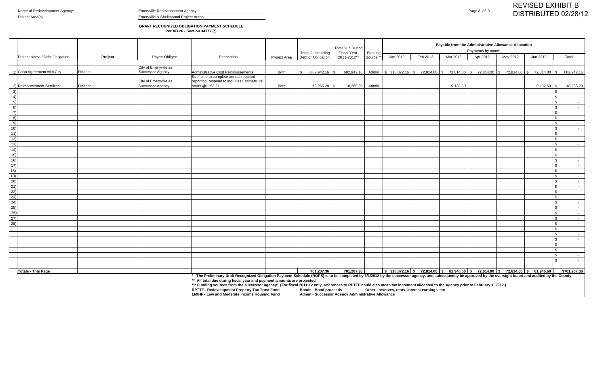**DRAFT RECOGNIZED OBLIGATION PAYMENT SCHEDULE Per AB 26 - Section 34177 (\*)**

| Payable from the Administrative Allowance Allocation<br>Payments by month<br>Funding<br>Jan 2012<br>Feb 2012<br>May 2012<br>Mar 2012<br>Apr 2012<br>Jun 2012 |                                                                                                                                                                                                                                                                                                                     |  |  |
|--------------------------------------------------------------------------------------------------------------------------------------------------------------|---------------------------------------------------------------------------------------------------------------------------------------------------------------------------------------------------------------------------------------------------------------------------------------------------------------------|--|--|
|                                                                                                                                                              | Total                                                                                                                                                                                                                                                                                                               |  |  |
|                                                                                                                                                              |                                                                                                                                                                                                                                                                                                                     |  |  |
|                                                                                                                                                              |                                                                                                                                                                                                                                                                                                                     |  |  |
| Admin \$ 318,872.16 \$ 72,814.00 \$ 72,814.00 \$ 72,814.00 \$ 72,814.00 \$ 72,814.00 \$                                                                      | 682,942.16                                                                                                                                                                                                                                                                                                          |  |  |
|                                                                                                                                                              |                                                                                                                                                                                                                                                                                                                     |  |  |
| $9,132.60$ \$                                                                                                                                                | 18,265.20                                                                                                                                                                                                                                                                                                           |  |  |
|                                                                                                                                                              | $\mathfrak s$<br>$\sim$                                                                                                                                                                                                                                                                                             |  |  |
|                                                                                                                                                              | $\mathbb{S}$<br>$\sim$ $-$                                                                                                                                                                                                                                                                                          |  |  |
|                                                                                                                                                              | $\mathbb{S}$<br>$\sim$                                                                                                                                                                                                                                                                                              |  |  |
|                                                                                                                                                              | $\mathbb{S}$<br>$\sim$ $-$                                                                                                                                                                                                                                                                                          |  |  |
|                                                                                                                                                              | \$.<br>$\sim$ $-$                                                                                                                                                                                                                                                                                                   |  |  |
|                                                                                                                                                              | $\mathbf{S}$<br>$\sim$ $-$                                                                                                                                                                                                                                                                                          |  |  |
|                                                                                                                                                              | $\mathbf{S}$<br>$\sim$ $-$                                                                                                                                                                                                                                                                                          |  |  |
|                                                                                                                                                              | $\mathbf{S}$<br>$\sim$                                                                                                                                                                                                                                                                                              |  |  |
|                                                                                                                                                              | \$<br>$\sim$                                                                                                                                                                                                                                                                                                        |  |  |
|                                                                                                                                                              | $\mathbb{S}$<br>$\sim$                                                                                                                                                                                                                                                                                              |  |  |
|                                                                                                                                                              | $\mathbb{S}$<br>$\sim$                                                                                                                                                                                                                                                                                              |  |  |
|                                                                                                                                                              | \$<br>$\sim$                                                                                                                                                                                                                                                                                                        |  |  |
|                                                                                                                                                              | \$.<br>$\sim$                                                                                                                                                                                                                                                                                                       |  |  |
|                                                                                                                                                              | \$<br>$\sim$ $-$                                                                                                                                                                                                                                                                                                    |  |  |
|                                                                                                                                                              | \$.<br>$\sim$ $-$                                                                                                                                                                                                                                                                                                   |  |  |
|                                                                                                                                                              | \$<br>$\sim$                                                                                                                                                                                                                                                                                                        |  |  |
|                                                                                                                                                              | \$<br>$\sim$                                                                                                                                                                                                                                                                                                        |  |  |
|                                                                                                                                                              | $\mathbb{S}$<br>$\sim$ $-$                                                                                                                                                                                                                                                                                          |  |  |
|                                                                                                                                                              | $\mathbb{S}$<br>$\sim$                                                                                                                                                                                                                                                                                              |  |  |
|                                                                                                                                                              | $\mathbb{S}$<br>$\sim$                                                                                                                                                                                                                                                                                              |  |  |
|                                                                                                                                                              | $\mathbb{S}$<br>$\sim$                                                                                                                                                                                                                                                                                              |  |  |
|                                                                                                                                                              | $\mathcal{L}$<br>$\sim$                                                                                                                                                                                                                                                                                             |  |  |
|                                                                                                                                                              | $\mathcal{F}$<br>$\sim$ $-$                                                                                                                                                                                                                                                                                         |  |  |
|                                                                                                                                                              | £.<br>$\sim$                                                                                                                                                                                                                                                                                                        |  |  |
|                                                                                                                                                              | \$<br>$\sim$                                                                                                                                                                                                                                                                                                        |  |  |
|                                                                                                                                                              | $\mathbb{S}$<br>$\sim$ $-$                                                                                                                                                                                                                                                                                          |  |  |
|                                                                                                                                                              | \$<br>$\sim$                                                                                                                                                                                                                                                                                                        |  |  |
|                                                                                                                                                              | $\mathbb{S}$<br>$\sim$                                                                                                                                                                                                                                                                                              |  |  |
|                                                                                                                                                              | \$<br>$\sim$                                                                                                                                                                                                                                                                                                        |  |  |
|                                                                                                                                                              | $\mathbf{\hat{s}}$<br>$\sim$ $-$                                                                                                                                                                                                                                                                                    |  |  |
|                                                                                                                                                              | $\mathbf{S}$<br>$\sim$ $-$                                                                                                                                                                                                                                                                                          |  |  |
|                                                                                                                                                              | \$.<br>$\sim$ $-$                                                                                                                                                                                                                                                                                                   |  |  |
|                                                                                                                                                              | $\sim$                                                                                                                                                                                                                                                                                                              |  |  |
|                                                                                                                                                              |                                                                                                                                                                                                                                                                                                                     |  |  |
|                                                                                                                                                              | \$701,207.36                                                                                                                                                                                                                                                                                                        |  |  |
|                                                                                                                                                              |                                                                                                                                                                                                                                                                                                                     |  |  |
|                                                                                                                                                              | $\frac{1}{3}$ 318,872.16 \ \$ 72,814.00 \ \$ 81,946.60 \ \$ 72,814.00 \ \$ 72,814.00 \ \$ 81,946.60<br>* The Preliminary Draft Recognized Obligation Payment Schedule (ROPS) is to be completed by 3/1/2012 by the successor agency, and subsequently be approved by the oversight board and audited by the County. |  |  |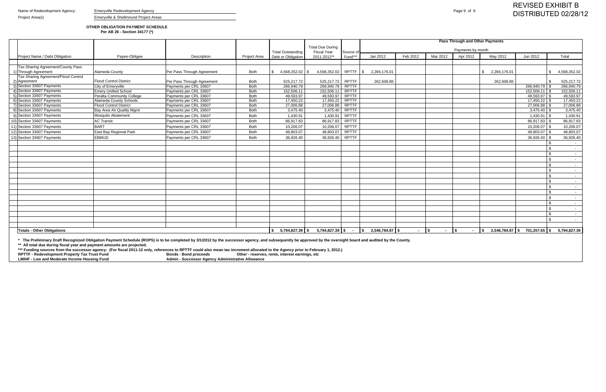Name of Redevelopment Agency: Emeryville Redevelopment Agency **Emergy** Redevelopment Agency **Page 9 of 9** 

Project Area(s) **Emeryville & Shellmound Project Areas** 

## **OTHER OBLIGATION PAYMENT SCHEDULE Per AB 26 - Section 34177 (\*)**

|                                                                                                                                                                                                                                                                                        |                                  |                            |                     |                          |                                               |              |                                        |             |          | Pass Through and Other Payments |              |                                |                  |
|----------------------------------------------------------------------------------------------------------------------------------------------------------------------------------------------------------------------------------------------------------------------------------------|----------------------------------|----------------------------|---------------------|--------------------------|-----------------------------------------------|--------------|----------------------------------------|-------------|----------|---------------------------------|--------------|--------------------------------|------------------|
|                                                                                                                                                                                                                                                                                        |                                  |                            |                     | <b>Total Outstanding</b> | <b>Total Due During</b><br><b>Fiscal Year</b> | Source o     |                                        |             |          | Payments by month               |              |                                |                  |
| Project Name / Debt Obligation                                                                                                                                                                                                                                                         | Payee-Obligee                    | Description                | <b>Project Area</b> | Debt or Obligation       | 2011-2012**                                   | Fund***      | Jan 2012                               | Feb 2012    | Mar 2012 | Apr 2012                        | May 2012     | Jun 2012                       | Total            |
|                                                                                                                                                                                                                                                                                        |                                  |                            |                     |                          |                                               |              |                                        |             |          |                                 |              |                                |                  |
| Tax Sharing Agreement/County Pass                                                                                                                                                                                                                                                      |                                  |                            |                     |                          |                                               |              |                                        |             |          |                                 |              |                                |                  |
| 1) Through Agreement                                                                                                                                                                                                                                                                   | Alameda County                   | Per Pass Through Agreement | Both                | 4,568,352.02             | 4,568,352.02<br>l \$                          | RPTTF $ $ \$ | 2,284,176.01                           |             |          |                                 | 2,284,176.01 | $\mathcal{L}$                  | 4,568,352.02     |
| Tax Sharing Agreement/Flood Control                                                                                                                                                                                                                                                    |                                  |                            |                     |                          |                                               |              |                                        |             |          |                                 |              |                                |                  |
| 2) Agreement                                                                                                                                                                                                                                                                           | <b>Flood Control District</b>    | Per Pass Through Agreement | Both                | 525,217.72               | 525,217.72                                    | <b>RPTTF</b> | 262,608.86                             |             |          |                                 | 262,608.86   |                                | 525,217.72       |
| 3) Section 33607 Payments                                                                                                                                                                                                                                                              | City of Emeryville               | Payments per CRL 33607     | <b>Both</b>         | 266,940.79               | 266.940.79                                    | <b>RPTTF</b> |                                        |             |          |                                 |              |                                | 266,940.79       |
| 4) Section 33607 Payments                                                                                                                                                                                                                                                              | <b>Emery Unified School</b>      | Payments per CRL 33607     | Both                | 152,506.11               | 152,506.11                                    | <b>RPTTF</b> |                                        |             |          |                                 |              | $152,506.11$ \\$               | 152,506.11       |
| 5) Section 33607 Payments                                                                                                                                                                                                                                                              | <b>Peralta Community College</b> | Payments per CRL 33607     | <b>Both</b>         | 49,593.97                | 49,593.97                                     | RPTTF        |                                        |             |          |                                 |              | 49,593.97 \$                   | 49,593.97        |
| 6) Section 33607 Payments                                                                                                                                                                                                                                                              | <b>Alameda County Schools</b>    | Payments per CRL 33607     | <b>Both</b>         | 17,450.22                | 17,450.22                                     | <b>RPTTF</b> |                                        |             |          |                                 |              | $17,450.22$ \\$                | 17,450.22        |
| 7) Section 33607 Payments                                                                                                                                                                                                                                                              | <b>Flood Control District</b>    | Payments per CRL 33607     | Both                | 27,006.88                | 27,006.88                                     | <b>RPTTF</b> |                                        |             |          |                                 |              | $27,006.88$ \$                 | 27,006.88        |
| 8) Section 33607 Payments                                                                                                                                                                                                                                                              | Bay Area Air Quality Mgmt        | Payments per CRL 33607     | Both                | 3,475.40                 | 3,475.40                                      | <b>RPTTF</b> |                                        |             |          |                                 |              | $3,475.40$ \\$                 | 3,475.40         |
| 9) Section 33607 Payments                                                                                                                                                                                                                                                              | Mosquito Abatement               | Payments per CRL 33607     | <b>Both</b>         | 1,430.91                 | 1,430.91                                      | <b>RPTTF</b> |                                        |             |          |                                 |              | $1,430.91$ \$                  | 1,430.91         |
| 10) Section 33607 Payments                                                                                                                                                                                                                                                             | <b>AC Transit</b>                | Payments per CRL 33607     | Both                | 86,917.83                | 86,917.83                                     | <b>RPTTF</b> |                                        |             |          |                                 |              | 86,917.83 \$                   | 86,917.83        |
| 11) Section 33607 Payments                                                                                                                                                                                                                                                             | <b>BART</b>                      | Payments per CRL 33607     | Both                | 10,206.07                | 10,206.07                                     | <b>RPTTF</b> |                                        |             |          |                                 |              | $10,206.07$ \$                 | 10,206.07        |
| 12) Section 33607 Payments                                                                                                                                                                                                                                                             | East Bay Regional Park           | Payments per CRL 33607     | Both                | 48,803.07                | 48,803.07                                     | <b>RPTTF</b> |                                        |             |          |                                 |              | 48,803.07 \$                   | 48,803.07        |
| 13) Section 33607 Payments                                                                                                                                                                                                                                                             | <b>EBMUD</b>                     | Payments per CRL 33607     | Both                | 36,926.40                | 36,926.40                                     | <b>RPTTF</b> |                                        |             |          |                                 |              | $36,926.40$ \\$                | 36,926.40        |
|                                                                                                                                                                                                                                                                                        |                                  |                            |                     |                          |                                               |              |                                        |             |          |                                 |              |                                | $\sim$           |
|                                                                                                                                                                                                                                                                                        |                                  |                            |                     |                          |                                               |              |                                        |             |          |                                 |              | \$                             |                  |
|                                                                                                                                                                                                                                                                                        |                                  |                            |                     |                          |                                               |              |                                        |             |          |                                 |              | \$                             | $\sim$           |
|                                                                                                                                                                                                                                                                                        |                                  |                            |                     |                          |                                               |              |                                        |             |          |                                 |              | \$                             | $\sim$           |
|                                                                                                                                                                                                                                                                                        |                                  |                            |                     |                          |                                               |              |                                        |             |          |                                 |              | $\mathbb{S}$                   | $\sim$           |
|                                                                                                                                                                                                                                                                                        |                                  |                            |                     |                          |                                               |              |                                        |             |          |                                 |              | \$                             |                  |
|                                                                                                                                                                                                                                                                                        |                                  |                            |                     |                          |                                               |              |                                        |             |          |                                 |              | \$                             |                  |
|                                                                                                                                                                                                                                                                                        |                                  |                            |                     |                          |                                               |              |                                        |             |          |                                 |              | \$                             | $\sim$ $-$       |
|                                                                                                                                                                                                                                                                                        |                                  |                            |                     |                          |                                               |              |                                        |             |          |                                 |              | \$                             |                  |
|                                                                                                                                                                                                                                                                                        |                                  |                            |                     |                          |                                               |              |                                        |             |          |                                 |              | \$                             | $\sim$ $-$       |
|                                                                                                                                                                                                                                                                                        |                                  |                            |                     |                          |                                               |              |                                        |             |          |                                 |              | $\mathcal{L}$                  |                  |
|                                                                                                                                                                                                                                                                                        |                                  |                            |                     |                          |                                               |              |                                        |             |          |                                 |              | $\mathfrak{L}$                 |                  |
|                                                                                                                                                                                                                                                                                        |                                  |                            |                     |                          |                                               |              |                                        |             |          |                                 |              | $\mathbb{S}$                   | $\sim$ 100 $\mu$ |
|                                                                                                                                                                                                                                                                                        |                                  |                            |                     |                          |                                               |              |                                        |             |          |                                 |              | \$                             | $\sim$ $-$       |
|                                                                                                                                                                                                                                                                                        |                                  |                            |                     |                          |                                               |              |                                        |             |          |                                 |              | \$                             | $\sim$ $-$       |
|                                                                                                                                                                                                                                                                                        |                                  |                            |                     |                          |                                               |              |                                        |             |          |                                 |              |                                |                  |
| <b>Totals - Other Obligations</b>                                                                                                                                                                                                                                                      |                                  |                            |                     | $$5,794,827.39$ \\$      |                                               |              | $5,794,827.39$ \$ - \$ 2,546,784.87 \$ | $ \vert$ \$ | $\sim$   | $\sqrt{2}$                      |              | $2,546,784.87$ \$701,257.65 \$ | 5,794,827.39     |
| * The Preliminary Draft Recognized Obligation Payment Schedule (ROPS) is to be completed by 3/1/2012 by the successor agency, and subsequently be approved by the oversight board and audited by the County.<br>** All total due during fiscal year and payment amounts are projected. |                                  |                            |                     |                          |                                               |              |                                        |             |          |                                 |              |                                |                  |

**\*\* All total due during fiscal year and payment amounts are projected.** 

**\*\*\* Funding sources from the successor agency: (For fiscal 2011-12 only, references to RPTTF could also mean tax increment allocated to the Agency prior to February 1, 2012.)**

**RPTTF - Redevelopment Property Tax Trust Fund Bonds - Bond proceeds Other - reserves, rents, interest earnings, etc**

**LMIHF - Low and Moderate Income Housing Fund Admin - Successor Agency Administrative Allowance**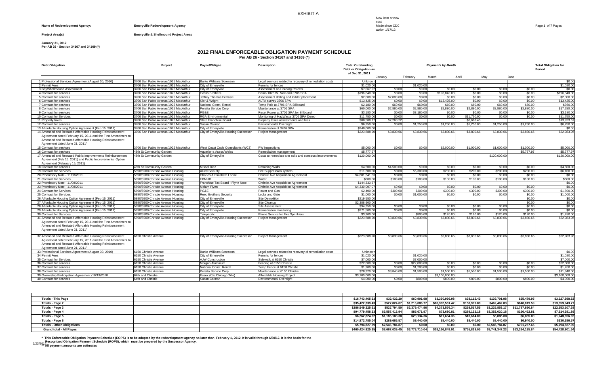EXHIBIT A

New item or new cost

action 1/17/12

#### **Name of Redevelopment Agency:** *Emeryville Redevelopment Agency Emeryville Redevelopment Agency Emeryville Redevelopment Agency Emeryville Redevelopment Agency Proposition* **<b>***Emeryville Redevelopment Agen*

#### **Project Area(s) Emeryville & Shellmound Project Areas**

#### **January 31, 2012**

**Per AB 26 - Section 34167 and 34169 (\*)**

### **2012 FINAL ENFORCEABLE OBLIGATION PAYMENT SCHEDULE**

**Per AB 26 - Section 34167 and 34169 (\*)**

| <b>Debt Obligation</b>                                       | Project                                      | Payee/Obligee                        | <b>Description</b>                                          | <b>Total Outstanding</b><br>Debt or Obligation as |                  |                         | <b>Payments by Month</b> |                  |                     |                 | <b>Total Obligation for</b><br>Period |
|--------------------------------------------------------------|----------------------------------------------|--------------------------------------|-------------------------------------------------------------|---------------------------------------------------|------------------|-------------------------|--------------------------|------------------|---------------------|-----------------|---------------------------------------|
|                                                              |                                              |                                      |                                                             | of Dec 31, 2011                                   |                  |                         |                          |                  |                     |                 |                                       |
|                                                              |                                              |                                      |                                                             |                                                   | January          | February                | March                    | April            | May                 | June            |                                       |
| Professional Services Agreement (August 30, 2010)            | 3706 San Pablo Avenue/1025 MacArthur         | <b>Burke Williams Sorenson</b>       | Legal services related to recovery of remediation costs     | Unknow                                            |                  |                         |                          |                  |                     |                 | \$0.00                                |
| <b>Permit Fees</b>                                           | 3706 San Pablo Avenue/1025 MacArthur         | City of Emervville                   | Permits for fences                                          | \$1,020.00                                        |                  | \$1,020.00              |                          |                  |                     |                 | \$1,020.00                            |
| Bay/Shellmound Assessment                                    | 3706 San Pablo Avenue/1025 MacArthur         | City of Emeryville                   | Assessment on Housing Parcels                               | \$7,067.9                                         | \$0.00           | \$0.00                  | \$0.00                   | \$0.00           | \$0.00              | \$0.00          | \$0.0                                 |
| 4 Contract for services                                      | 3706 San Pablo Avenue/1025 MacArthur         | Evans Brothers                       | Demo 1025 W. Mac and 3706 SPA                               | \$196,840.00                                      | \$0.00           | \$0.00                  | \$196,840.0              | \$0.00           | \$0.00              | \$0.00          | \$196,840.00                          |
| 5 Contract for services                                      | 3706 San Pablo Avenue/1025 MacArthur         | Jeffrey Thomas Ferrasci              | Assessment drilling and ladder placement                    | \$2,000.0                                         | \$2,000.00       | \$0.00                  | \$0.0                    | \$0.00           | \$0.00              | \$0.0           | \$2,000.0                             |
| <b>SContract for services</b>                                | 3706 San Pablo Avenue/1025 MacArthur         | Kier & Wright                        | ALTA survey 3706 SPA                                        | \$13,425.0                                        | \$0.00           | \$0.00                  | \$13,425.0               | \$0.00           | \$0.00              | \$0.0           | \$13,425.0                            |
| Contract for services                                        | 3706 San Pablo Avenue/1025 MacArthur         | National Const. Rental               | Temp Pole at 3706 SPA-Billboard                             | \$2,180.00                                        | \$60.00          | \$60.00                 | \$60.0                   | \$60.00          | \$60.00             | \$60.0          | \$360.0                               |
| <b>Contract for services</b>                                 | 3706 San Pablo Avenue/1025 MacArthur         | Peralta Service Corp                 | Maintenance at 3706 SPA                                     | \$60,000.0                                        | \$2,880.0        | \$2,880.0               | \$2,880.0                | \$2,880.00       | \$2,880.0           | \$2,880.0       | \$17,280.0                            |
| <b>Contract for services</b>                                 | 3706 San Pablo Avenue/1025 MacArthur         | PG&E                                 | Reset Power at 3706 SPA for Billboard                       | \$3.180.00                                        | \$0.00           | \$3,180.00              | \$0.00                   | \$0.00           | \$0.00              | \$0.00          | \$3,180.0                             |
| 10 Contract for Services                                     | 3706 San Pablo Avenue/1025 MacArthur         | <b>RGA Environmental</b>             | Monitoring of HazWaste 3706 SPA Demo                        | \$11,750.00                                       | \$0.00           | \$0.00                  | \$0.00                   | \$11,750.00      | \$0.00              | \$0.00          | \$11,750.0                            |
| 11 Property taxes                                            | 3706 San Pablo Avenue/1025 MacArthur         | State Franchise Board                | Property taxes assessments and fees                         | \$80,588.1                                        | \$7,260.2        |                         |                          | \$6,663.45       |                     |                 | \$13,923.6                            |
| 12 Contract for services                                     | 3706 San Pablo Avenue/1025 MacArthur         | Susan Colman                         | <b>Environmental Oversight</b>                              | \$6,250.00                                        | \$0.0            | \$1,250.00              | \$1,250.0                | \$1,250.00       | \$1,250.0           | \$1,250.0       | \$6,250.0                             |
| Affordable Housing Option Agreement (Feb 15, 2011)           | 3706 San Pablo Avenue/1025 MacArthur         | City of Emeryville                   | Remediation of 3706 SPA                                     | \$240,000.0                                       |                  |                         |                          |                  |                     |                 | \$0.0                                 |
| 14 Amended and Restated Affordable Housing Reimbursement     | 3706 San Pablo Avenue/1025 MacArthur         | City of Emeryville-Housing Successor | Project Management                                          | \$223,888.2                                       | \$3,830.6        | \$3,830.66              | \$3,830.6                | \$3,830.66       | \$3,830.66          | \$3,830.6       | \$22,983.96                           |
| Agreement dated February 15, 2011 and the First Amendment to |                                              |                                      |                                                             |                                                   |                  |                         |                          |                  |                     |                 |                                       |
| Amended and Restated Affordable Housing Reimbursement        |                                              |                                      |                                                             |                                                   |                  |                         |                          |                  |                     |                 |                                       |
| Agreement dated June 21, 2011"                               |                                              |                                      |                                                             |                                                   |                  |                         |                          |                  |                     |                 |                                       |
| 15 Contract for services                                     | 3706 San Pablo Avenue/1025 MacArthur         | West Coast Code Consultants (WC3)    | <b>PW</b> Inspections                                       | \$5,000.00                                        | \$0.00           | \$0.00                  | \$2,000.0                | \$1,000.00       | \$1,000.0           | \$1,000.0       | \$5,000.0                             |
| 16 Contract for services                                     | 48th St Community Garden                     | Aquatierra Assoc/Weiss               | Remediation management                                      | \$5,777.97                                        |                  |                         |                          |                  |                     | \$5,777.9       | \$5,777.9                             |
| 17 Amended and Restated Public Improvements Reimbursement    | 48th St Community Garden                     | City of Emeryville                   | Costs to remediate site soils and construct improvements    | \$120,000.00                                      |                  |                         |                          |                  | \$120,000.00        |                 | \$120,000.00                          |
| Agreement (Feb 15, 2011) and Public Improvements Option      |                                              |                                      |                                                             |                                                   |                  |                         |                          |                  |                     |                 |                                       |
| Agreement (February 15, 2011)                                |                                              |                                      |                                                             |                                                   |                  |                         |                          |                  |                     |                 |                                       |
| 18 Contract for services                                     | 48th St Community Garden                     | Misael Diaz                          | Retaining Walls                                             | \$4,500.0                                         | \$4,500.0        | \$0.00                  | \$0.00                   | \$0.00           | \$0.00              | \$0.00          | \$4,500.0                             |
| 19 Contract for Services                                     | 5890/5900 Christie Avenue Housing            | <b>Allied Security</b>               | Fire Suppression system                                     | \$11,300.0                                        | \$0.00           | \$5,300.0               | \$200.0                  | \$200.00         | \$200.00            | \$200.0         | \$6,100.0                             |
| 20 Promissory Note - 11/08/2011                              | 5890/5900 Christie Avenue Housino            | Charles & Elizabeth Leone            | Christie Ave Acquisition Agreement                          | \$4,681,341.3                                     | \$0.00           | \$0.00                  | \$0.0                    | \$0.00           | \$0.00              | \$0.0           | \$0.0                                 |
| 21 Contract for Services                                     | 5890/5900 Christie Avenue Housing            | <b>EBMUD</b>                         | Water                                                       | \$800.0                                           | \$100.00         | \$100.00                | \$100.0                  | \$100.00         | \$100.00            | \$100.0         | \$600.00                              |
| 22 Promissory Note - 11/08/2011                              | 5890/5900 Christie Avenue Housing            | Franchise Tax Board - Flynn Note     | Christie Ave Acquisition Agreement                          | \$144,333.5                                       |                  |                         |                          |                  |                     |                 | \$0.00                                |
| 23 Promissory Note - 11/08/2011                              | 5890/5900 Christie Avenue Housing            | Miriam Flynn                         | Christie Ave Acquisition Agreement                          | \$4,330,007.0                                     | \$0.00           | \$0.00                  | \$0.0                    | \$0.00           | \$0.00              | \$0.0           | \$0.00                                |
| 24 Contract for Services                                     | 5890/5900 Christie Avenue Housing            | PG&E                                 | Power and Gas                                               | \$2,400.0                                         | \$300.00         | \$300.0                 | \$300.0                  | \$300.00         | \$300.00            | \$300.00        | \$1,800.00                            |
| 25 Contract for Services                                     | 5890/5900 Christie Avenue Housing            | <b>Reed Brothers Security</b>        | <b>Locks and Gate</b>                                       | \$1,000.00                                        | \$0.00           | \$1,000.00              | \$0.00                   | \$0.00           | \$0.00              | \$0.00          | \$1,000.0                             |
| 26 Affordable Housing Option Agreement (Feb 15, 2011)        | 5890/5900 Christie Avenue Housino            | City of Emervville                   | <b>Site Demolition</b>                                      | \$219,550.00                                      |                  |                         |                          |                  |                     | \$0.0           | \$0.00                                |
| 27 Affordable Housing Option Agreement (Feb 15, 2011)        | 5890/5900 Christie Avenue Housing            | City of Emeryville                   | Site Cleanup                                                | \$2,388,900.0                                     |                  |                         |                          |                  |                     | \$0.00          | \$0.00                                |
| 28 Affordable Housing Option Agreement (Feb 15, 2011)        | 5890/5900 Christie Avenue Housing            | City of Emeryville                   | Site Assessment                                             | \$94,350.0                                        | \$0.00           | \$0.00                  | \$0.00                   | \$0.00           | \$0.00              | \$0.00          | \$0.0                                 |
| 29 Affordable Housing Option Agreement (Feb 15, 2011)        | 5890/5900 Christie Avenue Housing            | City of Emeryville                   | Remediation monitoring                                      | \$271,500.0                                       | \$0.00           | \$0.00                  | \$0.0                    | \$0.00           | \$0.00              | \$0.0           | \$0.00                                |
| 30 Contract for Services                                     | 5890/5900 Christie Avenue Housino            | Telepacific                          | Phone Service for Fire Sprinklers                           | \$3,200.0                                         |                  | \$800.0                 | \$120.0                  | \$120.00         | \$120.00            | \$120.0         | \$1,280.0                             |
| 31 Amended and Restated Affordable Housing Reimbursement     | 5890/5900 Christie Avenue Housing            | City of Emeryville-Housing Successor | Project Management                                          | \$223,888.2                                       | \$3,830.66       | \$3,830.66              | \$3,830.66               | \$3,830.66       | \$3,830.66          | \$3,830.6       | \$22,983.96                           |
| Agreement dated February 15, 2011 and the First Amendment to |                                              |                                      |                                                             |                                                   |                  |                         |                          |                  |                     |                 |                                       |
| Amended and Restated Affordable Housing Reimbursement        |                                              |                                      |                                                             |                                                   |                  |                         |                          |                  |                     |                 |                                       |
| Agreement dated June 21, 2011"                               |                                              |                                      |                                                             |                                                   |                  |                         |                          |                  |                     |                 |                                       |
|                                                              |                                              |                                      |                                                             |                                                   |                  |                         |                          |                  |                     |                 |                                       |
| 32 Amended and Restated Affordable Housing Reimbursement     | 6150 Christie Avenue                         | City of Emeryville-Housing Successor | Project Management                                          | \$223,888.20                                      | \$3,830.66       | \$3,830.66              | \$3,830.66               | \$3,830.66       | \$3,830.66          | \$3,830.6       | \$22,983.96                           |
| Agreement dated February 15, 2011 and the First Amendment to |                                              |                                      |                                                             |                                                   |                  |                         |                          |                  |                     |                 |                                       |
| Amended and Restated Affordable Housing Reimbursement        |                                              |                                      |                                                             |                                                   |                  |                         |                          |                  |                     |                 |                                       |
| Agreement dated June 21, 2011"                               |                                              |                                      |                                                             |                                                   |                  |                         |                          |                  |                     |                 |                                       |
| 33 Professional Services Agreement (August 30, 2010)         | 6150 Christie Avenue                         | <b>Burke Williams Sorenson</b>       | Legal services related to recovery of remediation costs     | Unknowr                                           |                  | \$1,020,00              |                          |                  |                     |                 | \$0.0<br>\$1,020.0                    |
| 34 Permit Fees                                               | 6150 Christie Avenue                         | City of Emeryville                   | Permits for fences                                          | \$1,020,00                                        |                  |                         |                          |                  |                     |                 | \$7,000.00                            |
| 35 Contract for Services                                     | 6150 Christie Avenue                         | <b>AJW Construction</b>              | Sidewalk at 6150 Christie                                   | \$7,000.0                                         |                  | \$7,000.0               |                          |                  |                     |                 |                                       |
| 36 Contract for services                                     | 6150 Christie Avenue                         | Morgan Aluminum                      | Fencing at 6150 Christie                                    | \$22,000.0                                        | \$0.00<br>\$0.00 | \$22,000.0              | \$0.00<br>\$0.0          | \$0.00<br>\$0.00 | \$0.00              | \$0.00<br>\$0.0 | \$22,000.0<br>\$1,200.0               |
| 37 Contract for services<br>38 Contract for services         | 6150 Christie Avenue<br>6150 Christie Avenue | National Const. Rental               | Temp Fence at 6150 Christie<br>Maintenance at 6150 Christie | \$1,200.00<br>\$28,320.00                         | \$3,840.00       | \$1,200.00<br>\$1,500.0 | \$1,500.0                | \$1,500.00       | \$0.00<br>\$1,500.0 | \$1,500.0       | \$11,340.00                           |
|                                                              |                                              | Peralta Service Corp                 |                                                             |                                                   |                  |                         |                          |                  |                     |                 |                                       |
| 39 Ownership Participation Agreement (10/19/2010             | 64th and Christie                            | Essex (C/o Chicago Title)            | Affordable Housing Project                                  | \$3,100,000,00<br>\$4,000.00                      |                  | \$800.00                | \$3,100,000.0            |                  | \$800.00            | \$800.00        | \$3,100,000.0<br>\$4,000.00           |
| 40 Contract for services                                     | 64th and Christie                            | Susan Colman                         | <b>Environmental Oversight</b>                              |                                                   | \$0.00           |                         | \$800.00                 | \$800.00         |                     |                 |                                       |

| <b>Totals - This Page</b>         |  | 16,743,465.63    | \$32,432.20    | \$60,901.9     | \$3,330,966.9  | \$38,115.43  | \$139,701.98   | \$25,479.95     | \$3,627,598.52  |
|-----------------------------------|--|------------------|----------------|----------------|----------------|--------------|----------------|-----------------|-----------------|
| <b>Totals - Page 2</b>            |  | \$35,422,339.43  | \$527,824.07   | \$1,216,086.7  | \$10,362,551.4 | \$150,999.85 | \$462,462.03   | \$640,019.59    | \$13,359,943.77 |
| Totals - Page 3                   |  | \$286.549.225.61 | \$527,794.50   | \$2,379,474.96 | \$4,373,576.3  | \$258,517.55 | \$3,225,853.1  | \$11,787,890.84 | \$22,553,107.38 |
| <b>Totals - Page 4</b>            |  | \$94,779,458.23  | \$3,557,413.94 | \$85,671.97    | \$73,680.8     | \$289,132.18 | \$3,352,020.1  | \$156,462.81    | \$7,514,381.89  |
| <b>Totals - Page 5</b>            |  | \$6,262,824.02   | \$1,185,103.30 | \$23,134.36    | \$17,634.3     | \$10,614.00  | \$6,085.00     | \$6,085.00      | \$1,248,656.02  |
| Totals - Page 6                   |  | \$14,872,785.04  | \$289,686.57   | \$8,440.00     | \$8,440.00     | \$8,440.00   | \$8,440.00     | \$6,940.00      | \$330,386.57    |
| <b>Totals - Other Obligations</b> |  | \$5,794,827.39   | \$2,546,784.87 | \$0.00         | \$0.00         | \$0.00       | \$2,546,784.87 | \$701,257.65    | \$5,794,827.39  |
| <b>Grand total - All Pages</b>    |  | \$460,424,925.35 | \$8,667,039.45 | \$3,773,710.0  | \$18.166.849.9 | \$755,819.05 | \$9,741,347.23 | \$13,324,135.84 | \$54,428,901.54 |

\* This Enforceable Obligation Payment Schedule (EOPS) is to be adopted by the redevelopment agency no later than February 1, 2012. It is valid through 6/30/12. It is the basis for the<br>2/23/201/ Recognized Obligation Payme

Page 1 of 7 Pages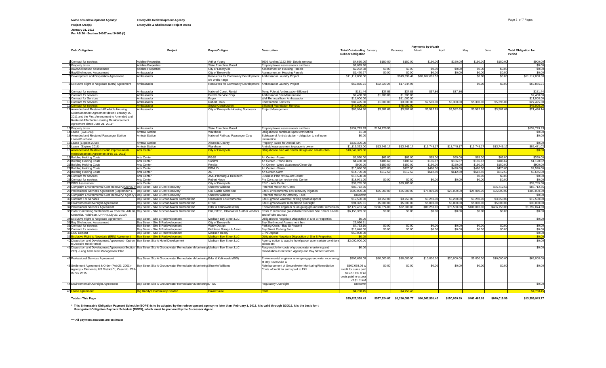### **Name of Redevelopment Agency: Emeryville Redevelopment Agency** Page 2 of 7 Pages

**Project Area(s) Emeryville & Shellmound Project Areas**

**January 31, 2012 Per AB 26 - Section 34167 and 34169 (\*)**

|                                                                                                                                                                                                                        |                                                                                                                               |                                                                |                                                                                                              |                                                                                              |                    |                     | <b>Payments by Month</b> |                     |                    |                      |                                       |
|------------------------------------------------------------------------------------------------------------------------------------------------------------------------------------------------------------------------|-------------------------------------------------------------------------------------------------------------------------------|----------------------------------------------------------------|--------------------------------------------------------------------------------------------------------------|----------------------------------------------------------------------------------------------|--------------------|---------------------|--------------------------|---------------------|--------------------|----------------------|---------------------------------------|
| <b>Debt Obligation</b>                                                                                                                                                                                                 | Project                                                                                                                       | Payee/Obligee                                                  | <b>Description</b>                                                                                           | <b>Total Outstanding January</b><br>Debt or Obligation                                       |                    | February            | March                    | April               | May                | June                 | <b>Total Obligation for</b><br>Period |
| Contract for services                                                                                                                                                                                                  | <b>Adeline Properties</b>                                                                                                     | Arthur Young                                                   | 3602 Adeline/1122 36th Debris removal                                                                        | \$4,650.00                                                                                   | \$150.0            | \$150.00            | \$150.00                 | \$150.00            | \$150.00           | \$150.00             | \$900.00                              |
| 2 Property taxes                                                                                                                                                                                                       | <b>Adeline Properties</b>                                                                                                     | State Franchise Board                                          | Property taxes assessments and fees                                                                          | \$2,039.3                                                                                    |                    |                     |                          |                     |                    |                      | \$0.00                                |
| <b>Bav/Shellmound Assessment</b>                                                                                                                                                                                       | <b>Adeline Properties</b>                                                                                                     | City of Emeryville                                             | Assessment on Housing Parcels                                                                                | \$2,202.58                                                                                   | \$0.00             | \$0.00              | \$0.00                   | \$0.00              | \$0.00             | \$0.00               | \$0.00                                |
| 4 Bay/Shellmound Assessment                                                                                                                                                                                            | Ambassador                                                                                                                    | City of Emeryville                                             | Assessment on Housing Parcels                                                                                | \$1,470.2                                                                                    | \$0.00             | \$0.0               | \$0.0                    | \$0.00              | \$0.00             | \$0.00               | \$0.00                                |
| 5 Development and Disposition Agreement                                                                                                                                                                                | Ambassador                                                                                                                    | Resources for Community Development<br>c/o Wells Fargo         | Ambassador Laundry Project                                                                                   | \$11,112,000.0                                                                               |                    | \$949,398.4         | \$10,162,601.53          |                     | \$0.00             | \$0.00               | \$11,112,000.00                       |
| 6 Exclusive Right to Negotiate (ERN) Agreement                                                                                                                                                                         | Ambassador                                                                                                                    | Resources for Community Development Ambassador Laundry Project |                                                                                                              | \$69,865.2                                                                                   | \$52,620.25        | \$17,244.96         |                          |                     | \$0.00             | \$0.00               | \$69,865.2                            |
| Contract for services                                                                                                                                                                                                  | Ambassador                                                                                                                    | National Const. Rental                                         | Temp Pole at Ambassador-Billboard                                                                            | \$151.4                                                                                      | \$37.8             | \$37.86             | \$37.86                  | \$37.86             |                    |                      | \$151.4                               |
| 8 Contract for services                                                                                                                                                                                                | Ambassador                                                                                                                    | Peralta Service Corp                                           | Ambassador Site Maintenance                                                                                  | \$2,400.0                                                                                    | \$1,200.0          | \$1,200.0           |                          |                     |                    |                      | \$2,400.0                             |
| 9 Contract for Services                                                                                                                                                                                                | Ambassador                                                                                                                    | Fugro                                                          | <b>Well Removal from Ambassador</b>                                                                          | \$11,000.00                                                                                  |                    | \$11,000,00         |                          |                     |                    |                      | \$11,000.0                            |
| 10 Contract for services                                                                                                                                                                                               | Ambassador                                                                                                                    | Robert Haun                                                    | Construction Services                                                                                        | \$87,495.00                                                                                  | \$1,000.0          | \$3,000.0           | \$7,500.0                | \$5,300.00          | \$5,300.0          | \$5,395.00           | \$27,495.0                            |
| 11C<br>Contract for services                                                                                                                                                                                           | <b>\mbassado</b>                                                                                                              | eque Construction                                              | <b>illboard Foundation Removal</b>                                                                           | \$45,000.                                                                                    |                    | \$45,000            |                          |                     |                    |                      | \$45,000.                             |
| 12 Amended and Restated Affordable Housing<br>Reimbursement Agreement dated February 15,<br>2011 and the First Amendment to Amended and<br>Restated Affordable Housing Reimbursement<br>Agreement dated June 21, 2011" | Ambassador                                                                                                                    | City of Emeryville-Housing Successor                           | roject Management                                                                                            | \$85,984.50                                                                                  | \$3,582.6          | \$3,582.69          | \$3,582.6                | \$3,582.69          | \$3,582.6          | \$3,582.69           | \$21,496.14                           |
| 13 Property taxes                                                                                                                                                                                                      | Ambassador                                                                                                                    | State Franchise Board                                          | Property taxes assessments and fees                                                                          | \$134,729.93                                                                                 | \$134,729.9        |                     |                          |                     |                    |                      | \$134,729.9                           |
| 14 Lease (3/2/1993)                                                                                                                                                                                                    | <b>Amtrak Station</b>                                                                                                         | Wareham                                                        | Obligation to purchase upon termination                                                                      | \$1.00                                                                                       |                    |                     |                          |                     |                    |                      | \$0.0                                 |
| 15 Amended and Restated Passenger Station<br>ease/Purchase                                                                                                                                                             | <b>Amtrak Station</b>                                                                                                         | National Railroad Passenger Corp                               | Sublease of Amtrak station - obligation to sell upon<br>ermination                                           | \$0.0                                                                                        |                    |                     |                          |                     |                    |                      | \$0.00                                |
| 16 Lease (Expires 2018)                                                                                                                                                                                                | <b>Amtrak Station</b>                                                                                                         | Alameda County                                                 | Property Taxes for Amtrak Stn                                                                                | \$339,300.00                                                                                 |                    |                     |                          |                     |                    |                      | \$0.00                                |
| 17 Lease (Expires 2018)                                                                                                                                                                                                | <b>Amtrak Station</b>                                                                                                         | Wareham                                                        | Amtrak lease payment to property owner                                                                       | \$1,119,332.00                                                                               | \$13,745.1         | \$13,745.1          | \$13,745.1               | \$13,745.1          | \$13,745.          | \$13,745.17          | \$82,471.0                            |
| 18 Amended and Restated Public Improvements<br>eimbursement Agreement (Feb 15, 2011)                                                                                                                                   | <b>Arts Center</b>                                                                                                            | <b>City of Emeryville</b>                                      | Obligation to fund Art Center design and construction                                                        | \$10,649,379.0                                                                               |                    |                     |                          |                     |                    |                      | \$0.0                                 |
| 19 Building Holding Costs                                                                                                                                                                                              | Arts Center                                                                                                                   | PG&E                                                           | Art Center - Power                                                                                           | \$1,560.00                                                                                   | \$65,00            | \$65.00             | \$65.00                  | \$65.00             | \$65,00            | \$65.00              | \$390.00                              |
| 20 Building Holding Costs                                                                                                                                                                                              | <b>Arts Center</b>                                                                                                            | Sonitrol                                                       | Art Center - Phone lines                                                                                     | \$4,480.0                                                                                    | \$186.6            | \$186.67            | \$186.6                  | \$186.67            | \$186.6            | \$186.67             | \$1,120.0                             |
| 21 Building Holding Costs                                                                                                                                                                                              | <b>Arts Center</b>                                                                                                            | Peralta                                                        | Art Center -Weed abatement/Clean-Up                                                                          | \$900.00                                                                                     | \$150.0            | \$150.00            | \$150.0                  | \$150.00            | \$150.0            | \$150.00             | \$900.0                               |
| 22 Building Holding Costs                                                                                                                                                                                              | <b>Arts Center</b>                                                                                                            | EBMUD<br><b>ADT</b>                                            | Art Center - Water                                                                                           | \$10,080.00                                                                                  | \$420.0<br>\$612.5 | \$420.0<br>\$612.50 | \$420.0<br>\$612.5       | \$420.00<br>\$612.5 | \$420.0<br>\$612.5 | \$420.00<br>\$612.50 | \$2,520.0                             |
| 23 Building Holding Costs                                                                                                                                                                                              | <b>Arts Center</b>                                                                                                            |                                                                | Art Center-Alarm                                                                                             | \$14,700.00                                                                                  |                    |                     |                          |                     |                    |                      | \$3,675.0                             |
| 24 Contract for services<br>25 Contract for services                                                                                                                                                                   | Arts Center<br><b>Arts Center</b>                                                                                             | AMS Planning & Research<br>Robert Haun                         | Business Plan review-Art Center<br>Pre Construction review Arts Center                                       | \$18,500.00<br>\$18,971.00                                                                   | \$0.00             | \$0.00              | \$0.00                   | \$0.00              | \$0.00<br>\$0.00   | \$0.00<br>\$0.00     | \$0.00<br>\$0.00                      |
| 26 PBID Assessment                                                                                                                                                                                                     | <b>Arts Center</b>                                                                                                            | City of Emeryville                                             | PBID - Arts Center                                                                                           | \$39,785.00                                                                                  |                    | \$39,785.00         |                          |                     |                    |                      | \$39,785.0                            |
| 27 Complaint Environmental Cost Recovery: Agency                                                                                                                                                                       | Bay Street - Site B Cost Recovery                                                                                             | Sherwin Williams                                               | Potential Motion for Costs                                                                                   | \$85,712.5                                                                                   |                    |                     |                          |                     |                    | \$85,712.5           | \$85,712.5                            |
| 28 Professional Services Agreement (September 1,                                                                                                                                                                       | Bay Street - Site B Cost Recovery                                                                                             | Cox Castle Nicholsen                                           | Site B environmental cost recovery litigation                                                                | \$500,000.00                                                                                 | \$75,000.0         | \$75,000.00         | \$75,000.0               | \$25,000.00         | \$25,000.0         | \$25,000.0           | \$300,000.0                           |
| 29 Complaint Environmental Cost Recovery; Agency vBay Street - Site B Cost Recovery                                                                                                                                    |                                                                                                                               | Sherwin Williams                                               | Potential Motion for Attorney Fees                                                                           | Unknow                                                                                       |                    |                     |                          |                     |                    |                      | \$0.0                                 |
| 30 Contract For Services                                                                                                                                                                                               | Bay Street - Site B Groundwater Remediation                                                                                   | Clearwater Environmental                                       | Site B ground water/soil drilling spoils disposal                                                            | \$19,500.0                                                                                   | \$3,250.0          | \$3,250.0           | \$3,250.0                | \$3,250.0           | \$3,250.0          | \$3,250.00           | \$19,500.0                            |
| 31 Environmental Oversight Agreement                                                                                                                                                                                   | Bay Street - Site B Groundwater Remediation                                                                                   | DTSC                                                           |                                                                                                              | \$94,395.6                                                                                   | \$5,000.0          | \$5,000.0           | \$5,000.0                | \$5,000.00          | \$5,000.0          | \$5,000.0            | \$30,000.0                            |
| 32 Professional Services Agreement                                                                                                                                                                                     | Bay Street - Site B Groundwater Remediation                                                                                   | Erler & Kalinowski (EKI)                                       | Site B groundwater remediation oversight<br>Environmental engineer re on-going groundwater remediatio        | \$2,179,481.3                                                                                | \$226,074.0        | \$32,500.0          | \$80,250.0               | \$73,500.0          | \$400,000.0        | \$486,750.00         | \$1,299,074.0                         |
| 33 Order Confirming Settlements w/ Chevron, Adams                                                                                                                                                                      | Bay Street - Site B Groundwater Remediation                                                                                   | EKI, DTSC, Clearwater & other vendors                          | Costs to remediate groundwater beneath Site B from on-site                                                   | \$6,155,369.06                                                                               | \$0.0              | \$0.0               | \$0.0                    | \$0.0               | \$0.0              | \$0.00               | \$0.00                                |
| Koeckritz, Robinson, UPRR (July 23, 2010);                                                                                                                                                                             |                                                                                                                               |                                                                | and off-site sources                                                                                         |                                                                                              |                    |                     |                          |                     |                    |                      |                                       |
| 34 Exclusive Right to Negotiate Agreement                                                                                                                                                                              | Bay Street - Site B Redevelopment                                                                                             | Madison Bay Street LLC                                         | Obligation to Negotiate Disposition of Site B Properties                                                     | \$0.00                                                                                       |                    |                     |                          |                     |                    |                      | \$0.00                                |
| 35 Bay Shellmound Assessment                                                                                                                                                                                           | Bay Street - Site B Redevelopment                                                                                             | City of Emeryville                                             | Bay Shellmound Assessment lien                                                                               | 26.066.9                                                                                     |                    |                     |                          |                     |                    |                      |                                       |
| 36 Contract for services                                                                                                                                                                                               | Bay Street - Site B Redevelopment                                                                                             | Watry Design                                                   | Parking Costs - Bay St Phase II                                                                              | \$7,763.1                                                                                    | \$0.00             | \$0.00              | \$0.00                   | \$0.00              | \$0.00             | \$0.00               | \$0.00                                |
| 37 Contract for services                                                                                                                                                                                               | Bay Street - Site B Redevelopment                                                                                             | Fieldman Rolapp & Assoc                                        | Bay Street Parking Svcs                                                                                      | \$15,648.00                                                                                  | \$0.00             | \$0.00              | \$0.00                   | \$0.00              | \$0.00             | \$0.00               | \$0.00                                |
| 38 ERN Deposit                                                                                                                                                                                                         | Bay Street - Site B Redevelopment                                                                                             | Madison Realty                                                 | <b>ERN Deposit</b>                                                                                           | \$50,000.00                                                                                  |                    |                     |                          |                     |                    |                      | \$0.00                                |
| 391<br>cclusive Right to Negotiate (ERN) Agreement                                                                                                                                                                     | <b>Bay Street - Site B Redevelopment</b>                                                                                      | Madison Bay Street LLC                                         | ibligation to Negotiate Disposition of Site B Properties                                                     | \$0.0                                                                                        |                    |                     |                          |                     |                    |                      | \$0.0                                 |
| 40 Disposition and Development Agreement - Option Bay Street Site A Hotel Development<br>o Acquire Hotel Parcel                                                                                                        |                                                                                                                               | Madison Bay Street LLC                                         | Agency option to acquire hotel parcel upon certain conditions<br>orecedent                                   | \$2,000,000.00                                                                               |                    |                     |                          |                     |                    |                      | \$0.00                                |
| 212) - Long Term Risk Management Plan                                                                                                                                                                                  | 41 Disposition and Development Agreement (Section Bay Street Site A Groundwater Remediation/Monitoring Madison Bay Street LLC |                                                                | Responsible for costs of groundwater monitoring and<br>remediation as between Agency and Bay Street Partners | \$0.00                                                                                       |                    |                     |                          |                     |                    |                      | \$0.00                                |
| 42 Professional Services Agreement                                                                                                                                                                                     | Bay Street Site A Groundwater Remediation/Monitoring Erler & Kalinowski (EKI)                                                 |                                                                | Environmental engineer re on-going groundwater monitoring<br>at Bay Street/Site A                            | \$507,668.0                                                                                  | \$10,000.00        | \$10,000.00         | \$10,000.0               | \$20,000.00         | \$5,000.0          | \$10,000.00          | \$65,000.00                           |
| 43 Settlement Agreement & Order (Feb 23, 2001) -<br>Agency v Elementis; US District Ct, Case No. C99-<br>03719 WHA                                                                                                     | Bay Street Site A Groundwater Remediation/Monitoring Sherwin Williams                                                         |                                                                | Reimbursement of Groundwater Monitoring/Remediation<br>Costs w/credit for sums paid to EKI                   | \$507,668.09<br>credit for sums pai<br>to EKI; 5% of a<br>costs paid in exces<br>of \$1.514M | \$0.00             | \$0.00              | \$0.00                   | \$0.00              | \$0.00             | \$0.00               | \$0.00                                |
| 44 Environmental Oversight Agreement                                                                                                                                                                                   | Bay Street Site A Groundwater Remediation/Monitoring DTSC                                                                     |                                                                | Regulatory Oversight                                                                                         | Unknow                                                                                       |                    |                     |                          |                     |                    |                      | \$0.00                                |
| 45 Lease agreement                                                                                                                                                                                                     | <b>Big Daddy's Community Garden</b>                                                                                           | <b>David Saule</b>                                             |                                                                                                              | \$4,758.4                                                                                    |                    | \$4,758.4           |                          |                     |                    |                      | \$4,758.4                             |

**Totals - This Page \$35,422,339.43 \$527,824.07 \$1,216,086.77 \$10,362,551.42 \$150,999.89 \$462,462.03 \$640,019.59 \$13,359,943.77**

\* This Enforceable Obligation Payment Schedule (EOPS) is to be adopted by the redevelopment agency no later than February 1, 2012. It is valid through 6/30/12. It is the basis for t<br>Recognized Obligation Payment Schedule (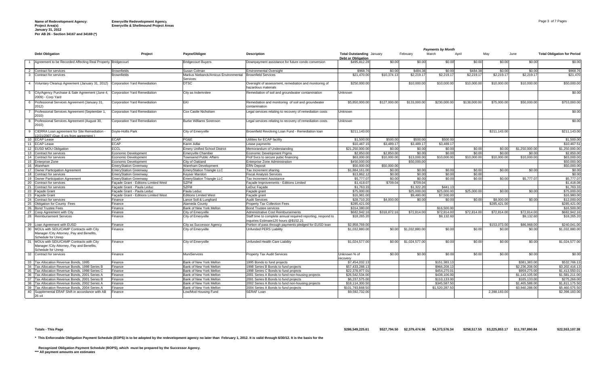**Per AB 26 - Section 34167 and 34169 (\*)**

|                |                                                                                                               |                                      |                                                  |                                                                                                       |                                           |              |                | <b>Payments by Month</b> |              |              |                |                                    |
|----------------|---------------------------------------------------------------------------------------------------------------|--------------------------------------|--------------------------------------------------|-------------------------------------------------------------------------------------------------------|-------------------------------------------|--------------|----------------|--------------------------|--------------|--------------|----------------|------------------------------------|
|                | <b>Debt Obligation</b>                                                                                        | Project                              | Payee/Obligee                                    | <b>Description</b>                                                                                    | <b>Total Outstanding January</b>          |              | February       | March                    | April        | May          | June           | <b>Total Obligation for Period</b> |
|                | 1 Agreement to be Recorded Affecting Real Property Bridgecourt                                                |                                      | <b>Bridgecourt Buyers</b>                        | Downpayment assistance for future condo conversion                                                    | <b>Debt or Obligation</b><br>\$495,812.28 | \$0.00       | \$0.00         | \$0.00                   | \$0.00       | \$0.00       | \$0.00         | \$0.00                             |
|                |                                                                                                               |                                      |                                                  |                                                                                                       |                                           |              |                |                          |              |              |                |                                    |
|                | 2 Contract for services                                                                                       | <b>Brownfields</b>                   | Susan Colman                                     | <b>Environmental Oversight</b>                                                                        | \$968.76                                  | \$0.00       | \$484.38       | \$0.00                   | \$484.38     | \$0.00       | \$0.00         | \$968.76                           |
| $\mathbf{3}$   | Contract for services                                                                                         | <b>Brownfields</b>                   | Markus Niebanck/Amicus Environmental<br>Services | <b>Brownfield Services</b>                                                                            | \$21,470.00                               | \$10,374.13  | \$2,219.17     | \$2,219.17               | \$2,219.1    | \$2,219.17   | \$2,219.17     | \$21,470                           |
|                | 4 Voluntary Cleanup Agreement (January 31, 2012)                                                              | Corporation Yard Remediation         | <b>DTSC</b>                                      | Oversight of assessment, remediation and monitoring of                                                | \$250,000.00                              |              | \$10,000.00    | \$10,000.00              | \$10,000.00  | \$10,000.0   | \$10,000.00    | \$50,000.00                        |
|                |                                                                                                               |                                      |                                                  | azardous materials                                                                                    |                                           |              |                |                          |              |              |                |                                    |
|                | 5 City/Agency Purchase & Sale Agreement (June 4,<br>2009) - Corp Yard                                         | Corporation Yard Remediation         | City as Indemnitee                               | Remediation of soil and groundwater contamination                                                     | Unknown                                   |              |                |                          |              |              |                | \$0.00                             |
| 6              | Professional Services Agreement (January 31,<br>2012)                                                         | Corporation Yard Remediation         | EKI                                              | Remediation and monitoring of soil and groundwater<br>contamination                                   | \$5,850,000.00                            | \$127,000.00 | \$133,000.00   | \$230,000.00             | \$138,000.00 | \$75,000.0   | \$50,000.00    | \$753,000.00                       |
| $\overline{7}$ | Professional Services Agreement (September 1,<br>2010)                                                        | Corporation Yard Remediation         | Cox Castle Nicholsen                             | Legal services relating to recovery of remediation costs                                              | Unknown                                   |              |                |                          |              |              |                | \$0.00                             |
| 8              | Professional Services Agreement (August 30,<br>2010)                                                          | Corporation Yard Remediation         | <b>Burke Williams Sorenson</b>                   | Legal services relating to recovery of remediation costs                                              | Unknown                                   |              |                |                          |              |              |                | \$0.00                             |
|                | 9 CIERRA Loan agreement for Site Remediation -<br>2/21/2007 (Due: 6 vrs from agreement)                       | Dovle-Hollis Park                    | City of Emeryville                               | Brownfield Revolving Loan Fund - Remediation loan                                                     | \$211,143.00                              |              |                |                          |              | \$211,143.00 |                | \$211,143.00                       |
|                | 10 ECAP Lease                                                                                                 | ECAP                                 | PG&E                                             | Utilities for ECAP facility                                                                           | \$1,500.00                                | \$500.00     | \$500.00       | \$500.00                 |              |              |                | \$1,500.00                         |
|                | 11 ECAP Lease                                                                                                 | <b>ECAP</b>                          | Karim Adlai                                      | Lease payments                                                                                        | \$10,467.15                               | \$3,489.1    | \$3,489.17     | \$3,489.17               |              |              |                | \$10,467.51                        |
|                | 12 EUSD MOU Obligation                                                                                        | ECCL                                 | <b>Emery Unified School District</b>             | Memorandum of Understanding                                                                           | \$21,250,000.00                           | \$0.00       | \$0.00         | \$0.00                   | \$0.00       | \$0.00       | \$1,250,000,00 | \$1,250,000.00                     |
|                | 13 Contract for services                                                                                      | Economic Development                 | <b>Emervville Chamber</b>                        | <b>Economic Development Prams</b>                                                                     | \$2,850.0                                 | \$2,850.00   | \$0.00         | \$0.00                   | \$0.00       | \$0.0        | \$0.00         | \$2,850.00                         |
|                | 14 Contract for services                                                                                      | Economic Development                 | <b>Townsend Public Affairs</b>                   | Prof Svcs to secure pubic financing                                                                   | \$63,000.00                               | \$10,000.00  | \$13,000.00    | \$10,000.00              | \$10,000.00  | \$10,000.0   | \$10,000.00    | \$63,000.00                        |
|                | 15 Enterprise Zone                                                                                            | Economic Development                 | City of Oakland                                  | Enterprise Zone Administration                                                                        | \$450,000.00                              |              | \$50,000,00    |                          |              |              |                | \$50,000.00                        |
|                | 16 Wareham                                                                                                    | <b>EmeryStation Greenway</b>         | Wareham Development                              | <b>ERN Deposit</b>                                                                                    | \$50,000.00                               | \$50,000.00  |                |                          |              |              |                | \$50,000.00                        |
|                | 17 Owner Participation Agreement                                                                              | <b>EmeryStation Greenway</b>         | <b>EmeryStation Triangle LLC</b>                 | Tax Increment sharing                                                                                 | \$1,884,161.00                            | \$0.00       | \$0.00         | \$0.00                   | \$0.00       | \$0.00       | \$0.00         | \$0.00                             |
|                | 18 Contract for services                                                                                      | <b>EmeryStation Greenway</b>         | Keyser Marston                                   | <b>Fiscal Analysis Services</b>                                                                       | \$13,862.12                               | \$0.00       | \$0.00         | \$0.00                   | \$0.00       |              |                | \$0.00                             |
|                | 19 Owner Participation Agreement                                                                              | EmervStation Greenway                | <b>EmervStation Triangle LLC</b>                 | <b>Tax Increment Assistance</b>                                                                       | \$5,777.0                                 | \$0.00       | \$0.00         | \$0.00                   | \$0.00       | \$0.00       | \$5,777.07     | \$5,777,07                         |
|                | 20 Contract for services                                                                                      | Facade Grant - Editions Limited West | <b>SZFM</b>                                      | Facade Improvements - Editions Limited                                                                | \$1,418.07                                | \$709.04     | \$709.04       |                          |              |              |                | \$1,418.08                         |
|                | 21 Contract for services                                                                                      | Façade Grant - Paula Leduc           | <b>SZFM</b>                                      | LeDuc Façade                                                                                          | \$1,763.33                                |              | \$1,322.20     | \$441.13                 |              |              |                | \$1,763.33                         |
|                | 22 Facade Grant                                                                                               | Façade Grant - Paula Leduc           | Paula Leduc                                      | Façade grant                                                                                          | \$75,000.00                               |              | \$25,000.00    | \$25,000.00              | \$25,000.00  | \$0.00       | \$0.00         | \$75,000.00                        |
|                | 23 Facade Grant                                                                                               | Facade Grant - Editions Limited West | <b>Editions Limited West</b>                     | Facade grant                                                                                          | \$16,981.00                               |              | \$9,480.00     | \$7,500.00               |              |              |                | \$16,980.00                        |
|                | 24 Contract for services                                                                                      | Finance                              | Lance Soll & Lunghard                            | <b>Audit Services</b>                                                                                 | \$28,710.20                               | \$4,000.00   | \$0.00         | \$0.00                   | \$0.00       | \$8,000.0    | \$0.00         | \$12,000.00                        |
|                | 25 Obligation for County Fees                                                                                 | Finance                              | Alameda County                                   | Property Tax Collection Fees                                                                          | \$285,421.00                              |              |                |                          |              | \$285.421.00 |                | \$285.421.00                       |
|                | 26 Bond Trustee Fees                                                                                          | Finance                              | Bank of New York Mellon                          | <b>Bond Trustee services</b>                                                                          | \$314,380.00                              |              |                | \$16,500.00              |              |              |                | \$16,500.00                        |
|                | 27 Coop Agreement with City                                                                                   | Finance                              | City of Emeryville                               | Administrative Cost Reimbursements                                                                    | \$682,942.16                              | \$318,872.16 | \$72,814.00    | \$72,814.00              | \$72,814.00  | \$72,814.0   | \$72,814.00    | \$682.942.16                       |
|                | 28 Reimbursement Services                                                                                     | Finance                              | City of Emeryville                               | Staff time to complete annual required reporting, respond to<br>inquiries Estimate120 hours @\$152.21 | \$18,265.20                               |              |                | \$9,132.60               |              |              | \$9,132.60     | \$18,265.20                        |
|                | 29 Loan Agreement with EUSD                                                                                   | Finance                              | City as Successor Agency                         | Portion of pass through payments pledged for EUSD loan                                                | \$2,958,769.00                            |              |                |                          |              | \$153,073.00 | \$86,968.00    | \$240.041.00                       |
|                | 30 MOUs with SEIU/CAMP Contracts with City<br>Manager /City Attorney, Pay and Benefits,<br>Schedule for Unrep | inance                               | City of Emeryville                               | Unfunded PERS Liability                                                                               | \$1,032,880,00                            | \$0.00       | \$1,032,880.00 | \$0.00                   | \$0.00       | \$0.00       | \$0.00         | \$1.032,880.00                     |
|                | 31 MOUs with SEIU/CAMP Contracts with City<br>Manager / City Attorney, Pay and Benefits,                      | Finance                              | City of Emeryville                               | Unfunded Health Care Liability                                                                        | \$1,024,577.00                            | \$0.00       | \$1,024,577.00 | \$0.00                   | \$0.00       | \$0.00       | \$0.00         | \$1,024,577.00                     |
|                | Schedule for Unrep<br>32 Contract for services                                                                | Finance                              | <b>MuniServices</b>                              | Property Tax Audit Services                                                                           | Unknown % of<br>ecovery                   | \$0.00       | \$0.00         | \$0.00                   | \$0.00       | \$0.00       | \$0.00         | \$0.00                             |
|                | 33 Tax Allocation Revenue Bonds, 1995                                                                         | Finance                              | Bank of New York Mellon                          | 1995 Bonds to fund projects                                                                           | \$7,454,032.13                            |              |                | \$151,383.13             |              |              | \$381,383,00   | \$532,766.13                       |
| - 34           | Fax Allocation Revenue Bonds, 1998 Series B                                                                   | Finance                              | Bank of New York Mellon                          | 1998 Series B Bonds to fund projects                                                                  | \$57.433.288.13                           |              |                | \$966,208.13             |              |              | \$2,236,208,00 | \$3.202.416.13                     |
| 35             | Tax Allocation Revenue Bonds, 1998 Series C                                                                   | Finance                              | Bank of New York Mellon                          | 1998 Series C Bonds to fund projects                                                                  | \$22,378,977.01                           |              |                | \$454,275.01             |              |              | \$959,275,00   | \$1,413,550.01                     |
| 36             | Tax Allocation Revenue Bonds, 2001 Series A                                                                   | Finance                              | Bank of New York Mellon                          | 2001 Series A Bonds to fund non-housing projects                                                      | \$26,542,534.00                           |              |                | \$438,106.00             |              |              | \$1,143,105.00 | \$1,581,211.00                     |
| 37             | Tax Allocation Revenue Bonds, 2001 Series B                                                                   | Finance                              | Bank of New York Mellon                          | 2001 Series B Bonds to fund projects                                                                  | \$6,237,575,00                            |              |                | \$110,133,00             |              |              | \$165,133,00   | \$275,266.00                       |
| 38             | Tax Allocation Revenue Bonds, 2002 Series A                                                                   | Finance                              | Bank of New York Mellon                          | 2002 Series A Bonds to fund non-housing projects                                                      | \$18,114,300.50                           |              |                | \$345,587.50             |              |              | \$1,465,588,00 | \$1,811,175.50                     |
| 39             | <b>Tax Allocation Revenue Bonds, 2004 Series A</b>                                                            | -inance                              | Bank of New York Mellon                          | 2004 Series A Bonds to fund projects                                                                  | \$101,793,668.50                          |              |                | \$1,520,287.50           |              |              | \$3,940,288.00 | \$5,460,575.50                     |
| 40             | Supplemental ERAF Shift in accordance with AB<br>26 x4                                                        | Finance                              | Low/Mod Housing Fund                             | SERAF Loan                                                                                            | \$9,592,732.00                            |              |                |                          |              | 2,398,183.00 |                | \$2,398,183.00                     |
|                |                                                                                                               |                                      |                                                  |                                                                                                       |                                           |              |                |                          |              |              |                |                                    |

**\* This Enforceable Obligation Payment Schedule (EOPS) is to be adopted by the redevelopment agency no later than February 1, 2012. It is valid through 6/30/12. It is the basis for the** 

Recognized Obligation Payment Schedule (ROPS), which must be prepared by the Successor Agency.<br>\*\*\* All payment amounts are estimates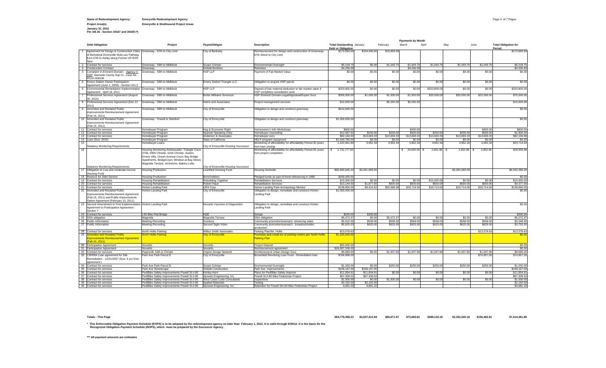#### **Name of Redevelopment Agency: Emeryville Redevelopment Agency** Page 4 of 7 Pages

**Project Area(s) Emeryville & Shellmound Project Areas January 31, 2012 Per AB 26 - Section 34167 and 34169 (\*)**

|                         |                                                                                                                                                                         |                                                                                                                                                                                                 |                                                         |                                                                                                              |                                                               |                      |                     | <b>Payments by Month</b> |              |                |             |                                       |
|-------------------------|-------------------------------------------------------------------------------------------------------------------------------------------------------------------------|-------------------------------------------------------------------------------------------------------------------------------------------------------------------------------------------------|---------------------------------------------------------|--------------------------------------------------------------------------------------------------------------|---------------------------------------------------------------|----------------------|---------------------|--------------------------|--------------|----------------|-------------|---------------------------------------|
|                         | <b>Debt Obligation</b>                                                                                                                                                  | Project                                                                                                                                                                                         | Payee/Obligee                                           | <b>Description</b>                                                                                           | <b>Total Outstanding January</b><br><b>Debt or Obligation</b> |                      | February            | March                    | April        | May            | June        | <b>Total Obligation for</b><br>Period |
|                         | Agreement for Design & Construction Cities Greenway - 67th to City Limit<br>of Berkeley& Emeryville Multi-use Pathway<br>from 67th to Ashby along Former UP RXR<br>Spur |                                                                                                                                                                                                 | City of Berkeley                                        | Reimbursement for design and construction of Greenway:<br>67th Street to City Limit                          | \$173,893.69                                                  | \$154,000.00         | \$19,893.69         |                          |              |                |             | \$173,893.69                          |
|                         | 2 Contract for services                                                                                                                                                 | Greenway - 59th to Midblock                                                                                                                                                                     | Susan Colman                                            | <b>Environmental Oversight</b>                                                                               | \$5,218.75                                                    | \$0.00               | \$1,043.75          | \$1,043.75               | \$1,043.75   | \$1,043.75     | \$1.043.79  | \$5,218.75                            |
|                         | 3 Construction Contract                                                                                                                                                 | Greenway                                                                                                                                                                                        | <b>Ghilotti Brothers</b>                                | Retention                                                                                                    | \$4,256.59                                                    |                      |                     | \$4,256.59               |              |                |             | \$4,256.59                            |
| $\overline{4}$          | Complaint in Eminent Domain - Agency V<br>HSP; Alameda County Sup Ct., Case No.<br>RG10-506236                                                                          | Greenway - 59th to Midblock                                                                                                                                                                     | <b>HSP LLP</b>                                          | Payment of Fair Market Value                                                                                 | \$0.00                                                        | \$0.00               | \$0.00              | \$0.00                   | \$0.00       | \$0.00         | \$0.00      | \$0.00                                |
|                         | 5 Emery Station Owner Participation<br>Agreement (June 1, 2009) - Section 201.2                                                                                         | Greenway - 59th to Midblock                                                                                                                                                                     | <b>Emery Station Triangle LLC</b>                       | Obligation to acquire HSP parcel                                                                             | \$0.00                                                        | \$0.00               | \$0.00              | \$0.00                   | \$0.00       | \$0.00         | \$0.00      | \$0.00                                |
| 6                       | Environmental Remediation Implementation Greenway - 59th to Midblock<br>Agreement - April 18, 2011                                                                      |                                                                                                                                                                                                 | <b>HSP LLP</b>                                          | Deposit of haz material deduction to fair market value if<br>HSP completes remediation work                  | \$203,805.00                                                  | \$0.00               | \$0.00              | \$0.00                   | \$203,805.00 | \$0.00         | \$0.00      | \$203,805.00                          |
|                         | Professional Services Agreement (August<br>30, 2010)                                                                                                                    | Greenway - 59th to Midblock                                                                                                                                                                     | <b>Burke Williams Sorenson</b>                          | HSP Eminent Domain-Legal/Appraisal/Expert Svcs                                                               | \$300,000.00                                                  | \$1,000.00           | \$1,000.00          | \$1,000.00               | \$25,000.00  | \$25,000.00    | \$22,000.00 | \$75,000.00                           |
| $\overline{\mathbf{8}}$ | Professional Services Agreement (Dec 21<br>2011)                                                                                                                        | Greenway - 59th to Midblock                                                                                                                                                                     | <b>Harris and Associates</b>                            | Project management services                                                                                  | \$10,500.00                                                   |                      | \$5,250.0           | \$5,250.00               |              |                |             | \$10,500.00                           |
| 9                       | Amended and Restated Public<br>Improvements Reimbursement Agreement<br>(Feb 15, 2011)                                                                                   | Greenway - 59th to Midblock                                                                                                                                                                     | City of Emeryville                                      | Obligation to design and construct greenway                                                                  | \$510,000.00                                                  |                      |                     |                          |              |                |             | \$0.00                                |
|                         | 10 Amended and Restated Public<br>Improvements Reimbursement Agreement<br>(Feb 15, 2011)                                                                                | Greenway - Powell to Stanford                                                                                                                                                                   | City of Emeryville                                      | Obligation to design and construct greenway                                                                  | \$1,000,000.00                                                |                      |                     |                          |              |                |             | \$0.00                                |
|                         | 11 Contract for services                                                                                                                                                | Homebuyer Program                                                                                                                                                                               | Hsg & Economic Right                                    | Homeowner's Info Workshops                                                                                   | \$800.00                                                      |                      |                     | \$400.00                 |              |                | \$400.00    | \$800.00                              |
|                         | 12 Contract for services                                                                                                                                                | Homebuyer Program                                                                                                                                                                               | Spanish Speaking Unity                                  | Homebuyer counseling                                                                                         | \$12,587.50                                                   | \$200.00             | \$200.00            | \$500.00                 | \$200.00     | \$200.00       | \$500.00    | \$1,800.00                            |
|                         | 13 Contract for services                                                                                                                                                | Homebuyer Program                                                                                                                                                                               | Anderson & Associates                                   | Homebuyer svcs                                                                                               | \$82,160.00                                                   | \$13,693.33          | \$13,693.33         | \$13,693.33              | \$13,693.33  | \$13,693.33    | \$13,693.33 | \$82,159.98                           |
|                         | 14 Loan (Due: 2015)                                                                                                                                                     | Homebuyer Program                                                                                                                                                                               | State of California                                     | HELP program repayment                                                                                       | \$1,934,790.00                                                | \$0.00               | \$0.00              | \$0.00                   | \$0.00       | \$0.00         | \$0.00      | \$0.00                                |
| 15                      | <b>Statatory Monitoring Requirements</b>                                                                                                                                | Homebuyer Loans                                                                                                                                                                                 | City of Emeryville-Housing Successor                    | Monitoring of affordability for affordability Period-30 years<br>from Ioan closing                           | 1,422,841.80                                                  | 3,952.34             | 3,952.34            | 3,952.34                 | 3,952.34     | 3,952.34       | 3,952.34    | \$23,714.04                           |
| 16                      |                                                                                                                                                                         | Housing Monitoring Ambassador, Triangle Court,<br>3706, 5900 Christie, 6150 Christie, Avalon,<br>Emery Villa, Ocean Avenue Court, Bay Bridge<br>Apartments, BridgeCourt, Windsor at Bay Street, |                                                         | Monitoring of affordability for affordability Period-55 years<br>from project completion                     | s.<br>1,731,777.00                                            |                      |                     | $$20,000.00$ \$          | 2,852.96 \$  | 2,852.96 \$    | 2,852.96    | \$28,558.88                           |
|                         | <b>Statutory Monitoring Requirements</b>                                                                                                                                | Magnolia Terrace, Archstone, Bakery Lofts.                                                                                                                                                      | City of Emeryville-Housing Successor                    |                                                                                                              |                                                               |                      |                     |                          |              |                |             |                                       |
|                         | 17 Obligation to Low and moderate Income<br><b>Housing Fund</b>                                                                                                         | <b>Housing Production</b>                                                                                                                                                                       | Low/Mod Housing Fund                                    | <b>Housing SetAside</b>                                                                                      | \$56,893,645.44                                               | \$3,281,693.00       |                     |                          |              | \$3,281,693.00 |             | \$6,563,386.00                        |
|                         | 18 Reserve for Debt Service                                                                                                                                             | <b>Housing Production</b>                                                                                                                                                                       | Bond holders                                            | Pledged funds as part of bond refinancing in 1998                                                            | \$200,000.00                                                  |                      |                     |                          |              |                |             | \$0.00                                |
|                         | 19 Contract for services                                                                                                                                                | <b>Housing Rehabilitation</b>                                                                                                                                                                   | Rebuilding Together                                     | <b>Rehabilitation Services</b>                                                                               | \$15,000.00                                                   | \$0.00               | \$0.00              | \$0.00                   | \$15,000.00  | \$0.00         | \$0.00      | \$15,000.00                           |
|                         | 20 Contract for services                                                                                                                                                | <b>Housing Rehabilitation</b>                                                                                                                                                                   | Robert Haun                                             | <b>Rehabilitation Services</b>                                                                               | \$13,144.50                                                   | \$1,877.00           | \$500.00            | \$500.00                 | \$500.00     | \$500.00       | \$500.00    | \$4,377.00                            |
| 22                      | 21 Contract for services<br>Amended and Restated Public                                                                                                                 | Horton Landing Park<br><b>Horton Landing Park</b>                                                                                                                                               | URS Corp                                                | Horton Landing Park-Archaeology Monitor                                                                      | \$138,856.00<br>\$1,000,000.00                                | \$9,410.62           | \$50,589.3          | \$19,714.00              | \$19,714.00  | \$19,714.00    | \$19,714.00 | \$138,856.00<br>\$0.00                |
|                         | Improvements Reimbursement Agreement<br>(Feb 15, 2011) and Public Improvements<br>Option Agreement (February 15, 2011)                                                  |                                                                                                                                                                                                 | City of Emeryville                                      | Obligation to design, remediate and construct Horton<br>Landing Park                                         |                                                               |                      |                     |                          |              |                |             |                                       |
|                         | 23 Second Amendment to First Implementation Horton Landing Park<br>Agreement to Participation Agreement -<br>Section 7                                                  |                                                                                                                                                                                                 | Novartis Vaccines & Diagnostics                         | Obligation to design, remediate and construct Horton<br>Landing Park                                         |                                                               |                      |                     |                          |              |                |             | \$0.00                                |
|                         | 24 Contract for services                                                                                                                                                | I-80 Bike Ped Bridge                                                                                                                                                                            | HQE                                                     | Design                                                                                                       | \$200.00                                                      | \$200.00             |                     | \$0.00                   | \$0.00       | \$0.00         | \$0.00      | \$200.00                              |
|                         | 25 DDA obligation<br>26 Public Information                                                                                                                              | Magnolia                                                                                                                                                                                        | Magnolia Terrace<br>Granicus                            | DDA obligation                                                                                               | \$5,072.37                                                    | \$0.00<br>\$558.00   | \$5,072.37          | \$558.00                 | \$558.00     | \$558.00       | \$558.00    | \$5,072.37<br>\$3,348.00              |
|                         | 27 Public Information                                                                                                                                                   | <b>Meeting Recording</b><br><b>Meeting Recording</b>                                                                                                                                            | Second Sight Video                                      | Community promotion/outreach: streaming video<br>Community promotion/outreach: broadcast/video<br>production | \$5,022.00<br>\$5,625.00                                      | \$625.00             | \$558.0<br>\$625.00 | \$625.00                 | \$625.00     | \$625.00       | \$625.00    | \$3,750.00                            |
|                         | 28 Contract for services                                                                                                                                                | North Hollis Parking                                                                                                                                                                            | <b>Wilbur Smith Associates</b>                          | Parking Plan/No. Hollis                                                                                      | \$13,578.63                                                   |                      |                     |                          |              |                | \$13,578,63 | \$13,578,63                           |
| 29                      | <b>Amended and Restated Public</b><br>nprovements Reimbursement Agreement<br>Feb 15, 2011)                                                                              | <b>Jorth Hollis Parking</b>                                                                                                                                                                     | <b>City of Emeryville</b>                               | urchase and install ion of parking meters per North Hollis<br>Parking Plan                                   | \$1,200,000.0                                                 |                      |                     |                          |              |                |             | \$0.00                                |
|                         | 30 Participation Agreement                                                                                                                                              | Novartis                                                                                                                                                                                        | Novartis                                                | <b>Project Deposit</b>                                                                                       | \$50,000.00                                                   |                      |                     |                          |              |                |             | \$0.00                                |
|                         | 31 Participation Agreement                                                                                                                                              | <b>Novartis</b>                                                                                                                                                                                 | Novartis                                                | Reimbursement agreement                                                                                      | \$26,997,536.00                                               |                      |                     |                          |              |                |             | \$0.00                                |
|                         | 32 Contract for services                                                                                                                                                | Papermill, 64th & Christie                                                                                                                                                                      | Origins Design Network                                  | Architectural & Urban Design Svcs                                                                            | \$9,689.00                                                    | \$0.00               | \$1,937.80          | \$1,937.80               | \$1,937.80   | \$1,937.80     | \$1,937.80  | \$9,689.00                            |
|                         | 33 CIERRA Loan agreement for Site<br>Remediation - 12/21/2007 (Due: 6 yrs from<br>agreement)                                                                            | Park Ave Park-Parcel D                                                                                                                                                                          | City of Emeryville                                      | Brownfield Revolving Loan Fund - Remediation loan                                                            | \$766,898.00                                                  |                      |                     |                          |              |                | \$74,857.00 | \$74,857.00                           |
|                         | 34 Contract for services                                                                                                                                                | Park Ave Park-Parcel D                                                                                                                                                                          | Susan Colman                                            | Environmental Oversight                                                                                      | \$1,250.00                                                    | \$0.00               | \$250.00            | \$250.00                 | \$250.00     | \$250.00       | \$250.00    | \$1,250.00                            |
|                         | 35 Contract for services                                                                                                                                                | Park Ave Streetscape                                                                                                                                                                            | <b>Ghilotti Construction</b>                            | Park Ave, Improvements                                                                                       | \$158,167.00                                                  | \$158,167,00         |                     |                          |              |                |             | \$158,167,00                          |
|                         | 36 Contract for services                                                                                                                                                | Ped/Bike Safety Improvements Powell St./I-80                                                                                                                                                    | Kimlev-Horn                                             | Plans for Ped/Bike Safety Improve                                                                            | \$11,854.91                                                   | \$11,854.91          | \$0.00              | \$0.00                   | \$0.00       | \$0.00         | \$0.00      | \$11,854.91                           |
|                         | 37 Contract for services                                                                                                                                                | Ped/Bike Safety Improvements Powell St./I-80                                                                                                                                                    | Sposeto Engineering, Inc.                               | Powell St./I-80 Bike Pedestrian Proiect                                                                      | \$67,309.52                                                   | \$67,309.52          |                     | \$0.00                   |              |                | \$0.00      | \$67,309.52                           |
|                         | 38 Contract for services<br>39 Contract for services                                                                                                                    | Ped/Bike Safety Improvements Powell St./I-80                                                                                                                                                    | West Coast Code Consultants<br><b>Applied Materials</b> | Inspections                                                                                                  | \$1,000.00<br>\$2,192.00                                      | \$0.00<br>\$2,192.00 | \$1,000.00          |                          | \$0.00       | \$0.00         |             | \$1,000.00<br>\$2,192.00              |
|                         | 40 Contract for services                                                                                                                                                | Ped/Bike Safety Improvements Powell St./I-80<br>Ped/Bike Safety Improvements Powell St./I-80                                                                                                    | Sposeto Engineering, Inc.                               | Testing<br>Retention for Powell St/I-80 Bike Pedestrian Project                                              | 4,681.22                                                      | 4,681.22             |                     |                          |              |                |             | \$4,681.22                            |

\* This Enforceable Obligation Payment Schedule (EOPS) is to be adopted by the redevelopment agency no later than February 1, 2012. It is valid through 6/30/12. It is the basis for the<br>Recognized Obligation Payment Schedule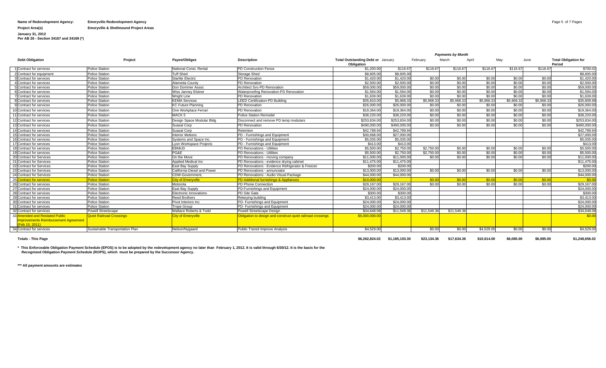#### **Name of Redevelopment Agency: Emeryville Redevelopment Agency** Page 5 of 7 Pages

**Project Area(s) Emeryville & Shellmound Project Areas**

**January 31, 2012 Per AB 26 - Section 34167 and 34169 (\*)**

|                                                                                         |                                 |                             |                                                             | <b>Payments by Month</b>                               |              |             |             |            |            |           |                                       |
|-----------------------------------------------------------------------------------------|---------------------------------|-----------------------------|-------------------------------------------------------------|--------------------------------------------------------|--------------|-------------|-------------|------------|------------|-----------|---------------------------------------|
| <b>Debt Obligation</b>                                                                  | Project                         | Pavee/Obligee               | <b>Description</b>                                          | <b>Total Outstanding Debt or January</b><br>Obligation |              | February    | March       | April      | May        | June      | <b>Total Obligation for</b><br>Period |
| 1 Contract for services                                                                 | <b>Police Station</b>           | National Const. Rental      | <b>PD Construction Fence</b>                                | \$1,200.00                                             | \$116.67     | \$116.67    | \$116.67    | \$116.67   | \$116.67   | \$116.6   | \$700.02                              |
| 2 Contract for equipment                                                                | Police Station                  | <b>Tuff Shed</b>            | Storage Shed                                                | \$8,605.00                                             | \$8,605.00   |             |             |            |            |           | \$8,605.00                            |
| 3 Contract for services                                                                 | <b>Police Station</b>           | <b>Starlite Electric</b>    | PD Renovation                                               | \$1,420.0                                              | \$1,420.00   | \$0.00      | \$0.00      | \$0.00     | \$0.00     | \$0.00    | \$1,420.00                            |
| 4 Contract for services                                                                 | <b>Police Station</b>           | Alameda County              | PD Renovation                                               | \$2,500.0                                              | \$2,500.00   | \$0.00      | \$0.00      | \$0.00     | \$0.00     | \$0.00    | \$2,500.00                            |
| 5 Contract for services                                                                 | <b>Police Station</b>           | Don Dommer Assoc            | Architect Svc-PD Renovation                                 | \$59,000.0                                             | \$59,000.00  | \$0.00      | \$0.00      | \$0.00     | \$0.00     | \$0.00    | \$59,000.00                           |
| 6 Contract for services                                                                 | <b>Police Station</b>           | <b>Wiss Janney Elstner</b>  | Waterproofing Renovation-PD Renovation                      | \$1,594.0                                              | \$1,594.00   | \$0.00      | \$0.00      | \$0.00     | \$0.00     | \$0.00    | \$1,594.00                            |
| <b>7</b> Contract for services                                                          | <b>Police Station</b>           | <b>Wright Line</b>          | PD Renovation                                               | \$1,639.0                                              | \$1,639,00   | \$0.00      | \$0.00      | \$0.00     | \$0.00     | \$0.00    | \$1,639.00                            |
| 8 Contract for services                                                                 | <b>Police Station</b>           | <b>KEMA Services</b>        | <b>LEED Certification-PD Building</b>                       | \$35,810.0                                             | \$5,968.33   | \$5,968.33  | \$5,968.3   | \$5,968.33 | \$5,968.33 | \$5,968.3 | \$35,809.98                           |
| 9 Contract for services                                                                 | <b>Police Station</b>           | <b>KC Future Planning</b>   | PD Renovation                                               | \$26,000.0                                             | \$26,000.00  | \$0.00      | \$0.00      | \$0.00     | \$0.00     | \$0.00    | \$26,000.00                           |
| 10 Contract for services                                                                | <b>Police Station</b>           | One Workplace Ferrari       | PD Renovation                                               | \$19,364.0                                             | \$19,364.00  | \$0.00      | \$0.00      | \$0.00     | \$0.00     | \$0.00    | \$19,364.00                           |
| 11 Contract for services                                                                | <b>Police Station</b>           | MACK <sub>5</sub>           | Police Station Remodel                                      | \$38,220.0                                             | \$38,220.00  | \$0.00      | \$0.00      | \$0.00     | \$0.00     | \$0.00    | \$38,220.00                           |
| 12 Contract for services                                                                | <b>Police Station</b>           | Design Space Modular Bldg   | Disconnect and remove PD temp modulars                      | \$253,834.0                                            | \$253,834,00 | \$0.00      | \$0.00      | \$0.00     | \$0.00     | \$0.00    | \$253,834,00                          |
| 13 Contract for services                                                                | Police Station                  | Suasal Corp                 | PD Renovation                                               | \$490,000.0                                            | \$490,000.00 | \$0.00      | \$0.00      | \$0.00     | \$0.00     | \$0.00    | \$490,000,00                          |
| 14 Contract for services                                                                | <b>Police Station</b>           | Suasal Corp                 | Retention                                                   | \$42,789.9                                             | \$42,789.94  |             |             |            |            |           | \$42,789.94                           |
| 15 Contract for services                                                                | <b>Police Station</b>           | <b>Interior Motions</b>     | PD - Furnishings and Equipment                              | \$30,668.0                                             | \$27,000.00  |             |             |            |            |           | \$27,000.00                           |
| 16 Contract for services                                                                | Police Station                  | Systems and Space Inc.      | PD - Furnishings and Equipment                              | \$5,035.0                                              | \$5,035.00   |             |             |            |            |           | \$5,035.00                            |
| 17 Contract for services                                                                | <b>Police Station</b>           | Lyon Workspace Projects     | PD - Furnishings and Equipment                              | \$413.0                                                | \$413.00     |             |             |            |            |           | \$413.00                              |
| 18 Contract for services                                                                | <b>Police Station</b>           | <b>EBMUD</b>                | PD Renovations - Utilities                                  | \$5,500.0                                              | \$2,750.00   | \$2,750.00  | \$0.00      | \$0.00     | \$0.00     | \$0.00    | \$5,500.00                            |
| 19 Contract for services                                                                | <b>Police Station</b>           | PG&E                        | PD Renovations - Utilities                                  | \$5,500.0                                              | \$2,750.00   | \$2,750,00  | \$0.00      | \$0.00     | \$0.00     | \$0.00    | \$5,500.00                            |
| 20 Contract for Services                                                                | <b>Police Station</b>           | On the Move                 | PD Renovations - moving company                             | \$11,000.0                                             | \$11,000.00  | \$0.00      | \$0.00      | \$0.00     | \$0.00     | \$0.00    | \$11,000.00                           |
| 21 Contract for Services                                                                | <b>Police Station</b>           | Applied Medical Inc         | PD Renovations - evidence drying cabinet                    | \$11,475.0                                             | \$11,475.00  |             |             |            |            |           | \$11,475.00                           |
| 22 Contract for Services                                                                | <b>Police Station</b>           | East Bay Supply             | PD Renovations - Evidence Refrigerator & Freezer            | \$200.00                                               | \$200.00     |             |             |            |            |           | \$200.00                              |
| 23 Contract for Services                                                                | <b>Police Station</b>           | California Diesel and Power | PD Renovations - annunciator                                | \$13,000.0                                             | \$13,000.00  | \$0.00      | \$0.00      | \$0.00     | \$0.00     | \$0.00    | \$13,000.00                           |
| 24 Contract for Services                                                                | <b>Police Station</b>           | <b>CDW-Government</b>       | PD Renovations - Audio Visual Package                       | \$44,000.0                                             | \$44,000.00  |             |             |            |            |           | \$44,000.00                           |
| 25C<br>Contract for services                                                            | <b>Police Station</b>           | <b>City of Emervville</b>   | PD Additional furnishings & Appliances                      | \$10.000.0                                             |              | \$0.00      | \$0.00      | \$0.00     | \$0.00     | \$0.00    | \$0.00                                |
| 26 Contract for services                                                                | <b>Police Station</b>           | Motorola                    | PD Phone Connection                                         | \$29,167.0                                             | \$29,167,00  | \$0.00      | \$0.00      | \$0.00     | \$0.00     | \$0.00    | \$29,167.00                           |
| 27 Contract for services                                                                | <b>Police Station</b>           | East Bay Supply             | PD-Furnishings and Equipment                                | \$24,000.0                                             | \$24,000.00  |             |             |            |            |           | \$24,000.00                           |
| 28 Contract for services                                                                | <b>Police Station</b>           | Electronic Innovations      | PD Site Gate                                                | \$300.0                                                | \$300.00     |             |             |            |            |           | \$300,00                              |
| 29 Contract for services                                                                | <b>Police Station</b>           | <b>Reed Brothers</b>        | Rekeying building                                           | \$3,413.0                                              | \$3,413.00   |             |             |            |            |           | \$3,413.00                            |
| 30 Contract for services                                                                | Police Station                  | Pivot Interiors Inc.        | PD- Furnishings and Equipment                               | \$24,000.0                                             | \$24,000.00  |             |             |            |            |           | \$24,000.00                           |
| 31 Contract for services                                                                | Police Station                  | <b>Trope Group</b>          | PD- Furnishings and Equipment                               | \$24,000.0                                             | \$24,000.00  |             |             |            |            |           | \$24,000.00                           |
| 32 Contract for services                                                                | <b>Powell Streetscape</b>       | Wallace Roberts & Todd      | Powell Streetscape Design                                   | \$34,648.0                                             | \$11,549.36  | \$11,549.36 | \$11,549.36 |            |            |           | \$34,648.08                           |
| 33 Amended and Restated Public<br>mprovements Reimbursement Agreement<br>(Feb 15, 2011) | <b>Quiet Railroad Crossings</b> | <b>City of Emeryville</b>   | Obligation to design and construct quiet railroad crossings | \$5,000,000.0                                          |              |             |             |            |            |           | \$0.00                                |
| 34 Contract for services                                                                | Sustainable Transportation Plan | Nelson/Nygaard              | Public Transit Improve Analysis                             | \$4,529.00                                             |              | \$0.00      | \$0.00      | \$4,529.00 | \$0.00     | \$0.00    | \$4,529.00                            |

0.62,182,824.02 \$1,185,103.30 \$23,134.36 \$17,634.36 \$17,634.36 \$17,634.36 \$6,085.00 \$6,085.00 \$1,248,656.02 \$1

**\* This Enforceable Obligation Payment Schedule (EPOS) is to be adopted by the redevelopment agency no later than February 1, 2012. It is valid through 6/30/12. It is the basis for the Recognized Obligation Payment Schedule (ROPS), which must be prepared by the Successor Agency.**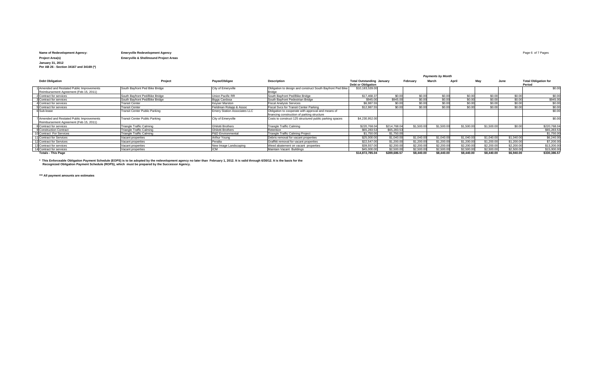## **Name of Redevelopment Agency: Emeryville Redevelopment Agency** Page 6 of 7 Pages **Project Area(s) Emeryville & Shellmound Project Areas**

**January 31, 2012 Per AB 26 - Section 34167 and 34169 (\*)**

| <b>Debt Obligation</b>                                                               | Project                              | Payee/Obligee                       | <b>Description</b>                                                                                | <b>Total Outstanding January</b><br><b>Debt or Obligation</b> |              | February   | March      | April      | Mav        | June       | <b>Total Obligation for</b><br>Period |  |
|--------------------------------------------------------------------------------------|--------------------------------------|-------------------------------------|---------------------------------------------------------------------------------------------------|---------------------------------------------------------------|--------------|------------|------------|------------|------------|------------|---------------------------------------|--|
| 1 Amended and Restated Public Improvements<br>Reimbursement Agreement (Feb 15, 2011) | South Bayfront Ped Bike Bridge       | City of Emeryville                  | Obligation to design and construct South Bayfront Ped Bike<br><b>Bridge</b>                       | \$10,183,539.00                                               |              |            |            |            |            |            | \$0.00                                |  |
| 2 Contract for services                                                              | South Bayfront Ped/Bike Bridge       | Union Pacific RR                    | South Bayfront Ped/Bike Bridge                                                                    | \$17,468.37                                                   | \$0.00       | \$0.00     | \$0.00     | \$0.00     | \$0.00     | \$0.00     | \$0.00                                |  |
| 3 Contract for services                                                              | South Bayfront Ped/Bike Bridge       | Biggs Cardosa                       | South Bayfront Pedestrian Bridge                                                                  | \$945.00                                                      | \$945.00     | \$0.00     | \$0.00     | \$0.00     | \$0.00     | \$0.00     | \$945.00                              |  |
| 4 Contract for services                                                              | <b>Transit Center</b>                | Keyser Marston                      | <b>Fiscal Analysis Services</b>                                                                   | \$6,987.55                                                    | \$0.00       | \$0.00     | \$0.00     | \$0.00     | \$0.00     | \$0.00     | \$0.00                                |  |
| 5 Contract for services                                                              | <b>Transit Center</b>                | Fieldman Rolapp & Assoc             | Fiscal Sycs for Transit Center Parking                                                            | \$12,987.55                                                   | \$0.00       | \$0.00     | \$0.00     | \$0.00     | \$0.00     | \$0.00     | \$0.00                                |  |
| 6 Sub-lease                                                                          | <b>Transit Center Public Parking</b> | <b>Emery Station Associates LLC</b> | Obligation to cooperate with approval and means of<br>financing construction of parking structure |                                                               |              |            |            |            |            |            | \$0.00                                |  |
| 7 Amended and Restated Public Improvements<br>Reimbursement Agreement (Feb 15, 2011) | <b>Transit Center Public Parking</b> | City of Emeryville                  | Costs to construct 125 structured public parking spaces                                           | \$4,230,952.00                                                |              |            |            |            |            |            | \$0.00                                |  |
| 8 Contract for services                                                              | <b>Triangle Traffic Calming</b>      | <b>Ghilotti Brothers</b>            | <b>Triangle Traffic Calming</b>                                                                   | \$220,768.04                                                  | \$214,768.04 | \$1,500.00 | \$1,500.00 | \$1,500.00 | \$1,500.00 | \$0.00     | \$220,768.04                          |  |
| 9 Construction Contract                                                              | Triangle Traffic Calming             | Ghilotti Brothers                   | Retention                                                                                         | \$65,283,53                                                   | \$65,283,53  |            |            |            |            |            | \$65,283,53                           |  |
| 10 Contract For Services                                                             | <b>Triangle Traffic Calming</b>      | P&D Environmental                   | Triangle Traffic Calming Project                                                                  | \$1,750.00                                                    | \$1,750.00   |            |            |            |            |            | \$1,750.00                            |  |
| 11 Contract for Services                                                             | Vacant properties                    | Arthur Young                        | Debris removal for vacant properties                                                              | \$25,000.00                                                   | \$1,040.00   | \$1,040.00 | \$1,040.00 | \$1,040.00 | \$1,040.00 | \$1,040.00 | \$6,240.00                            |  |
| 12 Contract for Services                                                             | Vacant properties                    | Peralta                             | Graffitti removal for vacant properties                                                           | \$22,547.00                                                   | \$1,200.00   | \$1,200.00 | \$1,200.00 | \$1,200.00 | \$1,200.00 | \$1.200.00 | \$7,200.00                            |  |
| 13 Contract for services                                                             | Vacant properties                    | New Image Landscaping               | Weed abatement on vacant properties                                                               | \$39,557.00                                                   | \$2,200.00   | \$2,200.00 | \$2,200.00 | \$2,200.00 | \$2,200.00 | \$2,200.00 | \$13,200.00                           |  |
| 14 Contract for services                                                             | Vacant properties                    | ICM.                                | Maintain Vacant Buildings                                                                         | \$45,000.00                                                   | \$2,500.00   | \$2,500.00 | \$2,500.00 | \$2,500.00 | \$2,500.00 | \$2,500.00 | \$15,000.00                           |  |
| <b>Totals - This Page</b>                                                            |                                      |                                     |                                                                                                   | \$14,872,785.04                                               | \$289,686.57 | \$8,440.00 | \$8,440.00 | \$8,440.00 | \$8,440.00 | \$6,940.00 | \$330,386.57                          |  |

\* This Enforceable Obligation Payment Schedule (EOPS) is to be adopted by the redevelopment agency no later than February 1, 2012. It is valid through 6/30/12. It is the basis for the<br>Recognized Obligation Payment Schedule